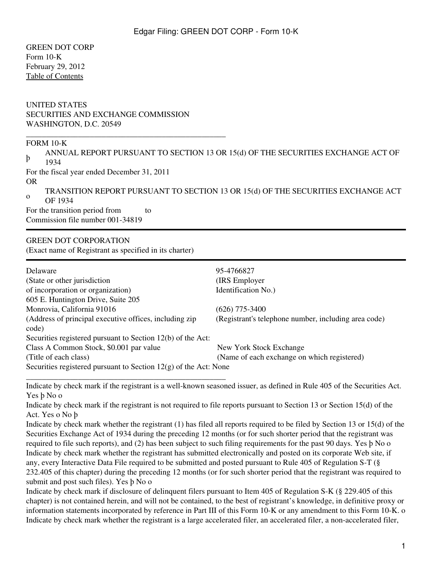GREEN DOT CORP Form 10-K February 29, 2012 [Table of Contents](#page-2-0)

### UNITED STATES SECURITIES AND EXCHANGE COMMISSION WASHINGTON, D.C. 20549

\_\_\_\_\_\_\_\_\_\_\_\_\_\_\_\_\_\_\_\_\_\_\_\_\_\_\_\_\_\_\_\_\_\_\_\_\_\_\_\_\_\_\_\_\_\_\_\_\_\_

#### FORM 10-K

þ ANNUAL REPORT PURSUANT TO SECTION 13 OR 15(d) OF THE SECURITIES EXCHANGE ACT OF 1934

For the fiscal year ended December 31, 2011 OR

o TRANSITION REPORT PURSUANT TO SECTION 13 OR 15(d) OF THE SECURITIES EXCHANGE ACT OF 1934

For the transition period from to Commission file number 001-34819

# GREEN DOT CORPORATION

(Exact name of Registrant as specified in its charter)

\_\_\_\_\_\_\_\_\_\_\_\_\_\_\_\_\_\_\_\_\_\_\_\_\_\_\_\_\_\_\_\_\_\_\_\_\_\_\_\_\_\_\_\_\_\_\_\_\_\_

| Delaware                                                           | 95-4766827                                           |
|--------------------------------------------------------------------|------------------------------------------------------|
| (State or other jurisdiction)                                      | (IRS Employer)                                       |
| of incorporation or organization)                                  | Identification No.)                                  |
| 605 E. Huntington Drive, Suite 205                                 |                                                      |
| Monrovia, California 91016                                         | $(626)$ 775-3400                                     |
| (Address of principal executive offices, including zip)<br>code)   | (Registrant's telephone number, including area code) |
| Securities registered pursuant to Section 12(b) of the Act:        |                                                      |
| Class A Common Stock, \$0.001 par value                            | New York Stock Exchange                              |
| (Title of each class)                                              | (Name of each exchange on which registered)          |
| Securities registered pursuant to Section $12(g)$ of the Act: None |                                                      |

Indicate by check mark if the registrant is a well-known seasoned issuer, as defined in Rule 405 of the Securities Act. Yes þ No o

Indicate by check mark if the registrant is not required to file reports pursuant to Section 13 or Section 15(d) of the Act. Yes o No þ

Indicate by check mark whether the registrant (1) has filed all reports required to be filed by Section 13 or 15(d) of the Securities Exchange Act of 1934 during the preceding 12 months (or for such shorter period that the registrant was required to file such reports), and (2) has been subject to such filing requirements for the past 90 days. Yes þ No o Indicate by check mark whether the registrant has submitted electronically and posted on its corporate Web site, if any, every Interactive Data File required to be submitted and posted pursuant to Rule 405 of Regulation S-T (§ 232.405 of this chapter) during the preceding 12 months (or for such shorter period that the registrant was required to submit and post such files). Yes þ No o

Indicate by check mark if disclosure of delinquent filers pursuant to Item 405 of Regulation S-K (§ 229.405 of this chapter) is not contained herein, and will not be contained, to the best of registrant's knowledge, in definitive proxy or information statements incorporated by reference in Part III of this Form 10-K or any amendment to this Form 10-K. o Indicate by check mark whether the registrant is a large accelerated filer, an accelerated filer, a non-accelerated filer,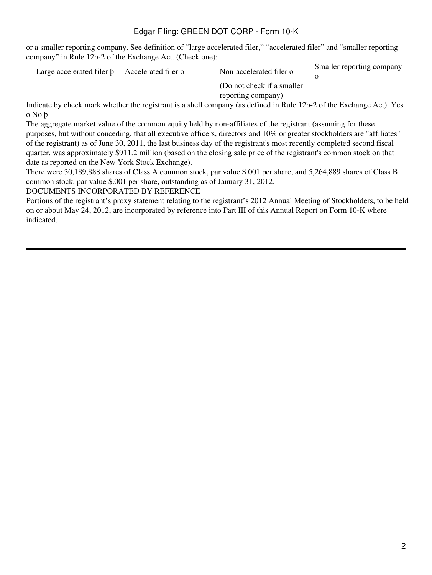or a smaller reporting company. See definition of "large accelerated filer," "accelerated filer" and "smaller reporting company" in Rule 12b-2 of the Exchange Act. (Check one):

Large accelerated filer b Accelerated filer o Non-accelerated filer o Smaller reporting company o (Do not check if a smaller reporting company)

Indicate by check mark whether the registrant is a shell company (as defined in Rule 12b-2 of the Exchange Act). Yes o No þ

The aggregate market value of the common equity held by non-affiliates of the registrant (assuming for these purposes, but without conceding, that all executive officers, directors and 10% or greater stockholders are "affiliates" of the registrant) as of June 30, 2011, the last business day of the registrant's most recently completed second fiscal quarter, was approximately \$911.2 million (based on the closing sale price of the registrant's common stock on that date as reported on the New York Stock Exchange).

There were 30,189,888 shares of Class A common stock, par value \$.001 per share, and 5,264,889 shares of Class B common stock, par value \$.001 per share, outstanding as of January 31, 2012.

### DOCUMENTS INCORPORATED BY REFERENCE

Portions of the registrant's proxy statement relating to the registrant's 2012 Annual Meeting of Stockholders, to be held on or about May 24, 2012, are incorporated by reference into Part III of this Annual Report on Form 10-K where indicated.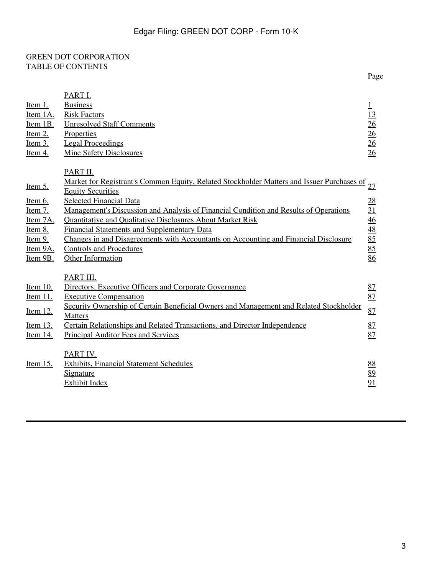## <span id="page-2-0"></span>GREEN DOT CORPORATION TABLE OF CONTENTS

|                                                                                                      |                                                                                                                                                                                                                                                                                                                                                                                                                                                                                                                                                | Page                                                                    |
|------------------------------------------------------------------------------------------------------|------------------------------------------------------------------------------------------------------------------------------------------------------------------------------------------------------------------------------------------------------------------------------------------------------------------------------------------------------------------------------------------------------------------------------------------------------------------------------------------------------------------------------------------------|-------------------------------------------------------------------------|
| <u>Item 1.</u><br>Item 1A.<br>Item 1B.<br>Item $2$ .<br><u>Item 3.</u><br>Item $4$ .                 | PART I.<br><b>Business</b><br><b>Risk Factors</b><br><b>Unresolved Staff Comments</b><br>Properties<br><b>Legal Proceedings</b><br><b>Mine Safety Disclosures</b>                                                                                                                                                                                                                                                                                                                                                                              | $\mathbf 1$<br>13<br>26<br>26<br>$\frac{26}{5}$<br>26                   |
| Item $5$ .<br><u>Item 6.</u><br>Item $7.$<br>Item 7A.<br>Item 8.<br>$Item 9$<br>Item 9A.<br>Item 9B. | PART II.<br>Market for Registrant's Common Equity, Related Stockholder Matters and Issuer Purchases of<br><b>Equity Securities</b><br><b>Selected Financial Data</b><br>Management's Discussion and Analysis of Financial Condition and Results of Operations<br><b>Quantitative and Qualitative Disclosures About Market Risk</b><br><b>Financial Statements and Supplementary Data</b><br>Changes in and Disagreements with Accountants on Accounting and Financial Disclosure<br><b>Controls and Procedures</b><br><b>Other Information</b> | 27<br>28<br>$\overline{31}$<br>$\frac{46}{48}$<br>$\frac{85}{85}$<br>86 |
| Item 10.<br><u>Item 11.</u><br>Item 12.<br>Item 13.<br><u>Item 14.</u>                               | PART III.<br>Directors, Executive Officers and Corporate Governance<br><b>Executive Compensation</b><br>Security Ownership of Certain Beneficial Owners and Management and Related Stockholder<br><b>Matters</b><br>Certain Relationships and Related Transactions, and Director Independence<br>Principal Auditor Fees and Services<br>PART IV.                                                                                                                                                                                               | 87<br>87<br>87<br>87<br>87                                              |
| Item 15.                                                                                             | <b>Exhibits, Financial Statement Schedules</b><br>Signature<br><b>Exhibit Index</b>                                                                                                                                                                                                                                                                                                                                                                                                                                                            | 88<br>89<br>91                                                          |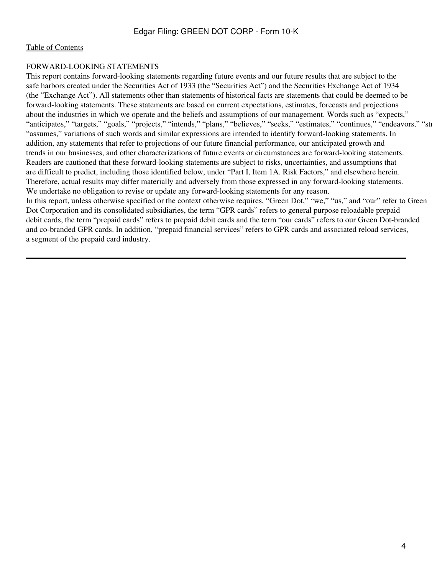#### FORWARD-LOOKING STATEMENTS

This report contains forward-looking statements regarding future events and our future results that are subject to the safe harbors created under the Securities Act of 1933 (the "Securities Act") and the Securities Exchange Act of 1934 (the "Exchange Act"). All statements other than statements of historical facts are statements that could be deemed to be forward-looking statements. These statements are based on current expectations, estimates, forecasts and projections about the industries in which we operate and the beliefs and assumptions of our management. Words such as "expects," "anticipates," "targets," "goals," "projects," "intends," "plans," "believes," "seeks," "estimates," "continues," "endeavors," "str "assumes," variations of such words and similar expressions are intended to identify forward-looking statements. In addition, any statements that refer to projections of our future financial performance, our anticipated growth and trends in our businesses, and other characterizations of future events or circumstances are forward-looking statements. Readers are cautioned that these forward-looking statements are subject to risks, uncertainties, and assumptions that are difficult to predict, including those identified below, under "Part I, Item 1A. Risk Factors," and elsewhere herein. Therefore, actual results may differ materially and adversely from those expressed in any forward-looking statements. We undertake no obligation to revise or update any forward-looking statements for any reason.

In this report, unless otherwise specified or the context otherwise requires, "Green Dot," "we," "us," and "our" refer to Green Dot Corporation and its consolidated subsidiaries, the term "GPR cards" refers to general purpose reloadable prepaid debit cards, the term "prepaid cards" refers to prepaid debit cards and the term "our cards" refers to our Green Dot-branded and co-branded GPR cards. In addition, "prepaid financial services" refers to GPR cards and associated reload services, a segment of the prepaid card industry.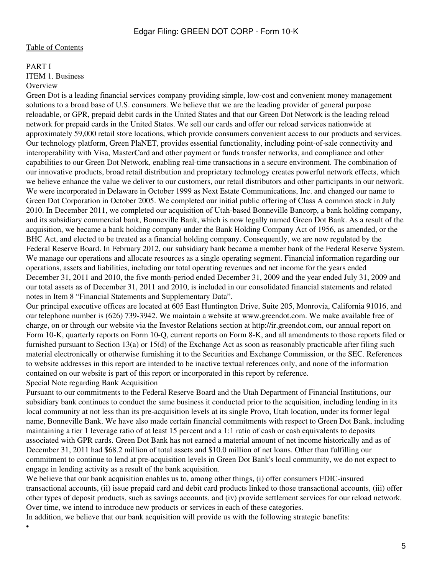#### <span id="page-4-0"></span>PART I

<span id="page-4-1"></span>ITEM 1. Business

#### **Overview**

•

Green Dot is a leading financial services company providing simple, low-cost and convenient money management solutions to a broad base of U.S. consumers. We believe that we are the leading provider of general purpose reloadable, or GPR, prepaid debit cards in the United States and that our Green Dot Network is the leading reload network for prepaid cards in the United States. We sell our cards and offer our reload services nationwide at approximately 59,000 retail store locations, which provide consumers convenient access to our products and services. Our technology platform, Green PlaNET, provides essential functionality, including point-of-sale connectivity and interoperability with Visa, MasterCard and other payment or funds transfer networks, and compliance and other capabilities to our Green Dot Network, enabling real-time transactions in a secure environment. The combination of our innovative products, broad retail distribution and proprietary technology creates powerful network effects, which we believe enhance the value we deliver to our customers, our retail distributors and other participants in our network. We were incorporated in Delaware in October 1999 as Next Estate Communications, Inc. and changed our name to Green Dot Corporation in October 2005. We completed our initial public offering of Class A common stock in July 2010. In December 2011, we completed our acquisition of Utah-based Bonneville Bancorp, a bank holding company, and its subsidiary commercial bank, Bonneville Bank, which is now legally named Green Dot Bank. As a result of the acquisition, we became a bank holding company under the Bank Holding Company Act of 1956, as amended, or the BHC Act, and elected to be treated as a financial holding company. Consequently, we are now regulated by the Federal Reserve Board. In February 2012, our subsidiary bank became a member bank of the Federal Reserve System. We manage our operations and allocate resources as a single operating segment. Financial information regarding our operations, assets and liabilities, including our total operating revenues and net income for the years ended December 31, 2011 and 2010, the five month-period ended December 31, 2009 and the year ended July 31, 2009 and our total assets as of December 31, 2011 and 2010, is included in our consolidated financial statements and related notes in Item 8 "Financial Statements and Supplementary Data".

Our principal executive offices are located at 605 East Huntington Drive, Suite 205, Monrovia, California 91016, and our telephone number is (626) 739-3942. We maintain a website at www.greendot.com. We make available free of charge, on or through our website via the Investor Relations section at http://ir.greendot.com, our annual report on Form 10-K, quarterly reports on Form 10-Q, current reports on Form 8-K, and all amendments to those reports filed or furnished pursuant to Section 13(a) or 15(d) of the Exchange Act as soon as reasonably practicable after filing such material electronically or otherwise furnishing it to the Securities and Exchange Commission, or the SEC. References to website addresses in this report are intended to be inactive textual references only, and none of the information contained on our website is part of this report or incorporated in this report by reference. Special Note regarding Bank Acquisition

Pursuant to our commitments to the Federal Reserve Board and the Utah Department of Financial Institutions, our subsidiary bank continues to conduct the same business it conducted prior to the acquisition, including lending in its local community at not less than its pre-acquisition levels at its single Provo, Utah location, under its former legal name, Bonneville Bank. We have also made certain financial commitments with respect to Green Dot Bank, including maintaining a tier 1 leverage ratio of at least 15 percent and a 1:1 ratio of cash or cash equivalents to deposits associated with GPR cards. Green Dot Bank has not earned a material amount of net income historically and as of December 31, 2011 had \$68.2 million of total assets and \$10.0 million of net loans. Other than fulfilling our commitment to continue to lend at pre-acquisition levels in Green Dot Bank's local community, we do not expect to engage in lending activity as a result of the bank acquisition.

We believe that our bank acquisition enables us to, among other things, (i) offer consumers FDIC-insured transactional accounts, (ii) issue prepaid card and debit card products linked to those transactional accounts, (iii) offer other types of deposit products, such as savings accounts, and (iv) provide settlement services for our reload network. Over time, we intend to introduce new products or services in each of these categories.

In addition, we believe that our bank acquisition will provide us with the following strategic benefits: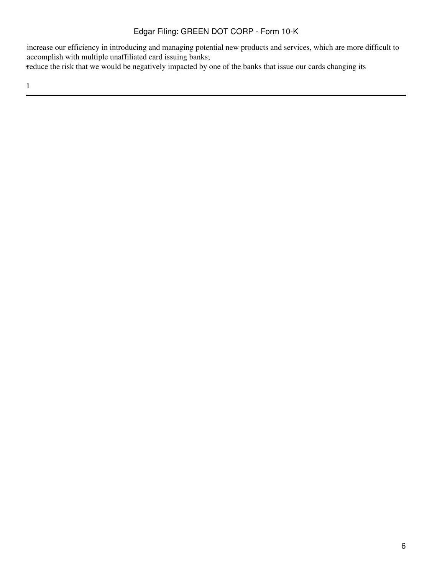increase our efficiency in introducing and managing potential new products and services, which are more difficult to accomplish with multiple unaffiliated card issuing banks;

reduce the risk that we would be negatively impacted by one of the banks that issue our cards changing its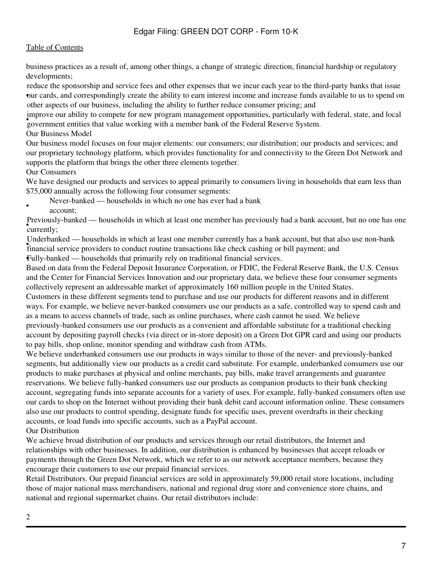business practices as a result of, among other things, a change of strategic direction, financial hardship or regulatory developments;

• our cards, and correspondingly create the ability to earn interest income and increase funds available to us to spend on reduce the sponsorship and service fees and other expenses that we incur each year to the third-party banks that issue other aspects of our business, including the ability to further reduce consumer pricing; and

**Example you dentity to compete for hew program management opportunities, particularly with government entities that value working with a member bank of the Federal Reserve System.** improve our ability to compete for new program management opportunities, particularly with federal, state, and local

Our Business Model

Our business model focuses on four major elements: our consumers; our distribution; our products and services; and our proprietary technology platform, which provides functionality for and connectivity to the Green Dot Network and supports the platform that brings the other three elements together.

### Our Consumers

We have designed our products and services to appeal primarily to consumers living in households that earn less than \$75,000 annually across the following four consumer segments:

• Never-banked — households in which no one has ever had a bank

account;

• currently; Previously-banked — households in which at least one member has previously had a bank account, but no one has one

• financial service providers to conduct routine transactions like check cashing or bill payment; and Underbanked — households in which at least one member currently has a bank account, but that also use non-bank •Fully-banked — households that primarily rely on traditional financial services.

Based on data from the Federal Deposit Insurance Corporation, or FDIC, the Federal Reserve Bank, the U.S. Census and the Center for Financial Services Innovation and our proprietary data, we believe these four consumer segments collectively represent an addressable market of approximately 160 million people in the United States.

Customers in these different segments tend to purchase and use our products for different reasons and in different ways. For example, we believe never-banked consumers use our products as a safe, controlled way to spend cash and as a means to access channels of trade, such as online purchases, where cash cannot be used. We believe previously-banked consumers use our products as a convenient and affordable substitute for a traditional checking account by depositing payroll checks (via direct or in-store deposit) on a Green Dot GPR card and using our products to pay bills, shop online, monitor spending and withdraw cash from ATMs.

We believe underbanked consumers use our products in ways similar to those of the never- and previously-banked segments, but additionally view our products as a credit card substitute. For example, underbanked consumers use our products to make purchases at physical and online merchants, pay bills, make travel arrangements and guarantee reservations. We believe fully-banked consumers use our products as companion products to their bank checking account, segregating funds into separate accounts for a variety of uses. For example, fully-banked consumers often use our cards to shop on the Internet without providing their bank debit card account information online. These consumers also use our products to control spending, designate funds for specific uses, prevent overdrafts in their checking accounts, or load funds into specific accounts, such as a PayPal account.

Our Distribution

We achieve broad distribution of our products and services through our retail distributors, the Internet and relationships with other businesses. In addition, our distribution is enhanced by businesses that accept reloads or payments through the Green Dot Network, which we refer to as our network acceptance members, because they encourage their customers to use our prepaid financial services.

Retail Distributors. Our prepaid financial services are sold in approximately 59,000 retail store locations, including those of major national mass merchandisers, national and regional drug store and convenience store chains, and national and regional supermarket chains. Our retail distributors include: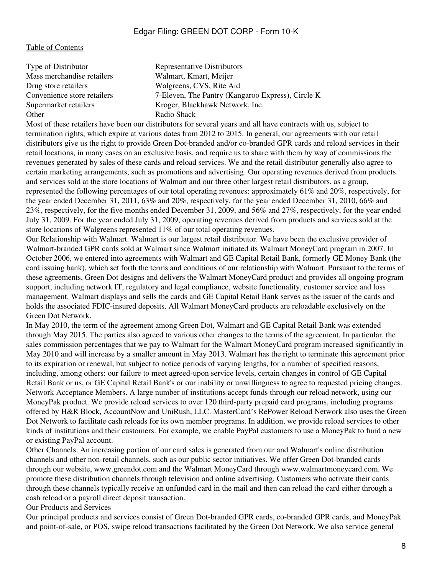| Type of Distributor         | Representative Distributors                       |
|-----------------------------|---------------------------------------------------|
| Mass merchandise retailers  | Walmart, Kmart, Meijer                            |
| Drug store retailers        | Walgreens, CVS, Rite Aid                          |
| Convenience store retailers | 7-Eleven, The Pantry (Kangaroo Express), Circle K |
| Supermarket retailers       | Kroger, Blackhawk Network, Inc.                   |
| Other                       | Radio Shack                                       |
|                             |                                                   |

Most of these retailers have been our distributors for several years and all have contracts with us, subject to termination rights, which expire at various dates from 2012 to 2015. In general, our agreements with our retail distributors give us the right to provide Green Dot-branded and/or co-branded GPR cards and reload services in their retail locations, in many cases on an exclusive basis, and require us to share with them by way of commissions the revenues generated by sales of these cards and reload services. We and the retail distributor generally also agree to certain marketing arrangements, such as promotions and advertising. Our operating revenues derived from products and services sold at the store locations of Walmart and our three other largest retail distributors, as a group, represented the following percentages of our total operating revenues: approximately 61% and 20%, respectively, for the year ended December 31, 2011, 63% and 20%, respectively, for the year ended December 31, 2010, 66% and 23%, respectively, for the five months ended December 31, 2009, and 56% and 27%, respectively, for the year ended July 31, 2009. For the year ended July 31, 2009, operating revenues derived from products and services sold at the store locations of Walgreens represented 11% of our total operating revenues.

Our Relationship with Walmart. Walmart is our largest retail distributor. We have been the exclusive provider of Walmart-branded GPR cards sold at Walmart since Walmart initiated its Walmart MoneyCard program in 2007. In October 2006, we entered into agreements with Walmart and GE Capital Retail Bank, formerly GE Money Bank (the card issuing bank), which set forth the terms and conditions of our relationship with Walmart. Pursuant to the terms of these agreements, Green Dot designs and delivers the Walmart MoneyCard product and provides all ongoing program support, including network IT, regulatory and legal compliance, website functionality, customer service and loss management. Walmart displays and sells the cards and GE Capital Retail Bank serves as the issuer of the cards and holds the associated FDIC-insured deposits. All Walmart MoneyCard products are reloadable exclusively on the Green Dot Network.

In May 2010, the term of the agreement among Green Dot, Walmart and GE Capital Retail Bank was extended through May 2015. The parties also agreed to various other changes to the terms of the agreement. In particular, the sales commission percentages that we pay to Walmart for the Walmart MoneyCard program increased significantly in May 2010 and will increase by a smaller amount in May 2013. Walmart has the right to terminate this agreement prior to its expiration or renewal, but subject to notice periods of varying lengths, for a number of specified reasons, including, among others: our failure to meet agreed-upon service levels, certain changes in control of GE Capital Retail Bank or us, or GE Capital Retail Bank's or our inability or unwillingness to agree to requested pricing changes. Network Acceptance Members. A large number of institutions accept funds through our reload network, using our MoneyPak product. We provide reload services to over 120 third-party prepaid card programs, including programs offered by H&R Block, AccountNow and UniRush, LLC. MasterCard's RePower Reload Network also uses the Green Dot Network to facilitate cash reloads for its own member programs. In addition, we provide reload services to other kinds of institutions and their customers. For example, we enable PayPal customers to use a MoneyPak to fund a new or existing PayPal account.

Other Channels. An increasing portion of our card sales is generated from our and Walmart's online distribution channels and other non-retail channels, such as our public sector initiatives. We offer Green Dot-branded cards through our website, www.greendot.com and the Walmart MoneyCard through www.walmartmoneycard.com. We promote these distribution channels through television and online advertising. Customers who activate their cards through these channels typically receive an unfunded card in the mail and then can reload the card either through a cash reload or a payroll direct deposit transaction.

Our Products and Services

Our principal products and services consist of Green Dot-branded GPR cards, co-branded GPR cards, and MoneyPak and point-of-sale, or POS, swipe reload transactions facilitated by the Green Dot Network. We also service general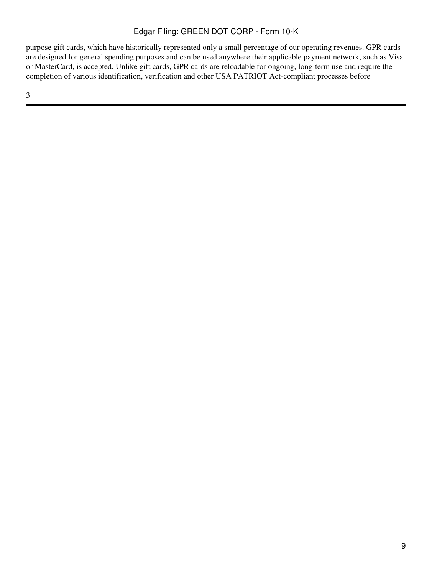purpose gift cards, which have historically represented only a small percentage of our operating revenues. GPR cards are designed for general spending purposes and can be used anywhere their applicable payment network, such as Visa or MasterCard, is accepted. Unlike gift cards, GPR cards are reloadable for ongoing, long-term use and require the completion of various identification, verification and other USA PATRIOT Act-compliant processes before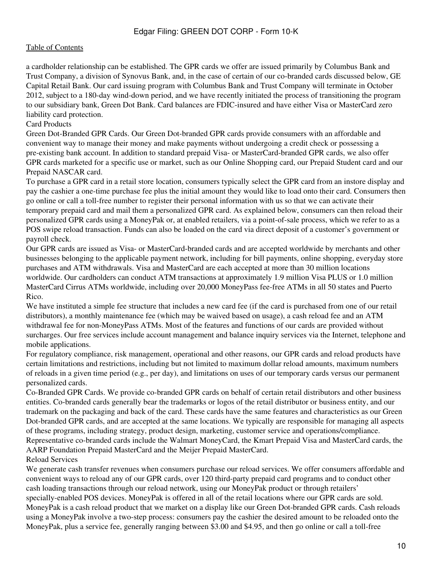a cardholder relationship can be established. The GPR cards we offer are issued primarily by Columbus Bank and Trust Company, a division of Synovus Bank, and, in the case of certain of our co-branded cards discussed below, GE Capital Retail Bank. Our card issuing program with Columbus Bank and Trust Company will terminate in October 2012, subject to a 180-day wind-down period, and we have recently initiated the process of transitioning the program to our subsidiary bank, Green Dot Bank. Card balances are FDIC-insured and have either Visa or MasterCard zero liability card protection.

### Card Products

Green Dot-Branded GPR Cards. Our Green Dot-branded GPR cards provide consumers with an affordable and convenient way to manage their money and make payments without undergoing a credit check or possessing a pre-existing bank account. In addition to standard prepaid Visa- or MasterCard-branded GPR cards, we also offer GPR cards marketed for a specific use or market, such as our Online Shopping card, our Prepaid Student card and our Prepaid NASCAR card.

To purchase a GPR card in a retail store location, consumers typically select the GPR card from an instore display and pay the cashier a one-time purchase fee plus the initial amount they would like to load onto their card. Consumers then go online or call a toll-free number to register their personal information with us so that we can activate their temporary prepaid card and mail them a personalized GPR card. As explained below, consumers can then reload their personalized GPR cards using a MoneyPak or, at enabled retailers, via a point-of-sale process, which we refer to as a POS swipe reload transaction. Funds can also be loaded on the card via direct deposit of a customer's government or payroll check.

Our GPR cards are issued as Visa- or MasterCard-branded cards and are accepted worldwide by merchants and other businesses belonging to the applicable payment network, including for bill payments, online shopping, everyday store purchases and ATM withdrawals. Visa and MasterCard are each accepted at more than 30 million locations worldwide. Our cardholders can conduct ATM transactions at approximately 1.9 million Visa PLUS or 1.0 million MasterCard Cirrus ATMs worldwide, including over 20,000 MoneyPass fee-free ATMs in all 50 states and Puerto Rico.

We have instituted a simple fee structure that includes a new card fee (if the card is purchased from one of our retail distributors), a monthly maintenance fee (which may be waived based on usage), a cash reload fee and an ATM withdrawal fee for non-MoneyPass ATMs. Most of the features and functions of our cards are provided without surcharges. Our free services include account management and balance inquiry services via the Internet, telephone and mobile applications.

For regulatory compliance, risk management, operational and other reasons, our GPR cards and reload products have certain limitations and restrictions, including but not limited to maximum dollar reload amounts, maximum numbers of reloads in a given time period (e.g., per day), and limitations on uses of our temporary cards versus our permanent personalized cards.

Co-Branded GPR Cards. We provide co-branded GPR cards on behalf of certain retail distributors and other business entities. Co-branded cards generally bear the trademarks or logos of the retail distributor or business entity, and our trademark on the packaging and back of the card. These cards have the same features and characteristics as our Green Dot-branded GPR cards, and are accepted at the same locations. We typically are responsible for managing all aspects of these programs, including strategy, product design, marketing, customer service and operations/compliance. Representative co-branded cards include the Walmart MoneyCard, the Kmart Prepaid Visa and MasterCard cards, the AARP Foundation Prepaid MasterCard and the Meijer Prepaid MasterCard.

### Reload Services

We generate cash transfer revenues when consumers purchase our reload services. We offer consumers affordable and convenient ways to reload any of our GPR cards, over 120 third-party prepaid card programs and to conduct other cash loading transactions through our reload network, using our MoneyPak product or through retailers' specially-enabled POS devices. MoneyPak is offered in all of the retail locations where our GPR cards are sold. MoneyPak is a cash reload product that we market on a display like our Green Dot-branded GPR cards. Cash reloads using a MoneyPak involve a two-step process: consumers pay the cashier the desired amount to be reloaded onto the MoneyPak, plus a service fee, generally ranging between \$3.00 and \$4.95, and then go online or call a toll-free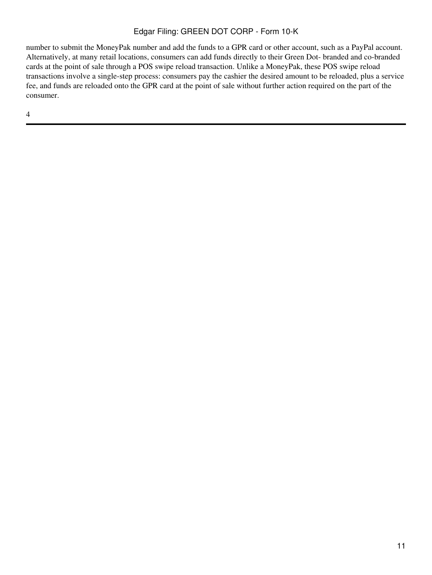number to submit the MoneyPak number and add the funds to a GPR card or other account, such as a PayPal account. Alternatively, at many retail locations, consumers can add funds directly to their Green Dot- branded and co-branded cards at the point of sale through a POS swipe reload transaction. Unlike a MoneyPak, these POS swipe reload transactions involve a single-step process: consumers pay the cashier the desired amount to be reloaded, plus a service fee, and funds are reloaded onto the GPR card at the point of sale without further action required on the part of the consumer.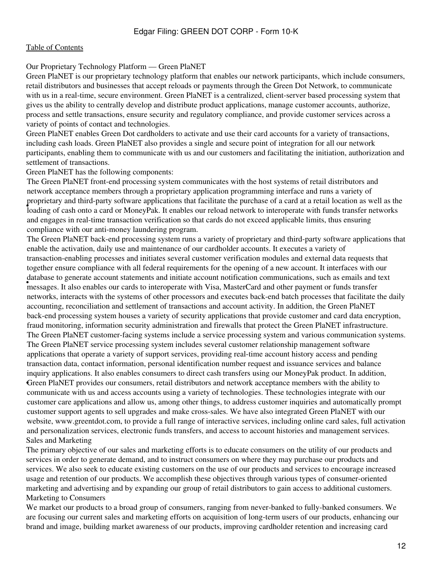#### Our Proprietary Technology Platform — Green PlaNET

Green PlaNET is our proprietary technology platform that enables our network participants, which include consumers, retail distributors and businesses that accept reloads or payments through the Green Dot Network, to communicate with us in a real-time, secure environment. Green PlaNET is a centralized, client-server based processing system that gives us the ability to centrally develop and distribute product applications, manage customer accounts, authorize, process and settle transactions, ensure security and regulatory compliance, and provide customer services across a variety of points of contact and technologies.

Green PlaNET enables Green Dot cardholders to activate and use their card accounts for a variety of transactions, including cash loads. Green PlaNET also provides a single and secure point of integration for all our network participants, enabling them to communicate with us and our customers and facilitating the initiation, authorization and settlement of transactions.

Green PlaNET has the following components:

• loading of cash onto a card or MoneyPak. It enables our reload network to interoperate with funds transfer networks The Green PlaNET front-end processing system communicates with the host systems of retail distributors and network acceptance members through a proprietary application programming interface and runs a variety of proprietary and third-party software applications that facilitate the purchase of a card at a retail location as well as the and engages in real-time transaction verification so that cards do not exceed applicable limits, thus ensuring compliance with our anti-money laundering program.

education is generate account statements and initiate account notification communications, such as emails and messages. It also enables our cards to interoperate with Visa, MasterCard and other payment or funds transfer The Green PlaNET back-end processing system runs a variety of proprietary and third-party software applications that enable the activation, daily use and maintenance of our cardholder accounts. It executes a variety of transaction-enabling processes and initiates several customer verification modules and external data requests that together ensure compliance with all federal requirements for the opening of a new account. It interfaces with our database to generate account statements and initiate account notification communications, such as emails and text networks, interacts with the systems of other processors and executes back-end batch processes that facilitate the daily accounting, reconciliation and settlement of transactions and account activity. In addition, the Green PlaNET back-end processing system houses a variety of security applications that provide customer and card data encryption, fraud monitoring, information security administration and firewalls that protect the Green PlaNET infrastructure. Green PlaNET provides our consumers, retail distributors and network acceptance members with the ability to The Green PlaNET customer-facing systems include a service processing system and various communication systems. The Green PlaNET service processing system includes several customer relationship management software applications that operate a variety of support services, providing real-time account history access and pending transaction data, contact information, personal identification number request and issuance services and balance inquiry applications. It also enables consumers to direct cash transfers using our MoneyPak product. In addition, communicate with us and access accounts using a variety of technologies. These technologies integrate with our customer care applications and allow us, among other things, to address customer inquiries and automatically prompt customer support agents to sell upgrades and make cross-sales. We have also integrated Green PlaNET with our website, www.greentdot.com, to provide a full range of interactive services, including online card sales, full activation and personalization services, electronic funds transfers, and access to account histories and management services. Sales and Marketing

The primary objective of our sales and marketing efforts is to educate consumers on the utility of our products and services in order to generate demand, and to instruct consumers on where they may purchase our products and services. We also seek to educate existing customers on the use of our products and services to encourage increased usage and retention of our products. We accomplish these objectives through various types of consumer-oriented marketing and advertising and by expanding our group of retail distributors to gain access to additional customers. Marketing to Consumers

We market our products to a broad group of consumers, ranging from never-banked to fully-banked consumers. We are focusing our current sales and marketing efforts on acquisition of long-term users of our products, enhancing our brand and image, building market awareness of our products, improving cardholder retention and increasing card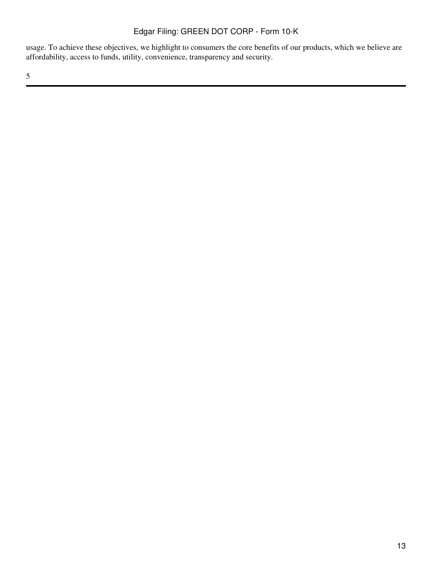usage. To achieve these objectives, we highlight to consumers the core benefits of our products, which we believe are affordability, access to funds, utility, convenience, transparency and security.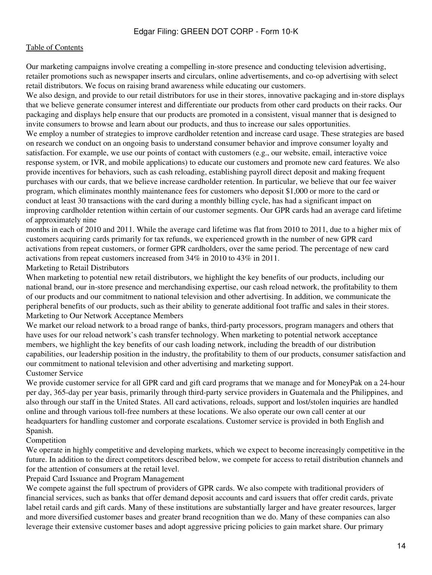Our marketing campaigns involve creating a compelling in-store presence and conducting television advertising, retailer promotions such as newspaper inserts and circulars, online advertisements, and co-op advertising with select retail distributors. We focus on raising brand awareness while educating our customers.

We also design, and provide to our retail distributors for use in their stores, innovative packaging and in-store displays that we believe generate consumer interest and differentiate our products from other card products on their racks. Our packaging and displays help ensure that our products are promoted in a consistent, visual manner that is designed to invite consumers to browse and learn about our products, and thus to increase our sales opportunities.

We employ a number of strategies to improve cardholder retention and increase card usage. These strategies are based on research we conduct on an ongoing basis to understand consumer behavior and improve consumer loyalty and satisfaction. For example, we use our points of contact with customers (e.g., our website, email, interactive voice response system, or IVR, and mobile applications) to educate our customers and promote new card features. We also provide incentives for behaviors, such as cash reloading, establishing payroll direct deposit and making frequent purchases with our cards, that we believe increase cardholder retention. In particular, we believe that our fee waiver program, which eliminates monthly maintenance fees for customers who deposit \$1,000 or more to the card or conduct at least 30 transactions with the card during a monthly billing cycle, has had a significant impact on improving cardholder retention within certain of our customer segments. Our GPR cards had an average card lifetime of approximately nine

months in each of 2010 and 2011. While the average card lifetime was flat from 2010 to 2011, due to a higher mix of customers acquiring cards primarily for tax refunds, we experienced growth in the number of new GPR card activations from repeat customers, or former GPR cardholders, over the same period. The percentage of new card activations from repeat customers increased from 34% in 2010 to 43% in 2011.

#### Marketing to Retail Distributors

When marketing to potential new retail distributors, we highlight the key benefits of our products, including our national brand, our in-store presence and merchandising expertise, our cash reload network, the profitability to them of our products and our commitment to national television and other advertising. In addition, we communicate the peripheral benefits of our products, such as their ability to generate additional foot traffic and sales in their stores. Marketing to Our Network Acceptance Members

We market our reload network to a broad range of banks, third-party processors, program managers and others that have uses for our reload network's cash transfer technology. When marketing to potential network acceptance members, we highlight the key benefits of our cash loading network, including the breadth of our distribution capabilities, our leadership position in the industry, the profitability to them of our products, consumer satisfaction and our commitment to national television and other advertising and marketing support. Customer Service

We provide customer service for all GPR card and gift card programs that we manage and for MoneyPak on a 24-hour per day, 365-day per year basis, primarily through third-party service providers in Guatemala and the Philippines, and also through our staff in the United States. All card activations, reloads, support and lost/stolen inquiries are handled online and through various toll-free numbers at these locations. We also operate our own call center at our headquarters for handling customer and corporate escalations. Customer service is provided in both English and Spanish.

## Competition

We operate in highly competitive and developing markets, which we expect to become increasingly competitive in the future. In addition to the direct competitors described below, we compete for access to retail distribution channels and for the attention of consumers at the retail level.

Prepaid Card Issuance and Program Management

We compete against the full spectrum of providers of GPR cards. We also compete with traditional providers of financial services, such as banks that offer demand deposit accounts and card issuers that offer credit cards, private label retail cards and gift cards. Many of these institutions are substantially larger and have greater resources, larger and more diversified customer bases and greater brand recognition than we do. Many of these companies can also leverage their extensive customer bases and adopt aggressive pricing policies to gain market share. Our primary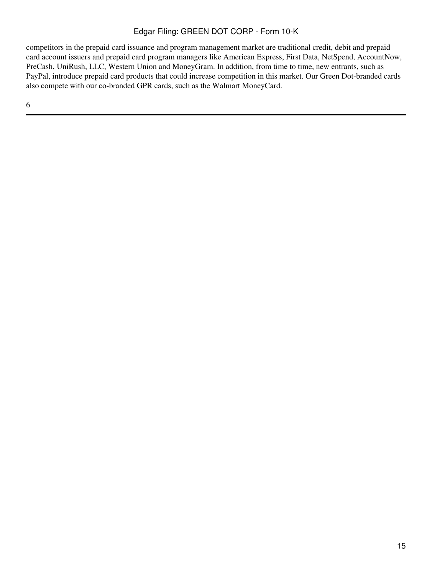competitors in the prepaid card issuance and program management market are traditional credit, debit and prepaid card account issuers and prepaid card program managers like American Express, First Data, NetSpend, AccountNow, PreCash, UniRush, LLC, Western Union and MoneyGram. In addition, from time to time, new entrants, such as PayPal, introduce prepaid card products that could increase competition in this market. Our Green Dot-branded cards also compete with our co-branded GPR cards, such as the Walmart MoneyCard.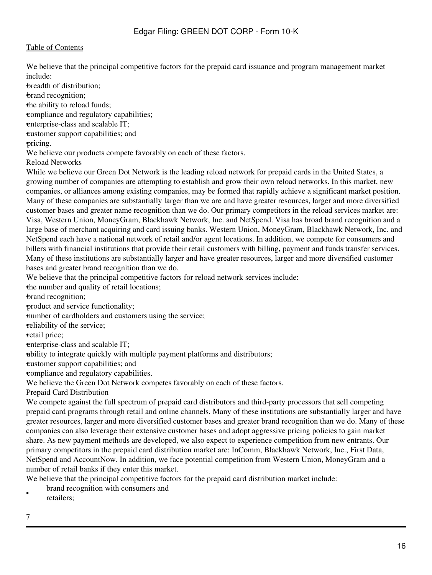We believe that the principal competitive factors for the prepaid card issuance and program management market include:

•breadth of distribution;

•brand recognition;

the ability to reload funds;

•compliance and regulatory capabilities;

enterprise-class and scalable IT;

•customer support capabilities; and

•pricing.

We believe our products compete favorably on each of these factors.

Reload Networks

While we believe our Green Dot Network is the leading reload network for prepaid cards in the United States, a growing number of companies are attempting to establish and grow their own reload networks. In this market, new companies, or alliances among existing companies, may be formed that rapidly achieve a significant market position. Many of these companies are substantially larger than we are and have greater resources, larger and more diversified customer bases and greater name recognition than we do. Our primary competitors in the reload services market are: Visa, Western Union, MoneyGram, Blackhawk Network, Inc. and NetSpend. Visa has broad brand recognition and a large base of merchant acquiring and card issuing banks. Western Union, MoneyGram, Blackhawk Network, Inc. and NetSpend each have a national network of retail and/or agent locations. In addition, we compete for consumers and billers with financial institutions that provide their retail customers with billing, payment and funds transfer services. Many of these institutions are substantially larger and have greater resources, larger and more diversified customer bases and greater brand recognition than we do.

We believe that the principal competitive factors for reload network services include:

the number and quality of retail locations;

•brand recognition;

•product and service functionality;

number of cardholders and customers using the service;

•reliability of the service;

•retail price;

enterprise-class and scalable IT;

•ability to integrate quickly with multiple payment platforms and distributors;

•customer support capabilities; and

•compliance and regulatory capabilities.

We believe the Green Dot Network competes favorably on each of these factors.

Prepaid Card Distribution

We compete against the full spectrum of prepaid card distributors and third-party processors that sell competing prepaid card programs through retail and online channels. Many of these institutions are substantially larger and have greater resources, larger and more diversified customer bases and greater brand recognition than we do. Many of these companies can also leverage their extensive customer bases and adopt aggressive pricing policies to gain market share. As new payment methods are developed, we also expect to experience competition from new entrants. Our primary competitors in the prepaid card distribution market are: InComm, Blackhawk Network, Inc., First Data, NetSpend and AccountNow. In addition, we face potential competition from Western Union, MoneyGram and a number of retail banks if they enter this market.

We believe that the principal competitive factors for the prepaid card distribution market include:

- brand recognition with consumers and
- retailers;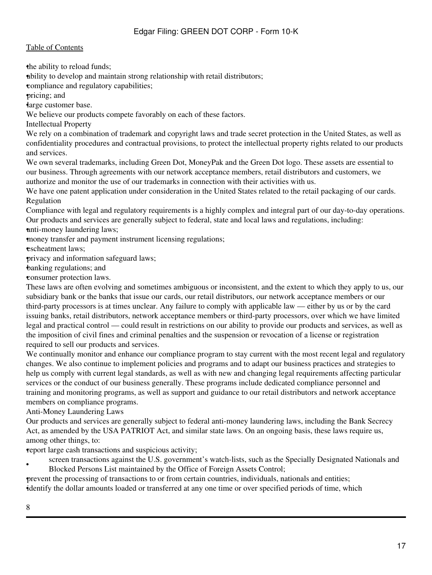the ability to reload funds;

•ability to develop and maintain strong relationship with retail distributors;

•compliance and regulatory capabilities;

•pricing; and

•large customer base.

We believe our products compete favorably on each of these factors.

Intellectual Property

We rely on a combination of trademark and copyright laws and trade secret protection in the United States, as well as confidentiality procedures and contractual provisions, to protect the intellectual property rights related to our products and services.

We own several trademarks, including Green Dot, MoneyPak and the Green Dot logo. These assets are essential to our business. Through agreements with our network acceptance members, retail distributors and customers, we authorize and monitor the use of our trademarks in connection with their activities with us.

We have one patent application under consideration in the United States related to the retail packaging of our cards. Regulation

Compliance with legal and regulatory requirements is a highly complex and integral part of our day-to-day operations. Our products and services are generally subject to federal, state and local laws and regulations, including: •anti-money laundering laws;

•money transfer and payment instrument licensing regulations;

escheatment laws:

•privacy and information safeguard laws;

•banking regulations; and

•consumer protection laws.

These laws are often evolving and sometimes ambiguous or inconsistent, and the extent to which they apply to us, our subsidiary bank or the banks that issue our cards, our retail distributors, our network acceptance members or our third-party processors is at times unclear. Any failure to comply with applicable law — either by us or by the card issuing banks, retail distributors, network acceptance members or third-party processors, over which we have limited legal and practical control — could result in restrictions on our ability to provide our products and services, as well as the imposition of civil fines and criminal penalties and the suspension or revocation of a license or registration required to sell our products and services.

We continually monitor and enhance our compliance program to stay current with the most recent legal and regulatory changes. We also continue to implement policies and programs and to adapt our business practices and strategies to help us comply with current legal standards, as well as with new and changing legal requirements affecting particular services or the conduct of our business generally. These programs include dedicated compliance personnel and training and monitoring programs, as well as support and guidance to our retail distributors and network acceptance members on compliance programs.

Anti-Money Laundering Laws

Our products and services are generally subject to federal anti-money laundering laws, including the Bank Secrecy Act, as amended by the USA PATRIOT Act, and similar state laws. On an ongoing basis, these laws require us, among other things, to:

•report large cash transactions and suspicious activity;

• screen transactions against the U.S. government's watch-lists, such as the Specially Designated Nationals and Blocked Persons List maintained by the Office of Foreign Assets Control;

•prevent the processing of transactions to or from certain countries, individuals, nationals and entities; •identify the dollar amounts loaded or transferred at any one time or over specified periods of time, which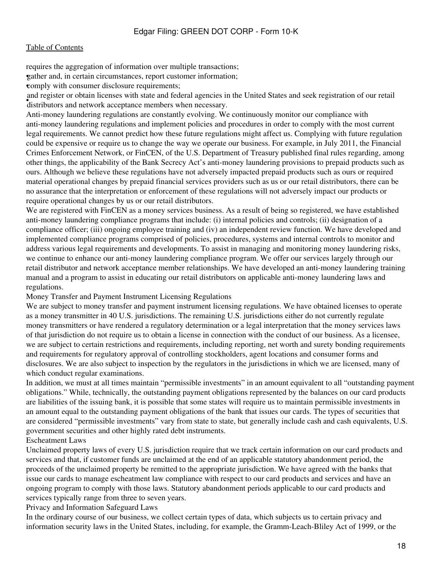requires the aggregation of information over multiple transactions;

•gather and, in certain circumstances, report customer information;

**•comply with consumer disclosure requirements;** 

distributors and network acceptance members when necessary. and register or obtain licenses with state and federal agencies in the United States and seek registration of our retail

Anti-money laundering regulations are constantly evolving. We continuously monitor our compliance with anti-money laundering regulations and implement policies and procedures in order to comply with the most current legal requirements. We cannot predict how these future regulations might affect us. Complying with future regulation could be expensive or require us to change the way we operate our business. For example, in July 2011, the Financial Crimes Enforcement Network, or FinCEN, of the U.S. Department of Treasury published final rules regarding, among other things, the applicability of the Bank Secrecy Act's anti-money laundering provisions to prepaid products such as ours. Although we believe these regulations have not adversely impacted prepaid products such as ours or required material operational changes by prepaid financial services providers such as us or our retail distributors, there can be no assurance that the interpretation or enforcement of these regulations will not adversely impact our products or require operational changes by us or our retail distributors.

We are registered with FinCEN as a money services business. As a result of being so registered, we have established anti-money laundering compliance programs that include: (i) internal policies and controls; (ii) designation of a compliance officer; (iii) ongoing employee training and (iv) an independent review function. We have developed and implemented compliance programs comprised of policies, procedures, systems and internal controls to monitor and address various legal requirements and developments. To assist in managing and monitoring money laundering risks, we continue to enhance our anti-money laundering compliance program. We offer our services largely through our retail distributor and network acceptance member relationships. We have developed an anti-money laundering training manual and a program to assist in educating our retail distributors on applicable anti-money laundering laws and regulations.

Money Transfer and Payment Instrument Licensing Regulations

We are subject to money transfer and payment instrument licensing regulations. We have obtained licenses to operate as a money transmitter in 40 U.S. jurisdictions. The remaining U.S. jurisdictions either do not currently regulate money transmitters or have rendered a regulatory determination or a legal interpretation that the money services laws of that jurisdiction do not require us to obtain a license in connection with the conduct of our business. As a licensee, we are subject to certain restrictions and requirements, including reporting, net worth and surety bonding requirements and requirements for regulatory approval of controlling stockholders, agent locations and consumer forms and disclosures. We are also subject to inspection by the regulators in the jurisdictions in which we are licensed, many of which conduct regular examinations.

In addition, we must at all times maintain "permissible investments" in an amount equivalent to all "outstanding payment obligations." While, technically, the outstanding payment obligations represented by the balances on our card products are liabilities of the issuing bank, it is possible that some states will require us to maintain permissible investments in an amount equal to the outstanding payment obligations of the bank that issues our cards. The types of securities that are considered "permissible investments" vary from state to state, but generally include cash and cash equivalents, U.S. government securities and other highly rated debt instruments.

#### Escheatment Laws

Unclaimed property laws of every U.S. jurisdiction require that we track certain information on our card products and services and that, if customer funds are unclaimed at the end of an applicable statutory abandonment period, the proceeds of the unclaimed property be remitted to the appropriate jurisdiction. We have agreed with the banks that issue our cards to manage escheatment law compliance with respect to our card products and services and have an ongoing program to comply with those laws. Statutory abandonment periods applicable to our card products and services typically range from three to seven years.

Privacy and Information Safeguard Laws

In the ordinary course of our business, we collect certain types of data, which subjects us to certain privacy and information security laws in the United States, including, for example, the Gramm-Leach-Bliley Act of 1999, or the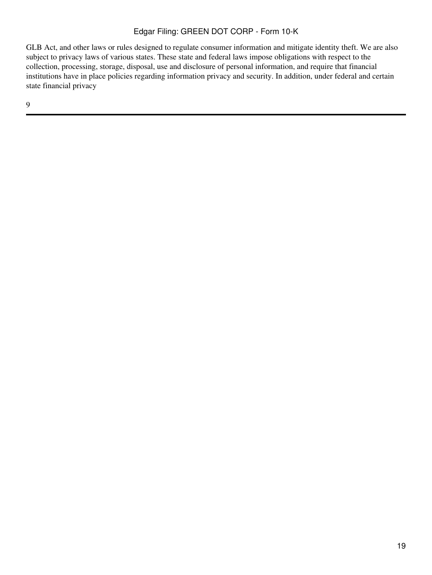GLB Act, and other laws or rules designed to regulate consumer information and mitigate identity theft. We are also subject to privacy laws of various states. These state and federal laws impose obligations with respect to the collection, processing, storage, disposal, use and disclosure of personal information, and require that financial institutions have in place policies regarding information privacy and security. In addition, under federal and certain state financial privacy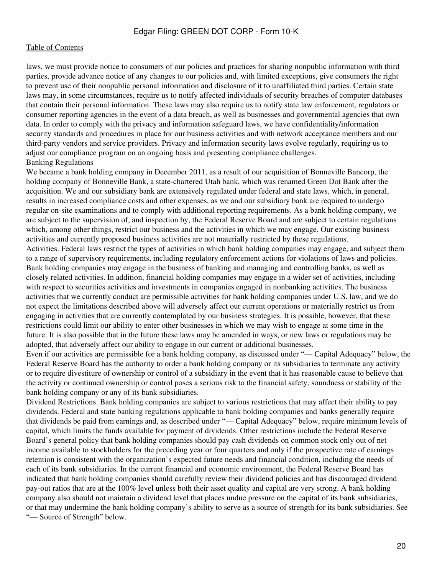laws, we must provide notice to consumers of our policies and practices for sharing nonpublic information with third parties, provide advance notice of any changes to our policies and, with limited exceptions, give consumers the right to prevent use of their nonpublic personal information and disclosure of it to unaffiliated third parties. Certain state laws may, in some circumstances, require us to notify affected individuals of security breaches of computer databases that contain their personal information. These laws may also require us to notify state law enforcement, regulators or consumer reporting agencies in the event of a data breach, as well as businesses and governmental agencies that own data. In order to comply with the privacy and information safeguard laws, we have confidentiality/information security standards and procedures in place for our business activities and with network acceptance members and our third-party vendors and service providers. Privacy and information security laws evolve regularly, requiring us to adjust our compliance program on an ongoing basis and presenting compliance challenges. Banking Regulations

We became a bank holding company in December 2011, as a result of our acquisition of Bonneville Bancorp, the holding company of Bonneville Bank, a state-chartered Utah bank, which was renamed Green Dot Bank after the acquisition. We and our subsidiary bank are extensively regulated under federal and state laws, which, in general, results in increased compliance costs and other expenses, as we and our subsidiary bank are required to undergo regular on-site examinations and to comply with additional reporting requirements. As a bank holding company, we are subject to the supervision of, and inspection by, the Federal Reserve Board and are subject to certain regulations which, among other things, restrict our business and the activities in which we may engage. Our existing business activities and currently proposed business activities are not materially restricted by these regulations.

Activities. Federal laws restrict the types of activities in which bank holding companies may engage, and subject them to a range of supervisory requirements, including regulatory enforcement actions for violations of laws and policies. Bank holding companies may engage in the business of banking and managing and controlling banks, as well as closely related activities. In addition, financial holding companies may engage in a wider set of activities, including with respect to securities activities and investments in companies engaged in nonbanking activities. The business activities that we currently conduct are permissible activities for bank holding companies under U.S. law, and we do not expect the limitations described above will adversely affect our current operations or materially restrict us from engaging in activities that are currently contemplated by our business strategies. It is possible, however, that these restrictions could limit our ability to enter other businesses in which we may wish to engage at some time in the future. It is also possible that in the future these laws may be amended in ways, or new laws or regulations may be adopted, that adversely affect our ability to engage in our current or additional businesses.

Even if our activities are permissible for a bank holding company, as discussed under "— Capital Adequacy" below, the Federal Reserve Board has the authority to order a bank holding company or its subsidiaries to terminate any activity or to require divestiture of ownership or control of a subsidiary in the event that it has reasonable cause to believe that the activity or continued ownership or control poses a serious risk to the financial safety, soundness or stability of the bank holding company or any of its bank subsidiaries.

Dividend Restrictions. Bank holding companies are subject to various restrictions that may affect their ability to pay dividends. Federal and state banking regulations applicable to bank holding companies and banks generally require that dividends be paid from earnings and, as described under "— Capital Adequacy" below, require minimum levels of capital, which limits the funds available for payment of dividends. Other restrictions include the Federal Reserve Board's general policy that bank holding companies should pay cash dividends on common stock only out of net income available to stockholders for the preceding year or four quarters and only if the prospective rate of earnings retention is consistent with the organization's expected future needs and financial condition, including the needs of each of its bank subsidiaries. In the current financial and economic environment, the Federal Reserve Board has indicated that bank holding companies should carefully review their dividend policies and has discouraged dividend pay-out ratios that are at the 100% level unless both their asset quality and capital are very strong. A bank holding company also should not maintain a dividend level that places undue pressure on the capital of its bank subsidiaries, or that may undermine the bank holding company's ability to serve as a source of strength for its bank subsidiaries. See "— Source of Strength" below.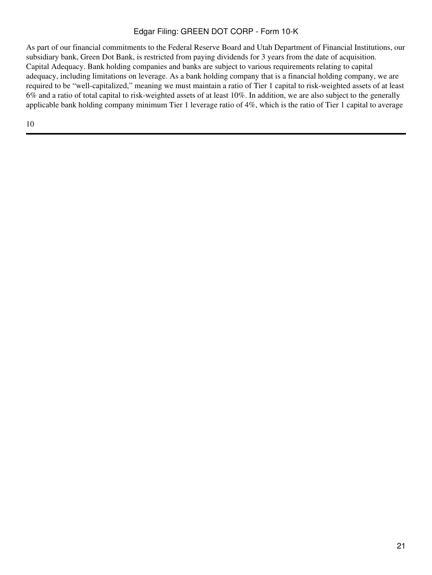As part of our financial commitments to the Federal Reserve Board and Utah Department of Financial Institutions, our subsidiary bank, Green Dot Bank, is restricted from paying dividends for 3 years from the date of acquisition. Capital Adequacy. Bank holding companies and banks are subject to various requirements relating to capital adequacy, including limitations on leverage. As a bank holding company that is a financial holding company, we are required to be "well-capitalized," meaning we must maintain a ratio of Tier 1 capital to risk-weighted assets of at least 6% and a ratio of total capital to risk-weighted assets of at least 10%. In addition, we are also subject to the generally applicable bank holding company minimum Tier 1 leverage ratio of 4%, which is the ratio of Tier 1 capital to average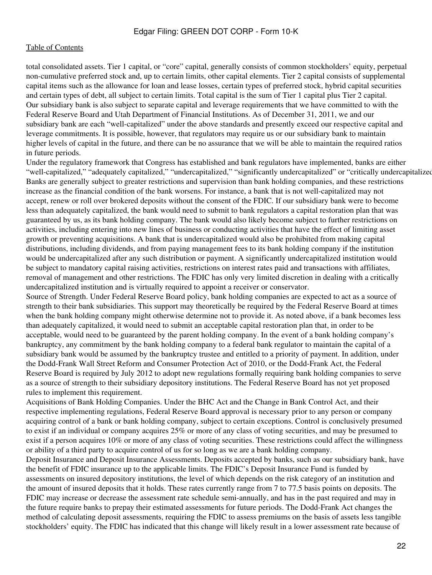total consolidated assets. Tier 1 capital, or "core" capital, generally consists of common stockholders' equity, perpetual non-cumulative preferred stock and, up to certain limits, other capital elements. Tier 2 capital consists of supplemental capital items such as the allowance for loan and lease losses, certain types of preferred stock, hybrid capital securities and certain types of debt, all subject to certain limits. Total capital is the sum of Tier 1 capital plus Tier 2 capital. Our subsidiary bank is also subject to separate capital and leverage requirements that we have committed to with the Federal Reserve Board and Utah Department of Financial Institutions. As of December 31, 2011, we and our subsidiary bank are each "well-capitalized" under the above standards and presently exceed our respective capital and leverage commitments. It is possible, however, that regulators may require us or our subsidiary bank to maintain higher levels of capital in the future, and there can be no assurance that we will be able to maintain the required ratios in future periods.

Under the regulatory framework that Congress has established and bank regulators have implemented, banks are either "well-capitalized," "adequately capitalized," "undercapitalized," "significantly undercapitalized" or "critically undercapitalized Banks are generally subject to greater restrictions and supervision than bank holding companies, and these restrictions increase as the financial condition of the bank worsens. For instance, a bank that is not well-capitalized may not accept, renew or roll over brokered deposits without the consent of the FDIC. If our subsidiary bank were to become less than adequately capitalized, the bank would need to submit to bank regulators a capital restoration plan that was guaranteed by us, as its bank holding company. The bank would also likely become subject to further restrictions on activities, including entering into new lines of business or conducting activities that have the effect of limiting asset growth or preventing acquisitions. A bank that is undercapitalized would also be prohibited from making capital distributions, including dividends, and from paying management fees to its bank holding company if the institution would be undercapitalized after any such distribution or payment. A significantly undercapitalized institution would be subject to mandatory capital raising activities, restrictions on interest rates paid and transactions with affiliates, removal of management and other restrictions. The FDIC has only very limited discretion in dealing with a critically undercapitalized institution and is virtually required to appoint a receiver or conservator.

Source of Strength. Under Federal Reserve Board policy, bank holding companies are expected to act as a source of strength to their bank subsidiaries. This support may theoretically be required by the Federal Reserve Board at times when the bank holding company might otherwise determine not to provide it. As noted above, if a bank becomes less than adequately capitalized, it would need to submit an acceptable capital restoration plan that, in order to be acceptable, would need to be guaranteed by the parent holding company. In the event of a bank holding company's bankruptcy, any commitment by the bank holding company to a federal bank regulator to maintain the capital of a subsidiary bank would be assumed by the bankruptcy trustee and entitled to a priority of payment. In addition, under the Dodd-Frank Wall Street Reform and Consumer Protection Act of 2010, or the Dodd-Frank Act, the Federal Reserve Board is required by July 2012 to adopt new regulations formally requiring bank holding companies to serve as a source of strength to their subsidiary depository institutions. The Federal Reserve Board has not yet proposed rules to implement this requirement.

Acquisitions of Bank Holding Companies. Under the BHC Act and the Change in Bank Control Act, and their respective implementing regulations, Federal Reserve Board approval is necessary prior to any person or company acquiring control of a bank or bank holding company, subject to certain exceptions. Control is conclusively presumed to exist if an individual or company acquires 25% or more of any class of voting securities, and may be presumed to exist if a person acquires 10% or more of any class of voting securities. These restrictions could affect the willingness or ability of a third party to acquire control of us for so long as we are a bank holding company.

Deposit Insurance and Deposit Insurance Assessments. Deposits accepted by banks, such as our subsidiary bank, have the benefit of FDIC insurance up to the applicable limits. The FDIC's Deposit Insurance Fund is funded by assessments on insured depository institutions, the level of which depends on the risk category of an institution and the amount of insured deposits that it holds. These rates currently range from 7 to 77.5 basis points on deposits. The FDIC may increase or decrease the assessment rate schedule semi-annually, and has in the past required and may in the future require banks to prepay their estimated assessments for future periods. The Dodd-Frank Act changes the method of calculating deposit assessments, requiring the FDIC to assess premiums on the basis of assets less tangible stockholders' equity. The FDIC has indicated that this change will likely result in a lower assessment rate because of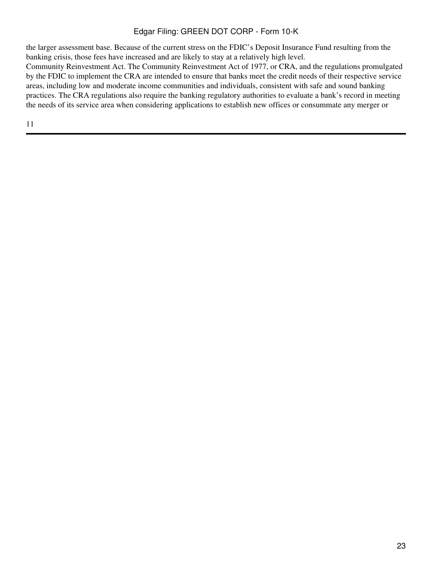the larger assessment base. Because of the current stress on the FDIC's Deposit Insurance Fund resulting from the banking crisis, those fees have increased and are likely to stay at a relatively high level.

Community Reinvestment Act. The Community Reinvestment Act of 1977, or CRA, and the regulations promulgated by the FDIC to implement the CRA are intended to ensure that banks meet the credit needs of their respective service areas, including low and moderate income communities and individuals, consistent with safe and sound banking practices. The CRA regulations also require the banking regulatory authorities to evaluate a bank's record in meeting the needs of its service area when considering applications to establish new offices or consummate any merger or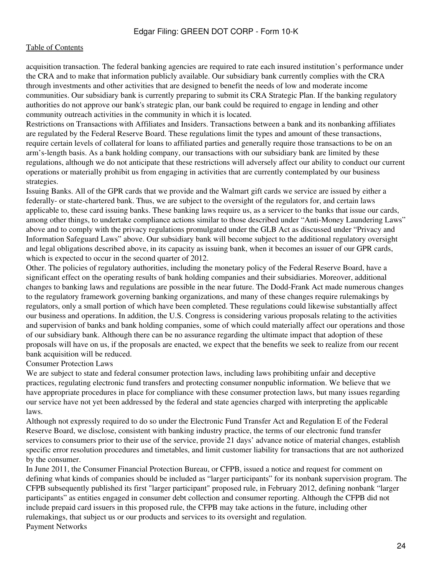acquisition transaction. The federal banking agencies are required to rate each insured institution's performance under the CRA and to make that information publicly available. Our subsidiary bank currently complies with the CRA through investments and other activities that are designed to benefit the needs of low and moderate income communities. Our subsidiary bank is currently preparing to submit its CRA Strategic Plan. If the banking regulatory authorities do not approve our bank's strategic plan, our bank could be required to engage in lending and other community outreach activities in the community in which it is located.

Restrictions on Transactions with Affiliates and Insiders. Transactions between a bank and its nonbanking affiliates are regulated by the Federal Reserve Board. These regulations limit the types and amount of these transactions, require certain levels of collateral for loans to affiliated parties and generally require those transactions to be on an arm's-length basis. As a bank holding company, our transactions with our subsidiary bank are limited by these regulations, although we do not anticipate that these restrictions will adversely affect our ability to conduct our current operations or materially prohibit us from engaging in activities that are currently contemplated by our business strategies.

Issuing Banks. All of the GPR cards that we provide and the Walmart gift cards we service are issued by either a federally- or state-chartered bank. Thus, we are subject to the oversight of the regulators for, and certain laws applicable to, these card issuing banks. These banking laws require us, as a servicer to the banks that issue our cards, among other things, to undertake compliance actions similar to those described under "Anti-Money Laundering Laws" above and to comply with the privacy regulations promulgated under the GLB Act as discussed under "Privacy and Information Safeguard Laws" above. Our subsidiary bank will become subject to the additional regulatory oversight and legal obligations described above, in its capacity as issuing bank, when it becomes an issuer of our GPR cards, which is expected to occur in the second quarter of 2012.

Other. The policies of regulatory authorities, including the monetary policy of the Federal Reserve Board, have a significant effect on the operating results of bank holding companies and their subsidiaries. Moreover, additional changes to banking laws and regulations are possible in the near future. The Dodd-Frank Act made numerous changes to the regulatory framework governing banking organizations, and many of these changes require rulemakings by regulators, only a small portion of which have been completed. These regulations could likewise substantially affect our business and operations. In addition, the U.S. Congress is considering various proposals relating to the activities and supervision of banks and bank holding companies, some of which could materially affect our operations and those of our subsidiary bank. Although there can be no assurance regarding the ultimate impact that adoption of these proposals will have on us, if the proposals are enacted, we expect that the benefits we seek to realize from our recent bank acquisition will be reduced.

#### Consumer Protection Laws

We are subject to state and federal consumer protection laws, including laws prohibiting unfair and deceptive practices, regulating electronic fund transfers and protecting consumer nonpublic information. We believe that we have appropriate procedures in place for compliance with these consumer protection laws, but many issues regarding our service have not yet been addressed by the federal and state agencies charged with interpreting the applicable laws.

Although not expressly required to do so under the Electronic Fund Transfer Act and Regulation E of the Federal Reserve Board, we disclose, consistent with banking industry practice, the terms of our electronic fund transfer services to consumers prior to their use of the service, provide 21 days' advance notice of material changes, establish specific error resolution procedures and timetables, and limit customer liability for transactions that are not authorized by the consumer.

In June 2011, the Consumer Financial Protection Bureau, or CFPB, issued a notice and request for comment on defining what kinds of companies should be included as "larger participants" for its nonbank supervision program. The CFPB subsequently published its first "larger participant" proposed rule, in February 2012, defining nonbank "larger participants" as entities engaged in consumer debt collection and consumer reporting. Although the CFPB did not include prepaid card issuers in this proposed rule, the CFPB may take actions in the future, including other rulemakings, that subject us or our products and services to its oversight and regulation. Payment Networks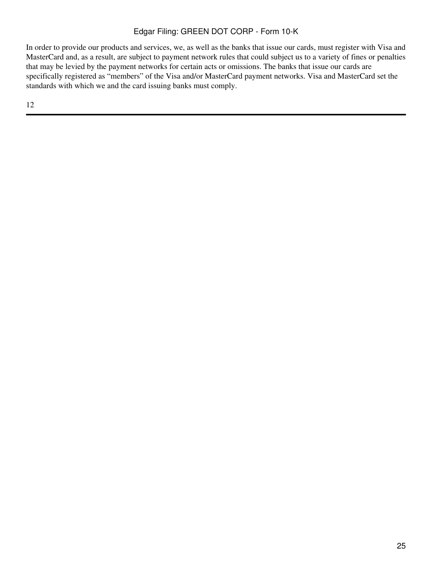In order to provide our products and services, we, as well as the banks that issue our cards, must register with Visa and MasterCard and, as a result, are subject to payment network rules that could subject us to a variety of fines or penalties that may be levied by the payment networks for certain acts or omissions. The banks that issue our cards are specifically registered as "members" of the Visa and/or MasterCard payment networks. Visa and MasterCard set the standards with which we and the card issuing banks must comply.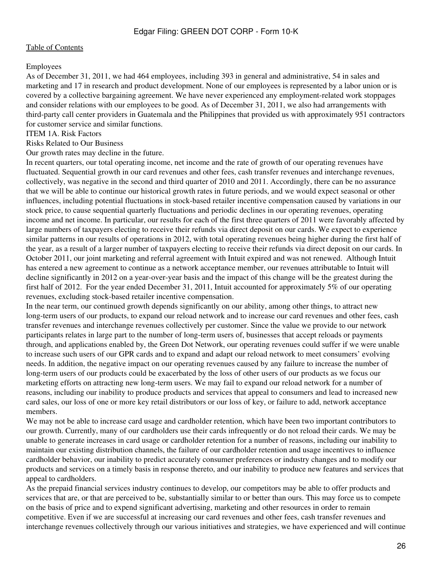#### Employees

As of December 31, 2011, we had 464 employees, including 393 in general and administrative, 54 in sales and marketing and 17 in research and product development. None of our employees is represented by a labor union or is covered by a collective bargaining agreement. We have never experienced any employment-related work stoppages and consider relations with our employees to be good. As of December 31, 2011, we also had arrangements with third-party call center providers in Guatemala and the Philippines that provided us with approximately 951 contractors for customer service and similar functions.

<span id="page-25-0"></span>ITEM 1A. Risk Factors

Risks Related to Our Business

Our growth rates may decline in the future.

In recent quarters, our total operating income, net income and the rate of growth of our operating revenues have fluctuated. Sequential growth in our card revenues and other fees, cash transfer revenues and interchange revenues, collectively, was negative in the second and third quarter of 2010 and 2011. Accordingly, there can be no assurance that we will be able to continue our historical growth rates in future periods, and we would expect seasonal or other influences, including potential fluctuations in stock-based retailer incentive compensation caused by variations in our stock price, to cause sequential quarterly fluctuations and periodic declines in our operating revenues, operating income and net income. In particular, our results for each of the first three quarters of 2011 were favorably affected by large numbers of taxpayers electing to receive their refunds via direct deposit on our cards. We expect to experience similar patterns in our results of operations in 2012, with total operating revenues being higher during the first half of the year, as a result of a larger number of taxpayers electing to receive their refunds via direct deposit on our cards. In October 2011, our joint marketing and referral agreement with Intuit expired and was not renewed. Although Intuit has entered a new agreement to continue as a network acceptance member, our revenues attributable to Intuit will decline significantly in 2012 on a year-over-year basis and the impact of this change will be the greatest during the first half of 2012. For the year ended December 31, 2011, Intuit accounted for approximately 5% of our operating revenues, excluding stock-based retailer incentive compensation.

In the near term, our continued growth depends significantly on our ability, among other things, to attract new long-term users of our products, to expand our reload network and to increase our card revenues and other fees, cash transfer revenues and interchange revenues collectively per customer. Since the value we provide to our network participants relates in large part to the number of long-term users of, businesses that accept reloads or payments through, and applications enabled by, the Green Dot Network, our operating revenues could suffer if we were unable to increase such users of our GPR cards and to expand and adapt our reload network to meet consumers' evolving needs. In addition, the negative impact on our operating revenues caused by any failure to increase the number of long-term users of our products could be exacerbated by the loss of other users of our products as we focus our marketing efforts on attracting new long-term users. We may fail to expand our reload network for a number of reasons, including our inability to produce products and services that appeal to consumers and lead to increased new card sales, our loss of one or more key retail distributors or our loss of key, or failure to add, network acceptance members.

We may not be able to increase card usage and cardholder retention, which have been two important contributors to our growth. Currently, many of our cardholders use their cards infrequently or do not reload their cards. We may be unable to generate increases in card usage or cardholder retention for a number of reasons, including our inability to maintain our existing distribution channels, the failure of our cardholder retention and usage incentives to influence cardholder behavior, our inability to predict accurately consumer preferences or industry changes and to modify our products and services on a timely basis in response thereto, and our inability to produce new features and services that appeal to cardholders.

As the prepaid financial services industry continues to develop, our competitors may be able to offer products and services that are, or that are perceived to be, substantially similar to or better than ours. This may force us to compete on the basis of price and to expend significant advertising, marketing and other resources in order to remain competitive. Even if we are successful at increasing our card revenues and other fees, cash transfer revenues and interchange revenues collectively through our various initiatives and strategies, we have experienced and will continue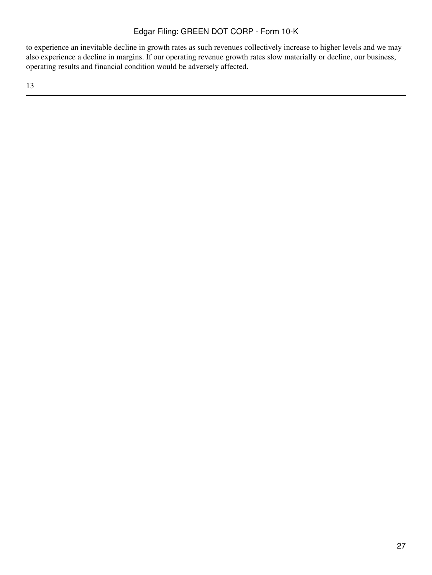to experience an inevitable decline in growth rates as such revenues collectively increase to higher levels and we may also experience a decline in margins. If our operating revenue growth rates slow materially or decline, our business, operating results and financial condition would be adversely affected.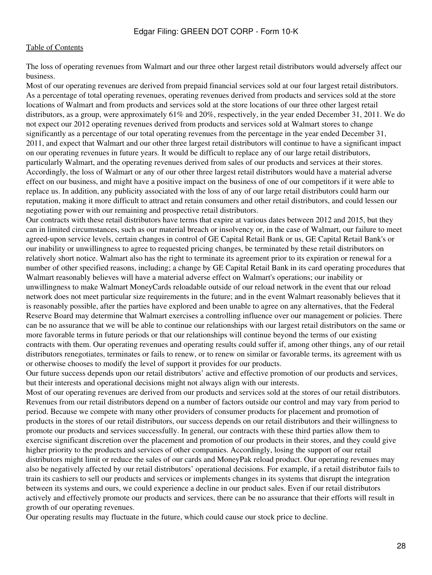The loss of operating revenues from Walmart and our three other largest retail distributors would adversely affect our business.

Most of our operating revenues are derived from prepaid financial services sold at our four largest retail distributors. As a percentage of total operating revenues, operating revenues derived from products and services sold at the store locations of Walmart and from products and services sold at the store locations of our three other largest retail distributors, as a group, were approximately 61% and 20%, respectively, in the year ended December 31, 2011. We do not expect our 2012 operating revenues derived from products and services sold at Walmart stores to change significantly as a percentage of our total operating revenues from the percentage in the year ended December 31, 2011, and expect that Walmart and our other three largest retail distributors will continue to have a significant impact on our operating revenues in future years. It would be difficult to replace any of our large retail distributors, particularly Walmart, and the operating revenues derived from sales of our products and services at their stores. Accordingly, the loss of Walmart or any of our other three largest retail distributors would have a material adverse effect on our business, and might have a positive impact on the business of one of our competitors if it were able to replace us. In addition, any publicity associated with the loss of any of our large retail distributors could harm our reputation, making it more difficult to attract and retain consumers and other retail distributors, and could lessen our negotiating power with our remaining and prospective retail distributors.

Our contracts with these retail distributors have terms that expire at various dates between 2012 and 2015, but they can in limited circumstances, such as our material breach or insolvency or, in the case of Walmart, our failure to meet agreed-upon service levels, certain changes in control of GE Capital Retail Bank or us, GE Capital Retail Bank's or our inability or unwillingness to agree to requested pricing changes, be terminated by these retail distributors on relatively short notice. Walmart also has the right to terminate its agreement prior to its expiration or renewal for a number of other specified reasons, including; a change by GE Capital Retail Bank in its card operating procedures that Walmart reasonably believes will have a material adverse effect on Walmart's operations; our inability or unwillingness to make Walmart MoneyCards reloadable outside of our reload network in the event that our reload network does not meet particular size requirements in the future; and in the event Walmart reasonably believes that it is reasonably possible, after the parties have explored and been unable to agree on any alternatives, that the Federal Reserve Board may determine that Walmart exercises a controlling influence over our management or policies. There can be no assurance that we will be able to continue our relationships with our largest retail distributors on the same or more favorable terms in future periods or that our relationships will continue beyond the terms of our existing contracts with them. Our operating revenues and operating results could suffer if, among other things, any of our retail distributors renegotiates, terminates or fails to renew, or to renew on similar or favorable terms, its agreement with us or otherwise chooses to modify the level of support it provides for our products.

Our future success depends upon our retail distributors' active and effective promotion of our products and services, but their interests and operational decisions might not always align with our interests.

Most of our operating revenues are derived from our products and services sold at the stores of our retail distributors. Revenues from our retail distributors depend on a number of factors outside our control and may vary from period to period. Because we compete with many other providers of consumer products for placement and promotion of products in the stores of our retail distributors, our success depends on our retail distributors and their willingness to promote our products and services successfully. In general, our contracts with these third parties allow them to exercise significant discretion over the placement and promotion of our products in their stores, and they could give higher priority to the products and services of other companies. Accordingly, losing the support of our retail distributors might limit or reduce the sales of our cards and MoneyPak reload product. Our operating revenues may also be negatively affected by our retail distributors' operational decisions. For example, if a retail distributor fails to train its cashiers to sell our products and services or implements changes in its systems that disrupt the integration between its systems and ours, we could experience a decline in our product sales. Even if our retail distributors actively and effectively promote our products and services, there can be no assurance that their efforts will result in growth of our operating revenues.

Our operating results may fluctuate in the future, which could cause our stock price to decline.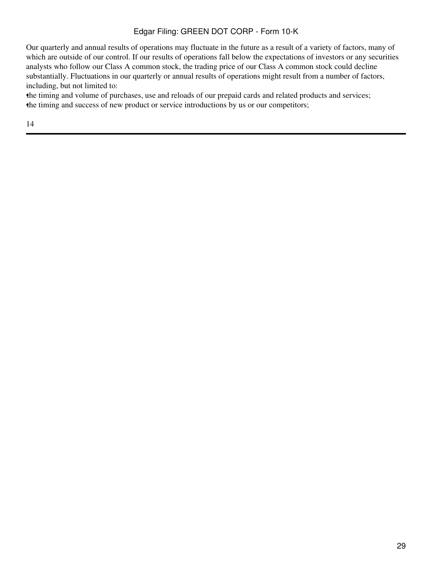Our quarterly and annual results of operations may fluctuate in the future as a result of a variety of factors, many of which are outside of our control. If our results of operations fall below the expectations of investors or any securities analysts who follow our Class A common stock, the trading price of our Class A common stock could decline substantially. Fluctuations in our quarterly or annual results of operations might result from a number of factors, including, but not limited to:

•the timing and volume of purchases, use and reloads of our prepaid cards and related products and services; •the timing and success of new product or service introductions by us or our competitors;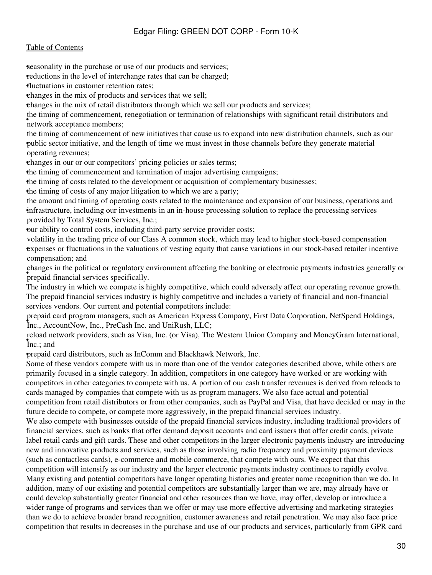**seasonality in the purchase or use of our products and services;** 

reductions in the level of interchange rates that can be charged;

•fluctuations in customer retention rates;

•changes in the mix of products and services that we sell;

•changes in the mix of retail distributors through which we sell our products and services;

• network acceptance members; the timing of commencement, renegotiation or termination of relationships with significant retail distributors and

• public sector initiative, and the length of time we must invest in those channels before they generate material the timing of commencement of new initiatives that cause us to expand into new distribution channels, such as our operating revenues;

•changes in our or our competitors' pricing policies or sales terms;

•the timing of commencement and termination of major advertising campaigns;

•the timing of costs related to the development or acquisition of complementary businesses;

•the timing of costs of any major litigation to which we are a party;

• infrastructure, including our investments in an in-house processing solution to replace the processing services the amount and timing of operating costs related to the maintenance and expansion of our business, operations and provided by Total System Services, Inc.;

•our ability to control costs, including third-party service provider costs;

• expenses or fluctuations in the valuations of vesting equity that cause variations in our stock-based retailer incentive volatility in the trading price of our Class A common stock, which may lead to higher stock-based compensation compensation; and

• prepaid financial services specifically. changes in the political or regulatory environment affecting the banking or electronic payments industries generally or

The industry in which we compete is highly competitive, which could adversely affect our operating revenue growth. The prepaid financial services industry is highly competitive and includes a variety of financial and non-financial services vendors. Our current and potential competitors include:

• Inc., AccountNow, Inc., PreCash Inc. and UniRush, LLC; prepaid card program managers, such as American Express Company, First Data Corporation, NetSpend Holdings,

• Inc.; and reload network providers, such as Visa, Inc. (or Visa), The Western Union Company and MoneyGram International,

•prepaid card distributors, such as InComm and Blackhawk Network, Inc.

Some of these vendors compete with us in more than one of the vendor categories described above, while others are primarily focused in a single category. In addition, competitors in one category have worked or are working with competitors in other categories to compete with us. A portion of our cash transfer revenues is derived from reloads to cards managed by companies that compete with us as program managers. We also face actual and potential competition from retail distributors or from other companies, such as PayPal and Visa, that have decided or may in the future decide to compete, or compete more aggressively, in the prepaid financial services industry.

We also compete with businesses outside of the prepaid financial services industry, including traditional providers of financial services, such as banks that offer demand deposit accounts and card issuers that offer credit cards, private label retail cards and gift cards. These and other competitors in the larger electronic payments industry are introducing new and innovative products and services, such as those involving radio frequency and proximity payment devices (such as contactless cards), e-commerce and mobile commerce, that compete with ours. We expect that this competition will intensify as our industry and the larger electronic payments industry continues to rapidly evolve. Many existing and potential competitors have longer operating histories and greater name recognition than we do. In addition, many of our existing and potential competitors are substantially larger than we are, may already have or could develop substantially greater financial and other resources than we have, may offer, develop or introduce a wider range of programs and services than we offer or may use more effective advertising and marketing strategies than we do to achieve broader brand recognition, customer awareness and retail penetration. We may also face price competition that results in decreases in the purchase and use of our products and services, particularly from GPR card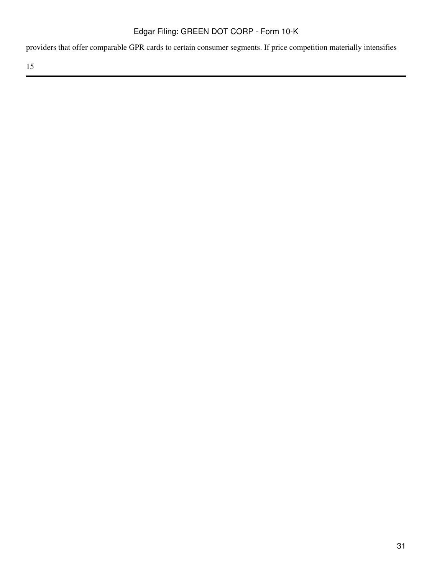providers that offer comparable GPR cards to certain consumer segments. If price competition materially intensifies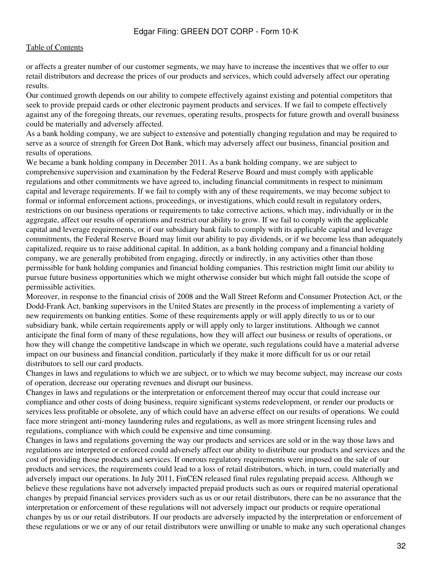or affects a greater number of our customer segments, we may have to increase the incentives that we offer to our retail distributors and decrease the prices of our products and services, which could adversely affect our operating results.

Our continued growth depends on our ability to compete effectively against existing and potential competitors that seek to provide prepaid cards or other electronic payment products and services. If we fail to compete effectively against any of the foregoing threats, our revenues, operating results, prospects for future growth and overall business could be materially and adversely affected.

As a bank holding company, we are subject to extensive and potentially changing regulation and may be required to serve as a source of strength for Green Dot Bank, which may adversely affect our business, financial position and results of operations.

We became a bank holding company in December 2011. As a bank holding company, we are subject to comprehensive supervision and examination by the Federal Reserve Board and must comply with applicable regulations and other commitments we have agreed to, including financial commitments in respect to minimum capital and leverage requirements. If we fail to comply with any of these requirements, we may become subject to formal or informal enforcement actions, proceedings, or investigations, which could result in regulatory orders, restrictions on our business operations or requirements to take corrective actions, which may, individually or in the aggregate, affect our results of operations and restrict our ability to grow. If we fail to comply with the applicable capital and leverage requirements, or if our subsidiary bank fails to comply with its applicable capital and leverage commitments, the Federal Reserve Board may limit our ability to pay dividends, or if we become less than adequately capitalized, require us to raise additional capital. In addition, as a bank holding company and a financial holding company, we are generally prohibited from engaging, directly or indirectly, in any activities other than those permissible for bank holding companies and financial holding companies. This restriction might limit our ability to pursue future business opportunities which we might otherwise consider but which might fall outside the scope of permissible activities.

Moreover, in response to the financial crisis of 2008 and the Wall Street Reform and Consumer Protection Act, or the Dodd-Frank Act, banking supervisors in the United States are presently in the process of implementing a variety of new requirements on banking entities. Some of these requirements apply or will apply directly to us or to our subsidiary bank, while certain requirements apply or will apply only to larger institutions. Although we cannot anticipate the final form of many of these regulations, how they will affect our business or results of operations, or how they will change the competitive landscape in which we operate, such regulations could have a material adverse impact on our business and financial condition, particularly if they make it more difficult for us or our retail distributors to sell our card products.

Changes in laws and regulations to which we are subject, or to which we may become subject, may increase our costs of operation, decrease our operating revenues and disrupt our business.

Changes in laws and regulations or the interpretation or enforcement thereof may occur that could increase our compliance and other costs of doing business, require significant systems redevelopment, or render our products or services less profitable or obsolete, any of which could have an adverse effect on our results of operations. We could face more stringent anti-money laundering rules and regulations, as well as more stringent licensing rules and regulations, compliance with which could be expensive and time consuming.

Changes in laws and regulations governing the way our products and services are sold or in the way those laws and regulations are interpreted or enforced could adversely affect our ability to distribute our products and services and the cost of providing those products and services. If onerous regulatory requirements were imposed on the sale of our products and services, the requirements could lead to a loss of retail distributors, which, in turn, could materially and adversely impact our operations. In July 2011, FinCEN released final rules regulating prepaid access. Although we believe these regulations have not adversely impacted prepaid products such as ours or required material operational changes by prepaid financial services providers such as us or our retail distributors, there can be no assurance that the interpretation or enforcement of these regulations will not adversely impact our products or require operational changes by us or our retail distributors. If our products are adversely impacted by the interpretation or enforcement of these regulations or we or any of our retail distributors were unwilling or unable to make any such operational changes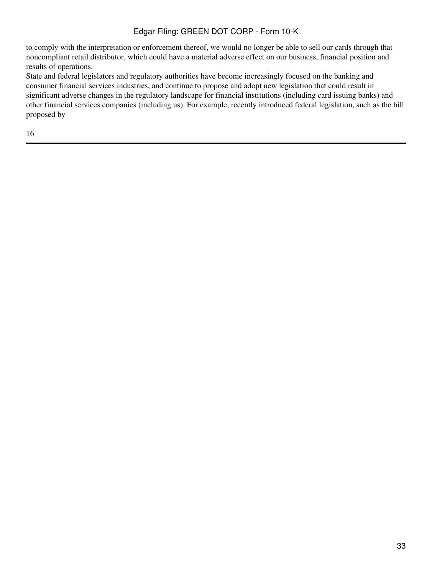to comply with the interpretation or enforcement thereof, we would no longer be able to sell our cards through that noncompliant retail distributor, which could have a material adverse effect on our business, financial position and results of operations.

State and federal legislators and regulatory authorities have become increasingly focused on the banking and consumer financial services industries, and continue to propose and adopt new legislation that could result in significant adverse changes in the regulatory landscape for financial institutions (including card issuing banks) and other financial services companies (including us). For example, recently introduced federal legislation, such as the bill proposed by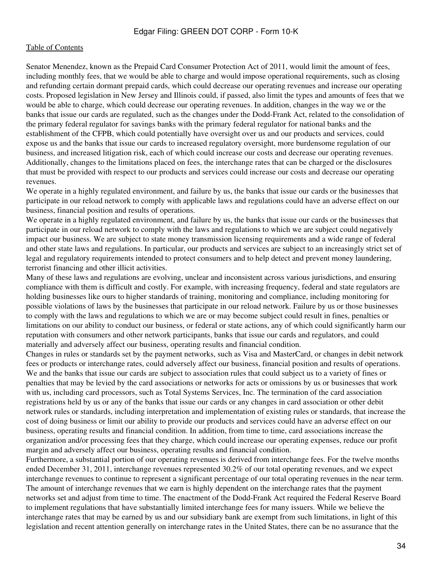Senator Menendez, known as the Prepaid Card Consumer Protection Act of 2011, would limit the amount of fees, including monthly fees, that we would be able to charge and would impose operational requirements, such as closing and refunding certain dormant prepaid cards, which could decrease our operating revenues and increase our operating costs. Proposed legislation in New Jersey and Illinois could, if passed, also limit the types and amounts of fees that we would be able to charge, which could decrease our operating revenues. In addition, changes in the way we or the banks that issue our cards are regulated, such as the changes under the Dodd-Frank Act, related to the consolidation of the primary federal regulator for savings banks with the primary federal regulator for national banks and the establishment of the CFPB, which could potentially have oversight over us and our products and services, could expose us and the banks that issue our cards to increased regulatory oversight, more burdensome regulation of our business, and increased litigation risk, each of which could increase our costs and decrease our operating revenues. Additionally, changes to the limitations placed on fees, the interchange rates that can be charged or the disclosures that must be provided with respect to our products and services could increase our costs and decrease our operating revenues.

We operate in a highly regulated environment, and failure by us, the banks that issue our cards or the businesses that participate in our reload network to comply with applicable laws and regulations could have an adverse effect on our business, financial position and results of operations.

We operate in a highly regulated environment, and failure by us, the banks that issue our cards or the businesses that participate in our reload network to comply with the laws and regulations to which we are subject could negatively impact our business. We are subject to state money transmission licensing requirements and a wide range of federal and other state laws and regulations. In particular, our products and services are subject to an increasingly strict set of legal and regulatory requirements intended to protect consumers and to help detect and prevent money laundering, terrorist financing and other illicit activities.

Many of these laws and regulations are evolving, unclear and inconsistent across various jurisdictions, and ensuring compliance with them is difficult and costly. For example, with increasing frequency, federal and state regulators are holding businesses like ours to higher standards of training, monitoring and compliance, including monitoring for possible violations of laws by the businesses that participate in our reload network. Failure by us or those businesses to comply with the laws and regulations to which we are or may become subject could result in fines, penalties or limitations on our ability to conduct our business, or federal or state actions, any of which could significantly harm our reputation with consumers and other network participants, banks that issue our cards and regulators, and could materially and adversely affect our business, operating results and financial condition.

Changes in rules or standards set by the payment networks, such as Visa and MasterCard, or changes in debit network fees or products or interchange rates, could adversely affect our business, financial position and results of operations. We and the banks that issue our cards are subject to association rules that could subject us to a variety of fines or penalties that may be levied by the card associations or networks for acts or omissions by us or businesses that work with us, including card processors, such as Total Systems Services, Inc. The termination of the card association registrations held by us or any of the banks that issue our cards or any changes in card association or other debit network rules or standards, including interpretation and implementation of existing rules or standards, that increase the cost of doing business or limit our ability to provide our products and services could have an adverse effect on our business, operating results and financial condition. In addition, from time to time, card associations increase the organization and/or processing fees that they charge, which could increase our operating expenses, reduce our profit margin and adversely affect our business, operating results and financial condition.

Furthermore, a substantial portion of our operating revenues is derived from interchange fees. For the twelve months ended December 31, 2011, interchange revenues represented 30.2% of our total operating revenues, and we expect interchange revenues to continue to represent a significant percentage of our total operating revenues in the near term. The amount of interchange revenues that we earn is highly dependent on the interchange rates that the payment networks set and adjust from time to time. The enactment of the Dodd-Frank Act required the Federal Reserve Board to implement regulations that have substantially limited interchange fees for many issuers. While we believe the interchange rates that may be earned by us and our subsidiary bank are exempt from such limitations, in light of this legislation and recent attention generally on interchange rates in the United States, there can be no assurance that the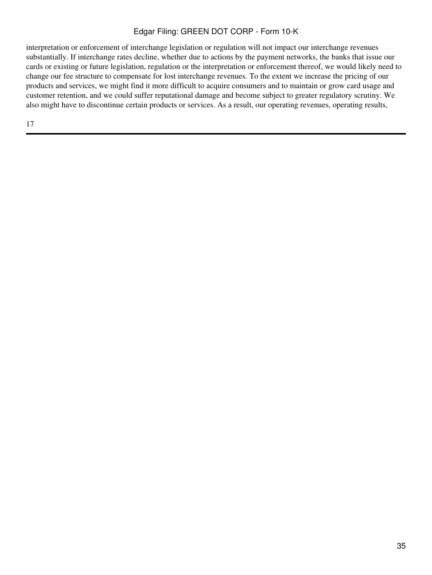interpretation or enforcement of interchange legislation or regulation will not impact our interchange revenues substantially. If interchange rates decline, whether due to actions by the payment networks, the banks that issue our cards or existing or future legislation, regulation or the interpretation or enforcement thereof, we would likely need to change our fee structure to compensate for lost interchange revenues. To the extent we increase the pricing of our products and services, we might find it more difficult to acquire consumers and to maintain or grow card usage and customer retention, and we could suffer reputational damage and become subject to greater regulatory scrutiny. We also might have to discontinue certain products or services. As a result, our operating revenues, operating results,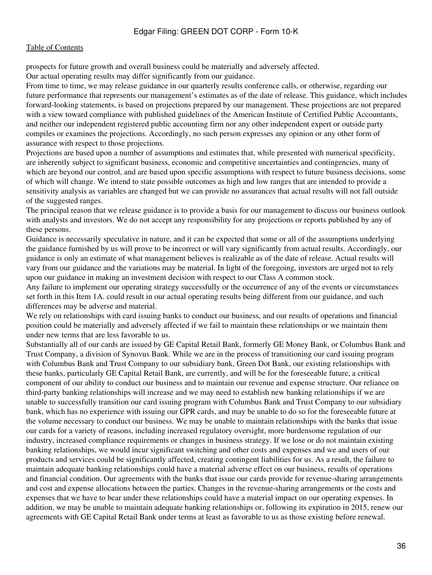#### [Table of Contents](#page-2-0)

prospects for future growth and overall business could be materially and adversely affected.

Our actual operating results may differ significantly from our guidance.

From time to time, we may release guidance in our quarterly results conference calls, or otherwise, regarding our future performance that represents our management's estimates as of the date of release. This guidance, which includes forward-looking statements, is based on projections prepared by our management. These projections are not prepared with a view toward compliance with published guidelines of the American Institute of Certified Public Accountants, and neither our independent registered public accounting firm nor any other independent expert or outside party compiles or examines the projections. Accordingly, no such person expresses any opinion or any other form of assurance with respect to those projections.

Projections are based upon a number of assumptions and estimates that, while presented with numerical specificity, are inherently subject to significant business, economic and competitive uncertainties and contingencies, many of which are beyond our control, and are based upon specific assumptions with respect to future business decisions, some of which will change. We intend to state possible outcomes as high and low ranges that are intended to provide a sensitivity analysis as variables are changed but we can provide no assurances that actual results will not fall outside of the suggested ranges.

The principal reason that we release guidance is to provide a basis for our management to discuss our business outlook with analysts and investors. We do not accept any responsibility for any projections or reports published by any of these persons.

Guidance is necessarily speculative in nature, and it can be expected that some or all of the assumptions underlying the guidance furnished by us will prove to be incorrect or will vary significantly from actual results. Accordingly, our guidance is only an estimate of what management believes is realizable as of the date of release. Actual results will vary from our guidance and the variations may be material. In light of the foregoing, investors are urged not to rely upon our guidance in making an investment decision with respect to our Class A common stock.

Any failure to implement our operating strategy successfully or the occurrence of any of the events or circumstances set forth in this Item 1A. could result in our actual operating results being different from our guidance, and such differences may be adverse and material.

We rely on relationships with card issuing banks to conduct our business, and our results of operations and financial position could be materially and adversely affected if we fail to maintain these relationships or we maintain them under new terms that are less favorable to us.

Substantially all of our cards are issued by GE Capital Retail Bank, formerly GE Money Bank, or Columbus Bank and Trust Company, a division of Synovus Bank. While we are in the process of transitioning our card issuing program with Columbus Bank and Trust Company to our subsidiary bank, Green Dot Bank, our existing relationships with these banks, particularly GE Capital Retail Bank, are currently, and will be for the foreseeable future, a critical component of our ability to conduct our business and to maintain our revenue and expense structure. Our reliance on third-party banking relationships will increase and we may need to establish new banking relationships if we are unable to successfully transition our card issuing program with Columbus Bank and Trust Company to our subsidiary bank, which has no experience with issuing our GPR cards, and may be unable to do so for the foreseeable future at the volume necessary to conduct our business. We may be unable to maintain relationships with the banks that issue our cards for a variety of reasons, including increased regulatory oversight, more burdensome regulation of our industry, increased compliance requirements or changes in business strategy. If we lose or do not maintain existing banking relationships, we would incur significant switching and other costs and expenses and we and users of our products and services could be significantly affected, creating contingent liabilities for us. As a result, the failure to maintain adequate banking relationships could have a material adverse effect on our business, results of operations and financial condition. Our agreements with the banks that issue our cards provide for revenue-sharing arrangements and cost and expense allocations between the parties. Changes in the revenue-sharing arrangements or the costs and expenses that we have to bear under these relationships could have a material impact on our operating expenses. In addition, we may be unable to maintain adequate banking relationships or, following its expiration in 2015, renew our agreements with GE Capital Retail Bank under terms at least as favorable to us as those existing before renewal.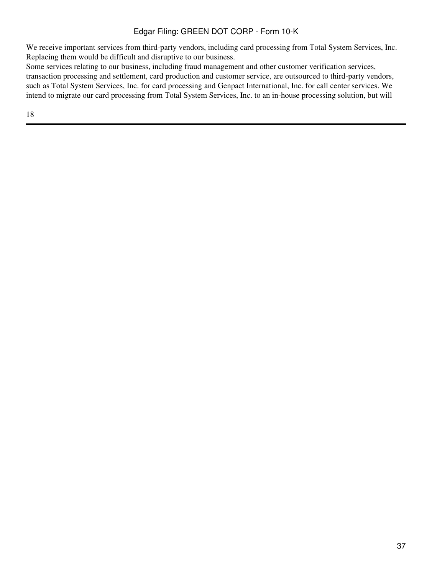We receive important services from third-party vendors, including card processing from Total System Services, Inc. Replacing them would be difficult and disruptive to our business.

Some services relating to our business, including fraud management and other customer verification services, transaction processing and settlement, card production and customer service, are outsourced to third-party vendors, such as Total System Services, Inc. for card processing and Genpact International, Inc. for call center services. We intend to migrate our card processing from Total System Services, Inc. to an in-house processing solution, but will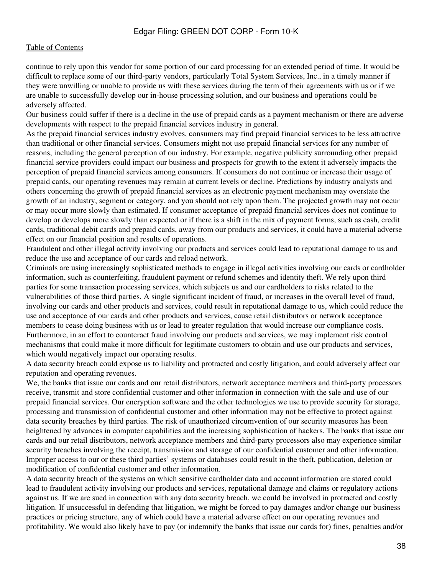continue to rely upon this vendor for some portion of our card processing for an extended period of time. It would be difficult to replace some of our third-party vendors, particularly Total System Services, Inc., in a timely manner if they were unwilling or unable to provide us with these services during the term of their agreements with us or if we are unable to successfully develop our in-house processing solution, and our business and operations could be adversely affected.

Our business could suffer if there is a decline in the use of prepaid cards as a payment mechanism or there are adverse developments with respect to the prepaid financial services industry in general.

As the prepaid financial services industry evolves, consumers may find prepaid financial services to be less attractive than traditional or other financial services. Consumers might not use prepaid financial services for any number of reasons, including the general perception of our industry. For example, negative publicity surrounding other prepaid financial service providers could impact our business and prospects for growth to the extent it adversely impacts the perception of prepaid financial services among consumers. If consumers do not continue or increase their usage of prepaid cards, our operating revenues may remain at current levels or decline. Predictions by industry analysts and others concerning the growth of prepaid financial services as an electronic payment mechanism may overstate the growth of an industry, segment or category, and you should not rely upon them. The projected growth may not occur or may occur more slowly than estimated. If consumer acceptance of prepaid financial services does not continue to develop or develops more slowly than expected or if there is a shift in the mix of payment forms, such as cash, credit cards, traditional debit cards and prepaid cards, away from our products and services, it could have a material adverse effect on our financial position and results of operations.

Fraudulent and other illegal activity involving our products and services could lead to reputational damage to us and reduce the use and acceptance of our cards and reload network.

Criminals are using increasingly sophisticated methods to engage in illegal activities involving our cards or cardholder information, such as counterfeiting, fraudulent payment or refund schemes and identity theft. We rely upon third parties for some transaction processing services, which subjects us and our cardholders to risks related to the vulnerabilities of those third parties. A single significant incident of fraud, or increases in the overall level of fraud, involving our cards and other products and services, could result in reputational damage to us, which could reduce the use and acceptance of our cards and other products and services, cause retail distributors or network acceptance members to cease doing business with us or lead to greater regulation that would increase our compliance costs. Furthermore, in an effort to counteract fraud involving our products and services, we may implement risk control mechanisms that could make it more difficult for legitimate customers to obtain and use our products and services, which would negatively impact our operating results.

A data security breach could expose us to liability and protracted and costly litigation, and could adversely affect our reputation and operating revenues.

We, the banks that issue our cards and our retail distributors, network acceptance members and third-party processors receive, transmit and store confidential customer and other information in connection with the sale and use of our prepaid financial services. Our encryption software and the other technologies we use to provide security for storage, processing and transmission of confidential customer and other information may not be effective to protect against data security breaches by third parties. The risk of unauthorized circumvention of our security measures has been heightened by advances in computer capabilities and the increasing sophistication of hackers. The banks that issue our cards and our retail distributors, network acceptance members and third-party processors also may experience similar security breaches involving the receipt, transmission and storage of our confidential customer and other information. Improper access to our or these third parties' systems or databases could result in the theft, publication, deletion or modification of confidential customer and other information.

A data security breach of the systems on which sensitive cardholder data and account information are stored could lead to fraudulent activity involving our products and services, reputational damage and claims or regulatory actions against us. If we are sued in connection with any data security breach, we could be involved in protracted and costly litigation. If unsuccessful in defending that litigation, we might be forced to pay damages and/or change our business practices or pricing structure, any of which could have a material adverse effect on our operating revenues and profitability. We would also likely have to pay (or indemnify the banks that issue our cards for) fines, penalties and/or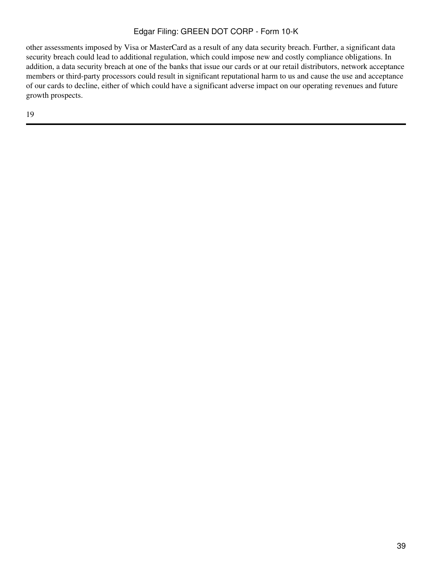other assessments imposed by Visa or MasterCard as a result of any data security breach. Further, a significant data security breach could lead to additional regulation, which could impose new and costly compliance obligations. In addition, a data security breach at one of the banks that issue our cards or at our retail distributors, network acceptance members or third-party processors could result in significant reputational harm to us and cause the use and acceptance of our cards to decline, either of which could have a significant adverse impact on our operating revenues and future growth prospects.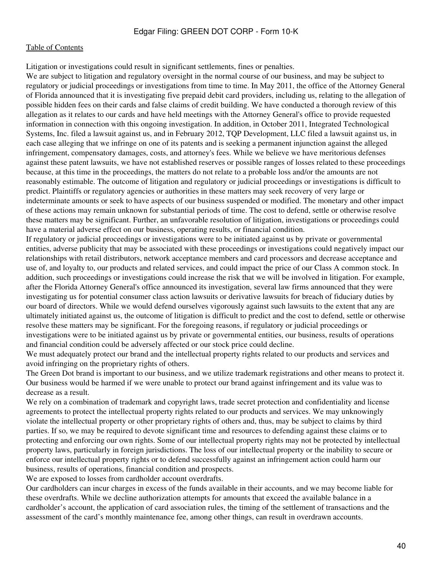Litigation or investigations could result in significant settlements, fines or penalties.

We are subject to litigation and regulatory oversight in the normal course of our business, and may be subject to regulatory or judicial proceedings or investigations from time to time. In May 2011, the office of the Attorney General of Florida announced that it is investigating five prepaid debit card providers, including us, relating to the allegation of possible hidden fees on their cards and false claims of credit building. We have conducted a thorough review of this allegation as it relates to our cards and have held meetings with the Attorney General's office to provide requested information in connection with this ongoing investigation. In addition, in October 2011, Integrated Technological Systems, Inc. filed a lawsuit against us, and in February 2012, TQP Development, LLC filed a lawsuit against us, in each case alleging that we infringe on one of its patents and is seeking a permanent injunction against the alleged infringement, compensatory damages, costs, and attorney's fees. While we believe we have meritorious defenses against these patent lawsuits, we have not established reserves or possible ranges of losses related to these proceedings because, at this time in the proceedings, the matters do not relate to a probable loss and/or the amounts are not reasonably estimable. The outcome of litigation and regulatory or judicial proceedings or investigations is difficult to predict. Plaintiffs or regulatory agencies or authorities in these matters may seek recovery of very large or indeterminate amounts or seek to have aspects of our business suspended or modified. The monetary and other impact of these actions may remain unknown for substantial periods of time. The cost to defend, settle or otherwise resolve these matters may be significant. Further, an unfavorable resolution of litigation, investigations or proceedings could have a material adverse effect on our business, operating results, or financial condition.

If regulatory or judicial proceedings or investigations were to be initiated against us by private or governmental entities, adverse publicity that may be associated with these proceedings or investigations could negatively impact our relationships with retail distributors, network acceptance members and card processors and decrease acceptance and use of, and loyalty to, our products and related services, and could impact the price of our Class A common stock. In addition, such proceedings or investigations could increase the risk that we will be involved in litigation. For example, after the Florida Attorney General's office announced its investigation, several law firms announced that they were investigating us for potential consumer class action lawsuits or derivative lawsuits for breach of fiduciary duties by our board of directors. While we would defend ourselves vigorously against such lawsuits to the extent that any are ultimately initiated against us, the outcome of litigation is difficult to predict and the cost to defend, settle or otherwise resolve these matters may be significant. For the foregoing reasons, if regulatory or judicial proceedings or investigations were to be initiated against us by private or governmental entities, our business, results of operations and financial condition could be adversely affected or our stock price could decline.

We must adequately protect our brand and the intellectual property rights related to our products and services and avoid infringing on the proprietary rights of others.

The Green Dot brand is important to our business, and we utilize trademark registrations and other means to protect it. Our business would be harmed if we were unable to protect our brand against infringement and its value was to decrease as a result.

We rely on a combination of trademark and copyright laws, trade secret protection and confidentiality and license agreements to protect the intellectual property rights related to our products and services. We may unknowingly violate the intellectual property or other proprietary rights of others and, thus, may be subject to claims by third parties. If so, we may be required to devote significant time and resources to defending against these claims or to protecting and enforcing our own rights. Some of our intellectual property rights may not be protected by intellectual property laws, particularly in foreign jurisdictions. The loss of our intellectual property or the inability to secure or enforce our intellectual property rights or to defend successfully against an infringement action could harm our business, results of operations, financial condition and prospects.

We are exposed to losses from cardholder account overdrafts.

Our cardholders can incur charges in excess of the funds available in their accounts, and we may become liable for these overdrafts. While we decline authorization attempts for amounts that exceed the available balance in a cardholder's account, the application of card association rules, the timing of the settlement of transactions and the assessment of the card's monthly maintenance fee, among other things, can result in overdrawn accounts.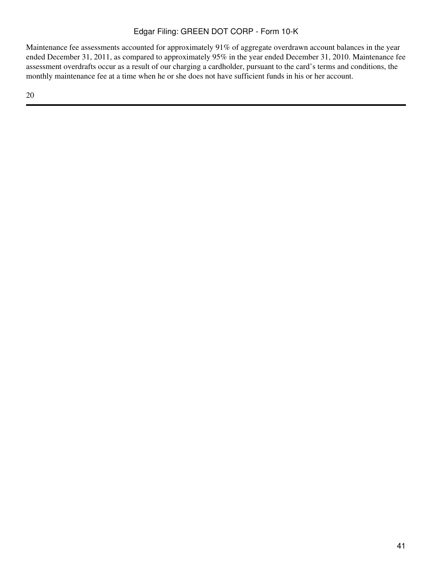Maintenance fee assessments accounted for approximately 91% of aggregate overdrawn account balances in the year ended December 31, 2011, as compared to approximately 95% in the year ended December 31, 2010. Maintenance fee assessment overdrafts occur as a result of our charging a cardholder, pursuant to the card's terms and conditions, the monthly maintenance fee at a time when he or she does not have sufficient funds in his or her account.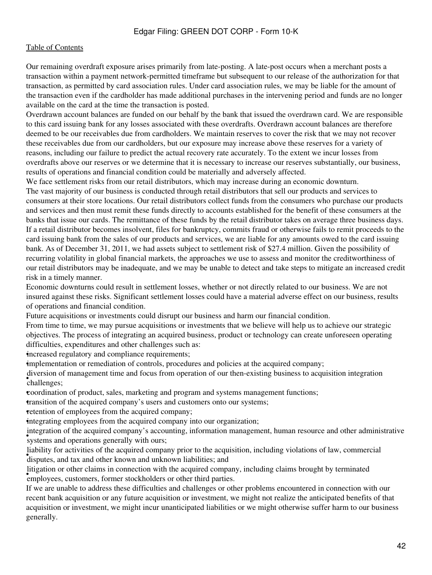Our remaining overdraft exposure arises primarily from late-posting. A late-post occurs when a merchant posts a transaction within a payment network-permitted timeframe but subsequent to our release of the authorization for that transaction, as permitted by card association rules. Under card association rules, we may be liable for the amount of the transaction even if the cardholder has made additional purchases in the intervening period and funds are no longer available on the card at the time the transaction is posted.

Overdrawn account balances are funded on our behalf by the bank that issued the overdrawn card. We are responsible to this card issuing bank for any losses associated with these overdrafts. Overdrawn account balances are therefore deemed to be our receivables due from cardholders. We maintain reserves to cover the risk that we may not recover these receivables due from our cardholders, but our exposure may increase above these reserves for a variety of reasons, including our failure to predict the actual recovery rate accurately. To the extent we incur losses from overdrafts above our reserves or we determine that it is necessary to increase our reserves substantially, our business, results of operations and financial condition could be materially and adversely affected.

We face settlement risks from our retail distributors, which may increase during an economic downturn.

The vast majority of our business is conducted through retail distributors that sell our products and services to consumers at their store locations. Our retail distributors collect funds from the consumers who purchase our products and services and then must remit these funds directly to accounts established for the benefit of these consumers at the banks that issue our cards. The remittance of these funds by the retail distributor takes on average three business days. If a retail distributor becomes insolvent, files for bankruptcy, commits fraud or otherwise fails to remit proceeds to the card issuing bank from the sales of our products and services, we are liable for any amounts owed to the card issuing bank. As of December 31, 2011, we had assets subject to settlement risk of \$27.4 million. Given the possibility of recurring volatility in global financial markets, the approaches we use to assess and monitor the creditworthiness of our retail distributors may be inadequate, and we may be unable to detect and take steps to mitigate an increased credit risk in a timely manner.

Economic downturns could result in settlement losses, whether or not directly related to our business. We are not insured against these risks. Significant settlement losses could have a material adverse effect on our business, results of operations and financial condition.

Future acquisitions or investments could disrupt our business and harm our financial condition.

From time to time, we may pursue acquisitions or investments that we believe will help us to achieve our strategic objectives. The process of integrating an acquired business, product or technology can create unforeseen operating difficulties, expenditures and other challenges such as:

increased regulatory and compliance requirements;

•implementation or remediation of controls, procedures and policies at the acquired company;

• challenges; diversion of management time and focus from operation of our then-existing business to acquisition integration

•coordination of product, sales, marketing and program and systems management functions;

•transition of the acquired company's users and customers onto our systems;

retention of employees from the acquired company;

•integrating employees from the acquired company into our organization;

systems and operations generally with ours; integration of the acquired company's accounting, information management, human resource and other administrative

disputes, and tax and other known and unknown liabilities; and disputes, and tax and other known and unknown liabilities; liability for activities of the acquired company prior to the acquisition, including violations of law, commercial

**Example years** or other claims in connection with the acquired companion employees, customers, former stockholders or other third parties. litigation or other claims in connection with the acquired company, including claims brought by terminated

If we are unable to address these difficulties and challenges or other problems encountered in connection with our recent bank acquisition or any future acquisition or investment, we might not realize the anticipated benefits of that acquisition or investment, we might incur unanticipated liabilities or we might otherwise suffer harm to our business generally.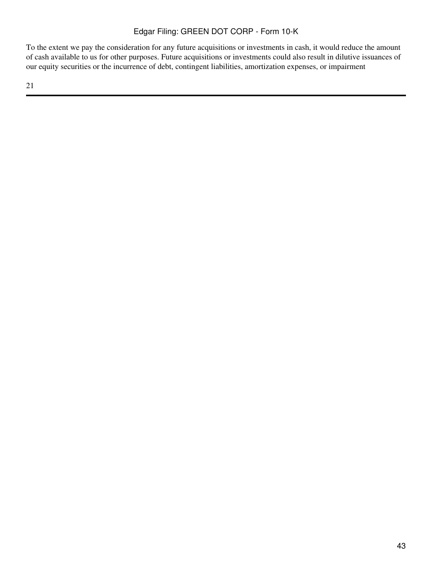To the extent we pay the consideration for any future acquisitions or investments in cash, it would reduce the amount of cash available to us for other purposes. Future acquisitions or investments could also result in dilutive issuances of our equity securities or the incurrence of debt, contingent liabilities, amortization expenses, or impairment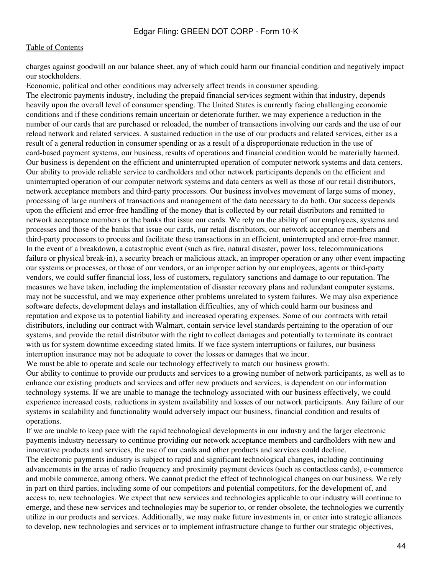charges against goodwill on our balance sheet, any of which could harm our financial condition and negatively impact our stockholders.

Economic, political and other conditions may adversely affect trends in consumer spending.

The electronic payments industry, including the prepaid financial services segment within that industry, depends heavily upon the overall level of consumer spending. The United States is currently facing challenging economic conditions and if these conditions remain uncertain or deteriorate further, we may experience a reduction in the number of our cards that are purchased or reloaded, the number of transactions involving our cards and the use of our reload network and related services. A sustained reduction in the use of our products and related services, either as a result of a general reduction in consumer spending or as a result of a disproportionate reduction in the use of card-based payment systems, our business, results of operations and financial condition would be materially harmed. Our business is dependent on the efficient and uninterrupted operation of computer network systems and data centers. Our ability to provide reliable service to cardholders and other network participants depends on the efficient and uninterrupted operation of our computer network systems and data centers as well as those of our retail distributors, network acceptance members and third-party processors. Our business involves movement of large sums of money, processing of large numbers of transactions and management of the data necessary to do both. Our success depends upon the efficient and error-free handling of the money that is collected by our retail distributors and remitted to network acceptance members or the banks that issue our cards. We rely on the ability of our employees, systems and processes and those of the banks that issue our cards, our retail distributors, our network acceptance members and third-party processors to process and facilitate these transactions in an efficient, uninterrupted and error-free manner. In the event of a breakdown, a catastrophic event (such as fire, natural disaster, power loss, telecommunications failure or physical break-in), a security breach or malicious attack, an improper operation or any other event impacting our systems or processes, or those of our vendors, or an improper action by our employees, agents or third-party vendors, we could suffer financial loss, loss of customers, regulatory sanctions and damage to our reputation. The measures we have taken, including the implementation of disaster recovery plans and redundant computer systems, may not be successful, and we may experience other problems unrelated to system failures. We may also experience software defects, development delays and installation difficulties, any of which could harm our business and reputation and expose us to potential liability and increased operating expenses. Some of our contracts with retail distributors, including our contract with Walmart, contain service level standards pertaining to the operation of our systems, and provide the retail distributor with the right to collect damages and potentially to terminate its contract with us for system downtime exceeding stated limits. If we face system interruptions or failures, our business interruption insurance may not be adequate to cover the losses or damages that we incur.

We must be able to operate and scale our technology effectively to match our business growth. Our ability to continue to provide our products and services to a growing number of network participants, as well as to enhance our existing products and services and offer new products and services, is dependent on our information technology systems. If we are unable to manage the technology associated with our business effectively, we could experience increased costs, reductions in system availability and losses of our network participants. Any failure of our systems in scalability and functionality would adversely impact our business, financial condition and results of operations.

If we are unable to keep pace with the rapid technological developments in our industry and the larger electronic payments industry necessary to continue providing our network acceptance members and cardholders with new and innovative products and services, the use of our cards and other products and services could decline.

The electronic payments industry is subject to rapid and significant technological changes, including continuing advancements in the areas of radio frequency and proximity payment devices (such as contactless cards), e-commerce and mobile commerce, among others. We cannot predict the effect of technological changes on our business. We rely in part on third parties, including some of our competitors and potential competitors, for the development of, and access to, new technologies. We expect that new services and technologies applicable to our industry will continue to emerge, and these new services and technologies may be superior to, or render obsolete, the technologies we currently utilize in our products and services. Additionally, we may make future investments in, or enter into strategic alliances to develop, new technologies and services or to implement infrastructure change to further our strategic objectives,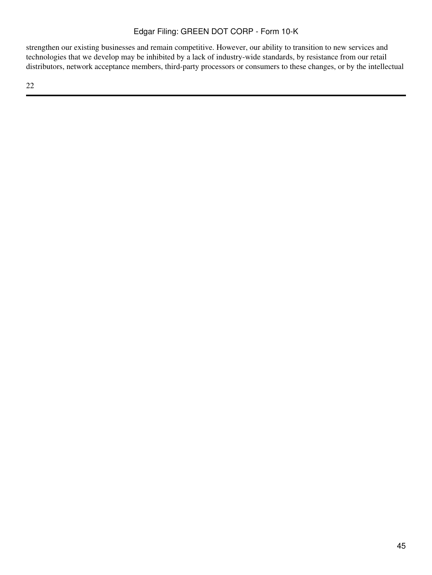strengthen our existing businesses and remain competitive. However, our ability to transition to new services and technologies that we develop may be inhibited by a lack of industry-wide standards, by resistance from our retail distributors, network acceptance members, third-party processors or consumers to these changes, or by the intellectual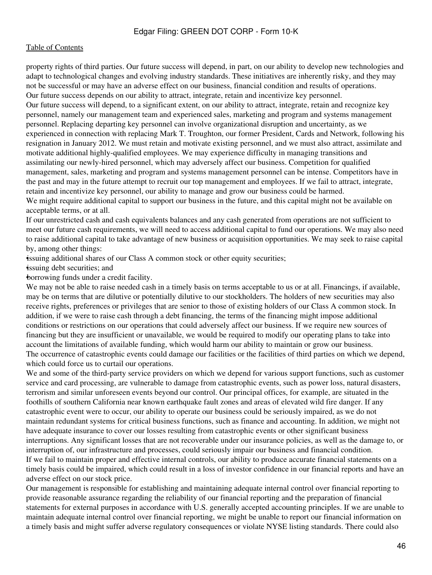property rights of third parties. Our future success will depend, in part, on our ability to develop new technologies and adapt to technological changes and evolving industry standards. These initiatives are inherently risky, and they may not be successful or may have an adverse effect on our business, financial condition and results of operations. Our future success depends on our ability to attract, integrate, retain and incentivize key personnel. Our future success will depend, to a significant extent, on our ability to attract, integrate, retain and recognize key personnel, namely our management team and experienced sales, marketing and program and systems management personnel. Replacing departing key personnel can involve organizational disruption and uncertainty, as we experienced in connection with replacing Mark T. Troughton, our former President, Cards and Network, following his resignation in January 2012. We must retain and motivate existing personnel, and we must also attract, assimilate and

motivate additional highly-qualified employees. We may experience difficulty in managing transitions and assimilating our newly-hired personnel, which may adversely affect our business. Competition for qualified management, sales, marketing and program and systems management personnel can be intense. Competitors have in the past and may in the future attempt to recruit our top management and employees. If we fail to attract, integrate, retain and incentivize key personnel, our ability to manage and grow our business could be harmed.

We might require additional capital to support our business in the future, and this capital might not be available on acceptable terms, or at all.

If our unrestricted cash and cash equivalents balances and any cash generated from operations are not sufficient to meet our future cash requirements, we will need to access additional capital to fund our operations. We may also need to raise additional capital to take advantage of new business or acquisition opportunities. We may seek to raise capital by, among other things:

•issuing additional shares of our Class A common stock or other equity securities;

•issuing debt securities; and

•borrowing funds under a credit facility.

We may not be able to raise needed cash in a timely basis on terms acceptable to us or at all. Financings, if available, may be on terms that are dilutive or potentially dilutive to our stockholders. The holders of new securities may also receive rights, preferences or privileges that are senior to those of existing holders of our Class A common stock. In addition, if we were to raise cash through a debt financing, the terms of the financing might impose additional conditions or restrictions on our operations that could adversely affect our business. If we require new sources of financing but they are insufficient or unavailable, we would be required to modify our operating plans to take into account the limitations of available funding, which would harm our ability to maintain or grow our business. The occurrence of catastrophic events could damage our facilities or the facilities of third parties on which we depend, which could force us to curtail our operations.

We and some of the third-party service providers on which we depend for various support functions, such as customer service and card processing, are vulnerable to damage from catastrophic events, such as power loss, natural disasters, terrorism and similar unforeseen events beyond our control. Our principal offices, for example, are situated in the foothills of southern California near known earthquake fault zones and areas of elevated wild fire danger. If any catastrophic event were to occur, our ability to operate our business could be seriously impaired, as we do not maintain redundant systems for critical business functions, such as finance and accounting. In addition, we might not have adequate insurance to cover our losses resulting from catastrophic events or other significant business interruptions. Any significant losses that are not recoverable under our insurance policies, as well as the damage to, or interruption of, our infrastructure and processes, could seriously impair our business and financial condition. If we fail to maintain proper and effective internal controls, our ability to produce accurate financial statements on a timely basis could be impaired, which could result in a loss of investor confidence in our financial reports and have an adverse effect on our stock price.

Our management is responsible for establishing and maintaining adequate internal control over financial reporting to provide reasonable assurance regarding the reliability of our financial reporting and the preparation of financial statements for external purposes in accordance with U.S. generally accepted accounting principles. If we are unable to maintain adequate internal control over financial reporting, we might be unable to report our financial information on a timely basis and might suffer adverse regulatory consequences or violate NYSE listing standards. There could also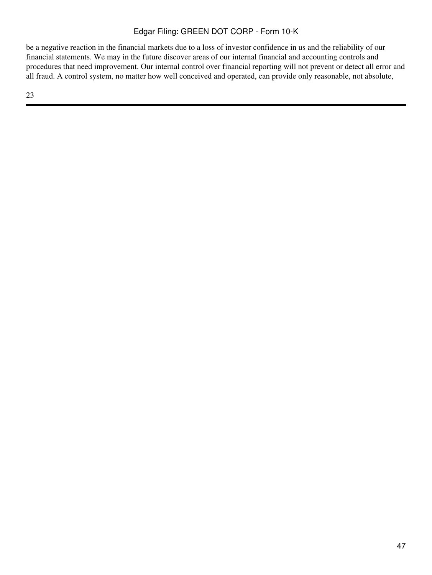be a negative reaction in the financial markets due to a loss of investor confidence in us and the reliability of our financial statements. We may in the future discover areas of our internal financial and accounting controls and procedures that need improvement. Our internal control over financial reporting will not prevent or detect all error and all fraud. A control system, no matter how well conceived and operated, can provide only reasonable, not absolute,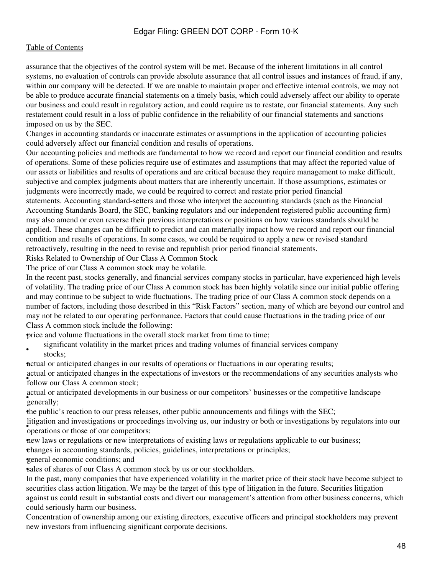#### [Table of Contents](#page-2-0)

assurance that the objectives of the control system will be met. Because of the inherent limitations in all control systems, no evaluation of controls can provide absolute assurance that all control issues and instances of fraud, if any, within our company will be detected. If we are unable to maintain proper and effective internal controls, we may not be able to produce accurate financial statements on a timely basis, which could adversely affect our ability to operate our business and could result in regulatory action, and could require us to restate, our financial statements. Any such restatement could result in a loss of public confidence in the reliability of our financial statements and sanctions imposed on us by the SEC.

Changes in accounting standards or inaccurate estimates or assumptions in the application of accounting policies could adversely affect our financial condition and results of operations.

Our accounting policies and methods are fundamental to how we record and report our financial condition and results of operations. Some of these policies require use of estimates and assumptions that may affect the reported value of our assets or liabilities and results of operations and are critical because they require management to make difficult, subjective and complex judgments about matters that are inherently uncertain. If those assumptions, estimates or judgments were incorrectly made, we could be required to correct and restate prior period financial

statements. Accounting standard-setters and those who interpret the accounting standards (such as the Financial Accounting Standards Board, the SEC, banking regulators and our independent registered public accounting firm) may also amend or even reverse their previous interpretations or positions on how various standards should be applied. These changes can be difficult to predict and can materially impact how we record and report our financial condition and results of operations. In some cases, we could be required to apply a new or revised standard retroactively, resulting in the need to revise and republish prior period financial statements.

Risks Related to Ownership of Our Class A Common Stock

The price of our Class A common stock may be volatile.

In the recent past, stocks generally, and financial services company stocks in particular, have experienced high levels of volatility. The trading price of our Class A common stock has been highly volatile since our initial public offering and may continue to be subject to wide fluctuations. The trading price of our Class A common stock depends on a number of factors, including those described in this "Risk Factors" section, many of which are beyond our control and may not be related to our operating performance. Factors that could cause fluctuations in the trading price of our Class A common stock include the following:

•price and volume fluctuations in the overall stock market from time to time;

• significant volatility in the market prices and trading volumes of financial services company stocks:

•actual or anticipated changes in our results of operations or fluctuations in our operating results;

**Follow our Class A common stock;** actual or anticipated changes in the expectations of investors or the recommendations of any securities analysts who

settled of contain the contact of the contact of the contact of the contact of the contact of the contact of the contact of the contact of the contact of the contact of the contact of the contact of the contact of the cont actual or anticipated developments in our business or our competitors' businesses or the competitive landscape

•the public's reaction to our press releases, other public announcements and filings with the SEC;

*s* operations or those of our competitors; litigation and investigations or proceedings involving us, our industry or both or investigations by regulators into our

•new laws or regulations or new interpretations of existing laws or regulations applicable to our business;

•changes in accounting standards, policies, guidelines, interpretations or principles;

•general economic conditions; and

sales of shares of our Class A common stock by us or our stockholders.

In the past, many companies that have experienced volatility in the market price of their stock have become subject to securities class action litigation. We may be the target of this type of litigation in the future. Securities litigation against us could result in substantial costs and divert our management's attention from other business concerns, which could seriously harm our business.

Concentration of ownership among our existing directors, executive officers and principal stockholders may prevent new investors from influencing significant corporate decisions.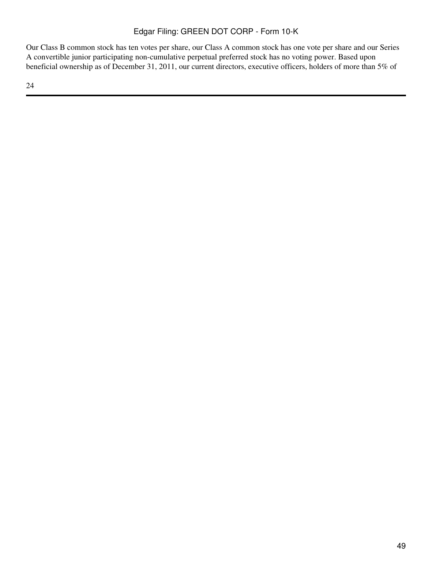Our Class B common stock has ten votes per share, our Class A common stock has one vote per share and our Series A convertible junior participating non-cumulative perpetual preferred stock has no voting power. Based upon beneficial ownership as of December 31, 2011, our current directors, executive officers, holders of more than 5% of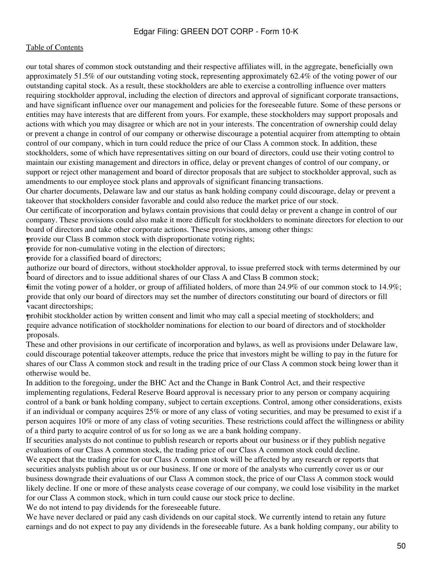our total shares of common stock outstanding and their respective affiliates will, in the aggregate, beneficially own approximately 51.5% of our outstanding voting stock, representing approximately 62.4% of the voting power of our outstanding capital stock. As a result, these stockholders are able to exercise a controlling influence over matters requiring stockholder approval, including the election of directors and approval of significant corporate transactions, and have significant influence over our management and policies for the foreseeable future. Some of these persons or entities may have interests that are different from yours. For example, these stockholders may support proposals and actions with which you may disagree or which are not in your interests. The concentration of ownership could delay or prevent a change in control of our company or otherwise discourage a potential acquirer from attempting to obtain control of our company, which in turn could reduce the price of our Class A common stock. In addition, these stockholders, some of which have representatives sitting on our board of directors, could use their voting control to maintain our existing management and directors in office, delay or prevent changes of control of our company, or support or reject other management and board of director proposals that are subject to stockholder approval, such as amendments to our employee stock plans and approvals of significant financing transactions.

Our charter documents, Delaware law and our status as bank holding company could discourage, delay or prevent a takeover that stockholders consider favorable and could also reduce the market price of our stock.

Our certificate of incorporation and bylaws contain provisions that could delay or prevent a change in control of our company. These provisions could also make it more difficult for stockholders to nominate directors for election to our board of directors and take other corporate actions. These provisions, among other things:

•provide our Class B common stock with disproportionate voting rights;

•provide for non-cumulative voting in the election of directors;

•provide for a classified board of directors;

**EQUARTER COLORED STATES CONTROLLER STATES AND STATES SUPPLY AT A STATE OF SIDEN STATES** board of directors and to issue additional shares of our Class A and Class B common stock; authorize our board of directors, without stockholder approval, to issue preferred stock with terms determined by our

•limit the voting power of a holder, or group of affiliated holders, of more than 24.9% of our common stock to 14.9%; • vacant directorships; provide that only our board of directors may set the number of directors constituting our board of directors or fill

•prohibit stockholder action by written consent and limit who may call a special meeting of stockholders; and • proposals. require advance notification of stockholder nominations for election to our board of directors and of stockholder

These and other provisions in our certificate of incorporation and bylaws, as well as provisions under Delaware law, could discourage potential takeover attempts, reduce the price that investors might be willing to pay in the future for shares of our Class A common stock and result in the trading price of our Class A common stock being lower than it otherwise would be.

In addition to the foregoing, under the BHC Act and the Change in Bank Control Act, and their respective implementing regulations, Federal Reserve Board approval is necessary prior to any person or company acquiring control of a bank or bank holding company, subject to certain exceptions. Control, among other considerations, exists if an individual or company acquires 25% or more of any class of voting securities, and may be presumed to exist if a person acquires 10% or more of any class of voting securities. These restrictions could affect the willingness or ability of a third party to acquire control of us for so long as we are a bank holding company.

If securities analysts do not continue to publish research or reports about our business or if they publish negative evaluations of our Class A common stock, the trading price of our Class A common stock could decline.

We expect that the trading price for our Class A common stock will be affected by any research or reports that securities analysts publish about us or our business. If one or more of the analysts who currently cover us or our business downgrade their evaluations of our Class A common stock, the price of our Class A common stock would likely decline. If one or more of these analysts cease coverage of our company, we could lose visibility in the market for our Class A common stock, which in turn could cause our stock price to decline.

We do not intend to pay dividends for the foreseeable future.

We have never declared or paid any cash dividends on our capital stock. We currently intend to retain any future earnings and do not expect to pay any dividends in the foreseeable future. As a bank holding company, our ability to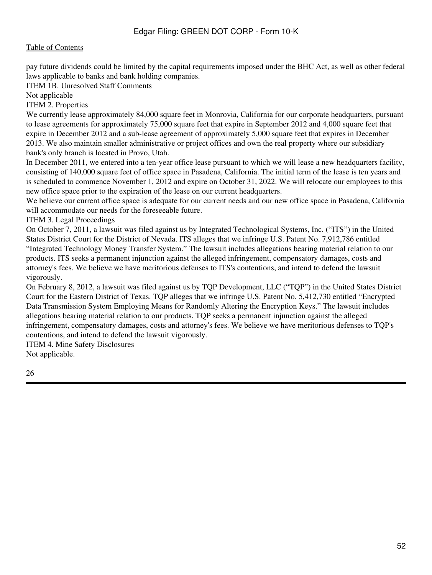pay future dividends could be limited by the capital requirements imposed under the BHC Act, as well as other federal laws applicable to banks and bank holding companies.

ITEM 1B. Unresolved Staff Comments

Not applicable

ITEM 2. Properties

We currently lease approximately 84,000 square feet in Monrovia, California for our corporate headquarters, pursuant to lease agreements for approximately 75,000 square feet that expire in September 2012 and 4,000 square feet that expire in December 2012 and a sub-lease agreement of approximately 5,000 square feet that expires in December 2013. We also maintain smaller administrative or project offices and own the real property where our subsidiary bank's only branch is located in Provo, Utah.

In December 2011, we entered into a ten-year office lease pursuant to which we will lease a new headquarters facility, consisting of 140,000 square feet of office space in Pasadena, California. The initial term of the lease is ten years and is scheduled to commence November 1, 2012 and expire on October 31, 2022. We will relocate our employees to this new office space prior to the expiration of the lease on our current headquarters.

We believe our current office space is adequate for our current needs and our new office space in Pasadena, California will accommodate our needs for the foreseeable future.

ITEM 3. Legal Proceedings

On October 7, 2011, a lawsuit was filed against us by Integrated Technological Systems, Inc. ("ITS") in the United States District Court for the District of Nevada. ITS alleges that we infringe U.S. Patent No. 7,912,786 entitled "Integrated Technology Money Transfer System." The lawsuit includes allegations bearing material relation to our products. ITS seeks a permanent injunction against the alleged infringement, compensatory damages, costs and attorney's fees. We believe we have meritorious defenses to ITS's contentions, and intend to defend the lawsuit vigorously.

On February 8, 2012, a lawsuit was filed against us by TQP Development, LLC ("TQP") in the United States District Court for the Eastern District of Texas. TQP alleges that we infringe U.S. Patent No. 5,412,730 entitled "Encrypted Data Transmission System Employing Means for Randomly Altering the Encryption Keys." The lawsuit includes allegations bearing material relation to our products. TQP seeks a permanent injunction against the alleged infringement, compensatory damages, costs and attorney's fees. We believe we have meritorious defenses to TQP's contentions, and intend to defend the lawsuit vigorously.

ITEM 4. Mine Safety Disclosures

Not applicable.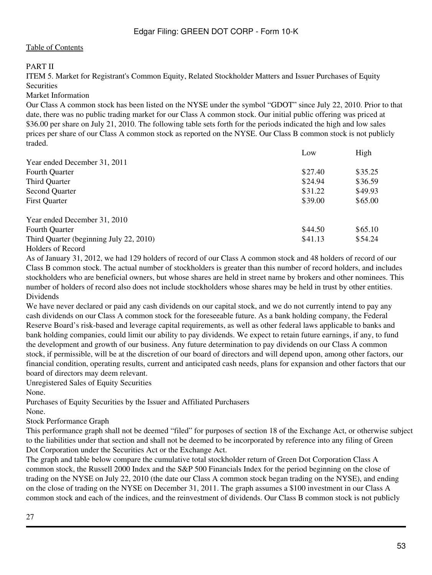### PART II

ITEM 5. Market for Registrant's Common Equity, Related Stockholder Matters and Issuer Purchases of Equity **Securities** 

Market Information

Our Class A common stock has been listed on the NYSE under the symbol "GDOT" since July 22, 2010. Prior to that date, there was no public trading market for our Class A common stock. Our initial public offering was priced at \$36.00 per share on July 21, 2010. The following table sets forth for the periods indicated the high and low sales prices per share of our Class A common stock as reported on the NYSE. Our Class B common stock is not publicly traded.

|                                         | Low     | High    |
|-----------------------------------------|---------|---------|
| Year ended December 31, 2011            |         |         |
| Fourth Quarter                          | \$27.40 | \$35.25 |
| Third Quarter                           | \$24.94 | \$36.59 |
| <b>Second Quarter</b>                   | \$31.22 | \$49.93 |
| <b>First Quarter</b>                    | \$39.00 | \$65.00 |
| Year ended December 31, 2010            |         |         |
| <b>Fourth Quarter</b>                   | \$44.50 | \$65.10 |
| Third Quarter (beginning July 22, 2010) | \$41.13 | \$54.24 |

#### Holders of Record

As of January 31, 2012, we had 129 holders of record of our Class A common stock and 48 holders of record of our Class B common stock. The actual number of stockholders is greater than this number of record holders, and includes stockholders who are beneficial owners, but whose shares are held in street name by brokers and other nominees. This number of holders of record also does not include stockholders whose shares may be held in trust by other entities. Dividends

We have never declared or paid any cash dividends on our capital stock, and we do not currently intend to pay any cash dividends on our Class A common stock for the foreseeable future. As a bank holding company, the Federal Reserve Board's risk-based and leverage capital requirements, as well as other federal laws applicable to banks and bank holding companies, could limit our ability to pay dividends. We expect to retain future earnings, if any, to fund the development and growth of our business. Any future determination to pay dividends on our Class A common stock, if permissible, will be at the discretion of our board of directors and will depend upon, among other factors, our financial condition, operating results, current and anticipated cash needs, plans for expansion and other factors that our board of directors may deem relevant.

Unregistered Sales of Equity Securities

None.

Purchases of Equity Securities by the Issuer and Affiliated Purchasers

None.

Stock Performance Graph

This performance graph shall not be deemed "filed" for purposes of section 18 of the Exchange Act, or otherwise subject to the liabilities under that section and shall not be deemed to be incorporated by reference into any filing of Green Dot Corporation under the Securities Act or the Exchange Act.

The graph and table below compare the cumulative total stockholder return of Green Dot Corporation Class A common stock, the Russell 2000 Index and the S&P 500 Financials Index for the period beginning on the close of trading on the NYSE on July 22, 2010 (the date our Class A common stock began trading on the NYSE), and ending on the close of trading on the NYSE on December 31, 2011. The graph assumes a \$100 investment in our Class A common stock and each of the indices, and the reinvestment of dividends. Our Class B common stock is not publicly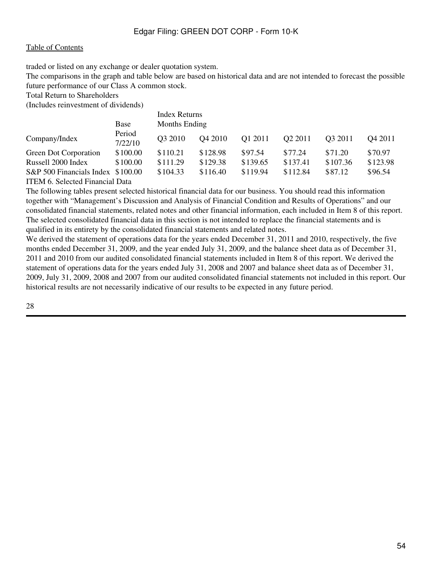traded or listed on any exchange or dealer quotation system.

The comparisons in the graph and table below are based on historical data and are not intended to forecast the possible future performance of our Class A common stock.

Total Return to Shareholders

(Includes reinvestment of dividends)

|                                   |                   | <b>Index Returns</b> |                     |          |                     |                     |          |  |  |  |  |
|-----------------------------------|-------------------|----------------------|---------------------|----------|---------------------|---------------------|----------|--|--|--|--|
|                                   | Base              |                      | Months Ending       |          |                     |                     |          |  |  |  |  |
| Company/Index                     | Period<br>7/22/10 | O <sub>3</sub> 2010  | O <sub>4</sub> 2010 | Q1 2011  | O <sub>2</sub> 2011 | O <sub>3</sub> 2011 | Q4 2011  |  |  |  |  |
| Green Dot Corporation             | \$100.00          | \$110.21             | \$128.98            | \$97.54  | \$77.24             | \$71.20             | \$70.97  |  |  |  |  |
| Russell 2000 Index                | \$100.00          | \$111.29             | \$129.38            | \$139.65 | \$137.41            | \$107.36            | \$123.98 |  |  |  |  |
| S&P 500 Financials Index \$100.00 |                   | \$104.33             | \$116.40            | \$119.94 | \$112.84            | \$87.12             | \$96.54  |  |  |  |  |
| ITEM 6. Selected Financial Data   |                   |                      |                     |          |                     |                     |          |  |  |  |  |

The following tables present selected historical financial data for our business. You should read this information together with "Management's Discussion and Analysis of Financial Condition and Results of Operations" and our consolidated financial statements, related notes and other financial information, each included in Item 8 of this report. The selected consolidated financial data in this section is not intended to replace the financial statements and is qualified in its entirety by the consolidated financial statements and related notes.

We derived the statement of operations data for the years ended December 31, 2011 and 2010, respectively, the five months ended December 31, 2009, and the year ended July 31, 2009, and the balance sheet data as of December 31, 2011 and 2010 from our audited consolidated financial statements included in Item 8 of this report. We derived the statement of operations data for the years ended July 31, 2008 and 2007 and balance sheet data as of December 31, 2009, July 31, 2009, 2008 and 2007 from our audited consolidated financial statements not included in this report. Our historical results are not necessarily indicative of our results to be expected in any future period.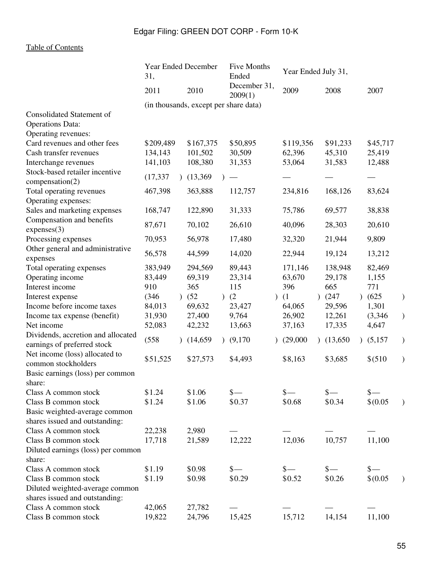|                                                                   | Year Ended December<br>31,            |  | Five Months<br>Ended  |                                  | Year Ended July 31, |                 |  |                 |               |                 |   |
|-------------------------------------------------------------------|---------------------------------------|--|-----------------------|----------------------------------|---------------------|-----------------|--|-----------------|---------------|-----------------|---|
|                                                                   | 2011                                  |  | 2010                  | December 31,<br>2009(1)          |                     | 2009            |  | 2008            |               | 2007            |   |
|                                                                   | (in thousands, except per share data) |  |                       |                                  |                     |                 |  |                 |               |                 |   |
| Consolidated Statement of                                         |                                       |  |                       |                                  |                     |                 |  |                 |               |                 |   |
| <b>Operations Data:</b>                                           |                                       |  |                       |                                  |                     |                 |  |                 |               |                 |   |
| Operating revenues:                                               |                                       |  |                       |                                  |                     |                 |  |                 |               |                 |   |
| Card revenues and other fees                                      | \$209,489                             |  | \$167,375             | \$50,895                         |                     | \$119,356       |  | \$91,233        |               | \$45,717        |   |
| Cash transfer revenues                                            | 134,143                               |  | 101,502               | 30,509                           |                     | 62,396          |  | 45,310          |               | 25,419          |   |
| Interchange revenues                                              | 141,103                               |  | 108,380               | 31,353                           |                     | 53,064          |  | 31,583          |               | 12,488          |   |
| Stock-based retailer incentive<br>compensation(2)                 | (17, 337)                             |  | (13,369)              | $\overbrace{\phantom{12322111}}$ |                     |                 |  |                 |               |                 |   |
| Total operating revenues                                          | 467,398                               |  | 363,888               | 112,757                          |                     | 234,816         |  | 168,126         |               | 83,624          |   |
| Operating expenses:                                               |                                       |  |                       |                                  |                     |                 |  |                 |               |                 |   |
| Sales and marketing expenses                                      | 168,747                               |  | 122,890               | 31,333                           |                     | 75,786          |  | 69,577          |               | 38,838          |   |
| Compensation and benefits<br>express(3)                           | 87,671                                |  | 70,102                | 26,610                           |                     | 40,096          |  | 28,303          |               | 20,610          |   |
| Processing expenses                                               | 70,953                                |  | 56,978                | 17,480                           |                     | 32,320          |  | 21,944          |               | 9,809           |   |
| Other general and administrative<br>expenses                      | 56,578                                |  | 44,599                | 14,020                           |                     | 22,944          |  | 19,124          |               | 13,212          |   |
| Total operating expenses                                          | 383,949                               |  | 294,569               | 89,443                           |                     | 171,146         |  | 138,948         |               | 82,469          |   |
| Operating income                                                  | 83,449                                |  | 69,319                | 23,314                           |                     | 63,670          |  | 29,178          |               | 1,155           |   |
| Interest income                                                   | 910                                   |  | 365                   | 115                              |                     | 396             |  | 665             |               | 771             |   |
| Interest expense                                                  | (346)                                 |  | (52)<br>$\mathcal{L}$ | (2)                              | $\mathcal{E}$       | (1)             |  | )(247)          | $\mathcal{L}$ | (625)           | ) |
| Income before income taxes                                        | 84,013                                |  | 69,632                | 23,427                           |                     | 64,065          |  | 29,596          |               | 1,301           |   |
| Income tax expense (benefit)                                      | 31,930                                |  | 27,400                | 9,764                            |                     | 26,902          |  | 12,261          |               | (3,346)         | ) |
| Net income                                                        | 52,083                                |  | 42,232                | 13,663                           |                     | 37,163          |  | 17,335          |               | 4,647           |   |
| Dividends, accretion and allocated<br>earnings of preferred stock | (558)                                 |  | (14,659)              | (9,170)                          |                     | (29,000)        |  | (13,650)        |               | (5,157)         | ) |
| Net income (loss) allocated to<br>common stockholders             | \$51,525                              |  | \$27,573              | \$4,493                          |                     | \$8,163         |  | \$3,685         |               | \$ (510)        |   |
| Basic earnings (loss) per common                                  |                                       |  |                       |                                  |                     |                 |  |                 |               |                 |   |
| share:                                                            |                                       |  |                       |                                  |                     |                 |  |                 |               |                 |   |
| Class A common stock                                              | \$1.24                                |  | \$1.06                | $\frac{\S}{\S}$                  |                     | $\frac{\S}{\S}$ |  | $\frac{\S}{\S}$ |               | $\frac{\S}{\S}$ |   |
| Class B common stock                                              | \$1.24                                |  | \$1.06                | \$0.37                           |                     | \$0.68          |  | \$0.34          |               | \$(0.05)        |   |
| Basic weighted-average common                                     |                                       |  |                       |                                  |                     |                 |  |                 |               |                 |   |
| shares issued and outstanding:                                    |                                       |  |                       |                                  |                     |                 |  |                 |               |                 |   |
| Class A common stock                                              | 22,238                                |  | 2,980                 |                                  |                     |                 |  |                 |               |                 |   |
| Class B common stock                                              | 17,718                                |  | 21,589                | 12,222                           |                     | 12,036          |  | 10,757          |               | 11,100          |   |
| Diluted earnings (loss) per common                                |                                       |  |                       |                                  |                     |                 |  |                 |               |                 |   |
| share:                                                            |                                       |  |                       |                                  |                     |                 |  |                 |               |                 |   |
| Class A common stock                                              | \$1.19                                |  | \$0.98                | $\frac{\ }{s-}$                  |                     | $\frac{\ }{\ }$ |  | $s-$            |               | $\frac{\ }{s-}$ |   |
| Class B common stock                                              | \$1.19                                |  | \$0.98                | \$0.29                           |                     | \$0.52          |  | \$0.26          |               | \$(0.05)        |   |
| Diluted weighted-average common                                   |                                       |  |                       |                                  |                     |                 |  |                 |               |                 |   |
| shares issued and outstanding:                                    |                                       |  |                       |                                  |                     |                 |  |                 |               |                 |   |
| Class A common stock                                              | 42,065                                |  | 27,782                |                                  |                     |                 |  |                 |               |                 |   |
| Class B common stock                                              | 19,822                                |  | 24,796                | 15,425                           |                     | 15,712          |  | 14,154          |               | 11,100          |   |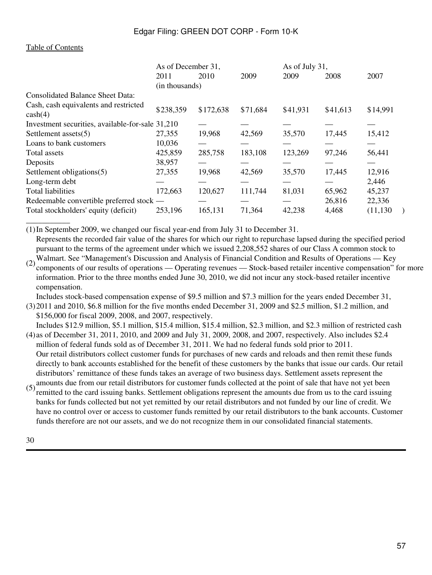\_\_\_\_\_\_\_\_\_\_\_

|                                                     | As of December 31, |           |          | As of July 31, |          |           |
|-----------------------------------------------------|--------------------|-----------|----------|----------------|----------|-----------|
|                                                     | 2011               | 2010      | 2009     | 2009           | 2008     | 2007      |
|                                                     | (in thousands)     |           |          |                |          |           |
| <b>Consolidated Balance Sheet Data:</b>             |                    |           |          |                |          |           |
| Cash, cash equivalents and restricted<br>$\cosh(4)$ | \$238,359          | \$172,638 | \$71,684 | \$41,931       | \$41,613 | \$14,991  |
| Investment securities, available-for-sale 31,210    |                    |           |          |                |          |           |
| Settlement assets $(5)$                             | 27,355             | 19,968    | 42,569   | 35,570         | 17,445   | 15,412    |
| Loans to bank customers                             | 10,036             |           |          |                |          |           |
| Total assets                                        | 425,859            | 285,758   | 183,108  | 123,269        | 97,246   | 56,441    |
| Deposits                                            | 38,957             |           |          |                |          |           |
| Settlement obligations(5)                           | 27,355             | 19,968    | 42,569   | 35,570         | 17,445   | 12,916    |
| Long-term debt                                      |                    |           |          |                |          | 2,446     |
| <b>Total liabilities</b>                            | 172,663            | 120,627   | 111,744  | 81,031         | 65,962   | 45,237    |
| Redeemable convertible preferred stock —            |                    |           |          |                | 26,816   | 22,336    |
| Total stockholders' equity (deficit)                | 253,196            | 165,131   | 71,364   | 42,238         | 4,468    | (11, 130) |

(1)In September 2009, we changed our fiscal year-end from July 31 to December 31. Represents the recorded fair value of the shares for which our right to repurchase lapsed during the specified period pursuant to the terms of the agreement under which we issued 2,208,552 shares of our Class A common stock to

(2) Walmart. See "Management's Discussion and Analysis of Financial Condition and Results of Operations — Key components of our results of operations — Operating revenues — Stock-based retailer incentive compensation" for more information. Prior to the three months ended June 30, 2010, we did not incur any stock-based retailer incentive compensation.

Includes stock-based compensation expense of \$9.5 million and \$7.3 million for the years ended December 31,

(3) 2011 and 2010, \$6.8 million for the five months ended December 31, 2009 and \$2.5 million, \$1.2 million, and \$156,000 for fiscal 2009, 2008, and 2007, respectively.

- (4) as of December 31, 2011, 2010, and 2009 and July 31, 2009, 2008, and 2007, respectively. Also includes \$2.4 Includes \$12.9 million, \$5.1 million, \$15.4 million, \$15.4 million, \$2.3 million, and \$2.3 million of restricted cash million of federal funds sold as of December 31, 2011. We had no federal funds sold prior to 2011. Our retail distributors collect customer funds for purchases of new cards and reloads and then remit these funds directly to bank accounts established for the benefit of these customers by the banks that issue our cards. Our retail distributors' remittance of these funds takes an average of two business days. Settlement assets represent the
- $(5)$  amounts due from our retail distributors for customer funds collected at the point of sale that have not yet been<br>spanitted to the eard issuing hards. Settlement eblications remesent the emounts due from us to the e remitted to the card issuing banks. Settlement obligations represent the amounts due from us to the card issuing banks for funds collected but not yet remitted by our retail distributors and not funded by our line of credit. We have no control over or access to customer funds remitted by our retail distributors to the bank accounts. Customer funds therefore are not our assets, and we do not recognize them in our consolidated financial statements.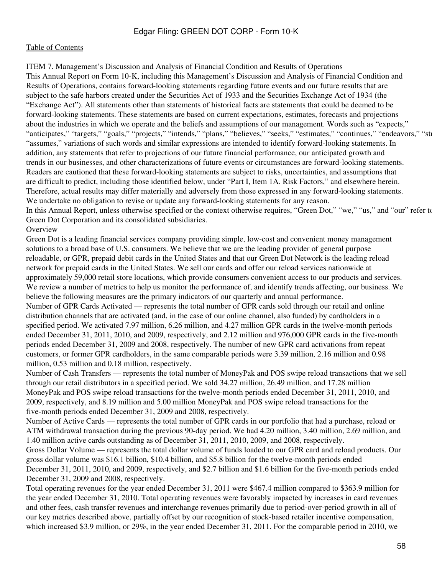ITEM 7. Management's Discussion and Analysis of Financial Condition and Results of Operations This Annual Report on Form 10-K, including this Management's Discussion and Analysis of Financial Condition and Results of Operations, contains forward-looking statements regarding future events and our future results that are subject to the safe harbors created under the Securities Act of 1933 and the Securities Exchange Act of 1934 (the "Exchange Act"). All statements other than statements of historical facts are statements that could be deemed to be forward-looking statements. These statements are based on current expectations, estimates, forecasts and projections about the industries in which we operate and the beliefs and assumptions of our management. Words such as "expects," "anticipates," "targets," "goals," "projects," "intends," "plans," "believes," "seeks," "estimates," "continues," "endeavors," "str "assumes," variations of such words and similar expressions are intended to identify forward-looking statements. In addition, any statements that refer to projections of our future financial performance, our anticipated growth and trends in our businesses, and other characterizations of future events or circumstances are forward-looking statements. Readers are cautioned that these forward-looking statements are subject to risks, uncertainties, and assumptions that are difficult to predict, including those identified below, under "Part I, Item 1A. Risk Factors," and elsewhere herein. Therefore, actual results may differ materially and adversely from those expressed in any forward-looking statements. We undertake no obligation to revise or update any forward-looking statements for any reason. In this Annual Report, unless otherwise specified or the context otherwise requires, "Green Dot," "we," "us," and "our" refer to Green Dot Corporation and its consolidated subsidiaries.

### **Overview**

Green Dot is a leading financial services company providing simple, low-cost and convenient money management solutions to a broad base of U.S. consumers. We believe that we are the leading provider of general purpose reloadable, or GPR, prepaid debit cards in the United States and that our Green Dot Network is the leading reload network for prepaid cards in the United States. We sell our cards and offer our reload services nationwide at approximately 59,000 retail store locations, which provide consumers convenient access to our products and services. We review a number of metrics to help us monitor the performance of, and identify trends affecting, our business. We believe the following measures are the primary indicators of our quarterly and annual performance. Number of GPR Cards Activated — represents the total number of GPR cards sold through our retail and online distribution channels that are activated (and, in the case of our online channel, also funded) by cardholders in a specified period. We activated 7.97 million, 6.26 million, and 4.27 million GPR cards in the twelve-month periods ended December 31, 2011, 2010, and 2009, respectively, and 2.12 million and 976,000 GPR cards in the five-month periods ended December 31, 2009 and 2008, respectively. The number of new GPR card activations from repeat customers, or former GPR cardholders, in the same comparable periods were 3.39 million, 2.16 million and 0.98 million, 0.53 million and 0.18 million, respectively.

Number of Cash Transfers — represents the total number of MoneyPak and POS swipe reload transactions that we sell through our retail distributors in a specified period. We sold 34.27 million, 26.49 million, and 17.28 million MoneyPak and POS swipe reload transactions for the twelve-month periods ended December 31, 2011, 2010, and 2009, respectively, and 8.19 million and 5.00 million MoneyPak and POS swipe reload transactions for the five-month periods ended December 31, 2009 and 2008, respectively.

Number of Active Cards — represents the total number of GPR cards in our portfolio that had a purchase, reload or ATM withdrawal transaction during the previous 90-day period. We had 4.20 million, 3.40 million, 2.69 million, and 1.40 million active cards outstanding as of December 31, 2011, 2010, 2009, and 2008, respectively.

Gross Dollar Volume — represents the total dollar volume of funds loaded to our GPR card and reload products. Our gross dollar volume was \$16.1 billion, \$10.4 billion, and \$5.8 billion for the twelve-month periods ended December 31, 2011, 2010, and 2009, respectively, and \$2.7 billion and \$1.6 billion for the five-month periods ended December 31, 2009 and 2008, respectively.

Total operating revenues for the year ended December 31, 2011 were \$467.4 million compared to \$363.9 million for the year ended December 31, 2010. Total operating revenues were favorably impacted by increases in card revenues and other fees, cash transfer revenues and interchange revenues primarily due to period-over-period growth in all of our key metrics described above, partially offset by our recognition of stock-based retailer incentive compensation, which increased \$3.9 million, or 29%, in the year ended December 31, 2011. For the comparable period in 2010, we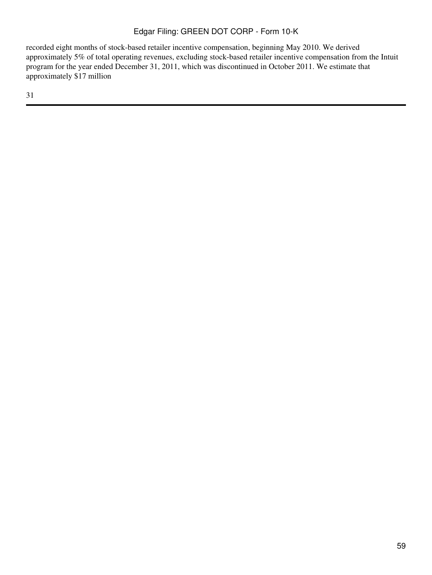recorded eight months of stock-based retailer incentive compensation, beginning May 2010. We derived approximately 5% of total operating revenues, excluding stock-based retailer incentive compensation from the Intuit program for the year ended December 31, 2011, which was discontinued in October 2011. We estimate that approximately \$17 million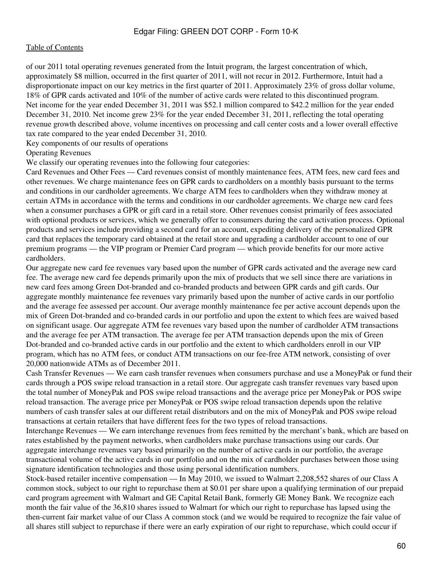of our 2011 total operating revenues generated from the Intuit program, the largest concentration of which, approximately \$8 million, occurred in the first quarter of 2011, will not recur in 2012. Furthermore, Intuit had a disproportionate impact on our key metrics in the first quarter of 2011. Approximately 23% of gross dollar volume, 18% of GPR cards activated and 10% of the number of active cards were related to this discontinued program. Net income for the year ended December 31, 2011 was \$52.1 million compared to \$42.2 million for the year ended December 31, 2010. Net income grew 23% for the year ended December 31, 2011, reflecting the total operating revenue growth described above, volume incentives on processing and call center costs and a lower overall effective tax rate compared to the year ended December 31, 2010.

Key components of our results of operations

#### Operating Revenues

We classify our operating revenues into the following four categories:

Card Revenues and Other Fees — Card revenues consist of monthly maintenance fees, ATM fees, new card fees and other revenues. We charge maintenance fees on GPR cards to cardholders on a monthly basis pursuant to the terms and conditions in our cardholder agreements. We charge ATM fees to cardholders when they withdraw money at certain ATMs in accordance with the terms and conditions in our cardholder agreements. We charge new card fees when a consumer purchases a GPR or gift card in a retail store. Other revenues consist primarily of fees associated with optional products or services, which we generally offer to consumers during the card activation process. Optional products and services include providing a second card for an account, expediting delivery of the personalized GPR card that replaces the temporary card obtained at the retail store and upgrading a cardholder account to one of our premium programs — the VIP program or Premier Card program — which provide benefits for our more active cardholders.

Our aggregate new card fee revenues vary based upon the number of GPR cards activated and the average new card fee. The average new card fee depends primarily upon the mix of products that we sell since there are variations in new card fees among Green Dot-branded and co-branded products and between GPR cards and gift cards. Our aggregate monthly maintenance fee revenues vary primarily based upon the number of active cards in our portfolio and the average fee assessed per account. Our average monthly maintenance fee per active account depends upon the mix of Green Dot-branded and co-branded cards in our portfolio and upon the extent to which fees are waived based on significant usage. Our aggregate ATM fee revenues vary based upon the number of cardholder ATM transactions and the average fee per ATM transaction. The average fee per ATM transaction depends upon the mix of Green Dot-branded and co-branded active cards in our portfolio and the extent to which cardholders enroll in our VIP program, which has no ATM fees, or conduct ATM transactions on our fee-free ATM network, consisting of over 20,000 nationwide ATMs as of December 2011.

Cash Transfer Revenues — We earn cash transfer revenues when consumers purchase and use a MoneyPak or fund their cards through a POS swipe reload transaction in a retail store. Our aggregate cash transfer revenues vary based upon the total number of MoneyPak and POS swipe reload transactions and the average price per MoneyPak or POS swipe reload transaction. The average price per MoneyPak or POS swipe reload transaction depends upon the relative numbers of cash transfer sales at our different retail distributors and on the mix of MoneyPak and POS swipe reload transactions at certain retailers that have different fees for the two types of reload transactions.

Interchange Revenues — We earn interchange revenues from fees remitted by the merchant's bank, which are based on rates established by the payment networks, when cardholders make purchase transactions using our cards. Our aggregate interchange revenues vary based primarily on the number of active cards in our portfolio, the average transactional volume of the active cards in our portfolio and on the mix of cardholder purchases between those using signature identification technologies and those using personal identification numbers.

Stock-based retailer incentive compensation — In May 2010, we issued to Walmart 2,208,552 shares of our Class A common stock, subject to our right to repurchase them at \$0.01 per share upon a qualifying termination of our prepaid card program agreement with Walmart and GE Capital Retail Bank, formerly GE Money Bank. We recognize each month the fair value of the 36,810 shares issued to Walmart for which our right to repurchase has lapsed using the then-current fair market value of our Class A common stock (and we would be required to recognize the fair value of all shares still subject to repurchase if there were an early expiration of our right to repurchase, which could occur if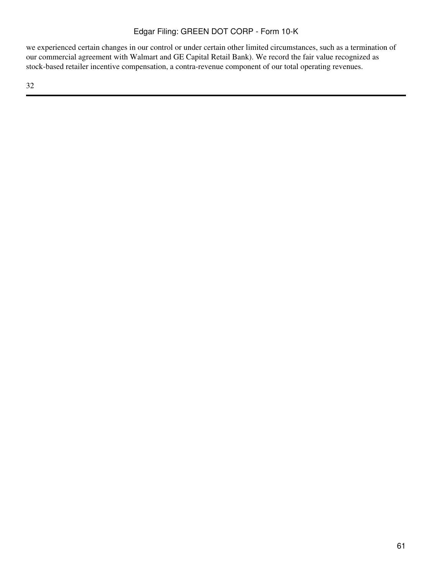we experienced certain changes in our control or under certain other limited circumstances, such as a termination of our commercial agreement with Walmart and GE Capital Retail Bank). We record the fair value recognized as stock-based retailer incentive compensation, a contra-revenue component of our total operating revenues.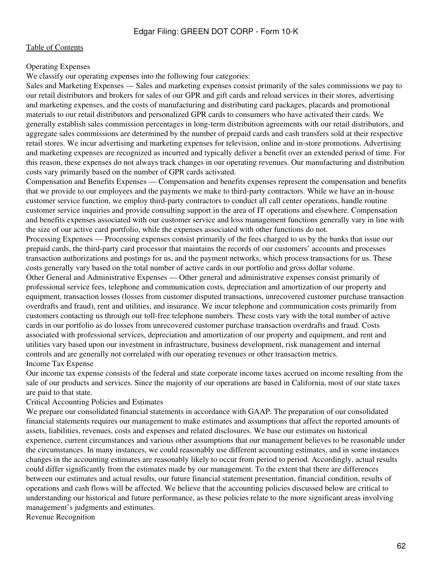### Operating Expenses

We classify our operating expenses into the following four categories:

Sales and Marketing Expenses — Sales and marketing expenses consist primarily of the sales commissions we pay to our retail distributors and brokers for sales of our GPR and gift cards and reload services in their stores, advertising and marketing expenses, and the costs of manufacturing and distributing card packages, placards and promotional materials to our retail distributors and personalized GPR cards to consumers who have activated their cards. We generally establish sales commission percentages in long-term distribution agreements with our retail distributors, and aggregate sales commissions are determined by the number of prepaid cards and cash transfers sold at their respective retail stores. We incur advertising and marketing expenses for television, online and in-store promotions. Advertising and marketing expenses are recognized as incurred and typically deliver a benefit over an extended period of time. For this reason, these expenses do not always track changes in our operating revenues. Our manufacturing and distribution costs vary primarily based on the number of GPR cards activated.

Compensation and Benefits Expenses — Compensation and benefits expenses represent the compensation and benefits that we provide to our employees and the payments we make to third-party contractors. While we have an in-house customer service function, we employ third-party contractors to conduct all call center operations, handle routine customer service inquiries and provide consulting support in the area of IT operations and elsewhere. Compensation and benefits expenses associated with our customer service and loss management functions generally vary in line with the size of our active card portfolio, while the expenses associated with other functions do not.

Processing Expenses — Processing expenses consist primarily of the fees charged to us by the banks that issue our prepaid cards, the third-party card processor that maintains the records of our customers' accounts and processes transaction authorizations and postings for us, and the payment networks, which process transactions for us. These costs generally vary based on the total number of active cards in our portfolio and gross dollar volume.

Other General and Administrative Expenses — Other general and administrative expenses consist primarily of professional service fees, telephone and communication costs, depreciation and amortization of our property and equipment, transaction losses (losses from customer disputed transactions, unrecovered customer purchase transaction overdrafts and fraud), rent and utilities, and insurance. We incur telephone and communication costs primarily from customers contacting us through our toll-free telephone numbers. These costs vary with the total number of active cards in our portfolio as do losses from unrecovered customer purchase transaction overdrafts and fraud. Costs associated with professional services, depreciation and amortization of our property and equipment, and rent and utilities vary based upon our investment in infrastructure, business development, risk management and internal controls and are generally not correlated with our operating revenues or other transaction metrics. Income Tax Expense

Our income tax expense consists of the federal and state corporate income taxes accrued on income resulting from the sale of our products and services. Since the majority of our operations are based in California, most of our state taxes are paid to that state.

#### Critical Accounting Policies and Estimates

We prepare our consolidated financial statements in accordance with GAAP. The preparation of our consolidated financial statements requires our management to make estimates and assumptions that affect the reported amounts of assets, liabilities, revenues, costs and expenses and related disclosures. We base our estimates on historical experience, current circumstances and various other assumptions that our management believes to be reasonable under the circumstances. In many instances, we could reasonably use different accounting estimates, and in some instances changes in the accounting estimates are reasonably likely to occur from period to period. Accordingly, actual results could differ significantly from the estimates made by our management. To the extent that there are differences between our estimates and actual results, our future financial statement presentation, financial condition, results of operations and cash flows will be affected. We believe that the accounting policies discussed below are critical to understanding our historical and future performance, as these policies relate to the more significant areas involving management's judgments and estimates.

Revenue Recognition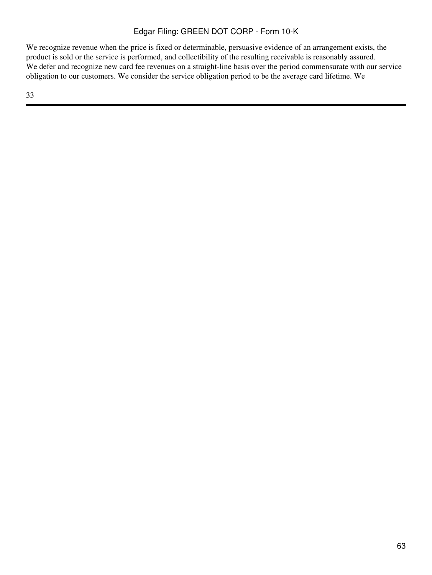We recognize revenue when the price is fixed or determinable, persuasive evidence of an arrangement exists, the product is sold or the service is performed, and collectibility of the resulting receivable is reasonably assured. We defer and recognize new card fee revenues on a straight-line basis over the period commensurate with our service obligation to our customers. We consider the service obligation period to be the average card lifetime. We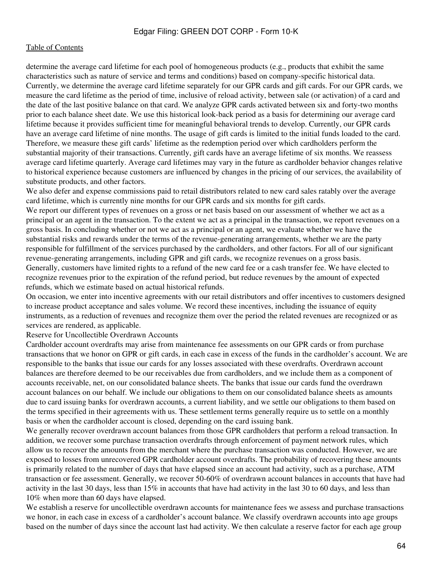determine the average card lifetime for each pool of homogeneous products (e.g., products that exhibit the same characteristics such as nature of service and terms and conditions) based on company-specific historical data. Currently, we determine the average card lifetime separately for our GPR cards and gift cards. For our GPR cards, we measure the card lifetime as the period of time, inclusive of reload activity, between sale (or activation) of a card and the date of the last positive balance on that card. We analyze GPR cards activated between six and forty-two months prior to each balance sheet date. We use this historical look-back period as a basis for determining our average card lifetime because it provides sufficient time for meaningful behavioral trends to develop. Currently, our GPR cards have an average card lifetime of nine months. The usage of gift cards is limited to the initial funds loaded to the card. Therefore, we measure these gift cards' lifetime as the redemption period over which cardholders perform the substantial majority of their transactions. Currently, gift cards have an average lifetime of six months. We reassess average card lifetime quarterly. Average card lifetimes may vary in the future as cardholder behavior changes relative to historical experience because customers are influenced by changes in the pricing of our services, the availability of substitute products, and other factors.

We also defer and expense commissions paid to retail distributors related to new card sales ratably over the average card lifetime, which is currently nine months for our GPR cards and six months for gift cards. We report our different types of revenues on a gross or net basis based on our assessment of whether we act as a principal or an agent in the transaction. To the extent we act as a principal in the transaction, we report revenues on a gross basis. In concluding whether or not we act as a principal or an agent, we evaluate whether we have the substantial risks and rewards under the terms of the revenue-generating arrangements, whether we are the party responsible for fulfillment of the services purchased by the cardholders, and other factors. For all of our significant revenue-generating arrangements, including GPR and gift cards, we recognize revenues on a gross basis. Generally, customers have limited rights to a refund of the new card fee or a cash transfer fee. We have elected to recognize revenues prior to the expiration of the refund period, but reduce revenues by the amount of expected refunds, which we estimate based on actual historical refunds.

On occasion, we enter into incentive agreements with our retail distributors and offer incentives to customers designed to increase product acceptance and sales volume. We record these incentives, including the issuance of equity instruments, as a reduction of revenues and recognize them over the period the related revenues are recognized or as services are rendered, as applicable.

Reserve for Uncollectible Overdrawn Accounts

Cardholder account overdrafts may arise from maintenance fee assessments on our GPR cards or from purchase transactions that we honor on GPR or gift cards, in each case in excess of the funds in the cardholder's account. We are responsible to the banks that issue our cards for any losses associated with these overdrafts. Overdrawn account balances are therefore deemed to be our receivables due from cardholders, and we include them as a component of accounts receivable, net, on our consolidated balance sheets. The banks that issue our cards fund the overdrawn account balances on our behalf. We include our obligations to them on our consolidated balance sheets as amounts due to card issuing banks for overdrawn accounts, a current liability, and we settle our obligations to them based on the terms specified in their agreements with us. These settlement terms generally require us to settle on a monthly basis or when the cardholder account is closed, depending on the card issuing bank.

We generally recover overdrawn account balances from those GPR cardholders that perform a reload transaction. In addition, we recover some purchase transaction overdrafts through enforcement of payment network rules, which allow us to recover the amounts from the merchant where the purchase transaction was conducted. However, we are exposed to losses from unrecovered GPR cardholder account overdrafts. The probability of recovering these amounts is primarily related to the number of days that have elapsed since an account had activity, such as a purchase, ATM transaction or fee assessment. Generally, we recover 50-60% of overdrawn account balances in accounts that have had activity in the last 30 days, less than 15% in accounts that have had activity in the last 30 to 60 days, and less than 10% when more than 60 days have elapsed.

We establish a reserve for uncollectible overdrawn accounts for maintenance fees we assess and purchase transactions we honor, in each case in excess of a cardholder's account balance. We classify overdrawn accounts into age groups based on the number of days since the account last had activity. We then calculate a reserve factor for each age group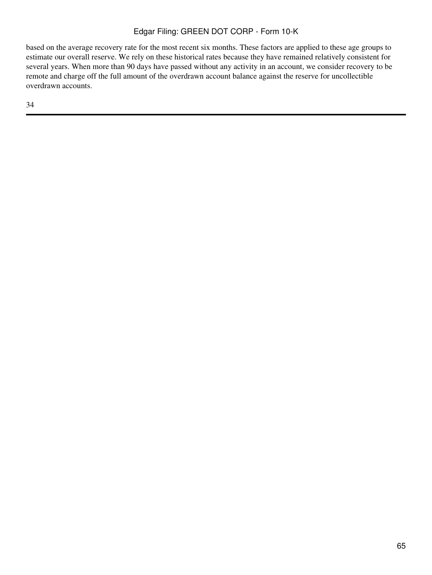based on the average recovery rate for the most recent six months. These factors are applied to these age groups to estimate our overall reserve. We rely on these historical rates because they have remained relatively consistent for several years. When more than 90 days have passed without any activity in an account, we consider recovery to be remote and charge off the full amount of the overdrawn account balance against the reserve for uncollectible overdrawn accounts.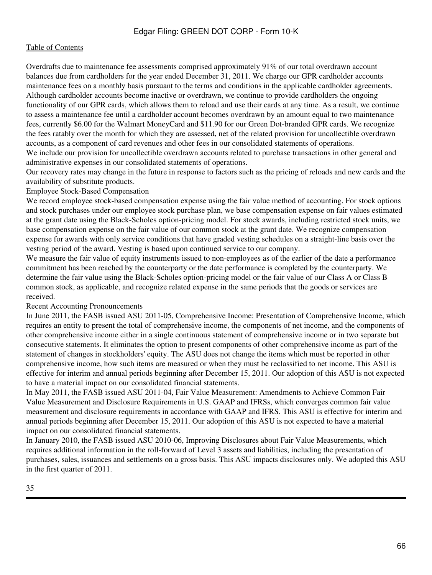Overdrafts due to maintenance fee assessments comprised approximately 91% of our total overdrawn account balances due from cardholders for the year ended December 31, 2011. We charge our GPR cardholder accounts maintenance fees on a monthly basis pursuant to the terms and conditions in the applicable cardholder agreements. Although cardholder accounts become inactive or overdrawn, we continue to provide cardholders the ongoing functionality of our GPR cards, which allows them to reload and use their cards at any time. As a result, we continue to assess a maintenance fee until a cardholder account becomes overdrawn by an amount equal to two maintenance fees, currently \$6.00 for the Walmart MoneyCard and \$11.90 for our Green Dot-branded GPR cards. We recognize the fees ratably over the month for which they are assessed, net of the related provision for uncollectible overdrawn accounts, as a component of card revenues and other fees in our consolidated statements of operations.

We include our provision for uncollectible overdrawn accounts related to purchase transactions in other general and administrative expenses in our consolidated statements of operations.

Our recovery rates may change in the future in response to factors such as the pricing of reloads and new cards and the availability of substitute products.

#### Employee Stock-Based Compensation

We record employee stock-based compensation expense using the fair value method of accounting. For stock options and stock purchases under our employee stock purchase plan, we base compensation expense on fair values estimated at the grant date using the Black-Scholes option-pricing model. For stock awards, including restricted stock units, we base compensation expense on the fair value of our common stock at the grant date. We recognize compensation expense for awards with only service conditions that have graded vesting schedules on a straight-line basis over the vesting period of the award. Vesting is based upon continued service to our company.

We measure the fair value of equity instruments issued to non-employees as of the earlier of the date a performance commitment has been reached by the counterparty or the date performance is completed by the counterparty. We determine the fair value using the Black-Scholes option-pricing model or the fair value of our Class A or Class B common stock, as applicable, and recognize related expense in the same periods that the goods or services are received.

#### Recent Accounting Pronouncements

In June 2011, the FASB issued ASU 2011-05, Comprehensive Income: Presentation of Comprehensive Income, which requires an entity to present the total of comprehensive income, the components of net income, and the components of other comprehensive income either in a single continuous statement of comprehensive income or in two separate but consecutive statements. It eliminates the option to present components of other comprehensive income as part of the statement of changes in stockholders' equity. The ASU does not change the items which must be reported in other comprehensive income, how such items are measured or when they must be reclassified to net income. This ASU is effective for interim and annual periods beginning after December 15, 2011. Our adoption of this ASU is not expected to have a material impact on our consolidated financial statements.

In May 2011, the FASB issued ASU 2011-04, Fair Value Measurement: Amendments to Achieve Common Fair Value Measurement and Disclosure Requirements in U.S. GAAP and IFRSs, which converges common fair value measurement and disclosure requirements in accordance with GAAP and IFRS. This ASU is effective for interim and annual periods beginning after December 15, 2011. Our adoption of this ASU is not expected to have a material impact on our consolidated financial statements.

In January 2010, the FASB issued ASU 2010-06, Improving Disclosures about Fair Value Measurements, which requires additional information in the roll-forward of Level 3 assets and liabilities, including the presentation of purchases, sales, issuances and settlements on a gross basis. This ASU impacts disclosures only. We adopted this ASU in the first quarter of 2011.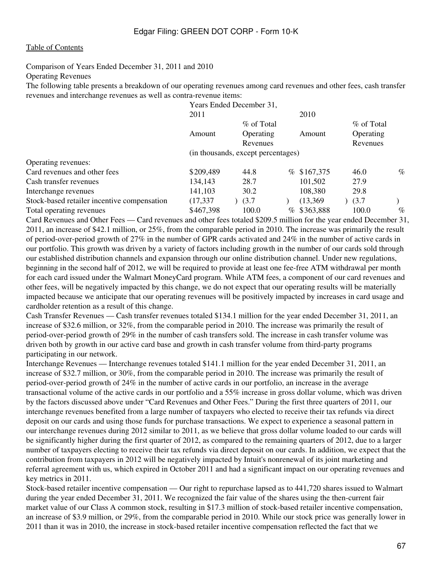Comparison of Years Ended December 31, 2011 and 2010

Operating Revenues

The following table presents a breakdown of our operating revenues among card revenues and other fees, cash transfer revenues and interchange revenues as well as contra-revenue items:

|                                             | Years Ended December 31,           |            |      |             |           |      |  |  |
|---------------------------------------------|------------------------------------|------------|------|-------------|-----------|------|--|--|
|                                             | 2011                               |            |      | 2010        |           |      |  |  |
|                                             |                                    | % of Total |      |             |           |      |  |  |
|                                             | Operating<br>Amount                |            |      | Amount      | Operating |      |  |  |
|                                             |                                    | Revenues   |      |             | Revenues  |      |  |  |
|                                             | (in thousands, except percentages) |            |      |             |           |      |  |  |
| Operating revenues:                         |                                    |            |      |             |           |      |  |  |
| Card revenues and other fees                | \$209,489                          | 44.8       |      | % \$167,375 | 46.0      | $\%$ |  |  |
| Cash transfer revenues                      | 134,143                            | 28.7       |      | 101,502     | 27.9      |      |  |  |
| Interchange revenues                        | 141,103                            | 30.2       |      | 108,380     | 29.8      |      |  |  |
| Stock-based retailer incentive compensation | (17, 337)                          | (3.7)      |      | (13,369)    | (3.7)     |      |  |  |
| Total operating revenues                    | \$467,398                          | 100.0      | $\%$ | \$363,888   | 100.0     | $\%$ |  |  |

Card Revenues and Other Fees — Card revenues and other fees totaled \$209.5 million for the year ended December 31, 2011, an increase of \$42.1 million, or 25%, from the comparable period in 2010. The increase was primarily the result of period-over-period growth of 27% in the number of GPR cards activated and 24% in the number of active cards in our portfolio. This growth was driven by a variety of factors including growth in the number of our cards sold through our established distribution channels and expansion through our online distribution channel. Under new regulations, beginning in the second half of 2012, we will be required to provide at least one fee-free ATM withdrawal per month for each card issued under the Walmart MoneyCard program. While ATM fees, a component of our card revenues and other fees, will be negatively impacted by this change, we do not expect that our operating results will be materially impacted because we anticipate that our operating revenues will be positively impacted by increases in card usage and cardholder retention as a result of this change.

Cash Transfer Revenues — Cash transfer revenues totaled \$134.1 million for the year ended December 31, 2011, an increase of \$32.6 million, or 32%, from the comparable period in 2010. The increase was primarily the result of period-over-period growth of 29% in the number of cash transfers sold. The increase in cash transfer volume was driven both by growth in our active card base and growth in cash transfer volume from third-party programs participating in our network.

Interchange Revenues — Interchange revenues totaled \$141.1 million for the year ended December 31, 2011, an increase of \$32.7 million, or 30%, from the comparable period in 2010. The increase was primarily the result of period-over-period growth of 24% in the number of active cards in our portfolio, an increase in the average transactional volume of the active cards in our portfolio and a 55% increase in gross dollar volume, which was driven by the factors discussed above under "Card Revenues and Other Fees." During the first three quarters of 2011, our interchange revenues benefited from a large number of taxpayers who elected to receive their tax refunds via direct deposit on our cards and using those funds for purchase transactions. We expect to experience a seasonal pattern in our interchange revenues during 2012 similar to 2011, as we believe that gross dollar volume loaded to our cards will be significantly higher during the first quarter of 2012, as compared to the remaining quarters of 2012, due to a larger number of taxpayers electing to receive their tax refunds via direct deposit on our cards. In addition, we expect that the contribution from taxpayers in 2012 will be negatively impacted by Intuit's nonrenewal of its joint marketing and referral agreement with us, which expired in October 2011 and had a significant impact on our operating revenues and key metrics in 2011.

Stock-based retailer incentive compensation — Our right to repurchase lapsed as to 441,720 shares issued to Walmart during the year ended December 31, 2011. We recognized the fair value of the shares using the then-current fair market value of our Class A common stock, resulting in \$17.3 million of stock-based retailer incentive compensation, an increase of \$3.9 million, or 29%, from the comparable period in 2010. While our stock price was generally lower in 2011 than it was in 2010, the increase in stock-based retailer incentive compensation reflected the fact that we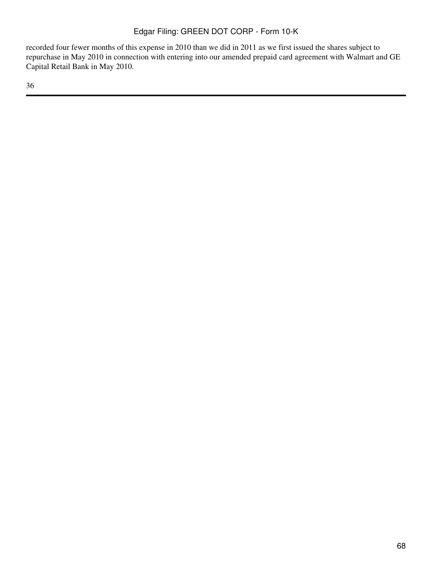recorded four fewer months of this expense in 2010 than we did in 2011 as we first issued the shares subject to repurchase in May 2010 in connection with entering into our amended prepaid card agreement with Walmart and GE Capital Retail Bank in May 2010.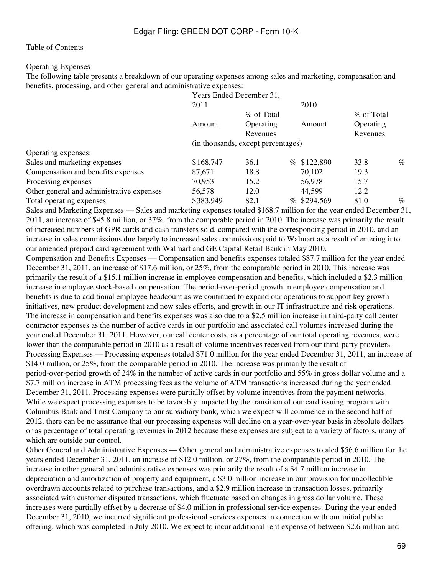#### Operating Expenses

The following table presents a breakdown of our operating expenses among sales and marketing, compensation and benefits, processing, and other general and administrative expenses:

|                                           | Years Ended December 31,           |            |  |             |                       |      |  |  |
|-------------------------------------------|------------------------------------|------------|--|-------------|-----------------------|------|--|--|
|                                           | 2011                               |            |  | 2010        |                       |      |  |  |
|                                           |                                    | % of Total |  |             |                       |      |  |  |
|                                           | Operating<br>Amount<br>Revenues    |            |  | Amount      | Operating<br>Revenues |      |  |  |
|                                           | (in thousands, except percentages) |            |  |             |                       |      |  |  |
| Operating expenses:                       |                                    |            |  |             |                       |      |  |  |
| Sales and marketing expenses              | \$168,747                          | 36.1       |  | % \$122,890 | 33.8                  | $\%$ |  |  |
| Compensation and benefits expenses        | 87.671                             | 18.8       |  | 70,102      | 19.3                  |      |  |  |
| Processing expenses                       | 70,953                             | 15.2       |  | 56,978      | 15.7                  |      |  |  |
| Other general and administrative expenses | 56,578                             | 12.0       |  | 44,599      | 12.2                  |      |  |  |
| Total operating expenses                  | \$383,949                          | 82.1       |  | % \$294,569 | 81.0                  | $\%$ |  |  |
|                                           |                                    | .          |  |             | --                    |      |  |  |

Sales and Marketing Expenses — Sales and marketing expenses totaled \$168.7 million for the year ended December 31, 2011, an increase of \$45.8 million, or 37%, from the comparable period in 2010. The increase was primarily the result of increased numbers of GPR cards and cash transfers sold, compared with the corresponding period in 2010, and an increase in sales commissions due largely to increased sales commissions paid to Walmart as a result of entering into our amended prepaid card agreement with Walmart and GE Capital Retail Bank in May 2010.

Compensation and Benefits Expenses — Compensation and benefits expenses totaled \$87.7 million for the year ended December 31, 2011, an increase of \$17.6 million, or 25%, from the comparable period in 2010. This increase was primarily the result of a \$15.1 million increase in employee compensation and benefits, which included a \$2.3 million increase in employee stock-based compensation. The period-over-period growth in employee compensation and benefits is due to additional employee headcount as we continued to expand our operations to support key growth initiatives, new product development and new sales efforts, and growth in our IT infrastructure and risk operations. The increase in compensation and benefits expenses was also due to a \$2.5 million increase in third-party call center contractor expenses as the number of active cards in our portfolio and associated call volumes increased during the year ended December 31, 2011. However, our call center costs, as a percentage of our total operating revenues, were lower than the comparable period in 2010 as a result of volume incentives received from our third-party providers. Processing Expenses — Processing expenses totaled \$71.0 million for the year ended December 31, 2011, an increase of \$14.0 million, or 25%, from the comparable period in 2010. The increase was primarily the result of period-over-period growth of 24% in the number of active cards in our portfolio and 55% in gross dollar volume and a \$7.7 million increase in ATM processing fees as the volume of ATM transactions increased during the year ended December 31, 2011. Processing expenses were partially offset by volume incentives from the payment networks. While we expect processing expenses to be favorably impacted by the transition of our card issuing program with Columbus Bank and Trust Company to our subsidiary bank, which we expect will commence in the second half of 2012, there can be no assurance that our processing expenses will decline on a year-over-year basis in absolute dollars or as percentage of total operating revenues in 2012 because these expenses are subject to a variety of factors, many of which are outside our control.

Other General and Administrative Expenses — Other general and administrative expenses totaled \$56.6 million for the years ended December 31, 2011, an increase of \$12.0 million, or 27%, from the comparable period in 2010. The increase in other general and administrative expenses was primarily the result of a \$4.7 million increase in depreciation and amortization of property and equipment, a \$3.0 million increase in our provision for uncollectible overdrawn accounts related to purchase transactions, and a \$2.9 million increase in transaction losses, primarily associated with customer disputed transactions, which fluctuate based on changes in gross dollar volume. These increases were partially offset by a decrease of \$4.0 million in professional service expenses. During the year ended December 31, 2010, we incurred significant professional services expenses in connection with our initial public offering, which was completed in July 2010. We expect to incur additional rent expense of between \$2.6 million and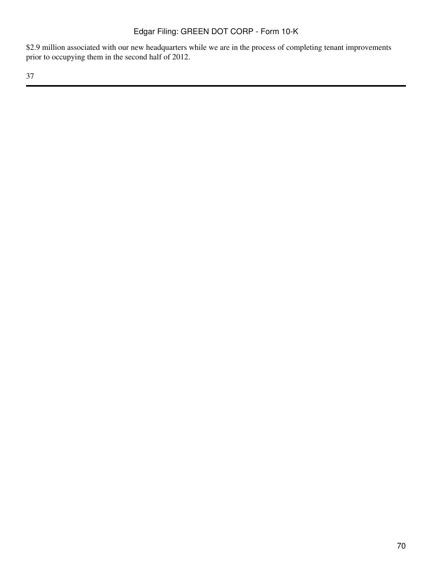\$2.9 million associated with our new headquarters while we are in the process of completing tenant improvements prior to occupying them in the second half of 2012.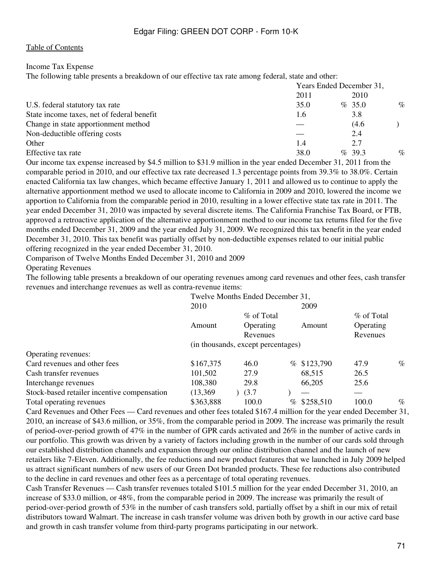#### Income Tax Expense

The following table presents a breakdown of our effective tax rate among federal, state and other:

|                                            | Years Ended December 31, |           |      |  |  |
|--------------------------------------------|--------------------------|-----------|------|--|--|
|                                            | 2011                     | 2010      |      |  |  |
| U.S. federal statutory tax rate            | 35.0                     | $\%$ 35.0 | $\%$ |  |  |
| State income taxes, net of federal benefit | 1.6                      | 3.8       |      |  |  |
| Change in state apportionment method       |                          | (4.6)     |      |  |  |
| Non-deductible offering costs              |                          | 2.4       |      |  |  |
| Other                                      | 1.4                      | 2.7       |      |  |  |
| Effective tax rate                         | 38.0                     | $\%$ 39.3 | $\%$ |  |  |

Our income tax expense increased by \$4.5 million to \$31.9 million in the year ended December 31, 2011 from the comparable period in 2010, and our effective tax rate decreased 1.3 percentage points from 39.3% to 38.0%. Certain enacted California tax law changes, which became effective January 1, 2011 and allowed us to continue to apply the alternative apportionment method we used to allocate income to California in 2009 and 2010, lowered the income we apportion to California from the comparable period in 2010, resulting in a lower effective state tax rate in 2011. The year ended December 31, 2010 was impacted by several discrete items. The California Franchise Tax Board, or FTB, approved a retroactive application of the alternative apportionment method to our income tax returns filed for the five months ended December 31, 2009 and the year ended July 31, 2009. We recognized this tax benefit in the year ended December 31, 2010. This tax benefit was partially offset by non-deductible expenses related to our initial public offering recognized in the year ended December 31, 2010.

Comparison of Twelve Months Ended December 31, 2010 and 2009

Operating Revenues

The following table presents a breakdown of our operating revenues among card revenues and other fees, cash transfer revenues and interchange revenues as well as contra-revenue items:

| Twelve Months Ended December 31,   |          |            |                         |                              |      |  |  |
|------------------------------------|----------|------------|-------------------------|------------------------------|------|--|--|
| 2010                               |          |            | 2009                    |                              |      |  |  |
|                                    |          | % of Total |                         |                              |      |  |  |
| Amount                             |          |            | Amount                  | Operating                    |      |  |  |
|                                    | Revenues |            |                         | Revenues                     |      |  |  |
| (in thousands, except percentages) |          |            |                         |                              |      |  |  |
|                                    |          |            |                         |                              |      |  |  |
| \$167,375                          | 46.0     |            |                         | 47.9                         | $\%$ |  |  |
| 101,502                            | 27.9     |            | 68,515                  | 26.5                         |      |  |  |
| 108,380                            | 29.8     |            | 66,205                  | 25.6                         |      |  |  |
| (13,369)                           | (3.7)    |            |                         |                              |      |  |  |
| \$363,888                          | 100.0    |            |                         | 100.0                        | $\%$ |  |  |
|                                    |          |            | % of Total<br>Operating | % \$123,790<br>$%$ \$258,510 |      |  |  |

Card Revenues and Other Fees — Card revenues and other fees totaled \$167.4 million for the year ended December 31, 2010, an increase of \$43.6 million, or 35%, from the comparable period in 2009. The increase was primarily the result of period-over-period growth of 47% in the number of GPR cards activated and 26% in the number of active cards in our portfolio. This growth was driven by a variety of factors including growth in the number of our cards sold through our established distribution channels and expansion through our online distribution channel and the launch of new retailers like 7-Eleven. Additionally, the fee reductions and new product features that we launched in July 2009 helped us attract significant numbers of new users of our Green Dot branded products. These fee reductions also contributed to the decline in card revenues and other fees as a percentage of total operating revenues.

Cash Transfer Revenues — Cash transfer revenues totaled \$101.5 million for the year ended December 31, 2010, an increase of \$33.0 million, or 48%, from the comparable period in 2009. The increase was primarily the result of period-over-period growth of 53% in the number of cash transfers sold, partially offset by a shift in our mix of retail distributors toward Walmart. The increase in cash transfer volume was driven both by growth in our active card base and growth in cash transfer volume from third-party programs participating in our network.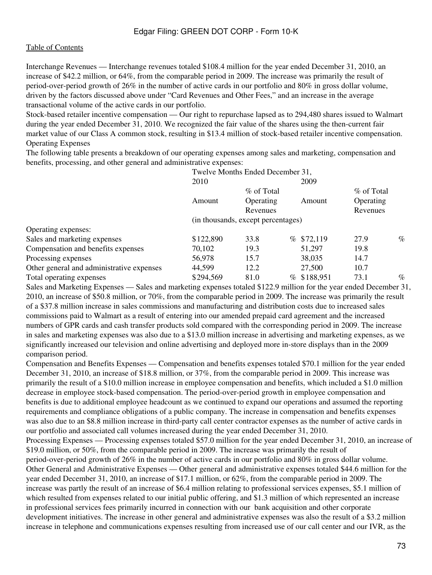Interchange Revenues — Interchange revenues totaled \$108.4 million for the year ended December 31, 2010, an increase of \$42.2 million, or 64%, from the comparable period in 2009. The increase was primarily the result of period-over-period growth of 26% in the number of active cards in our portfolio and 80% in gross dollar volume, driven by the factors discussed above under "Card Revenues and Other Fees," and an increase in the average transactional volume of the active cards in our portfolio.

Stock-based retailer incentive compensation — Our right to repurchase lapsed as to 294,480 shares issued to Walmart during the year ended December 31, 2010. We recognized the fair value of the shares using the then-current fair market value of our Class A common stock, resulting in \$13.4 million of stock-based retailer incentive compensation. Operating Expenses

The following table presents a breakdown of our operating expenses among sales and marketing, compensation and benefits, processing, and other general and administrative expenses:

|                                           | Twelve Months Ended December 31,   |           |  |             |           |      |
|-------------------------------------------|------------------------------------|-----------|--|-------------|-----------|------|
|                                           | 2010                               |           |  | 2009        |           |      |
|                                           | % of Total                         |           |  | % of Total  |           |      |
|                                           | Amount                             | Operating |  | Amount      | Operating |      |
|                                           |                                    | Revenues  |  |             | Revenues  |      |
|                                           | (in thousands, except percentages) |           |  |             |           |      |
| Operating expenses:                       |                                    |           |  |             |           |      |
| Sales and marketing expenses              | \$122,890                          | 33.8      |  | % \$72,119  | 27.9      | $\%$ |
| Compensation and benefits expenses        | 70,102                             | 19.3      |  | 51,297      | 19.8      |      |
| Processing expenses                       | 56,978                             | 15.7      |  | 38,035      | 14.7      |      |
| Other general and administrative expenses | 44,599                             | 12.2      |  | 27,500      | 10.7      |      |
| Total operating expenses                  | \$294,569                          | 81.0      |  | % \$188,951 | 73.1      | $\%$ |

Sales and Marketing Expenses — Sales and marketing expenses totaled \$122.9 million for the year ended December 31, 2010, an increase of \$50.8 million, or 70%, from the comparable period in 2009. The increase was primarily the result of a \$37.8 million increase in sales commissions and manufacturing and distribution costs due to increased sales commissions paid to Walmart as a result of entering into our amended prepaid card agreement and the increased numbers of GPR cards and cash transfer products sold compared with the corresponding period in 2009. The increase in sales and marketing expenses was also due to a \$13.0 million increase in advertising and marketing expenses, as we significantly increased our television and online advertising and deployed more in-store displays than in the 2009 comparison period.

Compensation and Benefits Expenses — Compensation and benefits expenses totaled \$70.1 million for the year ended December 31, 2010, an increase of \$18.8 million, or 37%, from the comparable period in 2009. This increase was primarily the result of a \$10.0 million increase in employee compensation and benefits, which included a \$1.0 million decrease in employee stock-based compensation. The period-over-period growth in employee compensation and benefits is due to additional employee headcount as we continued to expand our operations and assumed the reporting requirements and compliance obligations of a public company. The increase in compensation and benefits expenses was also due to an \$8.8 million increase in third-party call center contractor expenses as the number of active cards in our portfolio and associated call volumes increased during the year ended December 31, 2010. Processing Expenses — Processing expenses totaled \$57.0 million for the year ended December 31, 2010, an increase of \$19.0 million, or 50%, from the comparable period in 2009. The increase was primarily the result of period-over-period growth of 26% in the number of active cards in our portfolio and 80% in gross dollar volume. Other General and Administrative Expenses — Other general and administrative expenses totaled \$44.6 million for the year ended December 31, 2010, an increase of \$17.1 million, or 62%, from the comparable period in 2009. The increase was partly the result of an increase of \$6.4 million relating to professional services expenses, \$5.1 million of which resulted from expenses related to our initial public offering, and \$1.3 million of which represented an increase in professional services fees primarily incurred in connection with our bank acquisition and other corporate development initiatives. The increase in other general and administrative expenses was also the result of a \$3.2 million increase in telephone and communications expenses resulting from increased use of our call center and our IVR, as the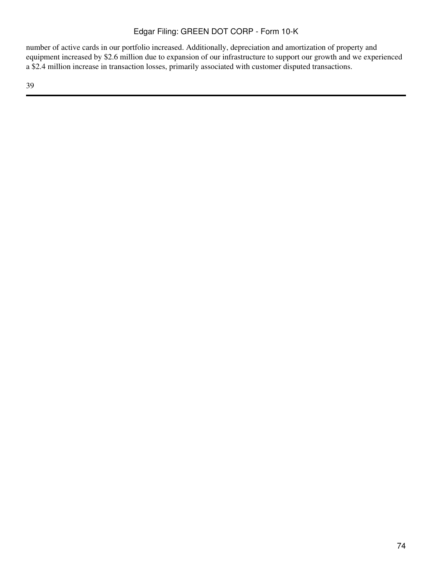number of active cards in our portfolio increased. Additionally, depreciation and amortization of property and equipment increased by \$2.6 million due to expansion of our infrastructure to support our growth and we experienced a \$2.4 million increase in transaction losses, primarily associated with customer disputed transactions.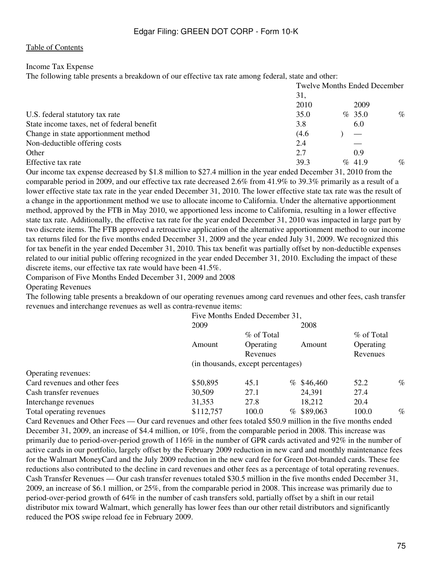### Income Tax Expense

The following table presents a breakdown of our effective tax rate among federal, state and other:

|                                            |       | <b>Twelve Months Ended December</b> |      |
|--------------------------------------------|-------|-------------------------------------|------|
|                                            | 31,   |                                     |      |
|                                            | 2010  | 2009                                |      |
| U.S. federal statutory tax rate            | 35.0  | % 35.0                              | $\%$ |
| State income taxes, net of federal benefit | 3.8   | 6.0                                 |      |
| Change in state apportionment method       | (4.6) |                                     |      |
| Non-deductible offering costs              | 2.4   |                                     |      |
| Other                                      | 2.7   | 0.9                                 |      |
| Effective tax rate                         | 39.3  | $\%$ 41.9                           | $\%$ |

Our income tax expense decreased by \$1.8 million to \$27.4 million in the year ended December 31, 2010 from the comparable period in 2009, and our effective tax rate decreased 2.6% from 41.9% to 39.3% primarily as a result of a lower effective state tax rate in the year ended December 31, 2010. The lower effective state tax rate was the result of a change in the apportionment method we use to allocate income to California. Under the alternative apportionment method, approved by the FTB in May 2010, we apportioned less income to California, resulting in a lower effective state tax rate. Additionally, the effective tax rate for the year ended December 31, 2010 was impacted in large part by two discrete items. The FTB approved a retroactive application of the alternative apportionment method to our income tax returns filed for the five months ended December 31, 2009 and the year ended July 31, 2009. We recognized this for tax benefit in the year ended December 31, 2010. This tax benefit was partially offset by non-deductible expenses related to our initial public offering recognized in the year ended December 31, 2010. Excluding the impact of these discrete items, our effective tax rate would have been 41.5%.

Comparison of Five Months Ended December 31, 2009 and 2008

Operating Revenues

The following table presents a breakdown of our operating revenues among card revenues and other fees, cash transfer revenues and interchange revenues as well as contra-revenue items:

|                              | Five Months Ended December 31,     |            |  |              |            |      |
|------------------------------|------------------------------------|------------|--|--------------|------------|------|
|                              | 2009                               |            |  | 2008         |            |      |
|                              |                                    | % of Total |  |              | % of Total |      |
|                              | Amount                             | Operating  |  | Amount       | Operating  |      |
|                              | Revenues                           |            |  |              | Revenues   |      |
|                              | (in thousands, except percentages) |            |  |              |            |      |
| Operating revenues:          |                                    |            |  |              |            |      |
| Card revenues and other fees | \$50,895                           | 45.1       |  | $%$ \$46,460 | 52.2       | $\%$ |
| Cash transfer revenues       | 30,509                             | 27.1       |  | 24,391       | 27.4       |      |
| Interchange revenues         | 31,353                             | 27.8       |  | 18,212       | 20.4       |      |
| Total operating revenues     | \$112,757                          | 100.0      |  | $%$ \$89,063 | 100.0      | $\%$ |

Card Revenues and Other Fees — Our card revenues and other fees totaled \$50.9 million in the five months ended December 31, 2009, an increase of \$4.4 million, or 10%, from the comparable period in 2008. This increase was primarily due to period-over-period growth of 116% in the number of GPR cards activated and 92% in the number of active cards in our portfolio, largely offset by the February 2009 reduction in new card and monthly maintenance fees for the Walmart MoneyCard and the July 2009 reduction in the new card fee for Green Dot-branded cards. These fee reductions also contributed to the decline in card revenues and other fees as a percentage of total operating revenues. Cash Transfer Revenues — Our cash transfer revenues totaled \$30.5 million in the five months ended December 31, 2009, an increase of \$6.1 million, or 25%, from the comparable period in 2008. This increase was primarily due to period-over-period growth of 64% in the number of cash transfers sold, partially offset by a shift in our retail distributor mix toward Walmart, which generally has lower fees than our other retail distributors and significantly reduced the POS swipe reload fee in February 2009.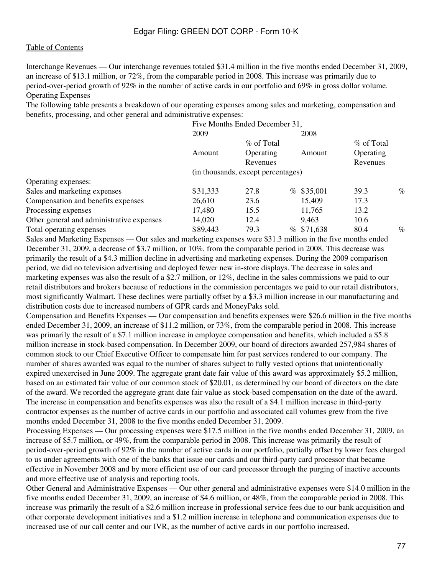Interchange Revenues — Our interchange revenues totaled \$31.4 million in the five months ended December 31, 2009, an increase of \$13.1 million, or 72%, from the comparable period in 2008. This increase was primarily due to period-over-period growth of 92% in the number of active cards in our portfolio and 69% in gross dollar volume. Operating Expenses

The following table presents a breakdown of our operating expenses among sales and marketing, compensation and benefits, processing, and other general and administrative expenses:

|                                           |                                    | Five Months Ended December 31, |  |              |            |      |
|-------------------------------------------|------------------------------------|--------------------------------|--|--------------|------------|------|
|                                           | 2009                               |                                |  | 2008         |            |      |
|                                           | % of Total                         |                                |  |              | % of Total |      |
|                                           | Amount                             | Operating                      |  | Amount       | Operating  |      |
|                                           |                                    | Revenues                       |  |              |            |      |
|                                           | (in thousands, except percentages) |                                |  |              |            |      |
| Operating expenses:                       |                                    |                                |  |              |            |      |
| Sales and marketing expenses              | \$31,333                           | 27.8                           |  | $%$ \$35,001 | 39.3       | $\%$ |
| Compensation and benefits expenses        | 26,610                             | 23.6                           |  | 15,409       | 17.3       |      |
| Processing expenses                       | 17,480                             | 15.5                           |  | 11,765       | 13.2       |      |
| Other general and administrative expenses | 14,020                             | 12.4                           |  | 9,463        | 10.6       |      |
| Total operating expenses                  | \$89,443                           | 79.3                           |  | % \$71,638   | 80.4       | $\%$ |

Sales and Marketing Expenses — Our sales and marketing expenses were \$31.3 million in the five months ended December 31, 2009, a decrease of \$3.7 million, or 10%, from the comparable period in 2008. This decrease was primarily the result of a \$4.3 million decline in advertising and marketing expenses. During the 2009 comparison period, we did no television advertising and deployed fewer new in-store displays. The decrease in sales and marketing expenses was also the result of a \$2.7 million, or 12%, decline in the sales commissions we paid to our retail distributors and brokers because of reductions in the commission percentages we paid to our retail distributors, most significantly Walmart. These declines were partially offset by a \$3.3 million increase in our manufacturing and distribution costs due to increased numbers of GPR cards and MoneyPaks sold.

Compensation and Benefits Expenses — Our compensation and benefits expenses were \$26.6 million in the five months ended December 31, 2009, an increase of \$11.2 million, or 73%, from the comparable period in 2008. This increase was primarily the result of a \$7.1 million increase in employee compensation and benefits, which included a \$5.8 million increase in stock-based compensation. In December 2009, our board of directors awarded 257,984 shares of common stock to our Chief Executive Officer to compensate him for past services rendered to our company. The number of shares awarded was equal to the number of shares subject to fully vested options that unintentionally expired unexercised in June 2009. The aggregate grant date fair value of this award was approximately \$5.2 million, based on an estimated fair value of our common stock of \$20.01, as determined by our board of directors on the date of the award. We recorded the aggregate grant date fair value as stock-based compensation on the date of the award. The increase in compensation and benefits expenses was also the result of a \$4.1 million increase in third-party contractor expenses as the number of active cards in our portfolio and associated call volumes grew from the five months ended December 31, 2008 to the five months ended December 31, 2009.

Processing Expenses — Our processing expenses were \$17.5 million in the five months ended December 31, 2009, an increase of \$5.7 million, or 49%, from the comparable period in 2008. This increase was primarily the result of period-over-period growth of 92% in the number of active cards in our portfolio, partially offset by lower fees charged to us under agreements with one of the banks that issue our cards and our third-party card processor that became effective in November 2008 and by more efficient use of our card processor through the purging of inactive accounts and more effective use of analysis and reporting tools.

Other General and Administrative Expenses — Our other general and administrative expenses were \$14.0 million in the five months ended December 31, 2009, an increase of \$4.6 million, or 48%, from the comparable period in 2008. This increase was primarily the result of a \$2.6 million increase in professional service fees due to our bank acquisition and other corporate development initiatives and a \$1.2 million increase in telephone and communication expenses due to increased use of our call center and our IVR, as the number of active cards in our portfolio increased.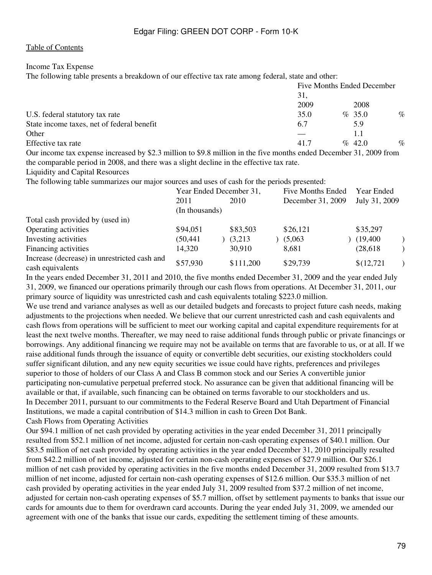### Income Tax Expense

The following table presents a breakdown of our effective tax rate among federal, state and other:

|                                                  | Five Months Ended December |  |                                    |      |
|--------------------------------------------------|----------------------------|--|------------------------------------|------|
|                                                  | 31.                        |  |                                    |      |
|                                                  | 2009                       |  | 2008                               |      |
| U.S. federal statutory tax rate                  | 35.0                       |  | $\%$ 35.0                          | $\%$ |
| State income taxes, net of federal benefit       | 6.7                        |  | 5.9                                |      |
| Other                                            |                            |  |                                    |      |
| Effective tax rate                               | 41.7                       |  | $\%$ 42.0                          | $\%$ |
| $\sim$ $\sim$<br><br><br>$\sim$ $\sim$<br>$\sim$ | $\sim$ $\sim$ $\sim$       |  | $\sim$ $\sim$ $\sim$ $\sim$ $\sim$ |      |

Our income tax expense increased by \$2.3 million to \$9.8 million in the five months ended December 31, 2009 from the comparable period in 2008, and there was a slight decline in the effective tax rate.

Liquidity and Capital Resources

The following table summarizes our major sources and uses of cash for the periods presented:

|                                              | Year Ended December 31, |           | Five Months Ended | Year Ended    |  |
|----------------------------------------------|-------------------------|-----------|-------------------|---------------|--|
|                                              | 2011                    | 2010      | December 31, 2009 | July 31, 2009 |  |
|                                              | (In thousands)          |           |                   |               |  |
| Total cash provided by (used in)             |                         |           |                   |               |  |
| Operating activities                         | \$94,051                | \$83,503  | \$26,121          | \$35,297      |  |
| Investing activities                         | (50, 441)               | (3,213)   | (5,063)           | (19, 400)     |  |
| Financing activities                         | 14,320                  | 30,910    | 8,681             | (28, 618)     |  |
| Increase (decrease) in unrestricted cash and | \$57,930                | \$111,200 | \$29,739          | \$(12,721)    |  |
| cash equivalents                             |                         |           |                   |               |  |

In the years ended December 31, 2011 and 2010, the five months ended December 31, 2009 and the year ended July 31, 2009, we financed our operations primarily through our cash flows from operations. At December 31, 2011, our primary source of liquidity was unrestricted cash and cash equivalents totaling \$223.0 million.

We use trend and variance analyses as well as our detailed budgets and forecasts to project future cash needs, making adjustments to the projections when needed. We believe that our current unrestricted cash and cash equivalents and cash flows from operations will be sufficient to meet our working capital and capital expenditure requirements for at least the next twelve months. Thereafter, we may need to raise additional funds through public or private financings or borrowings. Any additional financing we require may not be available on terms that are favorable to us, or at all. If we raise additional funds through the issuance of equity or convertible debt securities, our existing stockholders could suffer significant dilution, and any new equity securities we issue could have rights, preferences and privileges superior to those of holders of our Class A and Class B common stock and our Series A convertible junior participating non-cumulative perpetual preferred stock. No assurance can be given that additional financing will be available or that, if available, such financing can be obtained on terms favorable to our stockholders and us. In December 2011, pursuant to our commitments to the Federal Reserve Board and Utah Department of Financial Institutions, we made a capital contribution of \$14.3 million in cash to Green Dot Bank. Cash Flows from Operating Activities

Our \$94.1 million of net cash provided by operating activities in the year ended December 31, 2011 principally resulted from \$52.1 million of net income, adjusted for certain non-cash operating expenses of \$40.1 million. Our \$83.5 million of net cash provided by operating activities in the year ended December 31, 2010 principally resulted from \$42.2 million of net income, adjusted for certain non-cash operating expenses of \$27.9 million. Our \$26.1 million of net cash provided by operating activities in the five months ended December 31, 2009 resulted from \$13.7 million of net income, adjusted for certain non-cash operating expenses of \$12.6 million. Our \$35.3 million of net cash provided by operating activities in the year ended July 31, 2009 resulted from \$37.2 million of net income, adjusted for certain non-cash operating expenses of \$5.7 million, offset by settlement payments to banks that issue our cards for amounts due to them for overdrawn card accounts. During the year ended July 31, 2009, we amended our agreement with one of the banks that issue our cards, expediting the settlement timing of these amounts.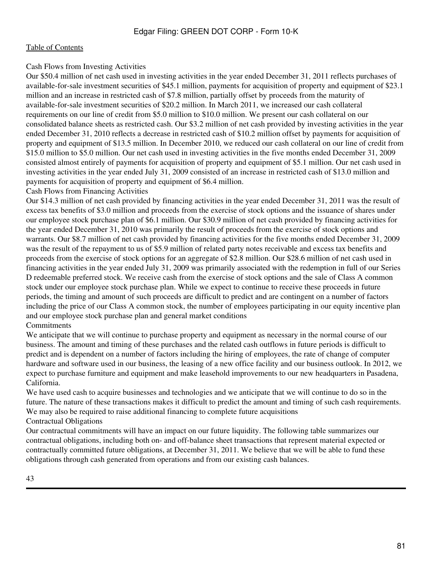### Cash Flows from Investing Activities

Our \$50.4 million of net cash used in investing activities in the year ended December 31, 2011 reflects purchases of available-for-sale investment securities of \$45.1 million, payments for acquisition of property and equipment of \$23.1 million and an increase in restricted cash of \$7.8 million, partially offset by proceeds from the maturity of available-for-sale investment securities of \$20.2 million. In March 2011, we increased our cash collateral requirements on our line of credit from \$5.0 million to \$10.0 million. We present our cash collateral on our consolidated balance sheets as restricted cash. Our \$3.2 million of net cash provided by investing activities in the year ended December 31, 2010 reflects a decrease in restricted cash of \$10.2 million offset by payments for acquisition of property and equipment of \$13.5 million. In December 2010, we reduced our cash collateral on our line of credit from \$15.0 million to \$5.0 million. Our net cash used in investing activities in the five months ended December 31, 2009 consisted almost entirely of payments for acquisition of property and equipment of \$5.1 million. Our net cash used in investing activities in the year ended July 31, 2009 consisted of an increase in restricted cash of \$13.0 million and payments for acquisition of property and equipment of \$6.4 million.

### Cash Flows from Financing Activities

Our \$14.3 million of net cash provided by financing activities in the year ended December 31, 2011 was the result of excess tax benefits of \$3.0 million and proceeds from the exercise of stock options and the issuance of shares under our employee stock purchase plan of \$6.1 million. Our \$30.9 million of net cash provided by financing activities for the year ended December 31, 2010 was primarily the result of proceeds from the exercise of stock options and warrants. Our \$8.7 million of net cash provided by financing activities for the five months ended December 31, 2009 was the result of the repayment to us of \$5.9 million of related party notes receivable and excess tax benefits and proceeds from the exercise of stock options for an aggregate of \$2.8 million. Our \$28.6 million of net cash used in financing activities in the year ended July 31, 2009 was primarily associated with the redemption in full of our Series D redeemable preferred stock. We receive cash from the exercise of stock options and the sale of Class A common stock under our employee stock purchase plan. While we expect to continue to receive these proceeds in future periods, the timing and amount of such proceeds are difficult to predict and are contingent on a number of factors including the price of our Class A common stock, the number of employees participating in our equity incentive plan and our employee stock purchase plan and general market conditions **Commitments** 

We anticipate that we will continue to purchase property and equipment as necessary in the normal course of our business. The amount and timing of these purchases and the related cash outflows in future periods is difficult to predict and is dependent on a number of factors including the hiring of employees, the rate of change of computer hardware and software used in our business, the leasing of a new office facility and our business outlook. In 2012, we expect to purchase furniture and equipment and make leasehold improvements to our new headquarters in Pasadena, California.

We have used cash to acquire businesses and technologies and we anticipate that we will continue to do so in the future. The nature of these transactions makes it difficult to predict the amount and timing of such cash requirements. We may also be required to raise additional financing to complete future acquisitions Contractual Obligations

Our contractual commitments will have an impact on our future liquidity. The following table summarizes our contractual obligations, including both on- and off-balance sheet transactions that represent material expected or contractually committed future obligations, at December 31, 2011. We believe that we will be able to fund these obligations through cash generated from operations and from our existing cash balances.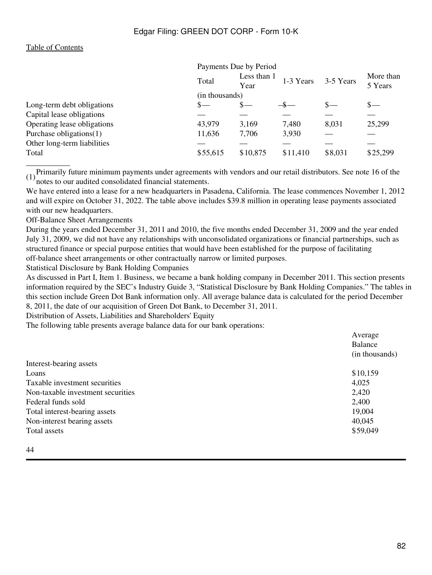|                             |          | Payments Due by Period |           |           |                      |  |
|-----------------------------|----------|------------------------|-----------|-----------|----------------------|--|
|                             | Total    | Less than 1<br>Year    | 1-3 Years | 3-5 Years | More than<br>5 Years |  |
|                             |          | (in thousands)         |           |           |                      |  |
| Long-term debt obligations  | s—       | $S-$                   |           | $S-$      | $\mathbf{s}$ —       |  |
| Capital lease obligations   |          |                        |           |           |                      |  |
| Operating lease obligations | 43,979   | 3,169                  | 7,480     | 8,031     | 25,299               |  |
| Purchase obligations(1)     | 11,636   | 7,706                  | 3,930     |           |                      |  |
| Other long-term liabilities |          |                        |           |           |                      |  |
| Total                       | \$55,615 | \$10,875               | \$11,410  | \$8,031   | \$25,299             |  |
|                             |          |                        |           |           |                      |  |

(1)Primarily future minimum payments under agreements with vendors and our retail distributors. See note 16 of the notes to our audited consolidated financial statements.

We have entered into a lease for a new headquarters in Pasadena, California. The lease commences November 1, 2012 and will expire on October 31, 2022. The table above includes \$39.8 million in operating lease payments associated with our new headquarters.

Off-Balance Sheet Arrangements

During the years ended December 31, 2011 and 2010, the five months ended December 31, 2009 and the year ended July 31, 2009, we did not have any relationships with unconsolidated organizations or financial partnerships, such as structured finance or special purpose entities that would have been established for the purpose of facilitating off-balance sheet arrangements or other contractually narrow or limited purposes.

Statistical Disclosure by Bank Holding Companies

As discussed in Part I, Item 1. Business, we became a bank holding company in December 2011. This section presents information required by the SEC's Industry Guide 3, "Statistical Disclosure by Bank Holding Companies." The tables in this section include Green Dot Bank information only. All average balance data is calculated for the period December 8, 2011, the date of our acquisition of Green Dot Bank, to December 31, 2011.

Distribution of Assets, Liabilities and Shareholders' Equity

The following table presents average balance data for our bank operations:

|                                   | Average        |
|-----------------------------------|----------------|
|                                   | <b>Balance</b> |
|                                   | (in thousands) |
| Interest-bearing assets           |                |
| Loans                             | \$10,159       |
| Taxable investment securities     | 4,025          |
| Non-taxable investment securities | 2,420          |
| Federal funds sold                | 2,400          |
| Total interest-bearing assets     | 19,004         |
| Non-interest bearing assets       | 40,045         |
| Total assets                      | \$59,049       |
|                                   |                |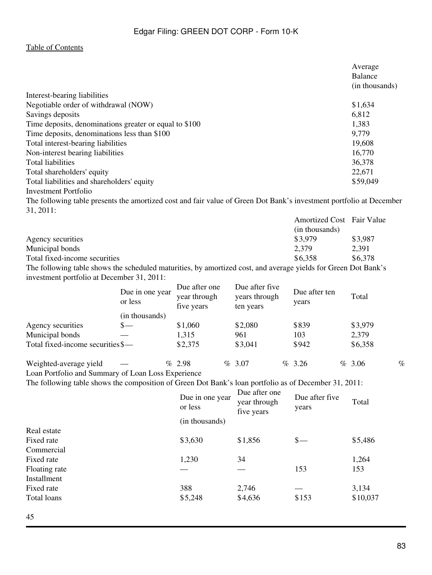|                                                                                                                    | Average        |
|--------------------------------------------------------------------------------------------------------------------|----------------|
|                                                                                                                    | Balance        |
|                                                                                                                    | (in thousands) |
| Interest-bearing liabilities                                                                                       |                |
| Negotiable order of withdrawal (NOW)                                                                               | \$1,634        |
| Savings deposits                                                                                                   | 6,812          |
| Time deposits, denominations greater or equal to \$100                                                             | 1,383          |
| Time deposits, denominations less than \$100                                                                       | 9,779          |
| Total interest-bearing liabilities                                                                                 | 19,608         |
| Non-interest bearing liabilities                                                                                   | 16,770         |
| <b>Total liabilities</b>                                                                                           | 36,378         |
| Total shareholders' equity                                                                                         | 22,671         |
| Total liabilities and shareholders' equity                                                                         | \$59,049       |
| Investment Portfolio                                                                                               |                |
| The following table presents the amortized cost and fair value of Green Dot Rank's investment portfolio at Decembe |                |

The following table presents the amortized cost and fair value of Green Dot Bank's investment portfolio at December 31, 2011:

|                                                                                                                | <b>Amortized Cost</b> Fair Value |         |
|----------------------------------------------------------------------------------------------------------------|----------------------------------|---------|
|                                                                                                                | (in thousands)                   |         |
| Agency securities                                                                                              | \$3,979                          | \$3,987 |
| Municipal bonds                                                                                                | 2.379                            | 2.391   |
| Total fixed-income securities                                                                                  | \$6.358                          | \$6,378 |
| The following table shows the scheduled maturities, by amortized cost, and average vialds for Green Dot Rank's |                                  |         |

The following table shows the scheduled maturities, by amortized cost, and average yields for Green Dot Bank's investment portfolio at December 31, 2011:

|                                   | Due in one year<br>or less | Due after one<br>year through<br>five years | Due after five<br>years through<br>ten years | Due after ten<br>years | Total   |      |
|-----------------------------------|----------------------------|---------------------------------------------|----------------------------------------------|------------------------|---------|------|
|                                   | (in thousands)             |                                             |                                              |                        |         |      |
| Agency securities                 | $S-$                       | \$1,060                                     | \$2,080                                      | \$839                  | \$3,979 |      |
| Municipal bonds                   |                            | 1,315                                       | 961                                          | 103                    | 2,379   |      |
| Total fixed-income securities \$— |                            | \$2,375                                     | \$3,041                                      | \$942                  | \$6,358 |      |
| Weighted-average yield            |                            | $\%$ 2.98                                   | $\%$ 3.07                                    | $\%$ 3.26              | % 3.06  | $\%$ |

Loan Portfolio and Summary of Loan Loss Experience

The following table shows the composition of Green Dot Bank's loan portfolio as of December 31, 2011:<br>Due after one

|               | Due in one year<br>or less | Due after one<br>year through<br>five years | Due after five<br>years | Total    |
|---------------|----------------------------|---------------------------------------------|-------------------------|----------|
|               | (in thousands)             |                                             |                         |          |
| Real estate   |                            |                                             |                         |          |
| Fixed rate    | \$3,630                    | \$1,856                                     | $s-$                    | \$5,486  |
| Commercial    |                            |                                             |                         |          |
| Fixed rate    | 1,230                      | 34                                          |                         | 1,264    |
| Floating rate |                            |                                             | 153                     | 153      |
| Installment   |                            |                                             |                         |          |
| Fixed rate    | 388                        | 2,746                                       |                         | 3,134    |
| Total loans   | \$5,248                    | \$4,636                                     | \$153                   | \$10,037 |
|               |                            |                                             |                         |          |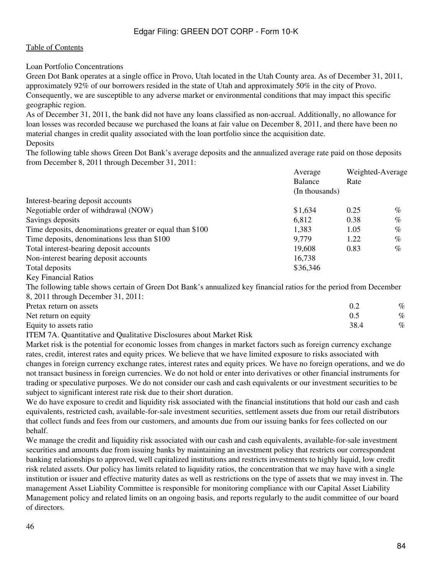Loan Portfolio Concentrations

Green Dot Bank operates at a single office in Provo, Utah located in the Utah County area. As of December 31, 2011, approximately 92% of our borrowers resided in the state of Utah and approximately 50% in the city of Provo. Consequently, we are susceptible to any adverse market or environmental conditions that may impact this specific geographic region.

As of December 31, 2011, the bank did not have any loans classified as non-accrual. Additionally, no allowance for loan losses was recorded because we purchased the loans at fair value on December 8, 2011, and there have been no material changes in credit quality associated with the loan portfolio since the acquisition date. Deposits

The following table shows Green Dot Bank's average deposits and the annualized average rate paid on those deposits from December 8, 2011 through December 31, 2011:

| Average        |      | Weighted-Average |  |  |
|----------------|------|------------------|--|--|
| <b>Balance</b> | Rate |                  |  |  |
| (In thousands) |      |                  |  |  |
|                |      |                  |  |  |
| \$1,634        | 0.25 | $\%$             |  |  |
| 6,812          | 0.38 | $\%$             |  |  |
| 1,383          | 1.05 | $\%$             |  |  |
| 9,779          | 1.22 | $\%$             |  |  |
| 19,608         | 0.83 | $\%$             |  |  |
| 16,738         |      |                  |  |  |
| \$36,346       |      |                  |  |  |
|                |      |                  |  |  |

Key Financial Ratios

The following table shows certain of Green Dot Bank's annualized key financial ratios for the period from December 8, 2011 through December 31, 2011:

| Pretax return on assets |      | %    |
|-------------------------|------|------|
| Net return on equity    |      | $\%$ |
| Equity to assets ratio  | 38.4 | $\%$ |
|                         |      |      |

ITEM 7A. Quantitative and Qualitative Disclosures about Market Risk

Market risk is the potential for economic losses from changes in market factors such as foreign currency exchange rates, credit, interest rates and equity prices. We believe that we have limited exposure to risks associated with changes in foreign currency exchange rates, interest rates and equity prices. We have no foreign operations, and we do not transact business in foreign currencies. We do not hold or enter into derivatives or other financial instruments for trading or speculative purposes. We do not consider our cash and cash equivalents or our investment securities to be subject to significant interest rate risk due to their short duration.

We do have exposure to credit and liquidity risk associated with the financial institutions that hold our cash and cash equivalents, restricted cash, available-for-sale investment securities, settlement assets due from our retail distributors that collect funds and fees from our customers, and amounts due from our issuing banks for fees collected on our behalf.

We manage the credit and liquidity risk associated with our cash and cash equivalents, available-for-sale investment securities and amounts due from issuing banks by maintaining an investment policy that restricts our correspondent banking relationships to approved, well capitalized institutions and restricts investments to highly liquid, low credit risk related assets. Our policy has limits related to liquidity ratios, the concentration that we may have with a single institution or issuer and effective maturity dates as well as restrictions on the type of assets that we may invest in. The management Asset Liability Committee is responsible for monitoring compliance with our Capital Asset Liability Management policy and related limits on an ongoing basis, and reports regularly to the audit committee of our board of directors.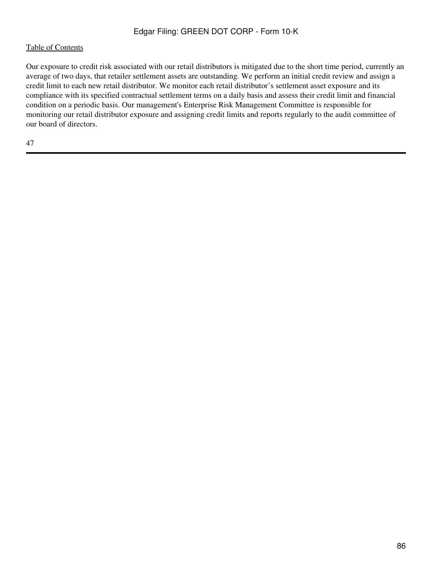Our exposure to credit risk associated with our retail distributors is mitigated due to the short time period, currently an average of two days, that retailer settlement assets are outstanding. We perform an initial credit review and assign a credit limit to each new retail distributor. We monitor each retail distributor's settlement asset exposure and its compliance with its specified contractual settlement terms on a daily basis and assess their credit limit and financial condition on a periodic basis. Our management's Enterprise Risk Management Committee is responsible for monitoring our retail distributor exposure and assigning credit limits and reports regularly to the audit committee of our board of directors.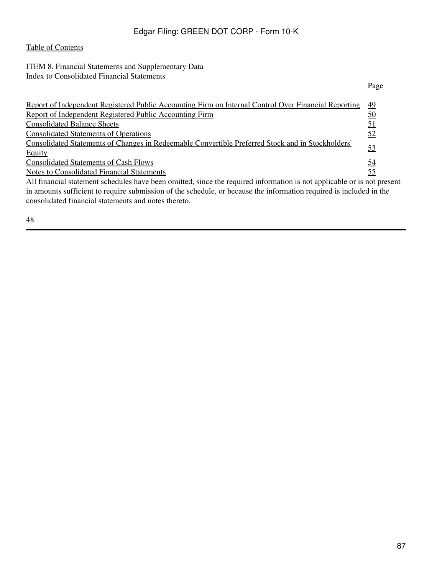## ITEM 8. Financial Statements and Supplementary Data Index to Consolidated Financial Statements

|                                                                                                                         | Page      |
|-------------------------------------------------------------------------------------------------------------------------|-----------|
| Report of Independent Registered Public Accounting Firm on Internal Control Over Financial Reporting                    | <u>49</u> |
| Report of Independent Registered Public Accounting Firm                                                                 | <u>50</u> |
| <b>Consolidated Balance Sheets</b>                                                                                      | <u>51</u> |
| <b>Consolidated Statements of Operations</b>                                                                            | <u>52</u> |
| <u>Consolidated Statements of Changes in Redeemable Convertible Preferred Stock and in Stockholders'</u>                |           |
| Equity                                                                                                                  | <u>53</u> |
| <b>Consolidated Statements of Cash Flows</b>                                                                            | <u>54</u> |
| <b>Notes to Consolidated Financial Statements</b>                                                                       | <u>55</u> |
| All financial statement schedules have been omitted, since the required information is not applicable or is not present |           |
| in amounts sufficient to require submission of the schedule, or because the information required is included in the     |           |
| consolidated financial statements and notes thereto.                                                                    |           |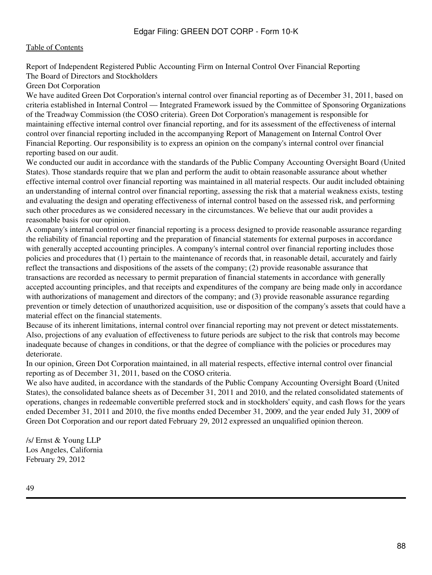<span id="page-87-0"></span>Report of Independent Registered Public Accounting Firm on Internal Control Over Financial Reporting The Board of Directors and Stockholders

Green Dot Corporation

We have audited Green Dot Corporation's internal control over financial reporting as of December 31, 2011, based on criteria established in Internal Control — Integrated Framework issued by the Committee of Sponsoring Organizations of the Treadway Commission (the COSO criteria). Green Dot Corporation's management is responsible for maintaining effective internal control over financial reporting, and for its assessment of the effectiveness of internal control over financial reporting included in the accompanying Report of Management on Internal Control Over Financial Reporting. Our responsibility is to express an opinion on the company's internal control over financial reporting based on our audit.

We conducted our audit in accordance with the standards of the Public Company Accounting Oversight Board (United States). Those standards require that we plan and perform the audit to obtain reasonable assurance about whether effective internal control over financial reporting was maintained in all material respects. Our audit included obtaining an understanding of internal control over financial reporting, assessing the risk that a material weakness exists, testing and evaluating the design and operating effectiveness of internal control based on the assessed risk, and performing such other procedures as we considered necessary in the circumstances. We believe that our audit provides a reasonable basis for our opinion.

A company's internal control over financial reporting is a process designed to provide reasonable assurance regarding the reliability of financial reporting and the preparation of financial statements for external purposes in accordance with generally accepted accounting principles. A company's internal control over financial reporting includes those policies and procedures that (1) pertain to the maintenance of records that, in reasonable detail, accurately and fairly reflect the transactions and dispositions of the assets of the company; (2) provide reasonable assurance that transactions are recorded as necessary to permit preparation of financial statements in accordance with generally accepted accounting principles, and that receipts and expenditures of the company are being made only in accordance with authorizations of management and directors of the company; and (3) provide reasonable assurance regarding prevention or timely detection of unauthorized acquisition, use or disposition of the company's assets that could have a material effect on the financial statements.

Because of its inherent limitations, internal control over financial reporting may not prevent or detect misstatements. Also, projections of any evaluation of effectiveness to future periods are subject to the risk that controls may become inadequate because of changes in conditions, or that the degree of compliance with the policies or procedures may deteriorate.

In our opinion, Green Dot Corporation maintained, in all material respects, effective internal control over financial reporting as of December 31, 2011, based on the COSO criteria.

We also have audited, in accordance with the standards of the Public Company Accounting Oversight Board (United States), the consolidated balance sheets as of December 31, 2011 and 2010, and the related consolidated statements of operations, changes in redeemable convertible preferred stock and in stockholders' equity, and cash flows for the years ended December 31, 2011 and 2010, the five months ended December 31, 2009, and the year ended July 31, 2009 of Green Dot Corporation and our report dated February 29, 2012 expressed an unqualified opinion thereon.

/s/ Ernst & Young LLP Los Angeles, California February 29, 2012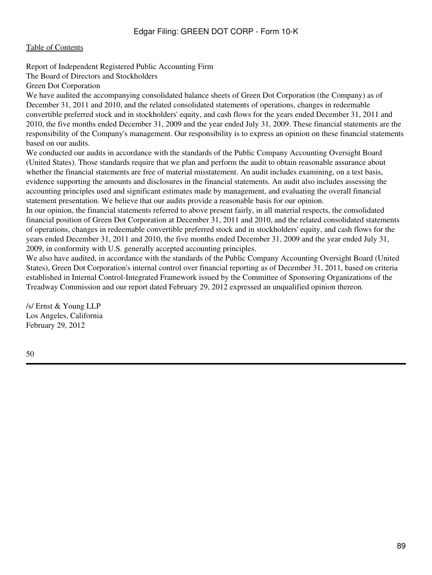### <span id="page-88-0"></span>[Table of Contents](#page-2-0)

Report of Independent Registered Public Accounting Firm

The Board of Directors and Stockholders

Green Dot Corporation

We have audited the accompanying consolidated balance sheets of Green Dot Corporation (the Company) as of December 31, 2011 and 2010, and the related consolidated statements of operations, changes in redeemable convertible preferred stock and in stockholders' equity, and cash flows for the years ended December 31, 2011 and 2010, the five months ended December 31, 2009 and the year ended July 31, 2009. These financial statements are the responsibility of the Company's management. Our responsibility is to express an opinion on these financial statements based on our audits.

We conducted our audits in accordance with the standards of the Public Company Accounting Oversight Board (United States). Those standards require that we plan and perform the audit to obtain reasonable assurance about whether the financial statements are free of material misstatement. An audit includes examining, on a test basis, evidence supporting the amounts and disclosures in the financial statements. An audit also includes assessing the accounting principles used and significant estimates made by management, and evaluating the overall financial statement presentation. We believe that our audits provide a reasonable basis for our opinion.

In our opinion, the financial statements referred to above present fairly, in all material respects, the consolidated financial position of Green Dot Corporation at December 31, 2011 and 2010, and the related consolidated statements of operations, changes in redeemable convertible preferred stock and in stockholders' equity, and cash flows for the years ended December 31, 2011 and 2010, the five months ended December 31, 2009 and the year ended July 31, 2009, in conformity with U.S. generally accepted accounting principles.

We also have audited, in accordance with the standards of the Public Company Accounting Oversight Board (United States), Green Dot Corporation's internal control over financial reporting as of December 31, 2011, based on criteria established in Internal Control-Integrated Framework issued by the Committee of Sponsoring Organizations of the Treadway Commission and our report dated February 29, 2012 expressed an unqualified opinion thereon.

/s/ Ernst & Young LLP Los Angeles, California February 29, 2012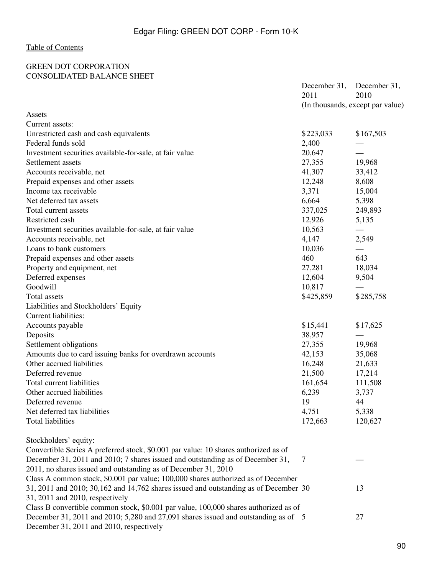### <span id="page-89-0"></span>GREEN DOT CORPORATION CONSOLIDATED BALANCE SHEET

|                                                                                               | December 31,<br>2011 | December 31,<br>2010             |
|-----------------------------------------------------------------------------------------------|----------------------|----------------------------------|
|                                                                                               |                      | (In thousands, except par value) |
| Assets                                                                                        |                      |                                  |
| Current assets:                                                                               |                      |                                  |
| Unrestricted cash and cash equivalents                                                        | \$223,033            | \$167,503                        |
| Federal funds sold                                                                            | 2,400                |                                  |
| Investment securities available-for-sale, at fair value                                       | 20,647               |                                  |
| Settlement assets                                                                             | 27,355               | 19,968                           |
| Accounts receivable, net                                                                      | 41,307               | 33,412                           |
| Prepaid expenses and other assets                                                             | 12,248               | 8,608                            |
| Income tax receivable                                                                         | 3,371                | 15,004                           |
| Net deferred tax assets                                                                       | 6,664                | 5,398                            |
| Total current assets                                                                          | 337,025              | 249,893                          |
| Restricted cash                                                                               | 12,926               | 5,135                            |
| Investment securities available-for-sale, at fair value                                       | 10,563               |                                  |
| Accounts receivable, net                                                                      | 4,147                | 2,549                            |
| Loans to bank customers                                                                       | 10,036               |                                  |
| Prepaid expenses and other assets                                                             | 460                  | 643                              |
| Property and equipment, net                                                                   | 27,281               | 18,034                           |
| Deferred expenses                                                                             | 12,604               | 9,504                            |
| Goodwill                                                                                      | 10,817               |                                  |
| Total assets                                                                                  | \$425,859            | \$285,758                        |
| Liabilities and Stockholders' Equity                                                          |                      |                                  |
| <b>Current liabilities:</b>                                                                   |                      |                                  |
| Accounts payable                                                                              | \$15,441             | \$17,625                         |
| Deposits                                                                                      | 38,957               |                                  |
| Settlement obligations                                                                        | 27,355               | 19,968                           |
| Amounts due to card issuing banks for overdrawn accounts                                      | 42,153               | 35,068                           |
| Other accrued liabilities                                                                     | 16,248               | 21,633                           |
| Deferred revenue                                                                              | 21,500               | 17,214                           |
| Total current liabilities                                                                     | 161,654              | 111,508                          |
| Other accrued liabilities                                                                     | 6,239                | 3,737                            |
| Deferred revenue                                                                              | 19                   | 44                               |
| Net deferred tax liabilities                                                                  | 4,751                | 5,338                            |
| <b>Total liabilities</b>                                                                      | 172,663              | 120,627                          |
| Stockholders' equity:                                                                         |                      |                                  |
| Convertible Series A preferred stock, \$0.001 par value: 10 shares authorized as of           |                      |                                  |
| December 31, 2011 and 2010; 7 shares issued and outstanding as of December 31,                | 7                    |                                  |
| 2011, no shares issued and outstanding as of December 31, 2010                                |                      |                                  |
| Class A common stock, \$0.001 par value; 100,000 shares authorized as of December             |                      |                                  |
| $31, 2011$ and $2010$ ; $30,162$ and $14,762$ shares issued and outstanding as of December 30 |                      | 13                               |
| 31, 2011 and 2010, respectively                                                               |                      |                                  |
| Class B convertible common stock, \$0.001 par value, 100,000 shares authorized as of          |                      |                                  |
| December 31, 2011 and 2010; 5,280 and 27,091 shares issued and outstanding as of 5            |                      | 27                               |
| December 31, 2011 and 2010, respectively                                                      |                      |                                  |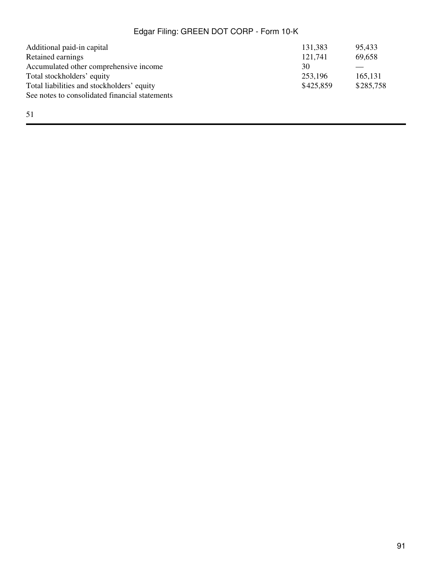| Additional paid-in capital                     | 131,383   | 95.433    |
|------------------------------------------------|-----------|-----------|
| Retained earnings                              | 121.741   | 69,658    |
| Accumulated other comprehensive income         | 30        |           |
| Total stockholders' equity                     | 253,196   | 165.131   |
| Total liabilities and stockholders' equity     | \$425,859 | \$285,758 |
| See notes to consolidated financial statements |           |           |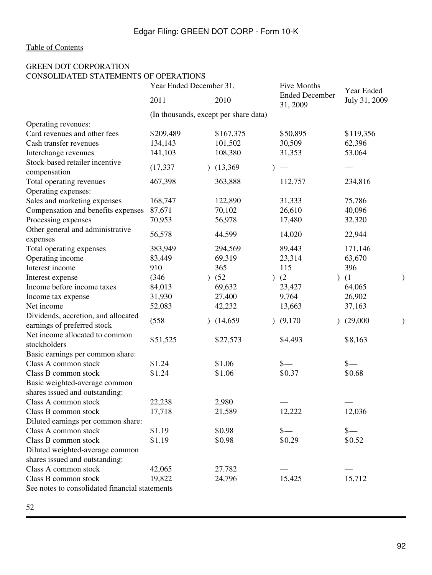# <span id="page-91-0"></span>GREEN DOT CORPORATION CONSOLIDATED STATEMENTS OF OPERATIONS

|                                                | Year Ended December 31, |           | Five Months                           |  | Year Ended                        |  |                 |  |
|------------------------------------------------|-------------------------|-----------|---------------------------------------|--|-----------------------------------|--|-----------------|--|
|                                                | 2011                    |           | 2010                                  |  | <b>Ended December</b><br>31, 2009 |  | July 31, 2009   |  |
|                                                |                         |           | (In thousands, except per share data) |  |                                   |  |                 |  |
| Operating revenues:                            |                         |           |                                       |  |                                   |  |                 |  |
| Card revenues and other fees                   | \$209,489               |           | \$167,375                             |  | \$50,895                          |  | \$119,356       |  |
| Cash transfer revenues                         | 134,143                 |           | 101,502                               |  | 30,509                            |  | 62,396          |  |
| Interchange revenues                           | 141,103                 |           | 108,380                               |  | 31,353                            |  | 53,064          |  |
| Stock-based retailer incentive<br>compensation | (17, 337)               |           | (13,369)                              |  |                                   |  |                 |  |
| Total operating revenues                       | 467,398                 |           | 363,888                               |  | 112,757                           |  | 234,816         |  |
| Operating expenses:                            |                         |           |                                       |  |                                   |  |                 |  |
| Sales and marketing expenses                   | 168,747                 |           | 122,890                               |  | 31,333                            |  | 75,786          |  |
| Compensation and benefits expenses             | 87,671                  |           | 70,102                                |  | 26,610                            |  | 40,096          |  |
| Processing expenses                            | 70,953                  |           | 56,978                                |  | 17,480                            |  | 32,320          |  |
| Other general and administrative<br>expenses   | 56,578                  |           | 44,599                                |  | 14,020                            |  | 22,944          |  |
| Total operating expenses                       | 383,949                 |           | 294,569                               |  | 89,443                            |  | 171,146         |  |
| Operating income                               | 83,449                  |           | 69,319                                |  | 23,314                            |  | 63,670          |  |
| Interest income                                | 910                     |           | 365                                   |  | 115                               |  | 396             |  |
| Interest expense                               | (346)                   | $\lambda$ | (52)                                  |  | (2)                               |  | (1)             |  |
| Income before income taxes                     | 84,013                  |           | 69,632                                |  | 23,427                            |  | 64,065          |  |
| Income tax expense                             | 31,930                  |           | 27,400                                |  | 9,764                             |  | 26,902          |  |
| Net income                                     | 52,083                  |           | 42,232                                |  | 13,663                            |  | 37,163          |  |
| Dividends, accretion, and allocated            |                         |           |                                       |  |                                   |  |                 |  |
| earnings of preferred stock                    | (558)                   |           | (14,659)                              |  | (9,170)                           |  | (29,000)        |  |
| Net income allocated to common<br>stockholders | \$51,525                |           | \$27,573                              |  | \$4,493                           |  | \$8,163         |  |
| Basic earnings per common share:               |                         |           |                                       |  |                                   |  |                 |  |
| Class A common stock                           | \$1.24                  |           | \$1.06                                |  | $\frac{\ }{s-}$                   |  | $\frac{\S}{\S}$ |  |
| Class B common stock                           | \$1.24                  |           | \$1.06                                |  | \$0.37                            |  | \$0.68          |  |
| Basic weighted-average common                  |                         |           |                                       |  |                                   |  |                 |  |
| shares issued and outstanding:                 |                         |           |                                       |  |                                   |  |                 |  |
| Class A common stock                           | 22,238                  |           | 2,980                                 |  |                                   |  |                 |  |
| Class B common stock                           | 17,718                  |           | 21,589                                |  | 12,222                            |  | 12,036          |  |
| Diluted earnings per common share:             |                         |           |                                       |  |                                   |  |                 |  |
| Class A common stock                           | \$1.19                  |           | \$0.98                                |  | $\frac{\ }{s-}$                   |  | $\frac{\S}{\S}$ |  |
| Class B common stock                           | \$1.19                  |           | \$0.98                                |  | \$0.29                            |  | \$0.52          |  |
| Diluted weighted-average common                |                         |           |                                       |  |                                   |  |                 |  |
| shares issued and outstanding:                 |                         |           |                                       |  |                                   |  |                 |  |
| Class A common stock                           | 42,065                  |           | 27.782                                |  |                                   |  |                 |  |
| Class B common stock                           | 19,822                  |           | 24,796                                |  | 15,425                            |  | 15,712          |  |
| See notes to consolidated financial statements |                         |           |                                       |  |                                   |  |                 |  |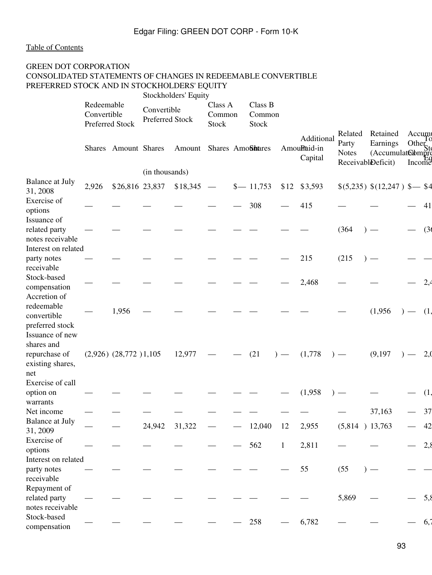## <span id="page-92-0"></span>GREEN DOT CORPORATION CONSOLIDATED STATEMENTS OF CHANGES IN REDEEMABLE CONVERTIBLE PREFERRED STOCK AND IN STOCKHOLDERS' EQUITY

|                                                                    |                                              |                           |                                | Stockholders' Equity |                                   |                            |              |                                       |                                                        |                                              |                                                 |      |
|--------------------------------------------------------------------|----------------------------------------------|---------------------------|--------------------------------|----------------------|-----------------------------------|----------------------------|--------------|---------------------------------------|--------------------------------------------------------|----------------------------------------------|-------------------------------------------------|------|
|                                                                    | Redeemable<br>Convertible<br>Preferred Stock |                           | Convertible<br>Preferred Stock |                      | Class A<br>Common<br><b>Stock</b> | Class B<br>Common<br>Stock |              |                                       |                                                        |                                              |                                                 |      |
|                                                                    |                                              | Shares Amount Shares      |                                | Amount               |                                   | Shares AmoShares           |              | Additional<br>AmouPtaid-in<br>Capital | Related<br>Party<br><b>Notes</b><br>ReceivableDeficit) | Retained<br>Earnings<br>$(Accumulate \& mpr$ | Accum<br>Other $\overline{\text{St}}$<br>Income |      |
|                                                                    |                                              |                           | (in thousands)                 |                      |                                   |                            |              |                                       |                                                        |                                              |                                                 |      |
| <b>Balance at July</b><br>31, 2008                                 | 2,926                                        | \$26,816 23,837           |                                | \$18,345             | $\hspace{0.1mm}-\hspace{0.1mm}$   | $$ - 11,753$               | \$12         | \$3,593                               |                                                        | $$(5,235) $(12,247) $ \$ <del>4</del>        |                                                 |      |
| Exercise of<br>options<br>Issuance of                              |                                              |                           |                                |                      |                                   | 308                        |              | 415                                   |                                                        |                                              |                                                 | 41   |
| related party<br>notes receivable                                  |                                              |                           |                                |                      |                                   |                            |              |                                       | (364)                                                  |                                              |                                                 | (36) |
| Interest on related<br>party notes                                 |                                              |                           |                                |                      |                                   |                            |              | 215                                   | (215)                                                  |                                              |                                                 |      |
| receivable<br>Stock-based<br>compensation<br>Accretion of          |                                              |                           |                                |                      |                                   |                            |              | 2,468                                 |                                                        |                                              |                                                 | 2,4  |
| redeemable<br>convertible<br>preferred stock                       |                                              | 1,956                     |                                |                      |                                   |                            |              |                                       |                                                        | (1,956)                                      |                                                 | (1,  |
| Issuance of new<br>shares and<br>repurchase of<br>existing shares, |                                              | $(2,926)$ $(28,772)1,105$ |                                | 12,977               |                                   | (21)                       |              | (1,778)                               |                                                        | (9,197)                                      |                                                 | 2,0  |
| net<br>Exercise of call<br>option on                               |                                              |                           |                                |                      |                                   |                            |              | (1,958)                               |                                                        |                                              |                                                 | (1,  |
| warrants                                                           |                                              |                           |                                |                      |                                   |                            |              |                                       |                                                        |                                              |                                                 |      |
| Net income                                                         |                                              |                           |                                |                      |                                   |                            |              |                                       |                                                        | 37,163                                       |                                                 | 37   |
| <b>Balance at July</b><br>31, 2009                                 |                                              |                           | 24,942                         | 31,322               |                                   | 12,040                     | 12           | 2,955                                 | $(5,814)$ 13,763                                       |                                              |                                                 | 42   |
| Exercise of<br>options                                             |                                              |                           |                                |                      |                                   | 562                        | $\mathbf{1}$ | 2,811                                 |                                                        |                                              |                                                 | 2,8  |
| Interest on related<br>party notes<br>receivable                   |                                              |                           |                                |                      |                                   |                            |              | 55                                    | (55)                                                   |                                              |                                                 |      |
| Repayment of<br>related party<br>notes receivable                  |                                              |                           |                                |                      |                                   |                            |              |                                       | 5,869                                                  |                                              |                                                 | 5,8  |
| Stock-based<br>compensation                                        |                                              |                           |                                |                      |                                   | 258                        |              | 6,782                                 |                                                        |                                              |                                                 | 6,7  |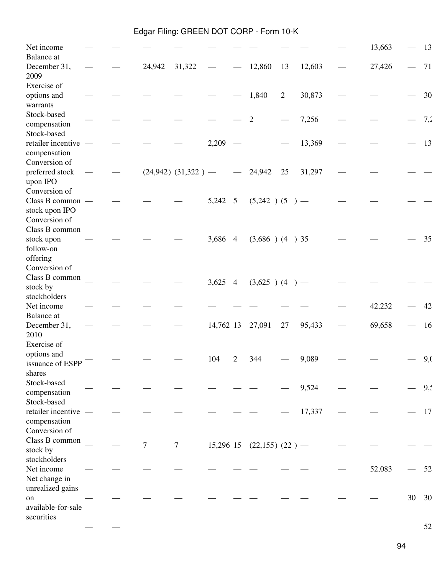| Net income                                          |  |        |                         |           |                |                     |                |                          | 13,663 |    | 13  |
|-----------------------------------------------------|--|--------|-------------------------|-----------|----------------|---------------------|----------------|--------------------------|--------|----|-----|
| <b>Balance</b> at<br>December 31,<br>2009           |  | 24,942 | 31,322                  |           |                | 12,860              | 13             | 12,603                   | 27,426 |    | 71  |
| Exercise of<br>options and                          |  |        |                         |           |                | 1,840               | $\overline{2}$ | 30,873                   |        |    | 30  |
| warrants<br>Stock-based<br>compensation             |  |        |                         |           |                | $\mathfrak{2}$      |                | 7,256                    |        |    | 7,2 |
| Stock-based<br>retailer incentive -<br>compensation |  |        |                         | 2,209     |                |                     |                | 13,369                   |        |    | 13  |
| Conversion of<br>preferred stock                    |  |        | $(24,942)$ $(31,322)$ – |           |                | 24,942              | 25             | 31,297                   |        |    |     |
| upon IPO<br>Conversion of<br>Class B common -       |  |        |                         | 5,242 5   |                | $(5,242)$ (5)       | $\rightarrow$  | $\overline{\phantom{m}}$ |        |    |     |
| stock upon IPO<br>Conversion of<br>Class B common   |  |        |                         |           |                |                     |                |                          |        |    |     |
| stock upon<br>follow-on                             |  |        |                         | 3,686 4   |                | $(3,686)$ $(4)$ 35  |                |                          |        |    | 35  |
| offering<br>Conversion of<br>Class B common         |  |        |                         |           |                |                     |                |                          |        |    |     |
| stock by<br>stockholders                            |  |        |                         | 3,625     | $\overline{4}$ | $(3,625)$ (4)       | $\rightarrow$  | $\overline{\phantom{m}}$ |        |    |     |
| Net income<br>Balance at                            |  |        |                         |           |                |                     |                |                          | 42,232 |    | 42  |
| December 31,<br>2010                                |  |        |                         | 14,762 13 |                | 27,091              | 27             | 95,433                   | 69,658 |    | 16  |
| Exercise of<br>options and<br>issuance of ESPP      |  |        |                         | 104       | $\overline{c}$ | 344                 |                | 9,089                    |        |    | 9,0 |
| shares<br>Stock-based<br>compensation               |  |        |                         |           |                |                     |                | 9,524                    |        |    | 9,  |
| Stock-based<br>retailer incentive                   |  |        |                         |           |                |                     |                | 17,337                   |        |    | 17  |
| compensation<br>Conversion of<br>Class B common     |  |        |                         |           |                |                     |                |                          |        |    |     |
| stock by<br>stockholders                            |  | $\tau$ | $\tau$                  | 15,296 15 |                | $(22,155)$ $(22)$ — |                |                          |        |    |     |
| Net income<br>Net change in<br>unrealized gains     |  |        |                         |           |                |                     |                |                          | 52,083 |    | 52  |
| on<br>available-for-sale                            |  |        |                         |           |                |                     |                |                          |        | 30 | 30  |
| securities                                          |  |        |                         |           |                |                     |                |                          |        |    | 52  |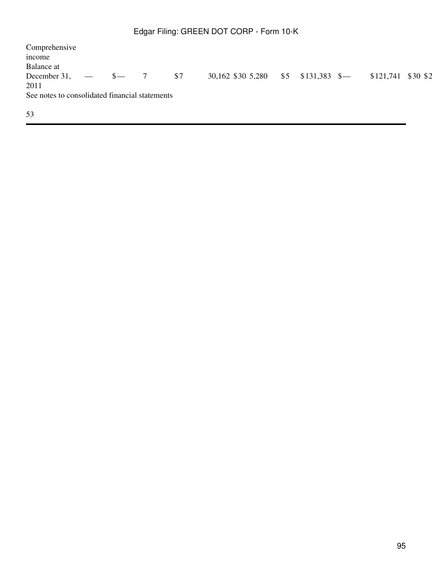Comprehensive income Balance at December 31, 2011  $-$  \$ $-$  7 \$7 30,162 \$30 5,280 \$5 \$131,383 \$ $-$  \$121,741 \$30 \$2 See notes to consolidated financial statements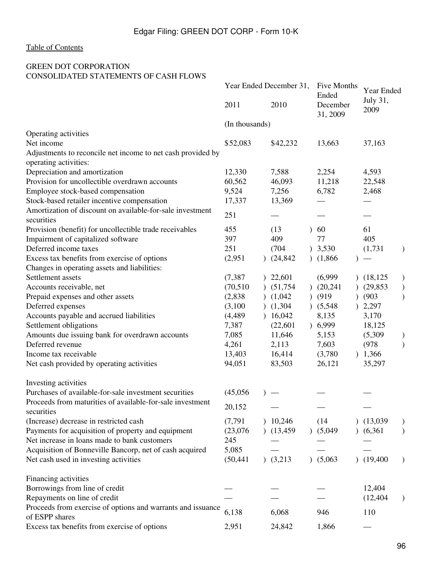## <span id="page-95-0"></span>GREEN DOT CORPORATION CONSOLIDATED STATEMENTS OF CASH FLOWS

|                                                                                      | Year Ended December 31, |               |             | Five Months<br>Ended   | Year Ended<br>July 31, |   |
|--------------------------------------------------------------------------------------|-------------------------|---------------|-------------|------------------------|------------------------|---|
|                                                                                      | 2011                    |               | 2010        | December<br>31, 2009   | 2009                   |   |
|                                                                                      | (In thousands)          |               |             |                        |                        |   |
| Operating activities                                                                 |                         |               |             |                        |                        |   |
| Net income                                                                           | \$52,083                |               | \$42,232    | 13,663                 | 37,163                 |   |
| Adjustments to reconcile net income to net cash provided by<br>operating activities: |                         |               |             |                        |                        |   |
| Depreciation and amortization                                                        | 12,330                  |               | 7,588       | 2,254                  | 4,593                  |   |
| Provision for uncollectible overdrawn accounts                                       | 60,562                  |               | 46,093      | 11,218                 | 22,548                 |   |
| Employee stock-based compensation                                                    | 9,524                   |               | 7,256       | 6,782                  | 2,468                  |   |
| Stock-based retailer incentive compensation                                          | 17,337                  |               | 13,369      |                        |                        |   |
| Amortization of discount on available-for-sale investment                            |                         |               |             |                        |                        |   |
| securities                                                                           | 251                     |               |             |                        |                        |   |
| Provision (benefit) for uncollectible trade receivables                              | 455                     |               | (13)        | 60                     | 61                     |   |
| Impairment of capitalized software                                                   | 397                     |               | 409         | 77                     | 405                    |   |
| Deferred income taxes                                                                | 251                     |               | (704)       | 3,530                  | (1,731)                |   |
| Excess tax benefits from exercise of options                                         | (2,951)                 | $\mathcal{L}$ | (24, 842)   | (1,866)<br>$\lambda$   |                        |   |
| Changes in operating assets and liabilities:                                         |                         |               |             |                        |                        |   |
| Settlement assets                                                                    | (7, 387)                | $\mathcal{L}$ | 22,601      | (6,999)                | (18, 125)              | ) |
| Accounts receivable, net                                                             | (70, 510)               | $\mathcal{L}$ | (51, 754)   | (20, 241)<br>$\lambda$ | (29, 853)              |   |
| Prepaid expenses and other assets                                                    | (2,838)                 |               | (1,042)     | (919)                  | (903)                  |   |
| Deferred expenses                                                                    | (3,100)                 |               | (1,304)     | (5,548)                | 2,297                  |   |
| Accounts payable and accrued liabilities                                             | (4, 489)                | $\mathcal{L}$ | 16,042      | 8,135                  | 3,170                  |   |
| Settlement obligations                                                               | 7,387                   |               | (22, 601)   | 6,999                  | 18,125                 |   |
| Amounts due issuing bank for overdrawn accounts                                      | 7,085                   |               | 11,646      | 5,153                  | (5,309)                |   |
| Deferred revenue                                                                     | 4,261                   |               | 2,113       | 7,603                  | (978)                  |   |
| Income tax receivable                                                                | 13,403                  |               | 16,414      | (3,780)<br>$\lambda$   | 1,366                  |   |
| Net cash provided by operating activities                                            | 94,051                  |               | 83,503      | 26,121                 | 35,297                 |   |
| Investing activities                                                                 |                         |               |             |                        |                        |   |
| Purchases of available-for-sale investment securities                                | (45,056)                |               |             |                        |                        |   |
| Proceeds from maturities of available-for-sale investment                            | 20,152                  |               |             |                        |                        |   |
| securities<br>(Increase) decrease in restricted cash                                 | (7, 791)                |               | 10,246      | (14)                   | (13,039)               |   |
| Payments for acquisition of property and equipment                                   | (23,076)                |               | (13, 459)   | (5,049)                | (6,361)                |   |
| Net increase in loans made to bank customers                                         | 245                     |               |             |                        |                        |   |
| Acquisition of Bonneville Bancorp, net of cash acquired                              | 5,085                   |               |             |                        |                        |   |
| Net cash used in investing activities                                                | (50, 441)               |               | $)$ (3,213) | (5,063)                | (19, 400)              |   |
|                                                                                      |                         |               |             |                        |                        |   |
| Financing activities                                                                 |                         |               |             |                        |                        |   |
| Borrowings from line of credit                                                       |                         |               |             |                        | 12,404                 |   |
| Repayments on line of credit                                                         |                         |               |             |                        | (12, 404)              |   |
| Proceeds from exercise of options and warrants and issuance<br>of ESPP shares        | 6,138                   |               | 6,068       | 946                    | 110                    |   |
| Excess tax benefits from exercise of options                                         | 2,951                   |               | 24,842      | 1,866                  |                        |   |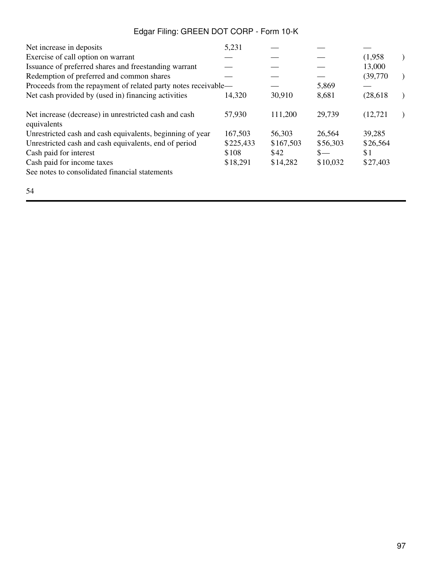| Net increase in deposits                                             | 5,231     |           |          |           |           |
|----------------------------------------------------------------------|-----------|-----------|----------|-----------|-----------|
| Exercise of call option on warrant                                   |           |           |          | (1,958)   |           |
| Issuance of preferred shares and freestanding warrant                |           |           |          | 13,000    |           |
| Redemption of preferred and common shares                            |           |           |          | (39,770)  | $\lambda$ |
| Proceeds from the repayment of related party notes receivable—       |           |           | 5,869    |           |           |
| Net cash provided by (used in) financing activities                  | 14,320    | 30,910    | 8,681    | (28, 618) |           |
| Net increase (decrease) in unrestricted cash and cash<br>equivalents | 57,930    | 111,200   | 29,739   | (12, 721) |           |
| Unrestricted cash and cash equivalents, beginning of year            | 167,503   | 56,303    | 26,564   | 39,285    |           |
| Unrestricted cash and cash equivalents, end of period                | \$225,433 | \$167,503 | \$56,303 | \$26,564  |           |
| Cash paid for interest                                               | \$108     | \$42      | $S-$     | \$1       |           |
| Cash paid for income taxes                                           | \$18,291  | \$14,282  | \$10,032 | \$27,403  |           |
| See notes to consolidated financial statements                       |           |           |          |           |           |
| 54                                                                   |           |           |          |           |           |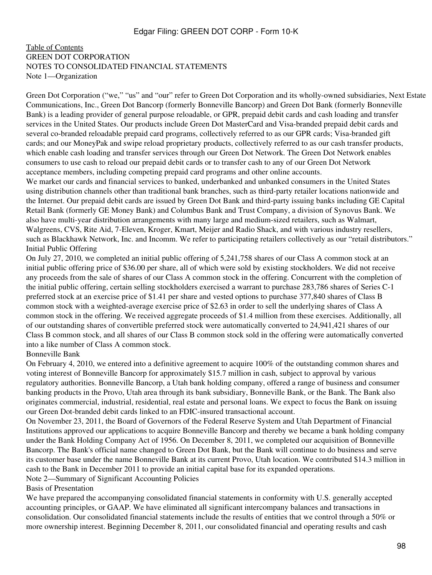### <span id="page-97-0"></span>[Table of Contents](#page-2-0) GREEN DOT CORPORATION NOTES TO CONSOLIDATED FINANCIAL STATEMENTS Note 1—Organization

Green Dot Corporation ("we," "us" and "our" refer to Green Dot Corporation and its wholly-owned subsidiaries, Next Estate Communications, Inc., Green Dot Bancorp (formerly Bonneville Bancorp) and Green Dot Bank (formerly Bonneville Bank) is a leading provider of general purpose reloadable, or GPR, prepaid debit cards and cash loading and transfer services in the United States. Our products include Green Dot MasterCard and Visa-branded prepaid debit cards and several co-branded reloadable prepaid card programs, collectively referred to as our GPR cards; Visa-branded gift cards; and our MoneyPak and swipe reload proprietary products, collectively referred to as our cash transfer products, which enable cash loading and transfer services through our Green Dot Network. The Green Dot Network enables consumers to use cash to reload our prepaid debit cards or to transfer cash to any of our Green Dot Network acceptance members, including competing prepaid card programs and other online accounts.

We market our cards and financial services to banked, underbanked and unbanked consumers in the United States using distribution channels other than traditional bank branches, such as third-party retailer locations nationwide and the Internet. Our prepaid debit cards are issued by Green Dot Bank and third-party issuing banks including GE Capital Retail Bank (formerly GE Money Bank) and Columbus Bank and Trust Company, a division of Synovus Bank. We also have multi-year distribution arrangements with many large and medium-sized retailers, such as Walmart, Walgreens, CVS, Rite Aid, 7-Eleven, Kroger, Kmart, Meijer and Radio Shack, and with various industry resellers, such as Blackhawk Network, Inc. and Incomm. We refer to participating retailers collectively as our "retail distributors." Initial Public Offering

On July 27, 2010, we completed an initial public offering of 5,241,758 shares of our Class A common stock at an initial public offering price of \$36.00 per share, all of which were sold by existing stockholders. We did not receive any proceeds from the sale of shares of our Class A common stock in the offering. Concurrent with the completion of the initial public offering, certain selling stockholders exercised a warrant to purchase 283,786 shares of Series C-1 preferred stock at an exercise price of \$1.41 per share and vested options to purchase 377,840 shares of Class B common stock with a weighted-average exercise price of \$2.63 in order to sell the underlying shares of Class A common stock in the offering. We received aggregate proceeds of \$1.4 million from these exercises. Additionally, all of our outstanding shares of convertible preferred stock were automatically converted to 24,941,421 shares of our Class B common stock, and all shares of our Class B common stock sold in the offering were automatically converted into a like number of Class A common stock.

### Bonneville Bank

On February 4, 2010, we entered into a definitive agreement to acquire 100% of the outstanding common shares and voting interest of Bonneville Bancorp for approximately \$15.7 million in cash, subject to approval by various regulatory authorities. Bonneville Bancorp, a Utah bank holding company, offered a range of business and consumer banking products in the Provo, Utah area through its bank subsidiary, Bonneville Bank, or the Bank. The Bank also originates commercial, industrial, residential, real estate and personal loans. We expect to focus the Bank on issuing our Green Dot-branded debit cards linked to an FDIC-insured transactional account.

On November 23, 2011, the Board of Governors of the Federal Reserve System and Utah Department of Financial Institutions approved our applications to acquire Bonneville Bancorp and thereby we became a bank holding company under the Bank Holding Company Act of 1956. On December 8, 2011, we completed our acquisition of Bonneville Bancorp. The Bank's official name changed to Green Dot Bank, but the Bank will continue to do business and serve its customer base under the name Bonneville Bank at its current Provo, Utah location. We contributed \$14.3 million in cash to the Bank in December 2011 to provide an initial capital base for its expanded operations. Note 2—Summary of Significant Accounting Policies

### Basis of Presentation

We have prepared the accompanying consolidated financial statements in conformity with U.S. generally accepted accounting principles, or GAAP. We have eliminated all significant intercompany balances and transactions in consolidation. Our consolidated financial statements include the results of entities that we control through a 50% or more ownership interest. Beginning December 8, 2011, our consolidated financial and operating results and cash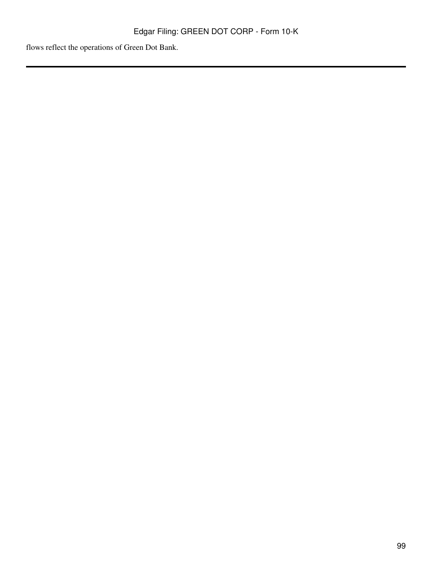flows reflect the operations of Green Dot Bank.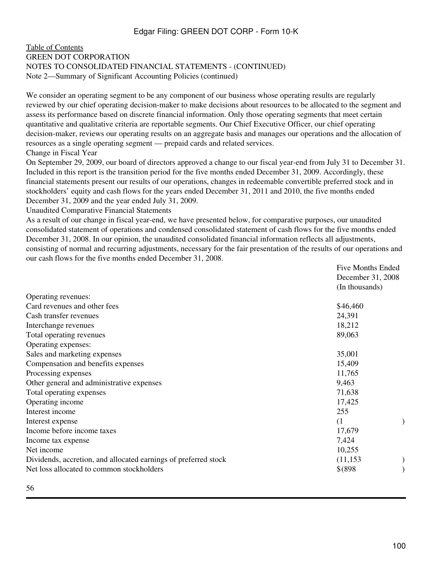### [Table of Contents](#page-2-0) GREEN DOT CORPORATION NOTES TO CONSOLIDATED FINANCIAL STATEMENTS - (CONTINUED) Note 2—Summary of Significant Accounting Policies (continued)

We consider an operating segment to be any component of our business whose operating results are regularly reviewed by our chief operating decision-maker to make decisions about resources to be allocated to the segment and assess its performance based on discrete financial information. Only those operating segments that meet certain quantitative and qualitative criteria are reportable segments. Our Chief Executive Officer, our chief operating decision-maker, reviews our operating results on an aggregate basis and manages our operations and the allocation of resources as a single operating segment — prepaid cards and related services.

### Change in Fiscal Year

On September 29, 2009, our board of directors approved a change to our fiscal year-end from July 31 to December 31. Included in this report is the transition period for the five months ended December 31, 2009. Accordingly, these financial statements present our results of our operations, changes in redeemable convertible preferred stock and in stockholders' equity and cash flows for the years ended December 31, 2011 and 2010, the five months ended December 31, 2009 and the year ended July 31, 2009.

Unaudited Comparative Financial Statements

As a result of our change in fiscal year-end, we have presented below, for comparative purposes, our unaudited consolidated statement of operations and condensed consolidated statement of cash flows for the five months ended December 31, 2008. In our opinion, the unaudited consolidated financial information reflects all adjustments, consisting of normal and recurring adjustments, necessary for the fair presentation of the results of our operations and our cash flows for the five months ended December 31, 2008.

|                                                                 | <b>Five Months Ended</b> |  |
|-----------------------------------------------------------------|--------------------------|--|
|                                                                 | December 31, 2008        |  |
|                                                                 | (In thousands)           |  |
| Operating revenues:                                             |                          |  |
| Card revenues and other fees                                    | \$46,460                 |  |
| Cash transfer revenues                                          | 24,391                   |  |
| Interchange revenues                                            | 18,212                   |  |
| Total operating revenues                                        | 89,063                   |  |
| Operating expenses:                                             |                          |  |
| Sales and marketing expenses                                    | 35,001                   |  |
| Compensation and benefits expenses                              | 15,409                   |  |
| Processing expenses                                             | 11,765                   |  |
| Other general and administrative expenses                       | 9,463                    |  |
| Total operating expenses                                        | 71,638                   |  |
| Operating income                                                | 17,425                   |  |
| Interest income                                                 | 255                      |  |
| Interest expense                                                | (1)                      |  |
| Income before income taxes                                      | 17,679                   |  |
| Income tax expense                                              | 7,424                    |  |
| Net income                                                      | 10,255                   |  |
| Dividends, accretion, and allocated earnings of preferred stock | (11, 153)                |  |
| Net loss allocated to common stockholders                       | $$^{(898)}$              |  |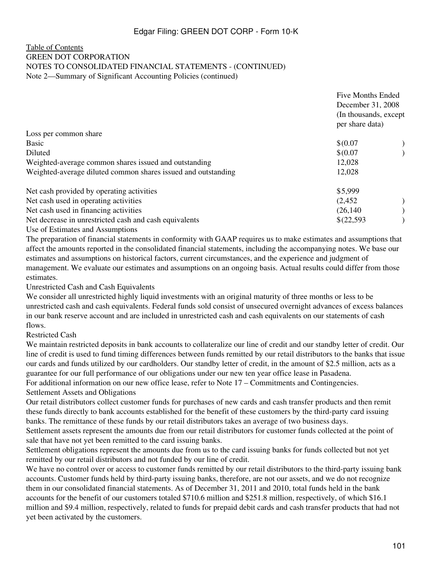### [Table of Contents](#page-2-0) GREEN DOT CORPORATION NOTES TO CONSOLIDATED FINANCIAL STATEMENTS - (CONTINUED) Note 2—Summary of Significant Accounting Policies (continued)

|                                                               | <b>Five Months Ended</b><br>December 31, 2008<br>(In thousands, except)<br>per share data) |  |
|---------------------------------------------------------------|--------------------------------------------------------------------------------------------|--|
| Loss per common share                                         |                                                                                            |  |
| <b>Basic</b>                                                  | \$0.07                                                                                     |  |
| Diluted                                                       | \$0.07                                                                                     |  |
| Weighted-average common shares issued and outstanding         | 12,028                                                                                     |  |
| Weighted-average diluted common shares issued and outstanding | 12,028                                                                                     |  |
| Net cash provided by operating activities                     | \$5,999                                                                                    |  |
| Net cash used in operating activities                         | (2,452)                                                                                    |  |
| Net cash used in financing activities                         | (26, 140)                                                                                  |  |
| Net decrease in unrestricted cash and cash equivalents        | \$(22,593)                                                                                 |  |
|                                                               |                                                                                            |  |

Use of Estimates and Assumptions The preparation of financial statements in conformity with GAAP requires us to make estimates and assumptions that affect the amounts reported in the consolidated financial statements, including the accompanying notes. We base our estimates and assumptions on historical factors, current circumstances, and the experience and judgment of

management. We evaluate our estimates and assumptions on an ongoing basis. Actual results could differ from those estimates.

Unrestricted Cash and Cash Equivalents

We consider all unrestricted highly liquid investments with an original maturity of three months or less to be unrestricted cash and cash equivalents. Federal funds sold consist of unsecured overnight advances of excess balances in our bank reserve account and are included in unrestricted cash and cash equivalents on our statements of cash flows.

### Restricted Cash

We maintain restricted deposits in bank accounts to collateralize our line of credit and our standby letter of credit. Our line of credit is used to fund timing differences between funds remitted by our retail distributors to the banks that issue our cards and funds utilized by our cardholders. Our standby letter of credit, in the amount of \$2.5 million, acts as a guarantee for our full performance of our obligations under our new ten year office lease in Pasadena.

For additional information on our new office lease, refer to Note 17 – Commitments and Contingencies. Settlement Assets and Obligations

Our retail distributors collect customer funds for purchases of new cards and cash transfer products and then remit these funds directly to bank accounts established for the benefit of these customers by the third-party card issuing banks. The remittance of these funds by our retail distributors takes an average of two business days.

Settlement assets represent the amounts due from our retail distributors for customer funds collected at the point of sale that have not yet been remitted to the card issuing banks.

Settlement obligations represent the amounts due from us to the card issuing banks for funds collected but not yet remitted by our retail distributors and not funded by our line of credit.

We have no control over or access to customer funds remitted by our retail distributors to the third-party issuing bank accounts. Customer funds held by third-party issuing banks, therefore, are not our assets, and we do not recognize them in our consolidated financial statements. As of December 31, 2011 and 2010, total funds held in the bank accounts for the benefit of our customers totaled \$710.6 million and \$251.8 million, respectively, of which \$16.1 million and \$9.4 million, respectively, related to funds for prepaid debit cards and cash transfer products that had not yet been activated by the customers.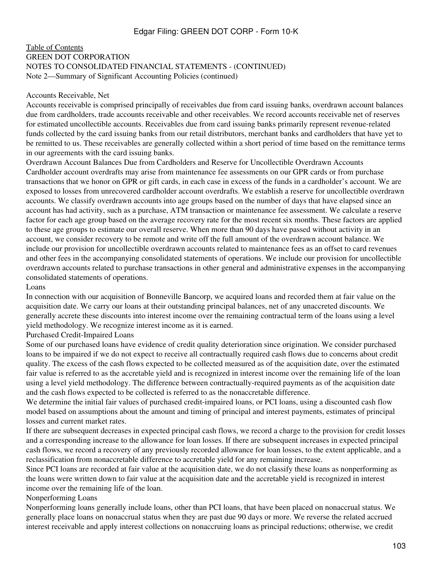### [Table of Contents](#page-2-0) GREEN DOT CORPORATION NOTES TO CONSOLIDATED FINANCIAL STATEMENTS - (CONTINUED) Note 2—Summary of Significant Accounting Policies (continued)

#### Accounts Receivable, Net

Accounts receivable is comprised principally of receivables due from card issuing banks, overdrawn account balances due from cardholders, trade accounts receivable and other receivables. We record accounts receivable net of reserves for estimated uncollectible accounts. Receivables due from card issuing banks primarily represent revenue-related funds collected by the card issuing banks from our retail distributors, merchant banks and cardholders that have yet to be remitted to us. These receivables are generally collected within a short period of time based on the remittance terms in our agreements with the card issuing banks.

Overdrawn Account Balances Due from Cardholders and Reserve for Uncollectible Overdrawn Accounts Cardholder account overdrafts may arise from maintenance fee assessments on our GPR cards or from purchase transactions that we honor on GPR or gift cards, in each case in excess of the funds in a cardholder's account. We are exposed to losses from unrecovered cardholder account overdrafts. We establish a reserve for uncollectible overdrawn accounts. We classify overdrawn accounts into age groups based on the number of days that have elapsed since an account has had activity, such as a purchase, ATM transaction or maintenance fee assessment. We calculate a reserve factor for each age group based on the average recovery rate for the most recent six months. These factors are applied to these age groups to estimate our overall reserve. When more than 90 days have passed without activity in an account, we consider recovery to be remote and write off the full amount of the overdrawn account balance. We include our provision for uncollectible overdrawn accounts related to maintenance fees as an offset to card revenues and other fees in the accompanying consolidated statements of operations. We include our provision for uncollectible overdrawn accounts related to purchase transactions in other general and administrative expenses in the accompanying consolidated statements of operations.

#### Loans

In connection with our acquisition of Bonneville Bancorp, we acquired loans and recorded them at fair value on the acquisition date. We carry our loans at their outstanding principal balances, net of any unaccreted discounts. We generally accrete these discounts into interest income over the remaining contractual term of the loans using a level yield methodology. We recognize interest income as it is earned.

### Purchased Credit-Impaired Loans

Some of our purchased loans have evidence of credit quality deterioration since origination. We consider purchased loans to be impaired if we do not expect to receive all contractually required cash flows due to concerns about credit quality. The excess of the cash flows expected to be collected measured as of the acquisition date, over the estimated fair value is referred to as the accretable yield and is recognized in interest income over the remaining life of the loan using a level yield methodology. The difference between contractually-required payments as of the acquisition date and the cash flows expected to be collected is referred to as the nonaccretable difference.

We determine the initial fair values of purchased credit-impaired loans, or PCI loans, using a discounted cash flow model based on assumptions about the amount and timing of principal and interest payments, estimates of principal losses and current market rates.

If there are subsequent decreases in expected principal cash flows, we record a charge to the provision for credit losses and a corresponding increase to the allowance for loan losses. If there are subsequent increases in expected principal cash flows, we record a recovery of any previously recorded allowance for loan losses, to the extent applicable, and a reclassification from nonaccretable difference to accretable yield for any remaining increase.

Since PCI loans are recorded at fair value at the acquisition date, we do not classify these loans as nonperforming as the loans were written down to fair value at the acquisition date and the accretable yield is recognized in interest income over the remaining life of the loan.

### Nonperforming Loans

Nonperforming loans generally include loans, other than PCI loans, that have been placed on nonaccrual status. We generally place loans on nonaccrual status when they are past due 90 days or more. We reverse the related accrued interest receivable and apply interest collections on nonaccruing loans as principal reductions; otherwise, we credit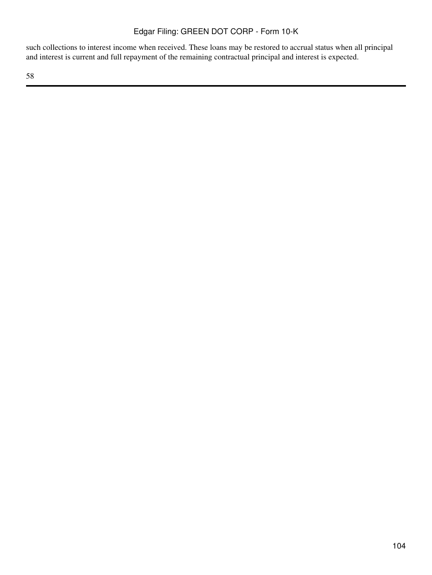such collections to interest income when received. These loans may be restored to accrual status when all principal and interest is current and full repayment of the remaining contractual principal and interest is expected.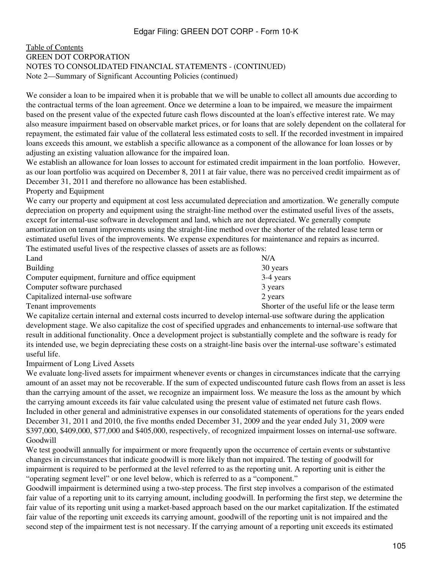### [Table of Contents](#page-2-0) GREEN DOT CORPORATION NOTES TO CONSOLIDATED FINANCIAL STATEMENTS - (CONTINUED) Note 2—Summary of Significant Accounting Policies (continued)

We consider a loan to be impaired when it is probable that we will be unable to collect all amounts due according to the contractual terms of the loan agreement. Once we determine a loan to be impaired, we measure the impairment based on the present value of the expected future cash flows discounted at the loan's effective interest rate. We may also measure impairment based on observable market prices, or for loans that are solely dependent on the collateral for repayment, the estimated fair value of the collateral less estimated costs to sell. If the recorded investment in impaired loans exceeds this amount, we establish a specific allowance as a component of the allowance for loan losses or by adjusting an existing valuation allowance for the impaired loan.

We establish an allowance for loan losses to account for estimated credit impairment in the loan portfolio. However, as our loan portfolio was acquired on December 8, 2011 at fair value, there was no perceived credit impairment as of December 31, 2011 and therefore no allowance has been established.

### Property and Equipment

We carry our property and equipment at cost less accumulated depreciation and amortization. We generally compute depreciation on property and equipment using the straight-line method over the estimated useful lives of the assets, except for internal-use software in development and land, which are not depreciated. We generally compute amortization on tenant improvements using the straight-line method over the shorter of the related lease term or estimated useful lives of the improvements. We expense expenditures for maintenance and repairs as incurred. The estimated useful lives of the respective classes of assets are as follows:

| Land                                               | N/A                                          |
|----------------------------------------------------|----------------------------------------------|
| <b>Building</b>                                    | 30 years                                     |
| Computer equipment, furniture and office equipment | 3-4 years                                    |
| Computer software purchased                        | 3 years                                      |
| Capitalized internal-use software                  | 2 years                                      |
| Tenant improvements                                | Shorter of the useful life or the lease term |

We capitalize certain internal and external costs incurred to develop internal-use software during the application development stage. We also capitalize the cost of specified upgrades and enhancements to internal-use software that result in additional functionality. Once a development project is substantially complete and the software is ready for its intended use, we begin depreciating these costs on a straight-line basis over the internal-use software's estimated useful life.

Impairment of Long Lived Assets

We evaluate long-lived assets for impairment whenever events or changes in circumstances indicate that the carrying amount of an asset may not be recoverable. If the sum of expected undiscounted future cash flows from an asset is less than the carrying amount of the asset, we recognize an impairment loss. We measure the loss as the amount by which the carrying amount exceeds its fair value calculated using the present value of estimated net future cash flows. Included in other general and administrative expenses in our consolidated statements of operations for the years ended December 31, 2011 and 2010, the five months ended December 31, 2009 and the year ended July 31, 2009 were \$397,000, \$409,000, \$77,000 and \$405,000, respectively, of recognized impairment losses on internal-use software. Goodwill

We test goodwill annually for impairment or more frequently upon the occurrence of certain events or substantive changes in circumstances that indicate goodwill is more likely than not impaired. The testing of goodwill for impairment is required to be performed at the level referred to as the reporting unit. A reporting unit is either the "operating segment level" or one level below, which is referred to as a "component."

Goodwill impairment is determined using a two-step process. The first step involves a comparison of the estimated fair value of a reporting unit to its carrying amount, including goodwill. In performing the first step, we determine the fair value of its reporting unit using a market-based approach based on the our market capitalization. If the estimated fair value of the reporting unit exceeds its carrying amount, goodwill of the reporting unit is not impaired and the second step of the impairment test is not necessary. If the carrying amount of a reporting unit exceeds its estimated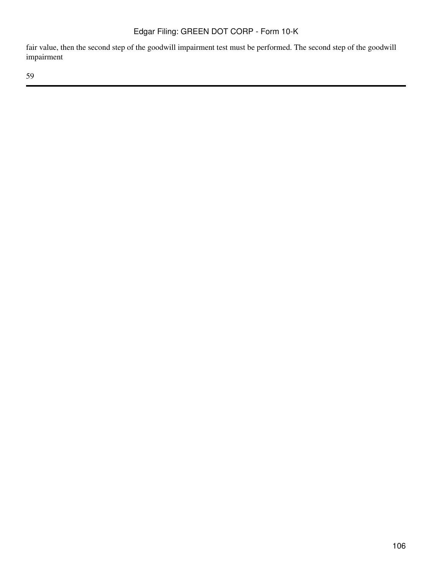fair value, then the second step of the goodwill impairment test must be performed. The second step of the goodwill impairment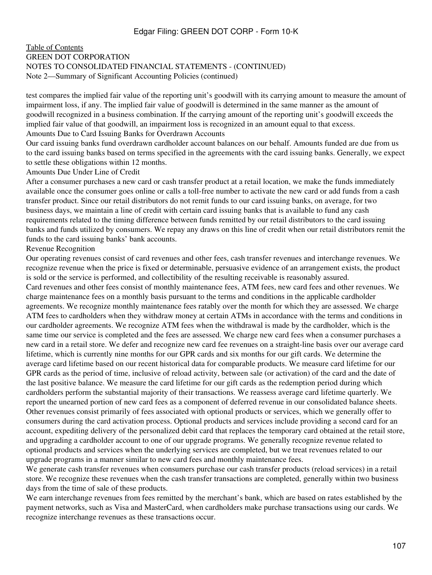### [Table of Contents](#page-2-0) GREEN DOT CORPORATION NOTES TO CONSOLIDATED FINANCIAL STATEMENTS - (CONTINUED) Note 2—Summary of Significant Accounting Policies (continued)

test compares the implied fair value of the reporting unit's goodwill with its carrying amount to measure the amount of impairment loss, if any. The implied fair value of goodwill is determined in the same manner as the amount of goodwill recognized in a business combination. If the carrying amount of the reporting unit's goodwill exceeds the implied fair value of that goodwill, an impairment loss is recognized in an amount equal to that excess. Amounts Due to Card Issuing Banks for Overdrawn Accounts

Our card issuing banks fund overdrawn cardholder account balances on our behalf. Amounts funded are due from us to the card issuing banks based on terms specified in the agreements with the card issuing banks. Generally, we expect to settle these obligations within 12 months.

Amounts Due Under Line of Credit

After a consumer purchases a new card or cash transfer product at a retail location, we make the funds immediately available once the consumer goes online or calls a toll-free number to activate the new card or add funds from a cash transfer product. Since our retail distributors do not remit funds to our card issuing banks, on average, for two business days, we maintain a line of credit with certain card issuing banks that is available to fund any cash requirements related to the timing difference between funds remitted by our retail distributors to the card issuing banks and funds utilized by consumers. We repay any draws on this line of credit when our retail distributors remit the funds to the card issuing banks' bank accounts.

### Revenue Recognition

Our operating revenues consist of card revenues and other fees, cash transfer revenues and interchange revenues. We recognize revenue when the price is fixed or determinable, persuasive evidence of an arrangement exists, the product is sold or the service is performed, and collectibility of the resulting receivable is reasonably assured. Card revenues and other fees consist of monthly maintenance fees, ATM fees, new card fees and other revenues. We charge maintenance fees on a monthly basis pursuant to the terms and conditions in the applicable cardholder agreements. We recognize monthly maintenance fees ratably over the month for which they are assessed. We charge ATM fees to cardholders when they withdraw money at certain ATMs in accordance with the terms and conditions in our cardholder agreements. We recognize ATM fees when the withdrawal is made by the cardholder, which is the same time our service is completed and the fees are assessed. We charge new card fees when a consumer purchases a new card in a retail store. We defer and recognize new card fee revenues on a straight-line basis over our average card lifetime, which is currently nine months for our GPR cards and six months for our gift cards. We determine the average card lifetime based on our recent historical data for comparable products. We measure card lifetime for our GPR cards as the period of time, inclusive of reload activity, between sale (or activation) of the card and the date of the last positive balance. We measure the card lifetime for our gift cards as the redemption period during which cardholders perform the substantial majority of their transactions. We reassess average card lifetime quarterly. We report the unearned portion of new card fees as a component of deferred revenue in our consolidated balance sheets. Other revenues consist primarily of fees associated with optional products or services, which we generally offer to consumers during the card activation process. Optional products and services include providing a second card for an account, expediting delivery of the personalized debit card that replaces the temporary card obtained at the retail store, and upgrading a cardholder account to one of our upgrade programs. We generally recognize revenue related to optional products and services when the underlying services are completed, but we treat revenues related to our upgrade programs in a manner similar to new card fees and monthly maintenance fees.

We generate cash transfer revenues when consumers purchase our cash transfer products (reload services) in a retail store. We recognize these revenues when the cash transfer transactions are completed, generally within two business days from the time of sale of these products.

We earn interchange revenues from fees remitted by the merchant's bank, which are based on rates established by the payment networks, such as Visa and MasterCard, when cardholders make purchase transactions using our cards. We recognize interchange revenues as these transactions occur.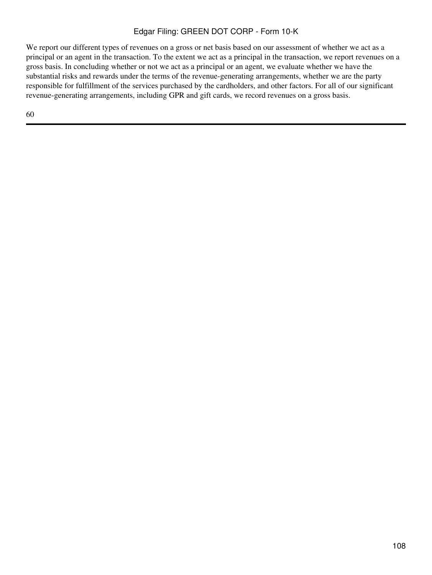We report our different types of revenues on a gross or net basis based on our assessment of whether we act as a principal or an agent in the transaction. To the extent we act as a principal in the transaction, we report revenues on a gross basis. In concluding whether or not we act as a principal or an agent, we evaluate whether we have the substantial risks and rewards under the terms of the revenue-generating arrangements, whether we are the party responsible for fulfillment of the services purchased by the cardholders, and other factors. For all of our significant revenue-generating arrangements, including GPR and gift cards, we record revenues on a gross basis.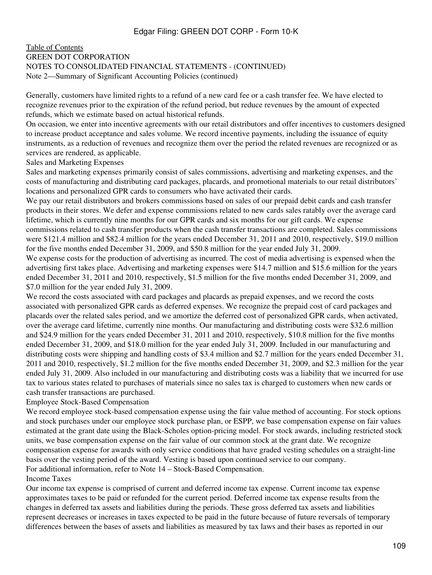### [Table of Contents](#page-2-0) GREEN DOT CORPORATION NOTES TO CONSOLIDATED FINANCIAL STATEMENTS - (CONTINUED) Note 2—Summary of Significant Accounting Policies (continued)

Generally, customers have limited rights to a refund of a new card fee or a cash transfer fee. We have elected to recognize revenues prior to the expiration of the refund period, but reduce revenues by the amount of expected refunds, which we estimate based on actual historical refunds.

On occasion, we enter into incentive agreements with our retail distributors and offer incentives to customers designed to increase product acceptance and sales volume. We record incentive payments, including the issuance of equity instruments, as a reduction of revenues and recognize them over the period the related revenues are recognized or as services are rendered, as applicable.

Sales and Marketing Expenses

Sales and marketing expenses primarily consist of sales commissions, advertising and marketing expenses, and the costs of manufacturing and distributing card packages, placards, and promotional materials to our retail distributors' locations and personalized GPR cards to consumers who have activated their cards.

We pay our retail distributors and brokers commissions based on sales of our prepaid debit cards and cash transfer products in their stores. We defer and expense commissions related to new cards sales ratably over the average card lifetime, which is currently nine months for our GPR cards and six months for our gift cards. We expense commissions related to cash transfer products when the cash transfer transactions are completed. Sales commissions were \$121.4 million and \$82.4 million for the years ended December 31, 2011 and 2010, respectively, \$19.0 million for the five months ended December 31, 2009, and \$50.8 million for the year ended July 31, 2009.

We expense costs for the production of advertising as incurred. The cost of media advertising is expensed when the advertising first takes place. Advertising and marketing expenses were \$14.7 million and \$15.6 million for the years ended December 31, 2011 and 2010, respectively, \$1.5 million for the five months ended December 31, 2009, and \$7.0 million for the year ended July 31, 2009.

We record the costs associated with card packages and placards as prepaid expenses, and we record the costs associated with personalized GPR cards as deferred expenses. We recognize the prepaid cost of card packages and placards over the related sales period, and we amortize the deferred cost of personalized GPR cards, when activated, over the average card lifetime, currently nine months. Our manufacturing and distributing costs were \$32.6 million and \$24.9 million for the years ended December 31, 2011 and 2010, respectively, \$10.8 million for the five months ended December 31, 2009, and \$18.0 million for the year ended July 31, 2009. Included in our manufacturing and distributing costs were shipping and handling costs of \$3.4 million and \$2.7 million for the years ended December 31, 2011 and 2010, respectively, \$1.2 million for the five months ended December 31, 2009, and \$2.3 million for the year ended July 31, 2009. Also included in our manufacturing and distributing costs was a liability that we incurred for use tax to various states related to purchases of materials since no sales tax is charged to customers when new cards or cash transfer transactions are purchased.

#### Employee Stock-Based Compensation

We record employee stock-based compensation expense using the fair value method of accounting. For stock options and stock purchases under our employee stock purchase plan, or ESPP, we base compensation expense on fair values estimated at the grant date using the Black-Scholes option-pricing model. For stock awards, including restricted stock units, we base compensation expense on the fair value of our common stock at the grant date. We recognize compensation expense for awards with only service conditions that have graded vesting schedules on a straight-line basis over the vesting period of the award. Vesting is based upon continued service to our company. For additional information, refer to Note 14 – Stock-Based Compensation.

#### Income Taxes

Our income tax expense is comprised of current and deferred income tax expense. Current income tax expense approximates taxes to be paid or refunded for the current period. Deferred income tax expense results from the changes in deferred tax assets and liabilities during the periods. These gross deferred tax assets and liabilities represent decreases or increases in taxes expected to be paid in the future because of future reversals of temporary differences between the bases of assets and liabilities as measured by tax laws and their bases as reported in our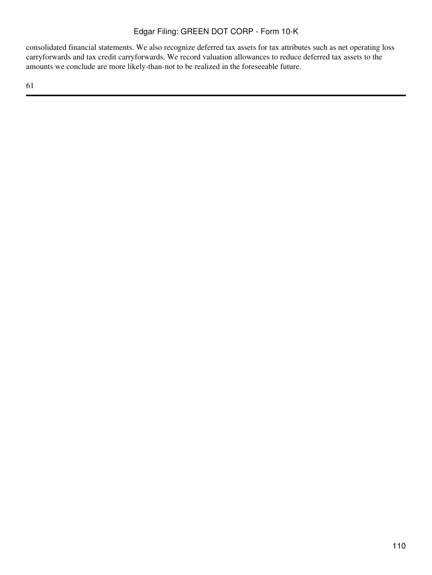consolidated financial statements. We also recognize deferred tax assets for tax attributes such as net operating loss carryforwards and tax credit carryforwards. We record valuation allowances to reduce deferred tax assets to the amounts we conclude are more likely-than-not to be realized in the foreseeable future.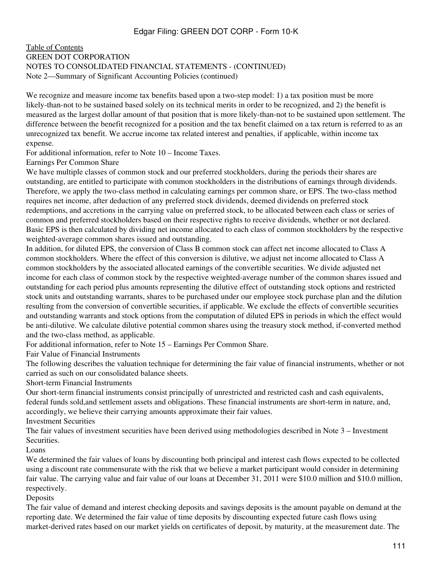### [Table of Contents](#page-2-0) GREEN DOT CORPORATION NOTES TO CONSOLIDATED FINANCIAL STATEMENTS - (CONTINUED) Note 2—Summary of Significant Accounting Policies (continued)

We recognize and measure income tax benefits based upon a two-step model: 1) a tax position must be more likely-than-not to be sustained based solely on its technical merits in order to be recognized, and 2) the benefit is measured as the largest dollar amount of that position that is more likely-than-not to be sustained upon settlement. The difference between the benefit recognized for a position and the tax benefit claimed on a tax return is referred to as an unrecognized tax benefit. We accrue income tax related interest and penalties, if applicable, within income tax expense.

For additional information, refer to Note 10 – Income Taxes.

Earnings Per Common Share

We have multiple classes of common stock and our preferred stockholders, during the periods their shares are outstanding, are entitled to participate with common stockholders in the distributions of earnings through dividends. Therefore, we apply the two-class method in calculating earnings per common share, or EPS. The two-class method requires net income, after deduction of any preferred stock dividends, deemed dividends on preferred stock redemptions, and accretions in the carrying value on preferred stock, to be allocated between each class or series of common and preferred stockholders based on their respective rights to receive dividends, whether or not declared. Basic EPS is then calculated by dividing net income allocated to each class of common stockholders by the respective weighted-average common shares issued and outstanding.

In addition, for diluted EPS, the conversion of Class B common stock can affect net income allocated to Class A common stockholders. Where the effect of this conversion is dilutive, we adjust net income allocated to Class A common stockholders by the associated allocated earnings of the convertible securities. We divide adjusted net income for each class of common stock by the respective weighted-average number of the common shares issued and outstanding for each period plus amounts representing the dilutive effect of outstanding stock options and restricted stock units and outstanding warrants, shares to be purchased under our employee stock purchase plan and the dilution resulting from the conversion of convertible securities, if applicable. We exclude the effects of convertible securities and outstanding warrants and stock options from the computation of diluted EPS in periods in which the effect would be anti-dilutive. We calculate dilutive potential common shares using the treasury stock method, if-converted method and the two-class method, as applicable.

For additional information, refer to Note 15 – Earnings Per Common Share.

Fair Value of Financial Instruments

The following describes the valuation technique for determining the fair value of financial instruments, whether or not carried as such on our consolidated balance sheets.

Short-term Financial Instruments

Our short-term financial instruments consist principally of unrestricted and restricted cash and cash equivalents, federal funds sold,and settlement assets and obligations. These financial instruments are short-term in nature, and, accordingly, we believe their carrying amounts approximate their fair values.

Investment Securities

The fair values of investment securities have been derived using methodologies described in Note 3 – Investment Securities.

Loans

We determined the fair values of loans by discounting both principal and interest cash flows expected to be collected using a discount rate commensurate with the risk that we believe a market participant would consider in determining fair value. The carrying value and fair value of our loans at December 31, 2011 were \$10.0 million and \$10.0 million, respectively.

Deposits

The fair value of demand and interest checking deposits and savings deposits is the amount payable on demand at the reporting date. We determined the fair value of time deposits by discounting expected future cash flows using market-derived rates based on our market yields on certificates of deposit, by maturity, at the measurement date. The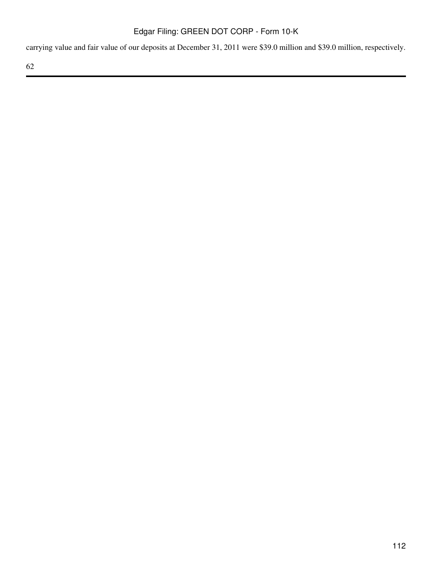carrying value and fair value of our deposits at December 31, 2011 were \$39.0 million and \$39.0 million, respectively.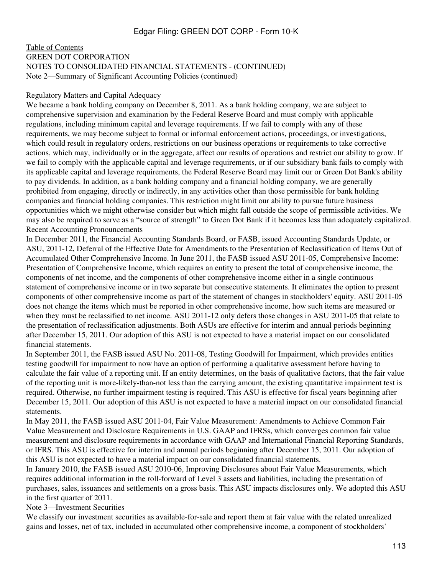#### [Table of Contents](#page-2-0) GREEN DOT CORPORATION NOTES TO CONSOLIDATED FINANCIAL STATEMENTS - (CONTINUED) Note 2—Summary of Significant Accounting Policies (continued)

#### Regulatory Matters and Capital Adequacy

We became a bank holding company on December 8, 2011. As a bank holding company, we are subject to comprehensive supervision and examination by the Federal Reserve Board and must comply with applicable regulations, including minimum capital and leverage requirements. If we fail to comply with any of these requirements, we may become subject to formal or informal enforcement actions, proceedings, or investigations, which could result in regulatory orders, restrictions on our business operations or requirements to take corrective actions, which may, individually or in the aggregate, affect our results of operations and restrict our ability to grow. If we fail to comply with the applicable capital and leverage requirements, or if our subsidiary bank fails to comply with its applicable capital and leverage requirements, the Federal Reserve Board may limit our or Green Dot Bank's ability to pay dividends. In addition, as a bank holding company and a financial holding company, we are generally prohibited from engaging, directly or indirectly, in any activities other than those permissible for bank holding companies and financial holding companies. This restriction might limit our ability to pursue future business opportunities which we might otherwise consider but which might fall outside the scope of permissible activities. We may also be required to serve as a "source of strength" to Green Dot Bank if it becomes less than adequately capitalized. Recent Accounting Pronouncements

In December 2011, the Financial Accounting Standards Board, or FASB, issued Accounting Standards Update, or ASU, 2011-12, Deferral of the Effective Date for Amendments to the Presentation of Reclassification of Items Out of Accumulated Other Comprehensive Income. In June 2011, the FASB issued ASU 2011-05, Comprehensive Income: Presentation of Comprehensive Income, which requires an entity to present the total of comprehensive income, the components of net income, and the components of other comprehensive income either in a single continuous statement of comprehensive income or in two separate but consecutive statements. It eliminates the option to present components of other comprehensive income as part of the statement of changes in stockholders' equity. ASU 2011-05 does not change the items which must be reported in other comprehensive income, how such items are measured or when they must be reclassified to net income. ASU 2011-12 only defers those changes in ASU 2011-05 that relate to the presentation of reclassification adjustments. Both ASUs are effective for interim and annual periods beginning after December 15, 2011. Our adoption of this ASU is not expected to have a material impact on our consolidated financial statements.

In September 2011, the FASB issued ASU No. 2011-08, Testing Goodwill for Impairment, which provides entities testing goodwill for impairment to now have an option of performing a qualitative assessment before having to calculate the fair value of a reporting unit. If an entity determines, on the basis of qualitative factors, that the fair value of the reporting unit is more-likely-than-not less than the carrying amount, the existing quantitative impairment test is required. Otherwise, no further impairment testing is required. This ASU is effective for fiscal years beginning after December 15, 2011. Our adoption of this ASU is not expected to have a material impact on our consolidated financial statements.

In May 2011, the FASB issued ASU 2011-04, Fair Value Measurement: Amendments to Achieve Common Fair Value Measurement and Disclosure Requirements in U.S. GAAP and IFRSs, which converges common fair value measurement and disclosure requirements in accordance with GAAP and International Financial Reporting Standards, or IFRS. This ASU is effective for interim and annual periods beginning after December 15, 2011. Our adoption of this ASU is not expected to have a material impact on our consolidated financial statements.

In January 2010, the FASB issued ASU 2010-06, Improving Disclosures about Fair Value Measurements, which requires additional information in the roll-forward of Level 3 assets and liabilities, including the presentation of purchases, sales, issuances and settlements on a gross basis. This ASU impacts disclosures only. We adopted this ASU in the first quarter of 2011.

Note 3—Investment Securities

We classify our investment securities as available-for-sale and report them at fair value with the related unrealized gains and losses, net of tax, included in accumulated other comprehensive income, a component of stockholders'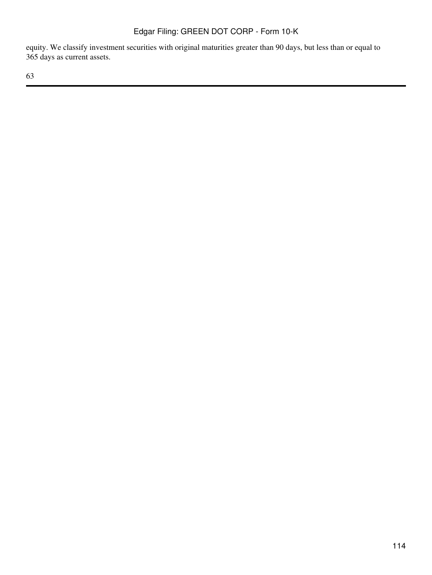equity. We classify investment securities with original maturities greater than 90 days, but less than or equal to 365 days as current assets.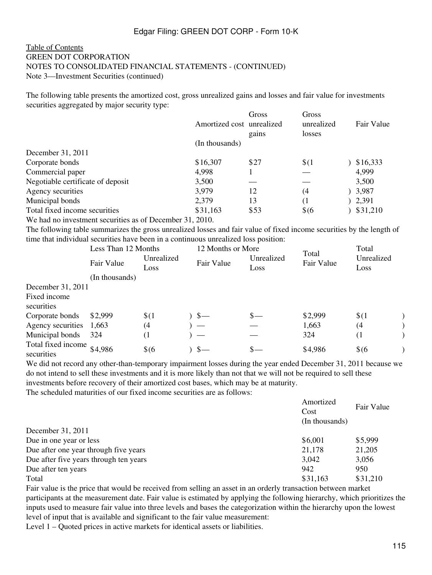### [Table of Contents](#page-2-0) GREEN DOT CORPORATION NOTES TO CONSOLIDATED FINANCIAL STATEMENTS - (CONTINUED) Note 3—Investment Securities (continued)

The following table presents the amortized cost, gross unrealized gains and losses and fair value for investments securities aggregated by major security type:

|                                   | Amortized cost unrealized | Gross<br>gains | Gross<br>unrealized<br>losses | Fair Value |
|-----------------------------------|---------------------------|----------------|-------------------------------|------------|
|                                   | (In thousands)            |                |                               |            |
| December 31, 2011                 |                           |                |                               |            |
| Corporate bonds                   | \$16,307                  | \$27           | \$(1)                         | \$16,333   |
| Commercial paper                  | 4,998                     |                |                               | 4,999      |
| Negotiable certificate of deposit | 3,500                     |                |                               | 3,500      |
| Agency securities                 | 3,979                     | 12             | (4                            | 3,987      |
| Municipal bonds                   | 2,379                     | 13             | (1                            | 2,391      |
| Total fixed income securities     | \$31,163                  | \$53           | $\frac{6}{6}$                 | \$31,210   |
| $\sim$ $\sim$                     | 21.2010                   |                |                               |            |

We had no investment securities as of December 31, 2010.

The following table summarizes the gross unrealized losses and fair value of fixed income securities by the length of time that individual securities have been in a continuous unrealized loss position:<br> $I_{\text{max}} = 12 \text{ M}_{\text{sub}} + 2.3 \text{ M}_{\text{sub}}$  $TT = 4.1$ 

|                                  | Less Than 12 Months |                    | 12 Months or More        |                    |                     | Total              |  |
|----------------------------------|---------------------|--------------------|--------------------------|--------------------|---------------------|--------------------|--|
|                                  | Fair Value          | Unrealized<br>Loss | Fair Value               | Unrealized<br>Loss | Total<br>Fair Value | Unrealized<br>Loss |  |
|                                  | (In thousands)      |                    |                          |                    |                     |                    |  |
| December 31, 2011                |                     |                    |                          |                    |                     |                    |  |
| Fixed income                     |                     |                    |                          |                    |                     |                    |  |
| securities                       |                     |                    |                          |                    |                     |                    |  |
| Corporate bonds                  | \$2,999             | \$(1)              | $\frac{1}{2}$            | $s-$               | \$2,999             | \$(1)              |  |
| Agency securities                | 1,663               | (4)                |                          |                    | 1,663               | (4)                |  |
| Municipal bonds                  | 324                 | (1                 | $\overline{\phantom{m}}$ |                    | 324                 | (1)                |  |
| Total fixed income<br>securities | \$4,986             | $$$ (6             | $\sim$                   | $_{\rm s-}$        | \$4,986             | $$$ (6             |  |

We did not record any other-than-temporary impairment losses during the year ended December 31, 2011 because we do not intend to sell these investments and it is more likely than not that we will not be required to sell these investments before recovery of their amortized cost bases, which may be at maturity.

The scheduled maturities of our fixed income securities are as follows:

| Amortized<br>Fair Value<br>Cost |          |
|---------------------------------|----------|
| (In thousands)                  |          |
|                                 |          |
| \$6,001                         | \$5,999  |
| 21,178                          | 21,205   |
| 3,042                           | 3,056    |
| 942                             | 950      |
| \$31,163                        | \$31,210 |
|                                 |          |

Fair value is the price that would be received from selling an asset in an orderly transaction between market participants at the measurement date. Fair value is estimated by applying the following hierarchy, which prioritizes the inputs used to measure fair value into three levels and bases the categorization within the hierarchy upon the lowest level of input that is available and significant to the fair value measurement:

Level 1 – Quoted prices in active markets for identical assets or liabilities.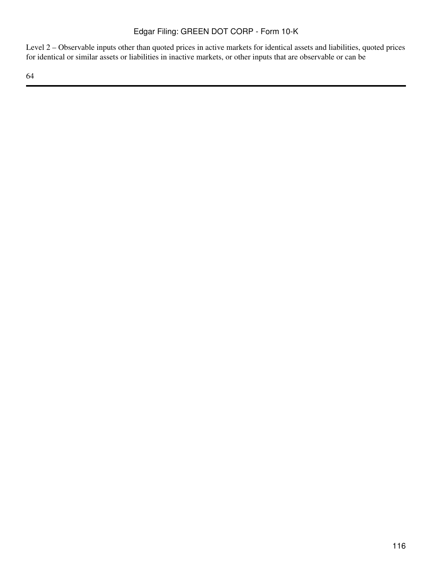Level 2 – Observable inputs other than quoted prices in active markets for identical assets and liabilities, quoted prices for identical or similar assets or liabilities in inactive markets, or other inputs that are observable or can be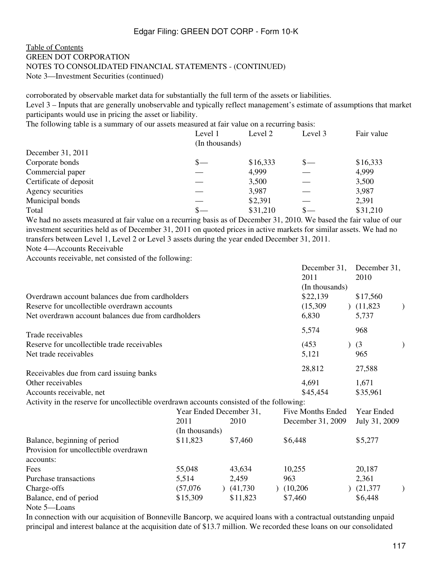### [Table of Contents](#page-2-0) GREEN DOT CORPORATION NOTES TO CONSOLIDATED FINANCIAL STATEMENTS - (CONTINUED) Note 3—Investment Securities (continued)

corroborated by observable market data for substantially the full term of the assets or liabilities. Level 3 – Inputs that are generally unobservable and typically reflect management's estimate of assumptions that market participants would use in pricing the asset or liability.

The following table is a summary of our assets measured at fair value on a recurring basis:

|                        | Level 1<br>(In thousands) | Level 2  | Level 3 | Fair value |
|------------------------|---------------------------|----------|---------|------------|
| December 31, 2011      |                           |          |         |            |
| Corporate bonds        | \$—                       | \$16,333 | $S-$    | \$16,333   |
| Commercial paper       |                           | 4,999    |         | 4,999      |
| Certificate of deposit |                           | 3,500    |         | 3,500      |
| Agency securities      |                           | 3,987    |         | 3,987      |
| Municipal bonds        |                           | \$2,391  |         | 2,391      |
| Total                  |                           | \$31,210 |         | \$31,210   |

We had no assets measured at fair value on a recurring basis as of December 31, 2010. We based the fair value of our investment securities held as of December 31, 2011 on quoted prices in active markets for similar assets. We had no transfers between Level 1, Level 2 or Level 3 assets during the year ended December 31, 2011.

Note 4—Accounts Receivable

Accounts receivable, net consisted of the following:

|                                                                                          |                         |          | December 31,<br>2011<br>(In thousands) | December 31,<br>2010 |  |
|------------------------------------------------------------------------------------------|-------------------------|----------|----------------------------------------|----------------------|--|
| Overdrawn account balances due from cardholders                                          |                         |          | \$22,139                               | \$17,560             |  |
| Reserve for uncollectible overdrawn accounts                                             |                         |          | (15,309)                               | (11,823)             |  |
| Net overdrawn account balances due from cardholders                                      |                         |          | 6,830                                  | 5,737                |  |
| Trade receivables                                                                        |                         |          | 5,574                                  | 968                  |  |
| Reserve for uncollectible trade receivables                                              |                         |          | (453)                                  | (3)                  |  |
| Net trade receivables                                                                    |                         |          | 5,121                                  | 965                  |  |
| Receivables due from card issuing banks                                                  |                         |          | 28,812                                 | 27,588               |  |
| Other receivables                                                                        |                         |          | 4,691                                  | 1,671                |  |
| Accounts receivable, net                                                                 |                         |          | \$45,454                               | \$35,961             |  |
| Activity in the reserve for uncollectible overdrawn accounts consisted of the following: |                         |          |                                        |                      |  |
|                                                                                          | Year Ended December 31, |          | <b>Five Months Ended</b>               | Year Ended           |  |
|                                                                                          | 2011                    | 2010     | December 31, 2009                      | July 31, 2009        |  |
|                                                                                          | (In thousands)          |          |                                        |                      |  |
| Balance, beginning of period<br>Provision for uncollectible overdrawn                    | \$11,823                | \$7,460  | \$6,448                                | \$5,277              |  |
| accounts:                                                                                |                         |          |                                        |                      |  |
| Fees                                                                                     | 55,048                  | 43,634   | 10,255                                 | 20,187               |  |
| Purchase transactions                                                                    | 5,514                   | 2,459    | 963                                    | 2,361                |  |
| Charge-offs                                                                              | (57,076)                | (41,730) | (10,206)                               | (21, 377)            |  |
| Balance, end of period                                                                   | \$15,309                | \$11,823 | \$7,460                                | \$6,448              |  |
| Note 5-Loans                                                                             |                         |          |                                        |                      |  |

In connection with our acquisition of Bonneville Bancorp, we acquired loans with a contractual outstanding unpaid principal and interest balance at the acquisition date of \$13.7 million. We recorded these loans on our consolidated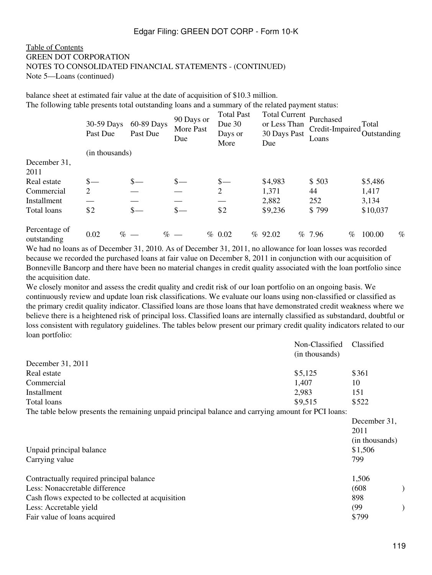#### [Table of Contents](#page-2-0) GREEN DOT CORPORATION NOTES TO CONSOLIDATED FINANCIAL STATEMENTS - (CONTINUED) Note 5—Loans (continued)

balance sheet at estimated fair value at the date of acquisition of \$10.3 million. The following table presents total outstanding loans and a summary of the related payment status:

|                              | 30-59 Days<br>Past Due | 60-89 Days<br>Past Due | 90 Days or<br>More Past<br>Due | <b>Total Past</b><br>Due $30$<br>Days or<br>More | <b>Total Current</b><br>or Less Than<br>30 Days Past<br>Due | Purchased<br>Credit-Impaired<br>Loans | Total<br>Outstanding |
|------------------------------|------------------------|------------------------|--------------------------------|--------------------------------------------------|-------------------------------------------------------------|---------------------------------------|----------------------|
|                              | (in thousands)         |                        |                                |                                                  |                                                             |                                       |                      |
| December 31,                 |                        |                        |                                |                                                  |                                                             |                                       |                      |
| 2011                         |                        |                        |                                |                                                  |                                                             |                                       |                      |
| Real estate                  | $\frac{\S}{\S}$        | $\frac{\ }{s-}$        | $s-$                           | $\frac{\S}{\S}$                                  | \$4,983                                                     | \$503                                 | \$5,486              |
| Commercial                   | 2                      |                        |                                | $\overline{2}$                                   | 1,371                                                       | 44                                    | 1,417                |
| Installment                  |                        |                        |                                |                                                  | 2,882                                                       | 252                                   | 3,134                |
| Total loans                  | \$2                    | $s-$                   | $\frac{\S}{\S}$                | \$2                                              | \$9,236                                                     | \$799                                 | \$10,037             |
| Percentage of<br>outstanding | 0.02                   | $% -$                  | $\%$ —                         | % 0.02                                           | %92.02                                                      | % 7.96<br>%                           | $\%$<br>100.00       |

We had no loans as of December 31, 2010. As of December 31, 2011, no allowance for loan losses was recorded because we recorded the purchased loans at fair value on December 8, 2011 in conjunction with our acquisition of Bonneville Bancorp and there have been no material changes in credit quality associated with the loan portfolio since the acquisition date.

We closely monitor and assess the credit quality and credit risk of our loan portfolio on an ongoing basis. We continuously review and update loan risk classifications. We evaluate our loans using non-classified or classified as the primary credit quality indicator. Classified loans are those loans that have demonstrated credit weakness where we believe there is a heightened risk of principal loss. Classified loans are internally classified as substandard, doubtful or loss consistent with regulatory guidelines. The tables below present our primary credit quality indicators related to our loan portfolio:

|                                                                                                    | Non-Classified<br>(in thousands) | Classified   |
|----------------------------------------------------------------------------------------------------|----------------------------------|--------------|
| December 31, 2011                                                                                  |                                  |              |
| Real estate                                                                                        | \$5,125                          | \$361        |
| Commercial                                                                                         | 1,407                            | 10           |
| Installment                                                                                        | 2,983                            | 151          |
| Total loans                                                                                        | \$9,515                          | \$522        |
| The table below presents the remaining unpaid principal balance and carrying amount for PCI loans: |                                  |              |
|                                                                                                    |                                  | December 31, |

|                                                    | $DU$ ULINULI J $\overline{I}$ |
|----------------------------------------------------|-------------------------------|
|                                                    | 2011                          |
|                                                    | (in thousands)                |
| Unpaid principal balance                           | \$1,506                       |
| Carrying value                                     | 799                           |
| Contractually required principal balance           | 1,506                         |
| Less: Nonaccretable difference                     | (608)                         |
| Cash flows expected to be collected at acquisition | 898                           |
| Less: Accretable yield                             | (99                           |
| Fair value of loans acquired                       | \$799                         |
|                                                    |                               |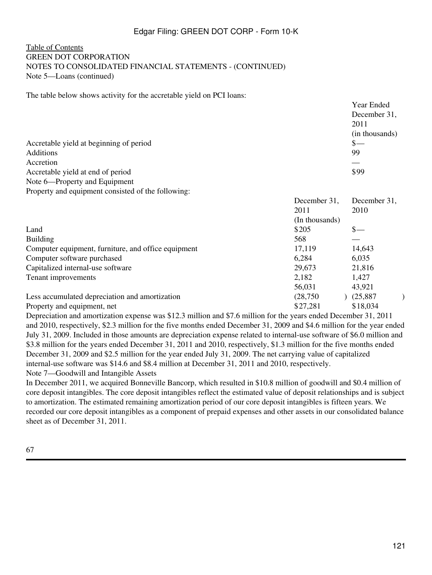### [Table of Contents](#page-2-0) GREEN DOT CORPORATION NOTES TO CONSOLIDATED FINANCIAL STATEMENTS - (CONTINUED) Note 5—Loans (continued)

The table below shows activity for the accretable yield on PCI loans:

|                                                     |                | Year Ended<br>December 31,<br>2011 |
|-----------------------------------------------------|----------------|------------------------------------|
|                                                     |                | (in thousands)                     |
| Accretable yield at beginning of period             |                | $s-$                               |
| <b>Additions</b>                                    |                | 99                                 |
| Accretion                                           |                |                                    |
| Accretable yield at end of period                   |                | \$99                               |
| Note 6—Property and Equipment                       |                |                                    |
| Property and equipment consisted of the following:  |                |                                    |
|                                                     | December 31,   | December 31,                       |
|                                                     | 2011           | 2010                               |
|                                                     | (In thousands) |                                    |
| Land                                                | \$205          | $\mathbf{s}-$                      |
| <b>Building</b>                                     | 568            |                                    |
| Computer equipment, furniture, and office equipment | 17,119         | 14,643                             |
| Computer software purchased                         | 6,284          | 6,035                              |
| Capitalized internal-use software                   | 29,673         | 21,816                             |
| Tenant improvements                                 | 2,182          | 1,427                              |
|                                                     | 56,031         | 43,921                             |
| Less accumulated depreciation and amortization      | (28, 750)      | (25, 887)                          |
| Property and equipment, net                         | \$27,281       | \$18,034                           |

Depreciation and amortization expense was \$12.3 million and \$7.6 million for the years ended December 31, 2011 and 2010, respectively, \$2.3 million for the five months ended December 31, 2009 and \$4.6 million for the year ended July 31, 2009. Included in those amounts are depreciation expense related to internal-use software of \$6.0 million and \$3.8 million for the years ended December 31, 2011 and 2010, respectively, \$1.3 million for the five months ended December 31, 2009 and \$2.5 million for the year ended July 31, 2009. The net carrying value of capitalized internal-use software was \$14.6 and \$8.4 million at December 31, 2011 and 2010, respectively. Note 7—Goodwill and Intangible Assets

In December 2011, we acquired Bonneville Bancorp, which resulted in \$10.8 million of goodwill and \$0.4 million of core deposit intangibles. The core deposit intangibles reflect the estimated value of deposit relationships and is subject to amortization. The estimated remaining amortization period of our core deposit intangibles is fifteen years. We recorded our core deposit intangibles as a component of prepaid expenses and other assets in our consolidated balance sheet as of December 31, 2011.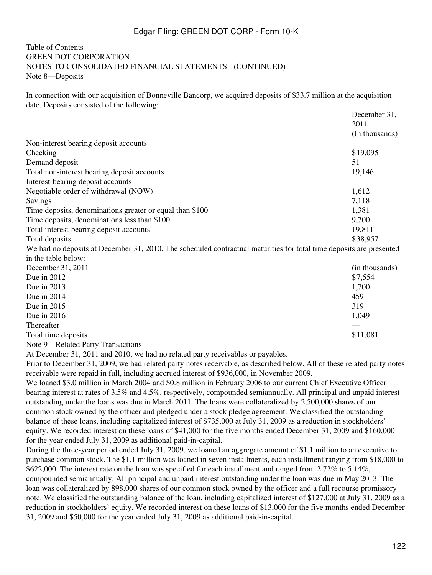### [Table of Contents](#page-2-0) GREEN DOT CORPORATION NOTES TO CONSOLIDATED FINANCIAL STATEMENTS - (CONTINUED) Note 8—Deposits

In connection with our acquisition of Bonneville Bancorp, we acquired deposits of \$33.7 million at the acquisition date. Deposits consisted of the following:

|                                                          | December 31,   |
|----------------------------------------------------------|----------------|
|                                                          | 2011           |
|                                                          | (In thousands) |
| Non-interest bearing deposit accounts                    |                |
| Checking                                                 | \$19,095       |
| Demand deposit                                           | 51             |
| Total non-interest bearing deposit accounts              | 19,146         |
| Interest-bearing deposit accounts                        |                |
| Negotiable order of withdrawal (NOW)                     | 1,612          |
| Savings                                                  | 7,118          |
| Time deposits, denominations greater or equal than \$100 | 1,381          |
| Time deposits, denominations less than \$100             | 9,700          |
| Total interest-bearing deposit accounts                  | 19,811         |
| Total deposits                                           | \$38,957       |
|                                                          |                |

We had no deposits at December 31, 2010. The scheduled contractual maturities for total time deposits are presented in the table below:

| December 31, 2011                                                                                        | (in thousands) |
|----------------------------------------------------------------------------------------------------------|----------------|
| Due in $2012$                                                                                            | \$7,554        |
| Due in $2013$                                                                                            | 1,700          |
| Due in $2014$                                                                                            | 459            |
| Due in $2015$                                                                                            | 319            |
| Due in $2016$                                                                                            | 1,049          |
| Thereafter                                                                                               |                |
| Total time deposits                                                                                      | \$11,081       |
| $\mathbf{M}$ $\alpha$ $\mathbf{D}$ $\mathbf{1}$ $\alpha$ $\mathbf{I}$ $\mathbf{D}$ $\alpha$ $\mathbf{I}$ |                |

Note 9—Related Party Transactions

At December 31, 2011 and 2010, we had no related party receivables or payables.

Prior to December 31, 2009, we had related party notes receivable, as described below. All of these related party notes receivable were repaid in full, including accrued interest of \$936,000, in November 2009.

We loaned \$3.0 million in March 2004 and \$0.8 million in February 2006 to our current Chief Executive Officer bearing interest at rates of 3.5% and 4.5%, respectively, compounded semiannually. All principal and unpaid interest outstanding under the loans was due in March 2011. The loans were collateralized by 2,500,000 shares of our common stock owned by the officer and pledged under a stock pledge agreement. We classified the outstanding balance of these loans, including capitalized interest of \$735,000 at July 31, 2009 as a reduction in stockholders' equity. We recorded interest on these loans of \$41,000 for the five months ended December 31, 2009 and \$160,000 for the year ended July 31, 2009 as additional paid-in-capital.

During the three-year period ended July 31, 2009, we loaned an aggregate amount of \$1.1 million to an executive to purchase common stock. The \$1.1 million was loaned in seven installments, each installment ranging from \$18,000 to \$622,000. The interest rate on the loan was specified for each installment and ranged from 2.72% to 5.14%, compounded semiannually. All principal and unpaid interest outstanding under the loan was due in May 2013. The loan was collateralized by 898,000 shares of our common stock owned by the officer and a full recourse promissory note. We classified the outstanding balance of the loan, including capitalized interest of \$127,000 at July 31, 2009 as a reduction in stockholders' equity. We recorded interest on these loans of \$13,000 for the five months ended December 31, 2009 and \$50,000 for the year ended July 31, 2009 as additional paid-in-capital.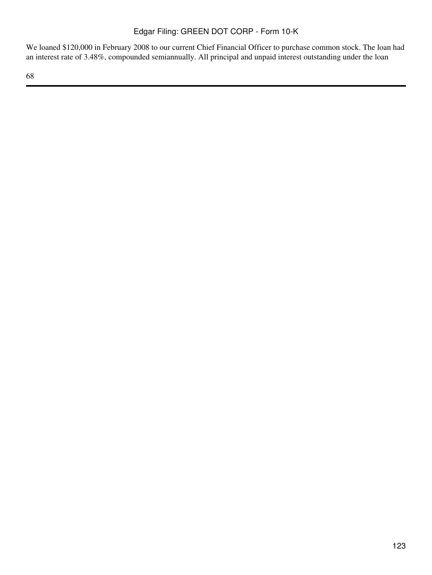We loaned \$120,000 in February 2008 to our current Chief Financial Officer to purchase common stock. The loan had an interest rate of 3.48%, compounded semiannually. All principal and unpaid interest outstanding under the loan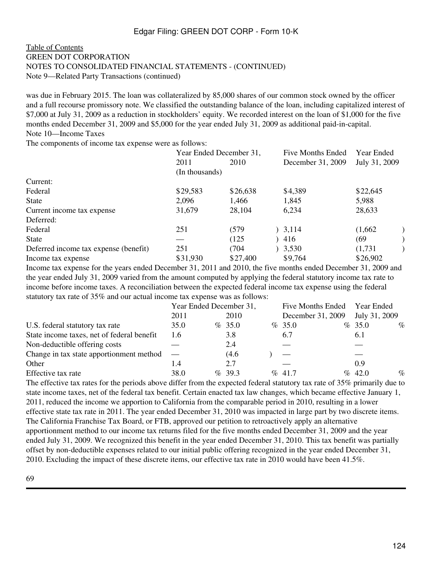### [Table of Contents](#page-2-0) GREEN DOT CORPORATION NOTES TO CONSOLIDATED FINANCIAL STATEMENTS - (CONTINUED) Note 9—Related Party Transactions (continued)

was due in February 2015. The loan was collateralized by 85,000 shares of our common stock owned by the officer and a full recourse promissory note. We classified the outstanding balance of the loan, including capitalized interest of \$7,000 at July 31, 2009 as a reduction in stockholders' equity. We recorded interest on the loan of \$1,000 for the five months ended December 31, 2009 and \$5,000 for the year ended July 31, 2009 as additional paid-in-capital. Note 10—Income Taxes

The components of income tax expense were as follows:

|                                       | Year Ended December 31, |          | <b>Five Months Ended</b> | Year Ended    |
|---------------------------------------|-------------------------|----------|--------------------------|---------------|
|                                       | 2011<br>2010            |          | December 31, 2009        | July 31, 2009 |
|                                       | (In thousands)          |          |                          |               |
| Current:                              |                         |          |                          |               |
| Federal                               | \$29,583                | \$26,638 | \$4,389                  | \$22,645      |
| <b>State</b>                          | 2,096                   | 1,466    | 1,845                    | 5,988         |
| Current income tax expense            | 31,679                  | 28,104   | 6,234                    | 28,633        |
| Deferred:                             |                         |          |                          |               |
| Federal                               | 251                     | (579     | 3,114                    | (1,662)       |
| <b>State</b>                          |                         | (125)    | 416                      | (69           |
| Deferred income tax expense (benefit) | 251                     | (704     | 3,530                    | (1,731)       |
| Income tax expense                    | \$31,930                | \$27,400 | \$9,764                  | \$26,902      |

Income tax expense for the years ended December 31, 2011 and 2010, the five months ended December 31, 2009 and the year ended July 31, 2009 varied from the amount computed by applying the federal statutory income tax rate to income before income taxes. A reconciliation between the expected federal income tax expense using the federal statutory tax rate of 35% and our actual income tax expense was as follows:

|                                            | Year Ended December 31, |  |        | Five Months Ended Year Ended |                   |  |               |      |
|--------------------------------------------|-------------------------|--|--------|------------------------------|-------------------|--|---------------|------|
|                                            | 2011                    |  | 2010   |                              | December 31, 2009 |  | July 31, 2009 |      |
| U.S. federal statutory tax rate            | 35.0                    |  | % 35.0 |                              | $\%$ 35.0         |  | $\%$ 35.0     | $\%$ |
| State income taxes, net of federal benefit | 1.6                     |  | 3.8    |                              | 6.7               |  | 6.1           |      |
| Non-deductible offering costs              |                         |  | 2.4    |                              |                   |  |               |      |
| Change in tax state apportionment method   |                         |  | (4.6)  |                              |                   |  |               |      |
| Other                                      | 1.4                     |  | 2.7    |                              |                   |  | 0.9           |      |
| Effective tax rate                         | 38.0                    |  | %39.3  |                              | $\%$ 41.7         |  | $\%$ 42.0     | $\%$ |

The effective tax rates for the periods above differ from the expected federal statutory tax rate of 35% primarily due to state income taxes, net of the federal tax benefit. Certain enacted tax law changes, which became effective January 1, 2011, reduced the income we apportion to California from the comparable period in 2010, resulting in a lower effective state tax rate in 2011. The year ended December 31, 2010 was impacted in large part by two discrete items. The California Franchise Tax Board, or FTB, approved our petition to retroactively apply an alternative apportionment method to our income tax returns filed for the five months ended December 31, 2009 and the year ended July 31, 2009. We recognized this benefit in the year ended December 31, 2010. This tax benefit was partially offset by non-deductible expenses related to our initial public offering recognized in the year ended December 31, 2010. Excluding the impact of these discrete items, our effective tax rate in 2010 would have been 41.5%.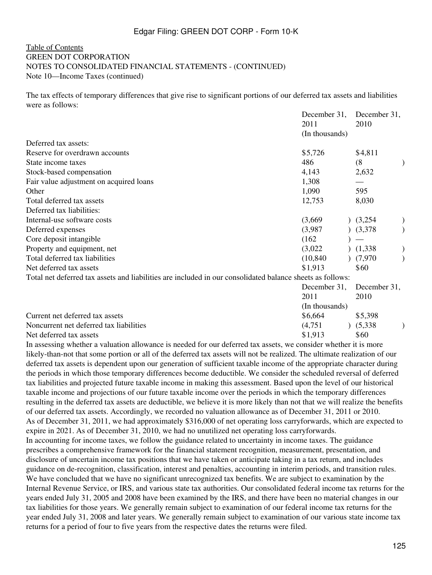### [Table of Contents](#page-2-0) GREEN DOT CORPORATION NOTES TO CONSOLIDATED FINANCIAL STATEMENTS - (CONTINUED) Note 10—Income Taxes (continued)

The tax effects of temporary differences that give rise to significant portions of our deferred tax assets and liabilities were as follows:

|                                                                                                           | December 31,   | December 31, |  |
|-----------------------------------------------------------------------------------------------------------|----------------|--------------|--|
|                                                                                                           | 2011           | 2010         |  |
|                                                                                                           | (In thousands) |              |  |
| Deferred tax assets:                                                                                      |                |              |  |
| Reserve for overdrawn accounts                                                                            | \$5,726        | \$4,811      |  |
| State income taxes                                                                                        | 486            | (8)          |  |
| Stock-based compensation                                                                                  | 4,143          | 2,632        |  |
| Fair value adjustment on acquired loans                                                                   | 1,308          |              |  |
| Other                                                                                                     | 1,090          | 595          |  |
| Total deferred tax assets                                                                                 | 12,753         | 8,030        |  |
| Deferred tax liabilities:                                                                                 |                |              |  |
| Internal-use software costs                                                                               | (3,669)        | (3,254)      |  |
| Deferred expenses                                                                                         | (3,987)        | (3,378)      |  |
| Core deposit intangible                                                                                   | (162)          |              |  |
| Property and equipment, net                                                                               | (3,022)        | (1,338)      |  |
| Total deferred tax liabilities                                                                            | (10, 840)      | (7,970)      |  |
| Net deferred tax assets                                                                                   | \$1,913        | \$60         |  |
| Total net deferred tax assets and liabilities are included in our consolidated balance sheets as follows: |                |              |  |
|                                                                                                           | December 31,   | December 31, |  |
|                                                                                                           | 2011           | 2010         |  |
|                                                                                                           | (In thousands) |              |  |
| Current net deferred tax assets                                                                           | \$6,664        | \$5,398      |  |
| Noncurrent net deferred tax liabilities                                                                   | (4,751)        | (5,338)      |  |
| Net deferred tax assets                                                                                   | \$1.913        | \$60         |  |

In assessing whether a valuation allowance is needed for our deferred tax assets, we consider whether it is more likely-than-not that some portion or all of the deferred tax assets will not be realized. The ultimate realization of our deferred tax assets is dependent upon our generation of sufficient taxable income of the appropriate character during the periods in which those temporary differences become deductible. We consider the scheduled reversal of deferred tax liabilities and projected future taxable income in making this assessment. Based upon the level of our historical taxable income and projections of our future taxable income over the periods in which the temporary differences resulting in the deferred tax assets are deductible, we believe it is more likely than not that we will realize the benefits of our deferred tax assets. Accordingly, we recorded no valuation allowance as of December 31, 2011 or 2010. As of December 31, 2011, we had approximately \$316,000 of net operating loss carryforwards, which are expected to expire in 2021. As of December 31, 2010, we had no unutilized net operating loss carryforwards. In accounting for income taxes, we follow the guidance related to uncertainty in income taxes. The guidance prescribes a comprehensive framework for the financial statement recognition, measurement, presentation, and disclosure of uncertain income tax positions that we have taken or anticipate taking in a tax return, and includes guidance on de-recognition, classification, interest and penalties, accounting in interim periods, and transition rules. We have concluded that we have no significant unrecognized tax benefits. We are subject to examination by the Internal Revenue Service, or IRS, and various state tax authorities. Our consolidated federal income tax returns for the years ended July 31, 2005 and 2008 have been examined by the IRS, and there have been no material changes in our tax liabilities for those years. We generally remain subject to examination of our federal income tax returns for the year ended July 31, 2008 and later years. We generally remain subject to examination of our various state income tax returns for a period of four to five years from the respective dates the returns were filed.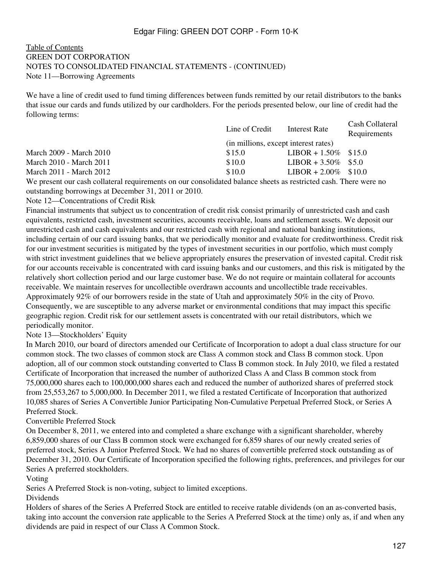### [Table of Contents](#page-2-0) GREEN DOT CORPORATION NOTES TO CONSOLIDATED FINANCIAL STATEMENTS - (CONTINUED) Note 11—Borrowing Agreements

We have a line of credit used to fund timing differences between funds remitted by our retail distributors to the banks that issue our cards and funds utilized by our cardholders. For the periods presented below, our line of credit had the following terms:

|                         | Line of Credit                       | Interest Rate           | Cash Collateral<br>Requirements |
|-------------------------|--------------------------------------|-------------------------|---------------------------------|
|                         | (in millions, except interest rates) |                         |                                 |
| March 2009 - March 2010 | \$15.0                               | $LIBOR + 1.50\%$ \$15.0 |                                 |
| March 2010 - March 2011 | \$10.0                               | LIBOR + $3.50\%$ \$5.0  |                                 |
| March 2011 - March 2012 | \$10.0                               | LIBOR + $2.00\%$ \$10.0 |                                 |
|                         |                                      |                         |                                 |

We present our cash collateral requirements on our consolidated balance sheets as restricted cash. There were no outstanding borrowings at December 31, 2011 or 2010.

Note 12—Concentrations of Credit Risk

Financial instruments that subject us to concentration of credit risk consist primarily of unrestricted cash and cash equivalents, restricted cash, investment securities, accounts receivable, loans and settlement assets. We deposit our unrestricted cash and cash equivalents and our restricted cash with regional and national banking institutions, including certain of our card issuing banks, that we periodically monitor and evaluate for creditworthiness. Credit risk for our investment securities is mitigated by the types of investment securities in our portfolio, which must comply with strict investment guidelines that we believe appropriately ensures the preservation of invested capital. Credit risk for our accounts receivable is concentrated with card issuing banks and our customers, and this risk is mitigated by the relatively short collection period and our large customer base. We do not require or maintain collateral for accounts receivable. We maintain reserves for uncollectible overdrawn accounts and uncollectible trade receivables. Approximately 92% of our borrowers reside in the state of Utah and approximately 50% in the city of Provo. Consequently, we are susceptible to any adverse market or environmental conditions that may impact this specific geographic region. Credit risk for our settlement assets is concentrated with our retail distributors, which we periodically monitor.

Note 13—Stockholders' Equity

In March 2010, our board of directors amended our Certificate of Incorporation to adopt a dual class structure for our common stock. The two classes of common stock are Class A common stock and Class B common stock. Upon adoption, all of our common stock outstanding converted to Class B common stock. In July 2010, we filed a restated Certificate of Incorporation that increased the number of authorized Class A and Class B common stock from 75,000,000 shares each to 100,000,000 shares each and reduced the number of authorized shares of preferred stock from 25,553,267 to 5,000,000. In December 2011, we filed a restated Certificate of Incorporation that authorized 10,085 shares of Series A Convertible Junior Participating Non-Cumulative Perpetual Preferred Stock, or Series A Preferred Stock.

Convertible Preferred Stock

On December 8, 2011, we entered into and completed a share exchange with a significant shareholder, whereby 6,859,000 shares of our Class B common stock were exchanged for 6,859 shares of our newly created series of preferred stock, Series A Junior Preferred Stock. We had no shares of convertible preferred stock outstanding as of December 31, 2010. Our Certificate of Incorporation specified the following rights, preferences, and privileges for our Series A preferred stockholders.

Voting

Series A Preferred Stock is non-voting, subject to limited exceptions.

Dividends

Holders of shares of the Series A Preferred Stock are entitled to receive ratable dividends (on an as-converted basis, taking into account the conversion rate applicable to the Series A Preferred Stock at the time) only as, if and when any dividends are paid in respect of our Class A Common Stock.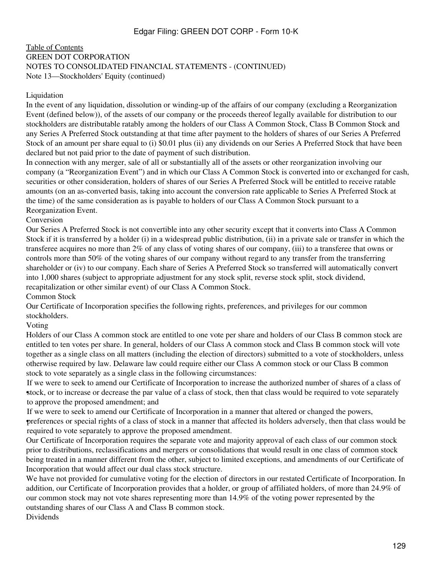### [Table of Contents](#page-2-0) GREEN DOT CORPORATION NOTES TO CONSOLIDATED FINANCIAL STATEMENTS - (CONTINUED) Note 13—Stockholders' Equity (continued)

#### Liquidation

In the event of any liquidation, dissolution or winding-up of the affairs of our company (excluding a Reorganization Event (defined below)), of the assets of our company or the proceeds thereof legally available for distribution to our stockholders are distributable ratably among the holders of our Class A Common Stock, Class B Common Stock and any Series A Preferred Stock outstanding at that time after payment to the holders of shares of our Series A Preferred Stock of an amount per share equal to (i) \$0.01 plus (ii) any dividends on our Series A Preferred Stock that have been declared but not paid prior to the date of payment of such distribution.

In connection with any merger, sale of all or substantially all of the assets or other reorganization involving our company (a "Reorganization Event") and in which our Class A Common Stock is converted into or exchanged for cash, securities or other consideration, holders of shares of our Series A Preferred Stock will be entitled to receive ratable amounts (on an as-converted basis, taking into account the conversion rate applicable to Series A Preferred Stock at the time) of the same consideration as is payable to holders of our Class A Common Stock pursuant to a Reorganization Event.

Conversion

Our Series A Preferred Stock is not convertible into any other security except that it converts into Class A Common Stock if it is transferred by a holder (i) in a widespread public distribution, (ii) in a private sale or transfer in which the transferee acquires no more than 2% of any class of voting shares of our company, (iii) to a transferee that owns or controls more than 50% of the voting shares of our company without regard to any transfer from the transferring shareholder or (iv) to our company. Each share of Series A Preferred Stock so transferred will automatically convert into 1,000 shares (subject to appropriate adjustment for any stock split, reverse stock split, stock dividend, recapitalization or other similar event) of our Class A Common Stock.

Common Stock

Our Certificate of Incorporation specifies the following rights, preferences, and privileges for our common stockholders.

Voting

Holders of our Class A common stock are entitled to one vote per share and holders of our Class B common stock are entitled to ten votes per share. In general, holders of our Class A common stock and Class B common stock will vote together as a single class on all matters (including the election of directors) submitted to a vote of stockholders, unless otherwise required by law. Delaware law could require either our Class A common stock or our Class B common stock to vote separately as a single class in the following circumstances:

stock, or to increase or decrease the par value of a class of stock, then that class would be required to vote separately If we were to seek to amend our Certificate of Incorporation to increase the authorized number of shares of a class of to approve the proposed amendment; and

• preferences or special rights of a class of stock in a manner that affected its holders adversely, then that class would be If we were to seek to amend our Certificate of Incorporation in a manner that altered or changed the powers, required to vote separately to approve the proposed amendment.

Our Certificate of Incorporation requires the separate vote and majority approval of each class of our common stock prior to distributions, reclassifications and mergers or consolidations that would result in one class of common stock being treated in a manner different from the other, subject to limited exceptions, and amendments of our Certificate of Incorporation that would affect our dual class stock structure.

We have not provided for cumulative voting for the election of directors in our restated Certificate of Incorporation. In addition, our Certificate of Incorporation provides that a holder, or group of affiliated holders, of more than 24.9% of our common stock may not vote shares representing more than 14.9% of the voting power represented by the outstanding shares of our Class A and Class B common stock.

Dividends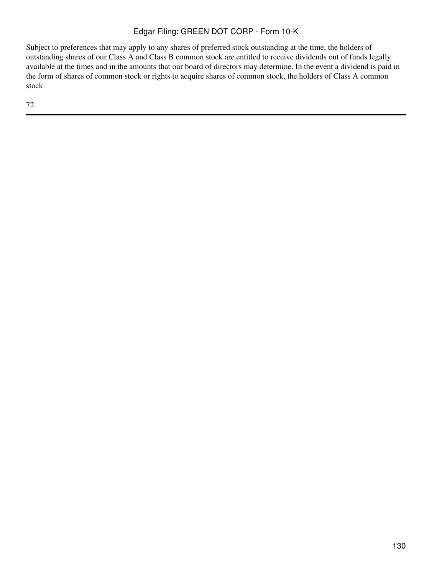Subject to preferences that may apply to any shares of preferred stock outstanding at the time, the holders of outstanding shares of our Class A and Class B common stock are entitled to receive dividends out of funds legally available at the times and in the amounts that our board of directors may determine. In the event a dividend is paid in the form of shares of common stock or rights to acquire shares of common stock, the holders of Class A common stock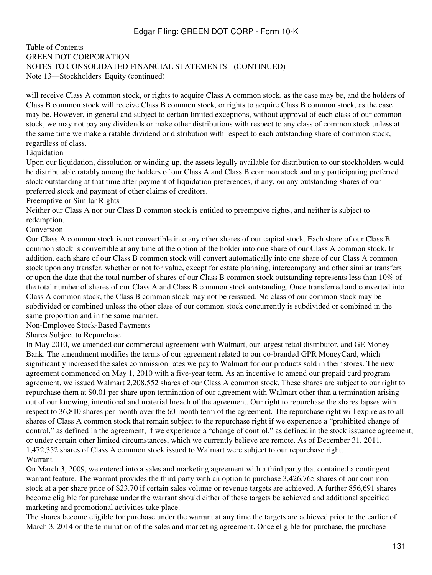### [Table of Contents](#page-2-0) GREEN DOT CORPORATION NOTES TO CONSOLIDATED FINANCIAL STATEMENTS - (CONTINUED) Note 13—Stockholders' Equity (continued)

will receive Class A common stock, or rights to acquire Class A common stock, as the case may be, and the holders of Class B common stock will receive Class B common stock, or rights to acquire Class B common stock, as the case may be. However, in general and subject to certain limited exceptions, without approval of each class of our common stock, we may not pay any dividends or make other distributions with respect to any class of common stock unless at the same time we make a ratable dividend or distribution with respect to each outstanding share of common stock, regardless of class.

#### Liquidation

Upon our liquidation, dissolution or winding-up, the assets legally available for distribution to our stockholders would be distributable ratably among the holders of our Class A and Class B common stock and any participating preferred stock outstanding at that time after payment of liquidation preferences, if any, on any outstanding shares of our preferred stock and payment of other claims of creditors.

Preemptive or Similar Rights

Neither our Class A nor our Class B common stock is entitled to preemptive rights, and neither is subject to redemption.

Conversion

Our Class A common stock is not convertible into any other shares of our capital stock. Each share of our Class B common stock is convertible at any time at the option of the holder into one share of our Class A common stock. In addition, each share of our Class B common stock will convert automatically into one share of our Class A common stock upon any transfer, whether or not for value, except for estate planning, intercompany and other similar transfers or upon the date that the total number of shares of our Class B common stock outstanding represents less than 10% of the total number of shares of our Class A and Class B common stock outstanding. Once transferred and converted into Class A common stock, the Class B common stock may not be reissued. No class of our common stock may be subdivided or combined unless the other class of our common stock concurrently is subdivided or combined in the same proportion and in the same manner.

Non-Employee Stock-Based Payments

Shares Subject to Repurchase

In May 2010, we amended our commercial agreement with Walmart, our largest retail distributor, and GE Money Bank. The amendment modifies the terms of our agreement related to our co-branded GPR MoneyCard, which significantly increased the sales commission rates we pay to Walmart for our products sold in their stores. The new agreement commenced on May 1, 2010 with a five-year term. As an incentive to amend our prepaid card program agreement, we issued Walmart 2,208,552 shares of our Class A common stock. These shares are subject to our right to repurchase them at \$0.01 per share upon termination of our agreement with Walmart other than a termination arising out of our knowing, intentional and material breach of the agreement. Our right to repurchase the shares lapses with respect to 36,810 shares per month over the 60-month term of the agreement. The repurchase right will expire as to all shares of Class A common stock that remain subject to the repurchase right if we experience a "prohibited change of control," as defined in the agreement, if we experience a "change of control," as defined in the stock issuance agreement, or under certain other limited circumstances, which we currently believe are remote. As of December 31, 2011, 1,472,352 shares of Class A common stock issued to Walmart were subject to our repurchase right. Warrant

On March 3, 2009, we entered into a sales and marketing agreement with a third party that contained a contingent warrant feature. The warrant provides the third party with an option to purchase 3,426,765 shares of our common stock at a per share price of \$23.70 if certain sales volume or revenue targets are achieved. A further 856,691 shares become eligible for purchase under the warrant should either of these targets be achieved and additional specified marketing and promotional activities take place.

The shares become eligible for purchase under the warrant at any time the targets are achieved prior to the earlier of March 3, 2014 or the termination of the sales and marketing agreement. Once eligible for purchase, the purchase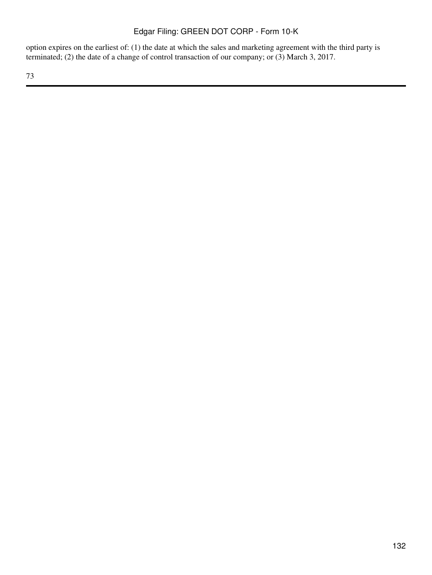option expires on the earliest of: (1) the date at which the sales and marketing agreement with the third party is terminated; (2) the date of a change of control transaction of our company; or (3) March 3, 2017.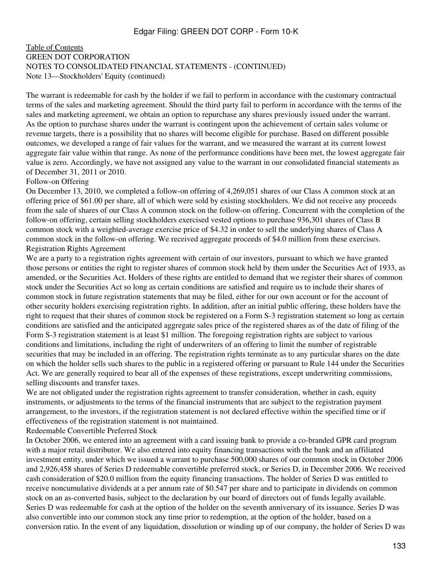### [Table of Contents](#page-2-0) GREEN DOT CORPORATION NOTES TO CONSOLIDATED FINANCIAL STATEMENTS - (CONTINUED) Note 13—Stockholders' Equity (continued)

The warrant is redeemable for cash by the holder if we fail to perform in accordance with the customary contractual terms of the sales and marketing agreement. Should the third party fail to perform in accordance with the terms of the sales and marketing agreement, we obtain an option to repurchase any shares previously issued under the warrant. As the option to purchase shares under the warrant is contingent upon the achievement of certain sales volume or revenue targets, there is a possibility that no shares will become eligible for purchase. Based on different possible outcomes, we developed a range of fair values for the warrant, and we measured the warrant at its current lowest aggregate fair value within that range. As none of the performance conditions have been met, the lowest aggregate fair value is zero. Accordingly, we have not assigned any value to the warrant in our consolidated financial statements as of December 31, 2011 or 2010.

#### Follow-on Offering

On December 13, 2010, we completed a follow-on offering of 4,269,051 shares of our Class A common stock at an offering price of \$61.00 per share, all of which were sold by existing stockholders. We did not receive any proceeds from the sale of shares of our Class A common stock on the follow-on offering. Concurrent with the completion of the follow-on offering, certain selling stockholders exercised vested options to purchase 936,301 shares of Class B common stock with a weighted-average exercise price of \$4.32 in order to sell the underlying shares of Class A common stock in the follow-on offering. We received aggregate proceeds of \$4.0 million from these exercises. Registration Rights Agreement

We are a party to a registration rights agreement with certain of our investors, pursuant to which we have granted those persons or entities the right to register shares of common stock held by them under the Securities Act of 1933, as amended, or the Securities Act. Holders of these rights are entitled to demand that we register their shares of common stock under the Securities Act so long as certain conditions are satisfied and require us to include their shares of common stock in future registration statements that may be filed, either for our own account or for the account of other security holders exercising registration rights. In addition, after an initial public offering, these holders have the right to request that their shares of common stock be registered on a Form S-3 registration statement so long as certain conditions are satisfied and the anticipated aggregate sales price of the registered shares as of the date of filing of the Form S-3 registration statement is at least \$1 million. The foregoing registration rights are subject to various conditions and limitations, including the right of underwriters of an offering to limit the number of registrable securities that may be included in an offering. The registration rights terminate as to any particular shares on the date on which the holder sells such shares to the public in a registered offering or pursuant to Rule 144 under the Securities Act. We are generally required to bear all of the expenses of these registrations, except underwriting commissions, selling discounts and transfer taxes.

We are not obligated under the registration rights agreement to transfer consideration, whether in cash, equity instruments, or adjustments to the terms of the financial instruments that are subject to the registration payment arrangement, to the investors, if the registration statement is not declared effective within the specified time or if effectiveness of the registration statement is not maintained.

Redeemable Convertible Preferred Stock

In October 2006, we entered into an agreement with a card issuing bank to provide a co-branded GPR card program with a major retail distributor. We also entered into equity financing transactions with the bank and an affiliated investment entity, under which we issued a warrant to purchase 500,000 shares of our common stock in October 2006 and 2,926,458 shares of Series D redeemable convertible preferred stock, or Series D, in December 2006. We received cash consideration of \$20.0 million from the equity financing transactions. The holder of Series D was entitled to receive noncumulative dividends at a per annum rate of \$0.547 per share and to participate in dividends on common stock on an as-converted basis, subject to the declaration by our board of directors out of funds legally available. Series D was redeemable for cash at the option of the holder on the seventh anniversary of its issuance. Series D was also convertible into our common stock any time prior to redemption, at the option of the holder, based on a conversion ratio. In the event of any liquidation, dissolution or winding up of our company, the holder of Series D was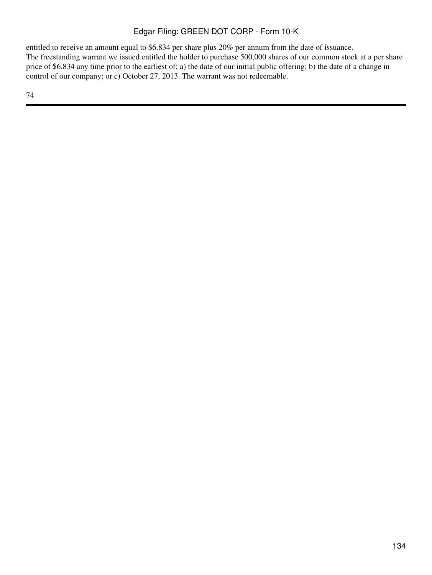entitled to receive an amount equal to \$6.834 per share plus 20% per annum from the date of issuance. The freestanding warrant we issued entitled the holder to purchase 500,000 shares of our common stock at a per share price of \$6.834 any time prior to the earliest of: a) the date of our initial public offering; b) the date of a change in control of our company; or c) October 27, 2013. The warrant was not redeemable.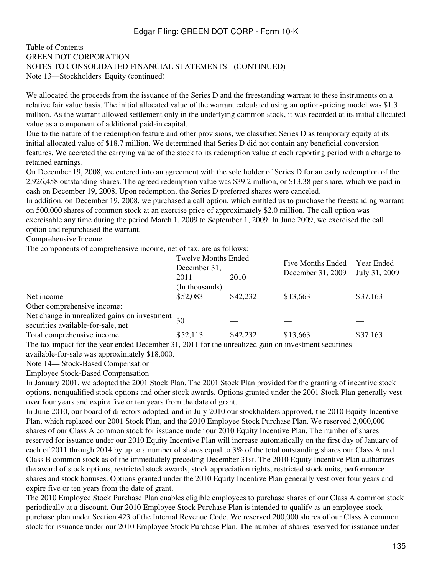### [Table of Contents](#page-2-0) GREEN DOT CORPORATION NOTES TO CONSOLIDATED FINANCIAL STATEMENTS - (CONTINUED) Note 13—Stockholders' Equity (continued)

We allocated the proceeds from the issuance of the Series D and the freestanding warrant to these instruments on a relative fair value basis. The initial allocated value of the warrant calculated using an option-pricing model was \$1.3 million. As the warrant allowed settlement only in the underlying common stock, it was recorded at its initial allocated value as a component of additional paid-in capital.

Due to the nature of the redemption feature and other provisions, we classified Series D as temporary equity at its initial allocated value of \$18.7 million. We determined that Series D did not contain any beneficial conversion features. We accreted the carrying value of the stock to its redemption value at each reporting period with a charge to retained earnings.

On December 19, 2008, we entered into an agreement with the sole holder of Series D for an early redemption of the 2,926,458 outstanding shares. The agreed redemption value was \$39.2 million, or \$13.38 per share, which we paid in cash on December 19, 2008. Upon redemption, the Series D preferred shares were canceled.

In addition, on December 19, 2008, we purchased a call option, which entitled us to purchase the freestanding warrant on 500,000 shares of common stock at an exercise price of approximately \$2.0 million. The call option was exercisable any time during the period March 1, 2009 to September 1, 2009. In June 2009, we exercised the call option and repurchased the warrant.

Comprehensive Income

The components of comprehensive income, net of tax, are as follows:

|                                                                                                                   | <b>Twelve Months Ended</b><br>December 31,<br>2010<br>2011 |          | <b>Five Months Ended</b> | Year Ended<br>July 31, 2009 |  |
|-------------------------------------------------------------------------------------------------------------------|------------------------------------------------------------|----------|--------------------------|-----------------------------|--|
|                                                                                                                   |                                                            |          |                          |                             |  |
|                                                                                                                   |                                                            |          | December 31, 2009        |                             |  |
|                                                                                                                   | (In thousands)                                             |          |                          |                             |  |
| Net income                                                                                                        | \$52,083                                                   | \$42,232 | \$13,663                 | \$37,163                    |  |
| Other comprehensive income:                                                                                       |                                                            |          |                          |                             |  |
| Net change in unrealized gains on investment $_{30}$<br>securities available-for-sale, net                        |                                                            |          |                          |                             |  |
| Total comprehensive income                                                                                        | \$52,113                                                   | \$42,232 | \$13,663                 | \$37,163                    |  |
| The text increase fair the second and ad Department 21, 2011 fair the concealized actional increatment accounting |                                                            |          |                          |                             |  |

The tax impact for the year ended December 31, 2011 for the unrealized gain on investment securities available-for-sale was approximately \$18,000.

Note 14— Stock-Based Compensation

Employee Stock-Based Compensation

In January 2001, we adopted the 2001 Stock Plan. The 2001 Stock Plan provided for the granting of incentive stock options, nonqualified stock options and other stock awards. Options granted under the 2001 Stock Plan generally vest over four years and expire five or ten years from the date of grant.

In June 2010, our board of directors adopted, and in July 2010 our stockholders approved, the 2010 Equity Incentive Plan, which replaced our 2001 Stock Plan, and the 2010 Employee Stock Purchase Plan. We reserved 2,000,000 shares of our Class A common stock for issuance under our 2010 Equity Incentive Plan. The number of shares reserved for issuance under our 2010 Equity Incentive Plan will increase automatically on the first day of January of each of 2011 through 2014 by up to a number of shares equal to 3% of the total outstanding shares our Class A and Class B common stock as of the immediately preceding December 31st. The 2010 Equity Incentive Plan authorizes the award of stock options, restricted stock awards, stock appreciation rights, restricted stock units, performance shares and stock bonuses. Options granted under the 2010 Equity Incentive Plan generally vest over four years and expire five or ten years from the date of grant.

The 2010 Employee Stock Purchase Plan enables eligible employees to purchase shares of our Class A common stock periodically at a discount. Our 2010 Employee Stock Purchase Plan is intended to qualify as an employee stock purchase plan under Section 423 of the Internal Revenue Code. We reserved 200,000 shares of our Class A common stock for issuance under our 2010 Employee Stock Purchase Plan. The number of shares reserved for issuance under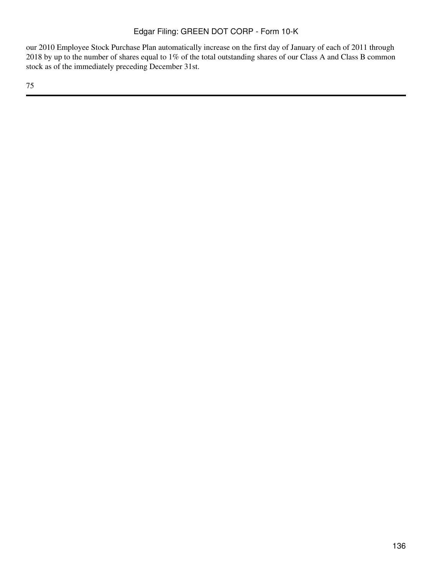our 2010 Employee Stock Purchase Plan automatically increase on the first day of January of each of 2011 through 2018 by up to the number of shares equal to 1% of the total outstanding shares of our Class A and Class B common stock as of the immediately preceding December 31st.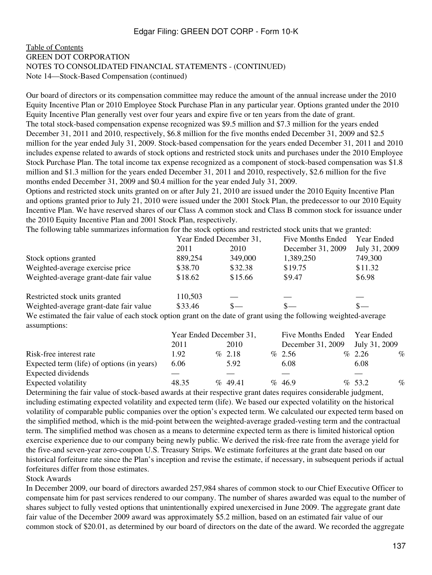### [Table of Contents](#page-2-0) GREEN DOT CORPORATION NOTES TO CONSOLIDATED FINANCIAL STATEMENTS - (CONTINUED) Note 14—Stock-Based Compensation (continued)

Our board of directors or its compensation committee may reduce the amount of the annual increase under the 2010 Equity Incentive Plan or 2010 Employee Stock Purchase Plan in any particular year. Options granted under the 2010 Equity Incentive Plan generally vest over four years and expire five or ten years from the date of grant. The total stock-based compensation expense recognized was \$9.5 million and \$7.3 million for the years ended December 31, 2011 and 2010, respectively, \$6.8 million for the five months ended December 31, 2009 and \$2.5 million for the year ended July 31, 2009. Stock-based compensation for the years ended December 31, 2011 and 2010 includes expense related to awards of stock options and restricted stock units and purchases under the 2010 Employee Stock Purchase Plan. The total income tax expense recognized as a component of stock-based compensation was \$1.8 million and \$1.3 million for the years ended December 31, 2011 and 2010, respectively, \$2.6 million for the five months ended December 31, 2009 and \$0.4 million for the year ended July 31, 2009.

Options and restricted stock units granted on or after July 21, 2010 are issued under the 2010 Equity Incentive Plan and options granted prior to July 21, 2010 were issued under the 2001 Stock Plan, the predecessor to our 2010 Equity Incentive Plan. We have reserved shares of our Class A common stock and Class B common stock for issuance under the 2010 Equity Incentive Plan and 2001 Stock Plan, respectively.

The following table summarizes information for the stock options and restricted stock units that we granted:

|                                                                                                                  | Year Ended December 31, |         | <b>Five Months Ended</b> | Year Ended    |  |
|------------------------------------------------------------------------------------------------------------------|-------------------------|---------|--------------------------|---------------|--|
|                                                                                                                  | 2011                    | 2010    | December 31, 2009        | July 31, 2009 |  |
| Stock options granted                                                                                            | 889,254                 | 349,000 | 1,389,250                | 749,300       |  |
| Weighted-average exercise price                                                                                  | \$38.70                 | \$32.38 | \$19.75                  | \$11.32       |  |
| Weighted-average grant-date fair value                                                                           | \$18.62                 | \$15.66 | \$9.47                   | \$6.98        |  |
| Restricted stock units granted                                                                                   | 110,503                 |         |                          |               |  |
| Weighted-average grant-date fair value                                                                           | \$33.46                 | $S-$    | $S-$                     | $S-$          |  |
| We estimated the fair value of each stock option grant on the date of grant using the following weighted-average |                         |         |                          |               |  |

We estimated the fair value of each stock option grant on the date of grant using the following weighted-average assumptions:

|                                            | Year Ended December 31, |  | Five Months Ended |  | Year Ended        |  |               |      |
|--------------------------------------------|-------------------------|--|-------------------|--|-------------------|--|---------------|------|
|                                            | 2011                    |  | 2010              |  | December 31, 2009 |  | July 31, 2009 |      |
| Risk-free interest rate                    | 1.92                    |  | $\%$ 2.18         |  | $\%$ 2.56         |  | $\%$ 2.26     | $\%$ |
| Expected term (life) of options (in years) | 6.06                    |  | 5.92              |  | 6.08              |  | 6.08          |      |
| Expected dividends                         |                         |  |                   |  |                   |  |               |      |
| Expected volatility                        | 48.35                   |  | $\%$ 49.41        |  | % 46.9            |  | $\%$ 53.2     | $\%$ |

Determining the fair value of stock-based awards at their respective grant dates requires considerable judgment, including estimating expected volatility and expected term (life). We based our expected volatility on the historical volatility of comparable public companies over the option's expected term. We calculated our expected term based on the simplified method, which is the mid-point between the weighted-average graded-vesting term and the contractual term. The simplified method was chosen as a means to determine expected term as there is limited historical option exercise experience due to our company being newly public. We derived the risk-free rate from the average yield for the five-and seven-year zero-coupon U.S. Treasury Strips. We estimate forfeitures at the grant date based on our historical forfeiture rate since the Plan's inception and revise the estimate, if necessary, in subsequent periods if actual forfeitures differ from those estimates.

Stock Awards

In December 2009, our board of directors awarded 257,984 shares of common stock to our Chief Executive Officer to compensate him for past services rendered to our company. The number of shares awarded was equal to the number of shares subject to fully vested options that unintentionally expired unexercised in June 2009. The aggregate grant date fair value of the December 2009 award was approximately \$5.2 million, based on an estimated fair value of our common stock of \$20.01, as determined by our board of directors on the date of the award. We recorded the aggregate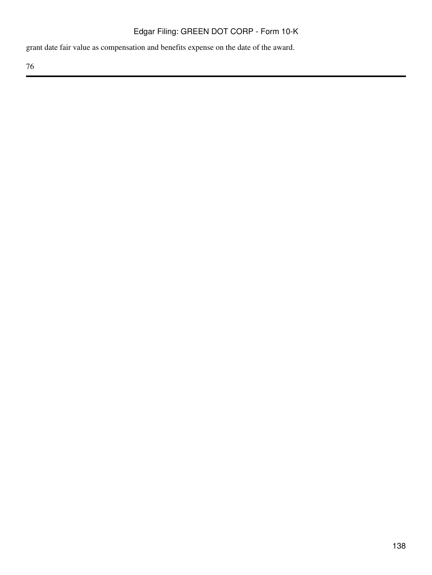grant date fair value as compensation and benefits expense on the date of the award.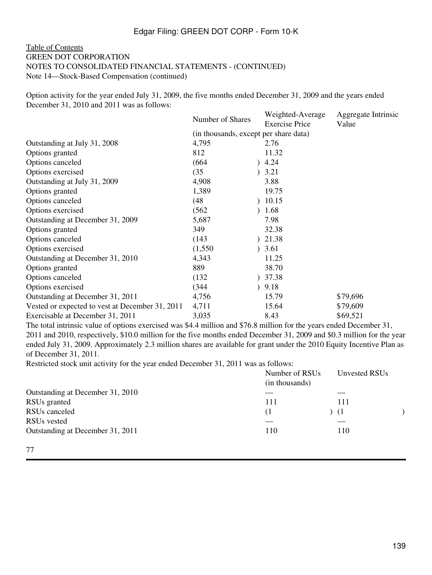### [Table of Contents](#page-2-0) GREEN DOT CORPORATION NOTES TO CONSOLIDATED FINANCIAL STATEMENTS - (CONTINUED) Note 14—Stock-Based Compensation (continued)

Option activity for the year ended July 31, 2009, the five months ended December 31, 2009 and the years ended December 31, 2010 and 2011 was as follows:

|                                       | Weighted-Average      | Aggregate Intrinsic |  |  |  |  |
|---------------------------------------|-----------------------|---------------------|--|--|--|--|
|                                       | <b>Exercise Price</b> | Value               |  |  |  |  |
| (in thousands, except per share data) |                       |                     |  |  |  |  |
| 4,795                                 | 2.76                  |                     |  |  |  |  |
| 812                                   | 11.32                 |                     |  |  |  |  |
| (664)                                 | 4.24                  |                     |  |  |  |  |
| (35)                                  | 3.21                  |                     |  |  |  |  |
| 4,908                                 | 3.88                  |                     |  |  |  |  |
| 1,389                                 | 19.75                 |                     |  |  |  |  |
| (48)                                  | 10.15                 |                     |  |  |  |  |
| (562)                                 | 1.68                  |                     |  |  |  |  |
| 5,687                                 | 7.98                  |                     |  |  |  |  |
| 349                                   | 32.38                 |                     |  |  |  |  |
| (143)                                 | 21.38                 |                     |  |  |  |  |
| (1,550)                               | 3.61                  |                     |  |  |  |  |
| 4,343                                 | 11.25                 |                     |  |  |  |  |
| 889                                   | 38.70                 |                     |  |  |  |  |
| (132)                                 | 37.38                 |                     |  |  |  |  |
| (344)                                 | 9.18                  |                     |  |  |  |  |
| 4,756                                 | 15.79                 | \$79,696            |  |  |  |  |
| 4,711                                 | 15.64                 | \$79,609            |  |  |  |  |
| 3,035                                 | 8.43                  | \$69,521            |  |  |  |  |
|                                       | Number of Shares      |                     |  |  |  |  |

The total intrinsic value of options exercised was \$4.4 million and \$76.8 million for the years ended December 31, 2011 and 2010, respectively, \$10.0 million for the five months ended December 31, 2009 and \$0.3 million for the year ended July 31, 2009. Approximately 2.3 million shares are available for grant under the 2010 Equity Incentive Plan as of December 31, 2011.

Restricted stock unit activity for the year ended December 31, 2011 was as follows:

|                                  | Number of RSUs<br>(in thousands) | Unvested RSUs |  |
|----------------------------------|----------------------------------|---------------|--|
| Outstanding at December 31, 2010 |                                  |               |  |
| RSU <sub>s</sub> granted         | 111                              | 111           |  |
| RSU <sub>s</sub> canceled        | (1)                              | - (1          |  |
| RSU <sub>s</sub> vested          |                                  |               |  |
| Outstanding at December 31, 2011 | 110                              | 110           |  |
|                                  |                                  |               |  |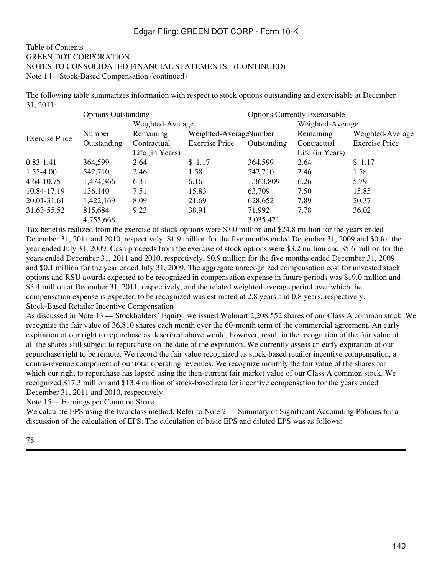### [Table of Contents](#page-2-0) GREEN DOT CORPORATION NOTES TO CONSOLIDATED FINANCIAL STATEMENTS - (CONTINUED) Note 14—Stock-Based Compensation (continued)

The following table summarizes information with respect to stock options outstanding and exercisable at December 31, 2011:

|                       | <b>Options Outstanding</b> |                  |                        |             | <b>Options Currently Exercisable</b> |                       |
|-----------------------|----------------------------|------------------|------------------------|-------------|--------------------------------------|-----------------------|
|                       |                            | Weighted-Average |                        |             | Weighted-Average                     |                       |
| <b>Exercise Price</b> | <b>Number</b>              | Remaining        | Weighted-AverageNumber |             | Remaining                            | Weighted-Average      |
|                       | Outstanding                | Contractual      | <b>Exercise Price</b>  | Outstanding | Contractual                          | <b>Exercise Price</b> |
|                       |                            | Life (in Years)  |                        |             | Life (in Years)                      |                       |
| $0.83 - 1.41$         | 364,599                    | 2.64             | \$1.17                 | 364,599     | 2.64                                 | \$1.17                |
| 1.55-4.00             | 542,710                    | 2.46             | 1.58                   | 542,710     | 2.46                                 | 1.58                  |
| 4.64-10.75            | 1,474,366                  | 6.31             | 6.16                   | 1,363,809   | 6.26                                 | 5.79                  |
| 10.84-17.19           | 136,140                    | 7.51             | 15.83                  | 63,709      | 7.50                                 | 15.85                 |
| 20.01-31.61           | 1,422,169                  | 8.09             | 21.69                  | 628,652     | 7.89                                 | 20.37                 |
| 31.63-55.52           | 815,684                    | 9.23             | 38.91                  | 71,992      | 7.78                                 | 36.02                 |
|                       | 4,755,668                  |                  |                        | 3,035,471   |                                      |                       |

Tax benefits realized from the exercise of stock options were \$3.0 million and \$24.8 million for the years ended December 31, 2011 and 2010, respectively, \$1.9 million for the five months ended December 31, 2009 and \$0 for the year ended July 31, 2009. Cash proceeds from the exercise of stock options were \$3.2 million and \$5.6 million for the years ended December 31, 2011 and 2010, respectively, \$0.9 million for the five months ended December 31, 2009 and \$0.1 million for the year ended July 31, 2009. The aggregate unrecognized compensation cost for unvested stock options and RSU awards expected to be recognized in compensation expense in future periods was \$19.0 million and \$3.4 million at December 31, 2011, respectively, and the related weighted-average period over which the compensation expense is expected to be recognized was estimated at 2.8 years and 0.8 years, respectively. Stock-Based Retailer Incentive Compensation

As discussed in Note 13 — Stockholders' Equity, we issued Walmart 2,208,552 shares of our Class A common stock. We recognize the fair value of 36,810 shares each month over the 60-month term of the commercial agreement. An early expiration of our right to repurchase as described above would, however, result in the recognition of the fair value of all the shares still subject to repurchase on the date of the expiration. We currently assess an early expiration of our repurchase right to be remote. We record the fair value recognized as stock-based retailer incentive compensation, a contra-revenue component of our total operating revenues. We recognize monthly the fair value of the shares for which our right to repurchase has lapsed using the then-current fair market value of our Class A common stock. We recognized \$17.3 million and \$13.4 million of stock-based retailer incentive compensation for the years ended December 31, 2011 and 2010, respectively.

Note 15— Earnings per Common Share

We calculate EPS using the two-class method. Refer to Note 2 — Summary of Significant Accounting Policies for a discussion of the calculation of EPS. The calculation of basic EPS and diluted EPS was as follows: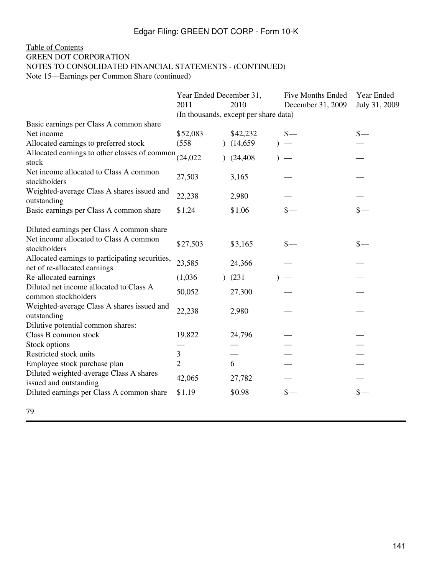# [Table of Contents](#page-2-0) GREEN DOT CORPORATION NOTES TO CONSOLIDATED FINANCIAL STATEMENTS - (CONTINUED)

Note 15—Earnings per Common Share (continued)

|                                                                                 | Year Ended December 31, |           |                                       | <b>Five Months Ended</b> | Year Ended      |
|---------------------------------------------------------------------------------|-------------------------|-----------|---------------------------------------|--------------------------|-----------------|
|                                                                                 | 2011                    |           | 2010                                  | December 31, 2009        | July 31, 2009   |
|                                                                                 |                         |           | (In thousands, except per share data) |                          |                 |
| Basic earnings per Class A common share                                         |                         |           |                                       |                          |                 |
| Net income                                                                      | \$52,083                |           | \$42,232                              | $\frac{1}{2}$            | $\frac{\ }{\ }$ |
| Allocated earnings to preferred stock                                           | (558)                   |           | (14,659)                              |                          |                 |
| Allocated earnings to other classes of common $(24,022)$<br>stock               |                         |           | (24, 408)                             |                          |                 |
| Net income allocated to Class A common<br>stockholders                          | 27,503                  |           | 3,165                                 |                          |                 |
| Weighted-average Class A shares issued and<br>outstanding                       | 22,238                  |           | 2,980                                 |                          |                 |
| Basic earnings per Class A common share                                         | \$1.24                  |           | \$1.06                                |                          | $_{\rm s-}$     |
| Diluted earnings per Class A common share                                       |                         |           |                                       |                          |                 |
| Net income allocated to Class A common<br>stockholders                          | \$27,503                |           | \$3,165                               | $\frac{\S}{\S}$          | $\frac{\ }{s-}$ |
| Allocated earnings to participating securities,<br>net of re-allocated earnings | 23,585                  |           | 24,366                                |                          |                 |
| Re-allocated earnings                                                           | (1,036)                 | $\lambda$ | (231)                                 |                          |                 |
| Diluted net income allocated to Class A<br>common stockholders                  | 50,052                  |           | 27,300                                |                          |                 |
| Weighted-average Class A shares issued and<br>outstanding                       | 22,238                  |           | 2,980                                 |                          |                 |
| Dilutive potential common shares:                                               |                         |           |                                       |                          |                 |
| Class B common stock                                                            | 19,822                  |           | 24,796                                |                          |                 |
| Stock options                                                                   |                         |           |                                       |                          |                 |
| Restricted stock units                                                          | 3                       |           |                                       |                          |                 |
| Employee stock purchase plan                                                    | $\overline{2}$          |           | 6                                     |                          |                 |
| Diluted weighted-average Class A shares<br>issued and outstanding               | 42,065                  |           | 27,782                                |                          |                 |
| Diluted earnings per Class A common share                                       | \$1.19                  |           | \$0.98                                | $s-$                     | $\frac{1}{2}$   |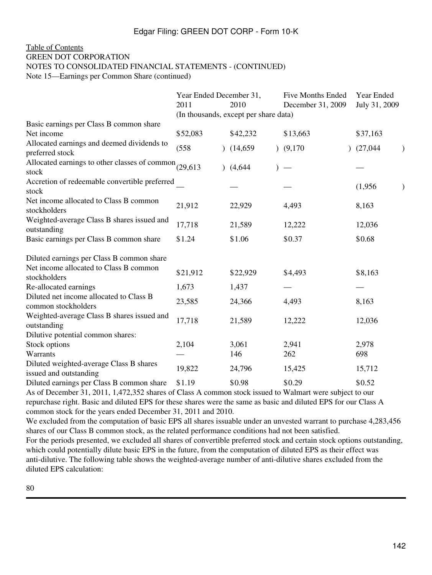## [Table of Contents](#page-2-0) GREEN DOT CORPORATION NOTES TO CONSOLIDATED FINANCIAL STATEMENTS - (CONTINUED)

Note 15—Earnings per Common Share (continued)

|                                                                   | Year Ended December 31,<br>2011       | 2010     | <b>Five Months Ended</b><br>December 31, 2009 | Year Ended<br>July 31, 2009 |  |
|-------------------------------------------------------------------|---------------------------------------|----------|-----------------------------------------------|-----------------------------|--|
|                                                                   | (In thousands, except per share data) |          |                                               |                             |  |
| Basic earnings per Class B common share<br>Net income             | \$52,083                              | \$42,232 | \$13,663                                      | \$37,163                    |  |
| Allocated earnings and deemed dividends to<br>preferred stock     | (558)                                 | (14,659) | (9,170)                                       | (27,044)                    |  |
| Allocated earnings to other classes of common (29,613)<br>stock   |                                       | (4,644)  |                                               |                             |  |
| Accretion of redeemable convertible preferred<br>stock            |                                       |          |                                               | (1,956)                     |  |
| Net income allocated to Class B common<br>stockholders            | 21,912                                | 22,929   | 4,493                                         | 8,163                       |  |
| Weighted-average Class B shares issued and<br>outstanding         | 17,718                                | 21,589   | 12,222                                        | 12,036                      |  |
| Basic earnings per Class B common share                           | \$1.24                                | \$1.06   | \$0.37                                        | \$0.68                      |  |
| Diluted earnings per Class B common share                         |                                       |          |                                               |                             |  |
| Net income allocated to Class B common<br>stockholders            | \$21,912                              | \$22,929 | \$4,493                                       | \$8,163                     |  |
| Re-allocated earnings                                             | 1,673                                 | 1,437    |                                               |                             |  |
| Diluted net income allocated to Class B<br>common stockholders    | 23,585                                | 24,366   | 4,493                                         | 8,163                       |  |
| Weighted-average Class B shares issued and<br>outstanding         | 17,718                                | 21,589   | 12,222                                        | 12,036                      |  |
| Dilutive potential common shares:                                 |                                       |          |                                               |                             |  |
| Stock options                                                     | 2,104                                 | 3,061    | 2,941                                         | 2,978                       |  |
| Warrants                                                          |                                       | 146      | 262                                           | 698                         |  |
| Diluted weighted-average Class B shares<br>issued and outstanding | 19,822                                | 24,796   | 15,425                                        | 15,712                      |  |
| Diluted earnings per Class B common share                         | \$1.19                                | \$0.98   | \$0.29                                        | \$0.52                      |  |

As of December 31, 2011, 1,472,352 shares of Class A common stock issued to Walmart were subject to our repurchase right. Basic and diluted EPS for these shares were the same as basic and diluted EPS for our Class A common stock for the years ended December 31, 2011 and 2010.

We excluded from the computation of basic EPS all shares issuable under an unvested warrant to purchase 4,283,456 shares of our Class B common stock, as the related performance conditions had not been satisfied.

For the periods presented, we excluded all shares of convertible preferred stock and certain stock options outstanding, which could potentially dilute basic EPS in the future, from the computation of diluted EPS as their effect was anti-dilutive. The following table shows the weighted-average number of anti-dilutive shares excluded from the diluted EPS calculation: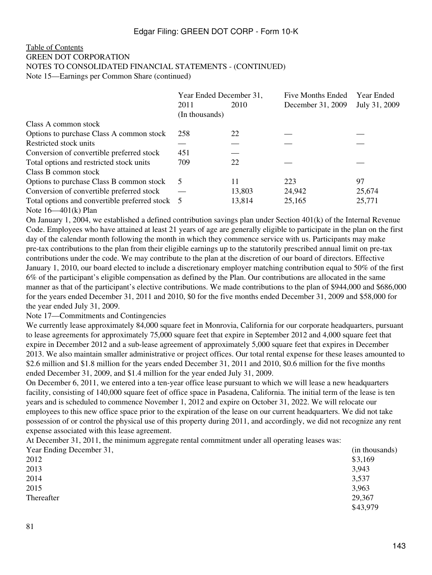#### [Table of Contents](#page-2-0) GREEN DOT CORPORATION NOTES TO CONSOLIDATED FINANCIAL STATEMENTS - (CONTINUED) Note 15—Earnings per Common Share (continued)

|                                                 | Year Ended December 31, |        | <b>Five Months Ended</b> | <b>Year Ended</b> |  |
|-------------------------------------------------|-------------------------|--------|--------------------------|-------------------|--|
|                                                 | 2011                    | 2010   | December 31, 2009        | July 31, 2009     |  |
|                                                 | (In thousands)          |        |                          |                   |  |
| Class A common stock                            |                         |        |                          |                   |  |
| Options to purchase Class A common stock        | 258                     | 22     |                          |                   |  |
| Restricted stock units                          |                         |        |                          |                   |  |
| Conversion of convertible preferred stock       | 451                     |        |                          |                   |  |
| Total options and restricted stock units        | 709                     | 22     |                          |                   |  |
| Class B common stock                            |                         |        |                          |                   |  |
| Options to purchase Class B common stock        | 5                       | 11     | 223                      | 97                |  |
| Conversion of convertible preferred stock       |                         | 13,803 | 24,942                   | 25,674            |  |
| Total options and convertible preferred stock 5 |                         | 13,814 | 25,165                   | 25,771            |  |
| Note $16 - 401(k)$ Plan                         |                         |        |                          |                   |  |

On January 1, 2004, we established a defined contribution savings plan under Section 401(k) of the Internal Revenue Code. Employees who have attained at least 21 years of age are generally eligible to participate in the plan on the first day of the calendar month following the month in which they commence service with us. Participants may make pre-tax contributions to the plan from their eligible earnings up to the statutorily prescribed annual limit on pre-tax contributions under the code. We may contribute to the plan at the discretion of our board of directors. Effective January 1, 2010, our board elected to include a discretionary employer matching contribution equal to 50% of the first 6% of the participant's eligible compensation as defined by the Plan. Our contributions are allocated in the same manner as that of the participant's elective contributions. We made contributions to the plan of \$944,000 and \$686,000 for the years ended December 31, 2011 and 2010, \$0 for the five months ended December 31, 2009 and \$58,000 for the year ended July 31, 2009.

## Note 17—Commitments and Contingencies

We currently lease approximately 84,000 square feet in Monrovia, California for our corporate headquarters, pursuant to lease agreements for approximately 75,000 square feet that expire in September 2012 and 4,000 square feet that expire in December 2012 and a sub-lease agreement of approximately 5,000 square feet that expires in December 2013. We also maintain smaller administrative or project offices. Our total rental expense for these leases amounted to \$2.6 million and \$1.8 million for the years ended December 31, 2011 and 2010, \$0.6 million for the five months ended December 31, 2009, and \$1.4 million for the year ended July 31, 2009.

On December 6, 2011, we entered into a ten-year office lease pursuant to which we will lease a new headquarters facility, consisting of 140,000 square feet of office space in Pasadena, California. The initial term of the lease is ten years and is scheduled to commence November 1, 2012 and expire on October 31, 2022. We will relocate our employees to this new office space prior to the expiration of the lease on our current headquarters. We did not take possession of or control the physical use of this property during 2011, and accordingly, we did not recognize any rent expense associated with this lease agreement.

At December 31, 2011, the minimum aggregate rental commitment under all operating leases was:

| (in thousands) |
|----------------|
| \$3,169        |
| 3,943          |
| 3,537          |
| 3,963          |
| 29,367         |
| \$43,979       |
|                |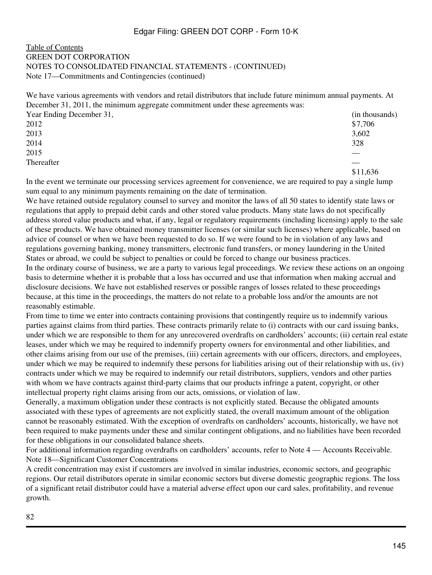#### [Table of Contents](#page-2-0) GREEN DOT CORPORATION NOTES TO CONSOLIDATED FINANCIAL STATEMENTS - (CONTINUED) Note 17—Commitments and Contingencies (continued)

We have various agreements with vendors and retail distributors that include future minimum annual payments. At December 31, 2011, the minimum aggregate commitment under these agreements was:

| Year Ending December 31, | (in thousands) |
|--------------------------|----------------|
| 2012                     | \$7,706        |
| 2013                     | 3,602          |
| 2014                     | 328            |
| 2015                     |                |
| Thereafter               |                |
|                          | \$11.636       |

In the event we terminate our processing services agreement for convenience, we are required to pay a single lump sum equal to any minimum payments remaining on the date of termination.

We have retained outside regulatory counsel to survey and monitor the laws of all 50 states to identify state laws or regulations that apply to prepaid debit cards and other stored value products. Many state laws do not specifically address stored value products and what, if any, legal or regulatory requirements (including licensing) apply to the sale of these products. We have obtained money transmitter licenses (or similar such licenses) where applicable, based on advice of counsel or when we have been requested to do so. If we were found to be in violation of any laws and regulations governing banking, money transmitters, electronic fund transfers, or money laundering in the United States or abroad, we could be subject to penalties or could be forced to change our business practices.

In the ordinary course of business, we are a party to various legal proceedings. We review these actions on an ongoing basis to determine whether it is probable that a loss has occurred and use that information when making accrual and disclosure decisions. We have not established reserves or possible ranges of losses related to these proceedings because, at this time in the proceedings, the matters do not relate to a probable loss and/or the amounts are not reasonably estimable.

From time to time we enter into contracts containing provisions that contingently require us to indemnify various parties against claims from third parties. These contracts primarily relate to (i) contracts with our card issuing banks, under which we are responsible to them for any unrecovered overdrafts on cardholders' accounts; (ii) certain real estate leases, under which we may be required to indemnify property owners for environmental and other liabilities, and other claims arising from our use of the premises, (iii) certain agreements with our officers, directors, and employees, under which we may be required to indemnify these persons for liabilities arising out of their relationship with us, (iv) contracts under which we may be required to indemnify our retail distributors, suppliers, vendors and other parties with whom we have contracts against third-party claims that our products infringe a patent, copyright, or other intellectual property right claims arising from our acts, omissions, or violation of law.

Generally, a maximum obligation under these contracts is not explicitly stated. Because the obligated amounts associated with these types of agreements are not explicitly stated, the overall maximum amount of the obligation cannot be reasonably estimated. With the exception of overdrafts on cardholders' accounts, historically, we have not been required to make payments under these and similar contingent obligations, and no liabilities have been recorded for these obligations in our consolidated balance sheets.

For additional information regarding overdrafts on cardholders' accounts, refer to Note 4 — Accounts Receivable. Note 18—Significant Customer Concentrations

A credit concentration may exist if customers are involved in similar industries, economic sectors, and geographic regions. Our retail distributors operate in similar economic sectors but diverse domestic geographic regions. The loss of a significant retail distributor could have a material adverse effect upon our card sales, profitability, and revenue growth.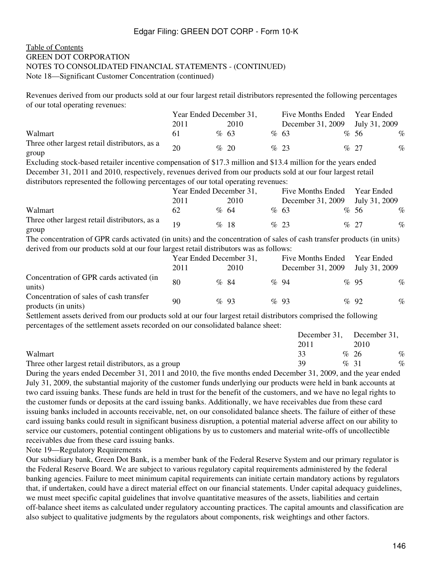#### [Table of Contents](#page-2-0) GREEN DOT CORPORATION NOTES TO CONSOLIDATED FINANCIAL STATEMENTS - (CONTINUED) Note 18—Significant Customer Concentration (continued)

Revenues derived from our products sold at our four largest retail distributors represented the following percentages of our total operating revenues:

|                                                        | Year Ended December 31, |  | <b>Five Months Ended</b> |  | Year Ended        |  |               |      |
|--------------------------------------------------------|-------------------------|--|--------------------------|--|-------------------|--|---------------|------|
|                                                        | 2011                    |  | 2010                     |  | December 31, 2009 |  | July 31, 2009 |      |
| Walmart                                                |                         |  | $\%$ 63                  |  | %63               |  | %56           | $\%$ |
| Three other largest retail distributors, as a<br>group | 20                      |  | $\%$ 20                  |  | $\%$ 23           |  | % 27          | $\%$ |

Excluding stock-based retailer incentive compensation of \$17.3 million and \$13.4 million for the years ended December 31, 2011 and 2010, respectively, revenues derived from our products sold at our four largest retail distributors represented the following percentages of our total operating revenues:

|                                                        | Year Ended December 31, |  | Five Months Ended Year Ended |                                 |  |         |      |
|--------------------------------------------------------|-------------------------|--|------------------------------|---------------------------------|--|---------|------|
|                                                        | 2011                    |  | 2010                         | December 31, 2009 July 31, 2009 |  |         |      |
| Walmart                                                | 62                      |  | $\%$ 64                      | %63                             |  | %56     | $\%$ |
| Three other largest retail distributors, as a<br>group |                         |  | %18                          | $\%$ 23                         |  | $\%$ 27 | $\%$ |

The concentration of GPR cards activated (in units) and the concentration of sales of cash transfer products (in units) derived from our products sold at our four largest retail distributors was as follows:

|                                                                | Year Ended December 31, |  | Five Months Ended |  | Year Ended        |  |               |      |
|----------------------------------------------------------------|-------------------------|--|-------------------|--|-------------------|--|---------------|------|
|                                                                | 2011                    |  | 2010              |  | December 31, 2009 |  | July 31, 2009 |      |
| Concentration of GPR cards activated (in<br>units)             | 80                      |  | $\%$ 84           |  | $\%$ 94           |  | $\%$ 95       | $\%$ |
| Concentration of sales of cash transfer<br>products (in units) | 90                      |  | $\%$ 93           |  | $\%$ 93           |  | $\%$ 92       | $\%$ |

Settlement assets derived from our products sold at our four largest retail distributors comprised the following percentages of the settlement assets recorded on our consolidated balance sheet:

|                                                     | December 31, December 31, |  |         |      |
|-----------------------------------------------------|---------------------------|--|---------|------|
|                                                     | 2011                      |  | 2010    |      |
| Walmart                                             |                           |  | % 26    | $\%$ |
| Three other largest retail distributors, as a group | 39                        |  | $\%$ 31 | $\%$ |

During the years ended December 31, 2011 and 2010, the five months ended December 31, 2009, and the year ended July 31, 2009, the substantial majority of the customer funds underlying our products were held in bank accounts at two card issuing banks. These funds are held in trust for the benefit of the customers, and we have no legal rights to the customer funds or deposits at the card issuing banks. Additionally, we have receivables due from these card issuing banks included in accounts receivable, net, on our consolidated balance sheets. The failure of either of these card issuing banks could result in significant business disruption, a potential material adverse affect on our ability to service our customers, potential contingent obligations by us to customers and material write-offs of uncollectible receivables due from these card issuing banks.

Note 19—Regulatory Requirements

Our subsidiary bank, Green Dot Bank, is a member bank of the Federal Reserve System and our primary regulator is the Federal Reserve Board. We are subject to various regulatory capital requirements administered by the federal banking agencies. Failure to meet minimum capital requirements can initiate certain mandatory actions by regulators that, if undertaken, could have a direct material effect on our financial statements. Under capital adequacy guidelines, we must meet specific capital guidelines that involve quantitative measures of the assets, liabilities and certain off-balance sheet items as calculated under regulatory accounting practices. The capital amounts and classification are also subject to qualitative judgments by the regulators about components, risk weightings and other factors.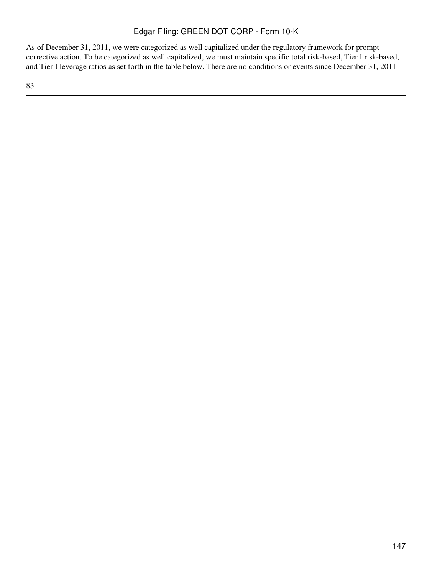As of December 31, 2011, we were categorized as well capitalized under the regulatory framework for prompt corrective action. To be categorized as well capitalized, we must maintain specific total risk-based, Tier I risk-based, and Tier I leverage ratios as set forth in the table below. There are no conditions or events since December 31, 2011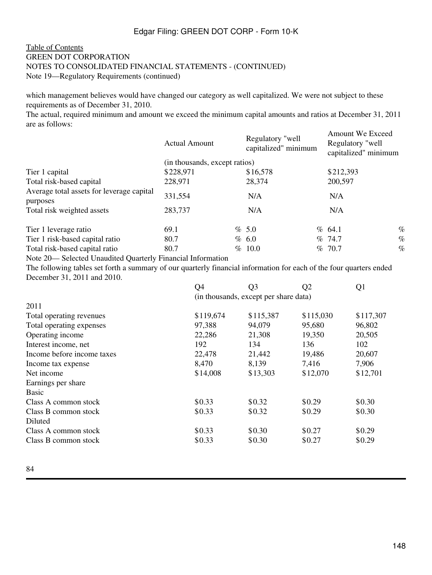#### [Table of Contents](#page-2-0) GREEN DOT CORPORATION NOTES TO CONSOLIDATED FINANCIAL STATEMENTS - (CONTINUED) Note 19—Regulatory Requirements (continued)

which management believes would have changed our category as well capitalized. We were not subject to these requirements as of December 31, 2010.

The actual, required minimum and amount we exceed the minimum capital amounts and ratios at December 31, 2011 are as follows:

|                                                       | <b>Actual Amount</b>          | Regulatory "well<br>capitalized" minimum | <b>Amount We Exceed</b><br>Regulatory "well<br>capitalized" minimum |      |  |
|-------------------------------------------------------|-------------------------------|------------------------------------------|---------------------------------------------------------------------|------|--|
|                                                       | (in thousands, except ratios) |                                          |                                                                     |      |  |
| Tier 1 capital                                        | \$228,971                     | \$16,578                                 | \$212,393                                                           |      |  |
| Total risk-based capital                              | 228,971                       | 28,374                                   | 200,597                                                             |      |  |
| Average total assets for leverage capital<br>purposes | 331,554                       | N/A                                      | N/A                                                                 |      |  |
| Total risk weighted assets                            | 283,737                       | N/A                                      | N/A                                                                 |      |  |
| Tier 1 leverage ratio                                 | 69.1                          | % 5.0                                    | $\%$ 64.1                                                           | $\%$ |  |
| Tier 1 risk-based capital ratio                       | 80.7                          | % 6.0                                    | %74.7                                                               | $\%$ |  |
| Total risk-based capital ratio                        | 80.7                          | % 10.0                                   | % 70.7                                                              | $\%$ |  |
|                                                       |                               |                                          |                                                                     |      |  |

Note 20— Selected Unaudited Quarterly Financial Information

The following tables set forth a summary of our quarterly financial information for each of the four quarters ended December 31, 2011 and 2010.

|                            | Q4        | Q <sub>3</sub>                        | Q2        | Q <sub>1</sub> |  |  |
|----------------------------|-----------|---------------------------------------|-----------|----------------|--|--|
|                            |           | (in thousands, except per share data) |           |                |  |  |
| 2011                       |           |                                       |           |                |  |  |
| Total operating revenues   | \$119,674 | \$115,387                             | \$115,030 | \$117,307      |  |  |
| Total operating expenses   | 97,388    | 94,079                                | 95,680    | 96,802         |  |  |
| Operating income           | 22,286    | 21,308                                | 19,350    | 20,505         |  |  |
| Interest income, net       | 192       | 134                                   | 136       | 102            |  |  |
| Income before income taxes | 22,478    | 21,442                                | 19,486    | 20,607         |  |  |
| Income tax expense         | 8,470     | 8,139                                 | 7,416     | 7,906          |  |  |
| Net income                 | \$14,008  | \$13,303                              | \$12,070  | \$12,701       |  |  |
| Earnings per share         |           |                                       |           |                |  |  |
| Basic                      |           |                                       |           |                |  |  |
| Class A common stock       | \$0.33    | \$0.32                                | \$0.29    | \$0.30         |  |  |
| Class B common stock       | \$0.33    | \$0.32                                | \$0.29    | \$0.30         |  |  |
| Diluted                    |           |                                       |           |                |  |  |
| Class A common stock       | \$0.33    | \$0.30                                | \$0.27    | \$0.29         |  |  |
| Class B common stock       | \$0.33    | \$0.30                                | \$0.27    | \$0.29         |  |  |
|                            |           |                                       |           |                |  |  |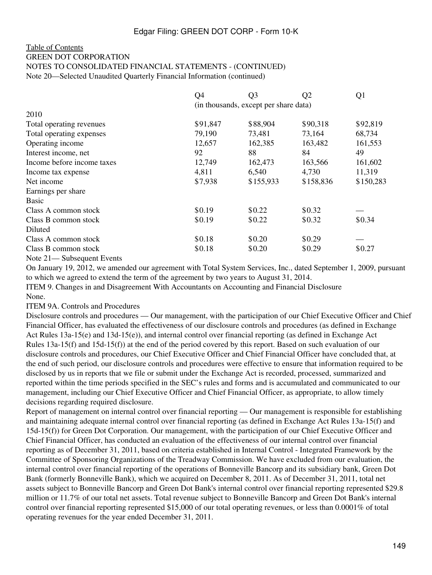#### [Table of Contents](#page-2-0) GREEN DOT CORPORATION NOTES TO CONSOLIDATED FINANCIAL STATEMENTS - (CONTINUED) Note 20—Selected Unaudited Quarterly Financial Information (continued)

|                            | Q4                                    | Q3        | Q <sub>2</sub> | Q <sub>1</sub> |
|----------------------------|---------------------------------------|-----------|----------------|----------------|
|                            | (in thousands, except per share data) |           |                |                |
| 2010                       |                                       |           |                |                |
| Total operating revenues   | \$91,847                              | \$88,904  | \$90,318       | \$92,819       |
| Total operating expenses   | 79,190                                | 73,481    | 73,164         | 68,734         |
| Operating income           | 12,657                                | 162,385   | 163,482        | 161,553        |
| Interest income, net       | 92                                    | 88        | 84             | 49             |
| Income before income taxes | 12,749                                | 162,473   | 163,566        | 161,602        |
| Income tax expense         | 4,811                                 | 6,540     | 4,730          | 11,319         |
| Net income                 | \$7,938                               | \$155,933 | \$158,836      | \$150,283      |
| Earnings per share         |                                       |           |                |                |
| <b>Basic</b>               |                                       |           |                |                |
| Class A common stock       | \$0.19                                | \$0.22    | \$0.32         |                |
| Class B common stock       | \$0.19                                | \$0.22    | \$0.32         | \$0.34         |
| Diluted                    |                                       |           |                |                |
| Class A common stock       | \$0.18                                | \$0.20    | \$0.29         |                |
| Class B common stock       | \$0.18                                | \$0.20    | \$0.29         | \$0.27         |
| Note 21— Subsequent Events |                                       |           |                |                |

On January 19, 2012, we amended our agreement with Total System Services, Inc., dated September 1, 2009, pursuant to which we agreed to extend the term of the agreement by two years to August 31, 2014.

ITEM 9. Changes in and Disagreement With Accountants on Accounting and Financial Disclosure None.

ITEM 9A. Controls and Procedures

Disclosure controls and procedures — Our management, with the participation of our Chief Executive Officer and Chief Financial Officer, has evaluated the effectiveness of our disclosure controls and procedures (as defined in Exchange Act Rules 13a-15(e) and 13d-15(e)), and internal control over financial reporting (as defined in Exchange Act Rules 13a-15(f) and 15d-15(f)) at the end of the period covered by this report. Based on such evaluation of our disclosure controls and procedures, our Chief Executive Officer and Chief Financial Officer have concluded that, at the end of such period, our disclosure controls and procedures were effective to ensure that information required to be disclosed by us in reports that we file or submit under the Exchange Act is recorded, processed, summarized and reported within the time periods specified in the SEC's rules and forms and is accumulated and communicated to our management, including our Chief Executive Officer and Chief Financial Officer, as appropriate, to allow timely decisions regarding required disclosure.

Report of management on internal control over financial reporting — Our management is responsible for establishing and maintaining adequate internal control over financial reporting (as defined in Exchange Act Rules 13a-15(f) and 15d-15(f)) for Green Dot Corporation. Our management, with the participation of our Chief Executive Officer and Chief Financial Officer, has conducted an evaluation of the effectiveness of our internal control over financial reporting as of December 31, 2011, based on criteria established in Internal Control - Integrated Framework by the Committee of Sponsoring Organizations of the Treadway Commission. We have excluded from our evaluation, the internal control over financial reporting of the operations of Bonneville Bancorp and its subsidiary bank, Green Dot Bank (formerly Bonneville Bank), which we acquired on December 8, 2011. As of December 31, 2011, total net assets subject to Bonneville Bancorp and Green Dot Bank's internal control over financial reporting represented \$29.8 million or 11.7% of our total net assets. Total revenue subject to Bonneville Bancorp and Green Dot Bank's internal control over financial reporting represented \$15,000 of our total operating revenues, or less than 0.0001% of total operating revenues for the year ended December 31, 2011.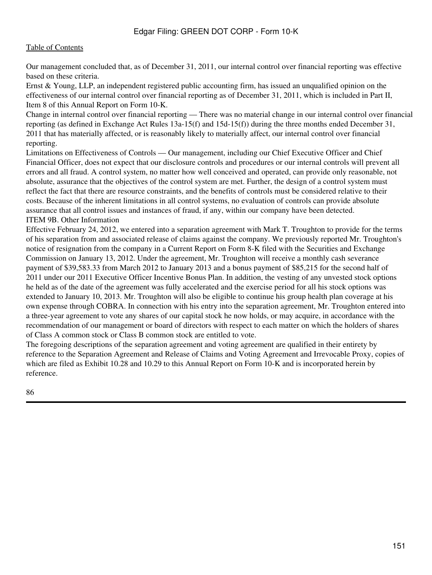Our management concluded that, as of December 31, 2011, our internal control over financial reporting was effective based on these criteria.

Ernst & Young, LLP, an independent registered public accounting firm, has issued an unqualified opinion on the effectiveness of our internal control over financial reporting as of December 31, 2011, which is included in Part II, Item 8 of this Annual Report on Form 10-K.

Change in internal control over financial reporting — There was no material change in our internal control over financial reporting (as defined in Exchange Act Rules 13a-15(f) and 15d-15(f)) during the three months ended December 31, 2011 that has materially affected, or is reasonably likely to materially affect, our internal control over financial reporting.

Limitations on Effectiveness of Controls — Our management, including our Chief Executive Officer and Chief Financial Officer, does not expect that our disclosure controls and procedures or our internal controls will prevent all errors and all fraud. A control system, no matter how well conceived and operated, can provide only reasonable, not absolute, assurance that the objectives of the control system are met. Further, the design of a control system must reflect the fact that there are resource constraints, and the benefits of controls must be considered relative to their costs. Because of the inherent limitations in all control systems, no evaluation of controls can provide absolute assurance that all control issues and instances of fraud, if any, within our company have been detected. ITEM 9B. Other Information

Effective February 24, 2012, we entered into a separation agreement with Mark T. Troughton to provide for the terms of his separation from and associated release of claims against the company. We previously reported Mr. Troughton's notice of resignation from the company in a Current Report on Form 8-K filed with the Securities and Exchange Commission on January 13, 2012. Under the agreement, Mr. Troughton will receive a monthly cash severance payment of \$39,583.33 from March 2012 to January 2013 and a bonus payment of \$85,215 for the second half of 2011 under our 2011 Executive Officer Incentive Bonus Plan. In addition, the vesting of any unvested stock options he held as of the date of the agreement was fully accelerated and the exercise period for all his stock options was extended to January 10, 2013. Mr. Troughton will also be eligible to continue his group health plan coverage at his own expense through COBRA. In connection with his entry into the separation agreement, Mr. Troughton entered into a three-year agreement to vote any shares of our capital stock he now holds, or may acquire, in accordance with the recommendation of our management or board of directors with respect to each matter on which the holders of shares of Class A common stock or Class B common stock are entitled to vote.

The foregoing descriptions of the separation agreement and voting agreement are qualified in their entirety by reference to the Separation Agreement and Release of Claims and Voting Agreement and Irrevocable Proxy, copies of which are filed as Exhibit 10.28 and 10.29 to this Annual Report on Form 10-K and is incorporated herein by reference.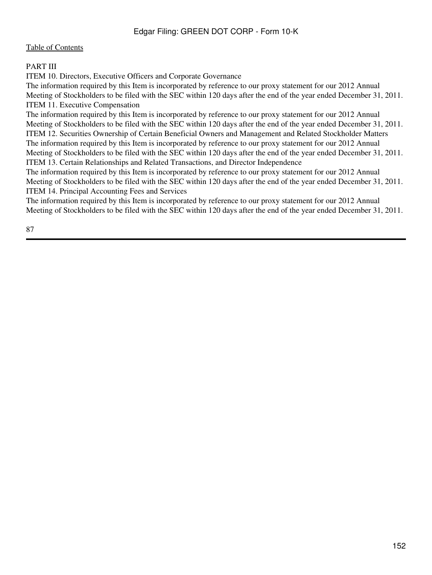## PART III

ITEM 10. Directors, Executive Officers and Corporate Governance

The information required by this Item is incorporated by reference to our proxy statement for our 2012 Annual Meeting of Stockholders to be filed with the SEC within 120 days after the end of the year ended December 31, 2011. ITEM 11. Executive Compensation

The information required by this Item is incorporated by reference to our proxy statement for our 2012 Annual Meeting of Stockholders to be filed with the SEC within 120 days after the end of the year ended December 31, 2011. ITEM 12. Securities Ownership of Certain Beneficial Owners and Management and Related Stockholder Matters The information required by this Item is incorporated by reference to our proxy statement for our 2012 Annual Meeting of Stockholders to be filed with the SEC within 120 days after the end of the year ended December 31, 2011. ITEM 13. Certain Relationships and Related Transactions, and Director Independence

The information required by this Item is incorporated by reference to our proxy statement for our 2012 Annual Meeting of Stockholders to be filed with the SEC within 120 days after the end of the year ended December 31, 2011. ITEM 14. Principal Accounting Fees and Services

The information required by this Item is incorporated by reference to our proxy statement for our 2012 Annual Meeting of Stockholders to be filed with the SEC within 120 days after the end of the year ended December 31, 2011.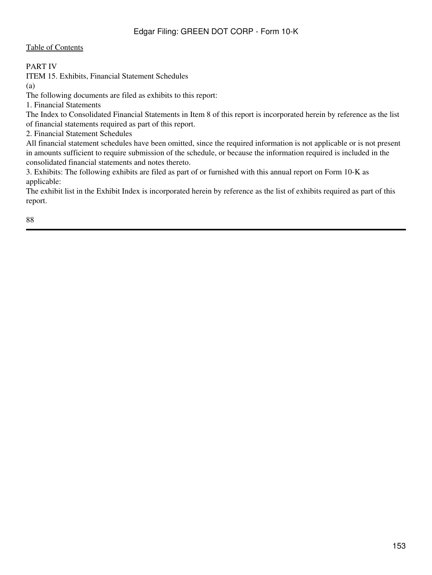#### PART IV

ITEM 15. Exhibits, Financial Statement Schedules

(a)

The following documents are filed as exhibits to this report:

1. Financial Statements

The Index to Consolidated Financial Statements in Item 8 of this report is incorporated herein by reference as the list of financial statements required as part of this report.

2. Financial Statement Schedules

All financial statement schedules have been omitted, since the required information is not applicable or is not present in amounts sufficient to require submission of the schedule, or because the information required is included in the consolidated financial statements and notes thereto.

3. Exhibits: The following exhibits are filed as part of or furnished with this annual report on Form 10-K as applicable:

The exhibit list in the Exhibit Index is incorporated herein by reference as the list of exhibits required as part of this report.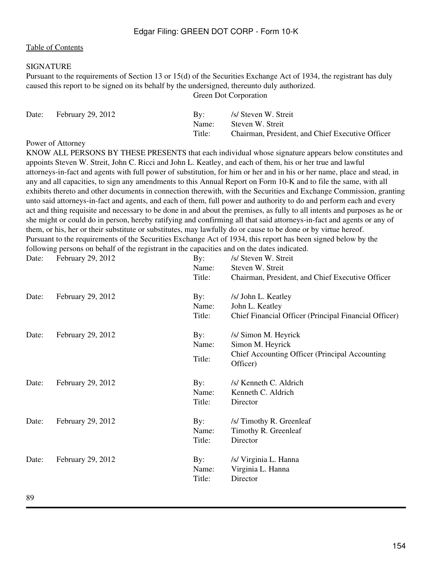#### SIGNATURE

Pursuant to the requirements of Section 13 or 15(d) of the Securities Exchange Act of 1934, the registrant has duly caused this report to be signed on its behalf by the undersigned, thereunto duly authorized.

Green Dot Corporation

| Date: | <b>February 29, 2012</b> | Bv:    | /s/ Steven W. Streit                             |
|-------|--------------------------|--------|--------------------------------------------------|
|       |                          | Name:  | Steven W. Streit                                 |
|       |                          | Title: | Chairman, President, and Chief Executive Officer |

#### Power of Attorney

KNOW ALL PERSONS BY THESE PRESENTS that each individual whose signature appears below constitutes and appoints Steven W. Streit, John C. Ricci and John L. Keatley, and each of them, his or her true and lawful attorneys-in-fact and agents with full power of substitution, for him or her and in his or her name, place and stead, in any and all capacities, to sign any amendments to this Annual Report on Form 10-K and to file the same, with all exhibits thereto and other documents in connection therewith, with the Securities and Exchange Commission, granting unto said attorneys-in-fact and agents, and each of them, full power and authority to do and perform each and every act and thing requisite and necessary to be done in and about the premises, as fully to all intents and purposes as he or she might or could do in person, hereby ratifying and confirming all that said attorneys-in-fact and agents or any of them, or his, her or their substitute or substitutes, may lawfully do or cause to be done or by virtue hereof. Pursuant to the requirements of the Securities Exchange Act of 1934, this report has been signed below by the following persons on behalf of the registrant in the capacities and on the dates indicated.

Date: February 29, 2012 By: *Isl* Steven W. Streit Name: Steven W. Streit Title: Chairman, President, and Chief Executive Officer Date: February 29, 2012 By: *Islamic By: Islamic By: Islamic By: Islamic By: Islamic By: By: Islamic By: Islamic By: Islamic By: Islamic By: Islamic By: Islamic By: Islamic By: Islamic By: Islam* Name: John L. Keatley Title: Chief Financial Officer (Principal Financial Officer) Date: February 29, 2012 By: *Isl* Simon M. Heyrick Name: Simon M. Heyrick Title: Chief Accounting Officer (Principal Accounting Officer) Date: February 29, 2012 By: /s/ Kenneth C. Aldrich Name: Kenneth C. Aldrich Title: Director Date: February 29, 2012 By: /s/ Timothy R. Greenleaf Name: Timothy R. Greenleaf Title: Director Date: February 29, 2012 By: *Islama* By: *Islama* By: *Islama* By: *Islama* By: *Islama* By: *Islama* By: *Islama* By: *Islama* By: *Islama* By: *Islama* By: *Islama* By: *Islama* By: *Islama* By: *Islama* By: *Islama* By: Name: Virginia L. Hanna Title: Director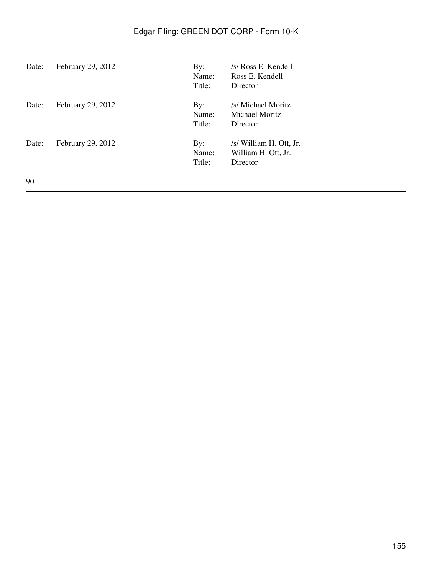| Date: | February 29, 2012 | By:<br>Name:<br>Title: | /s/ Ross E. Kendell<br>Ross E. Kendell<br>Director         |
|-------|-------------------|------------------------|------------------------------------------------------------|
| Date: | February 29, 2012 | By:<br>Name:<br>Title: | /s/ Michael Moritz<br>Michael Moritz<br>Director           |
| Date: | February 29, 2012 | By:<br>Name:<br>Title: | /s/ William H. Ott, Jr.<br>William H. Ott, Jr.<br>Director |
| 90    |                   |                        |                                                            |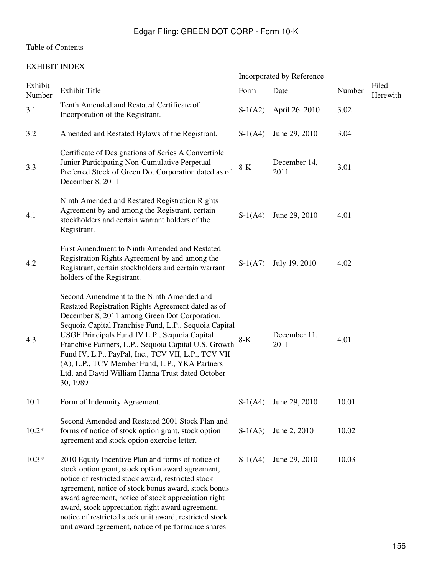## [Table of Contents](#page-2-0)

## EXHIBIT INDEX

|                   |                                                                                                                                                                                                                                                                                                                                                                                                                                                                                              |           | Incorporated by Reference |        |                   |
|-------------------|----------------------------------------------------------------------------------------------------------------------------------------------------------------------------------------------------------------------------------------------------------------------------------------------------------------------------------------------------------------------------------------------------------------------------------------------------------------------------------------------|-----------|---------------------------|--------|-------------------|
| Exhibit<br>Number | <b>Exhibit Title</b>                                                                                                                                                                                                                                                                                                                                                                                                                                                                         | Form      | Date                      | Number | Filed<br>Herewith |
| 3.1               | Tenth Amended and Restated Certificate of<br>Incorporation of the Registrant.                                                                                                                                                                                                                                                                                                                                                                                                                | $S-1(A2)$ | April 26, 2010            | 3.02   |                   |
| 3.2               | Amended and Restated Bylaws of the Registrant.                                                                                                                                                                                                                                                                                                                                                                                                                                               | $S-1(A4)$ | June 29, 2010             | 3.04   |                   |
| 3.3               | Certificate of Designations of Series A Convertible<br>Junior Participating Non-Cumulative Perpetual<br>Preferred Stock of Green Dot Corporation dated as of<br>December 8, 2011                                                                                                                                                                                                                                                                                                             | $8-K$     | December 14,<br>2011      | 3.01   |                   |
| 4.1               | Ninth Amended and Restated Registration Rights<br>Agreement by and among the Registrant, certain<br>stockholders and certain warrant holders of the<br>Registrant.                                                                                                                                                                                                                                                                                                                           | $S-1(A4)$ | June 29, 2010             | 4.01   |                   |
| 4.2               | First Amendment to Ninth Amended and Restated<br>Registration Rights Agreement by and among the<br>Registrant, certain stockholders and certain warrant<br>holders of the Registrant.                                                                                                                                                                                                                                                                                                        | $S-1(A7)$ | July 19, 2010             | 4.02   |                   |
| 4.3               | Second Amendment to the Ninth Amended and<br>Restated Registration Rights Agreement dated as of<br>December 8, 2011 among Green Dot Corporation,<br>Sequoia Capital Franchise Fund, L.P., Sequoia Capital<br>USGF Principals Fund IV L.P., Sequoia Capital<br>Franchise Partners, L.P., Sequoia Capital U.S. Growth<br>Fund IV, L.P., PayPal, Inc., TCV VII, L.P., TCV VII<br>(A), L.P., TCV Member Fund, L.P., YKA Partners<br>Ltd. and David William Hanna Trust dated October<br>30, 1989 | $8-K$     | December 11,<br>2011      | 4.01   |                   |
| 10.1              | Form of Indemnity Agreement.                                                                                                                                                                                                                                                                                                                                                                                                                                                                 | $S-1(A4)$ | June 29, 2010             | 10.01  |                   |
| $10.2*$           | Second Amended and Restated 2001 Stock Plan and<br>forms of notice of stock option grant, stock option<br>agreement and stock option exercise letter.                                                                                                                                                                                                                                                                                                                                        | $S-1(A3)$ | June 2, 2010              | 10.02  |                   |
| $10.3*$           | 2010 Equity Incentive Plan and forms of notice of<br>stock option grant, stock option award agreement,<br>notice of restricted stock award, restricted stock<br>agreement, notice of stock bonus award, stock bonus<br>award agreement, notice of stock appreciation right<br>award, stock appreciation right award agreement,<br>notice of restricted stock unit award, restricted stock<br>unit award agreement, notice of performance shares                                              | $S-1(A4)$ | June 29, 2010             | 10.03  |                   |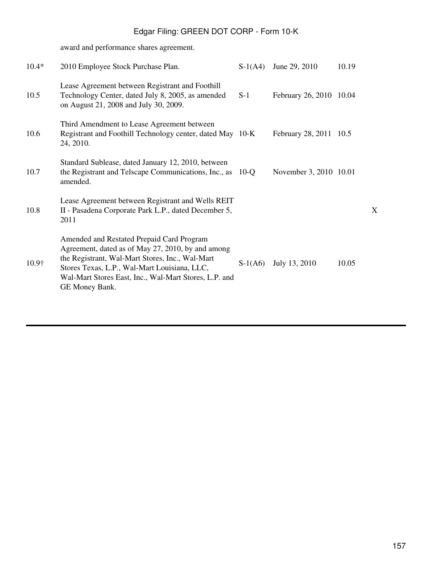award and performance shares agreement.

| $10.4*$ | 2010 Employee Stock Purchase Plan.                                                                                                                                                                                                                                           | $S-1(A4)$ | June 29, 2010           | 10.19 |
|---------|------------------------------------------------------------------------------------------------------------------------------------------------------------------------------------------------------------------------------------------------------------------------------|-----------|-------------------------|-------|
| 10.5    | Lease Agreement between Registrant and Foothill<br>Technology Center, dated July 8, 2005, as amended<br>on August 21, 2008 and July 30, 2009.                                                                                                                                | $S-1$     | February 26, 2010 10.04 |       |
| 10.6    | Third Amendment to Lease Agreement between<br>Registrant and Foothill Technology center, dated May 10-K<br>24, 2010.                                                                                                                                                         |           | February 28, 2011 10.5  |       |
| 10.7    | Standard Sublease, dated January 12, 2010, between<br>the Registrant and Telscape Communications, Inc., as<br>amended.                                                                                                                                                       | $10$ -O   | November 3, 2010 10.01  |       |
| 10.8    | Lease Agreement between Registrant and Wells REIT<br>II - Pasadena Corporate Park L.P., dated December 5,<br>2011                                                                                                                                                            |           |                         |       |
| 10.9†   | Amended and Restated Prepaid Card Program<br>Agreement, dated as of May 27, 2010, by and among<br>the Registrant, Wal-Mart Stores, Inc., Wal-Mart<br>Stores Texas, L.P., Wal-Mart Louisiana, LLC,<br>Wal-Mart Stores East, Inc., Wal-Mart Stores, L.P. and<br>GE Money Bank. | $S-1(A6)$ | July 13, 2010           | 10.05 |

X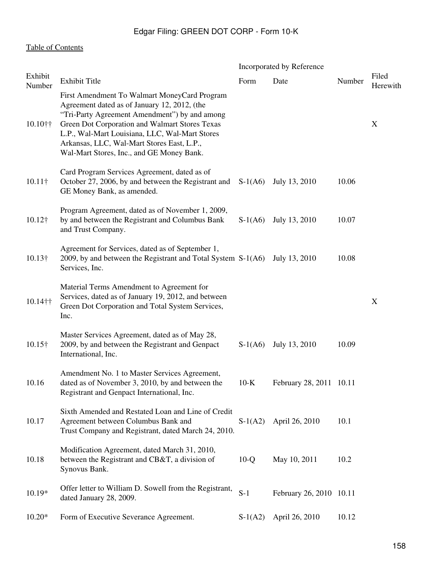## [Table of Contents](#page-2-0)

|                   |                                                                                                                                                                                                                                                                                                                                              | Incorporated by Reference |                         |        |                   |
|-------------------|----------------------------------------------------------------------------------------------------------------------------------------------------------------------------------------------------------------------------------------------------------------------------------------------------------------------------------------------|---------------------------|-------------------------|--------|-------------------|
| Exhibit<br>Number | Exhibit Title                                                                                                                                                                                                                                                                                                                                | Form                      | Date                    | Number | Filed<br>Herewith |
| $10.10$ ††        | First Amendment To Walmart MoneyCard Program<br>Agreement dated as of January 12, 2012, (the<br>"Tri-Party Agreement Amendment") by and among<br>Green Dot Corporation and Walmart Stores Texas<br>L.P., Wal-Mart Louisiana, LLC, Wal-Mart Stores<br>Arkansas, LLC, Wal-Mart Stores East, L.P.,<br>Wal-Mart Stores, Inc., and GE Money Bank. |                           |                         |        | X                 |
| $10.11\dagger$    | Card Program Services Agreement, dated as of<br>October 27, 2006, by and between the Registrant and<br>GE Money Bank, as amended.                                                                                                                                                                                                            | $S-1(A6)$                 | July 13, 2010           | 10.06  |                   |
| $10.12\dagger$    | Program Agreement, dated as of November 1, 2009,<br>by and between the Registrant and Columbus Bank<br>and Trust Company.                                                                                                                                                                                                                    | $S-1(A6)$                 | July 13, 2010           | 10.07  |                   |
| $10.13\dagger$    | Agreement for Services, dated as of September 1,<br>2009, by and between the Registrant and Total System S-1(A6)<br>Services, Inc.                                                                                                                                                                                                           |                           | July 13, 2010           | 10.08  |                   |
| 10.14††           | Material Terms Amendment to Agreement for<br>Services, dated as of January 19, 2012, and between<br>Green Dot Corporation and Total System Services,<br>Inc.                                                                                                                                                                                 |                           |                         |        | X                 |
| $10.15\dagger$    | Master Services Agreement, dated as of May 28,<br>2009, by and between the Registrant and Genpact<br>International, Inc.                                                                                                                                                                                                                     | $S-1(A6)$                 | July 13, 2010           | 10.09  |                   |
| 10.16             | Amendment No. 1 to Master Services Agreement,<br>dated as of November 3, 2010, by and between the<br>Registrant and Genpact International, Inc.                                                                                                                                                                                              | $10-K$                    | February 28, 2011 10.11 |        |                   |
| 10.17             | Sixth Amended and Restated Loan and Line of Credit<br>Agreement between Columbus Bank and<br>Trust Company and Registrant, dated March 24, 2010.                                                                                                                                                                                             | $S-1(A2)$                 | April 26, 2010          | 10.1   |                   |
| 10.18             | Modification Agreement, dated March 31, 2010,<br>between the Registrant and CB&T, a division of<br>Synovus Bank.                                                                                                                                                                                                                             | $10-Q$                    | May 10, 2011            | 10.2   |                   |
| $10.19*$          | Offer letter to William D. Sowell from the Registrant,<br>dated January 28, 2009.                                                                                                                                                                                                                                                            | $S-1$                     | February 26, 2010 10.11 |        |                   |
| $10.20*$          | Form of Executive Severance Agreement.                                                                                                                                                                                                                                                                                                       | $S-1(A2)$                 | April 26, 2010          | 10.12  |                   |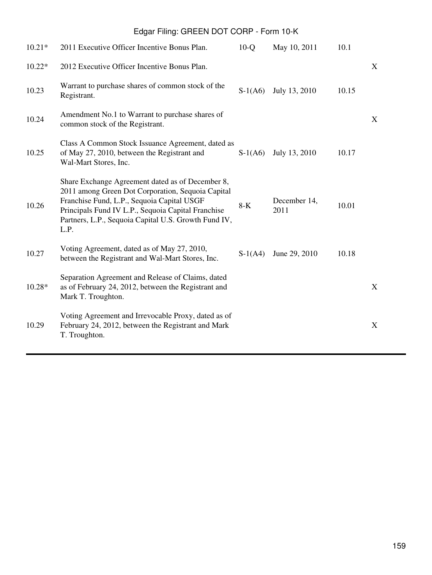| $10.21*$ | 2011 Executive Officer Incentive Bonus Plan.                                                                                                                                                                                                                              | $10-Q$    | May 10, 2011         | 10.1  |   |
|----------|---------------------------------------------------------------------------------------------------------------------------------------------------------------------------------------------------------------------------------------------------------------------------|-----------|----------------------|-------|---|
| $10.22*$ | 2012 Executive Officer Incentive Bonus Plan.                                                                                                                                                                                                                              |           |                      |       | X |
| 10.23    | Warrant to purchase shares of common stock of the<br>Registrant.                                                                                                                                                                                                          | $S-1(A6)$ | July 13, 2010        | 10.15 |   |
| 10.24    | Amendment No.1 to Warrant to purchase shares of<br>common stock of the Registrant.                                                                                                                                                                                        |           |                      |       | X |
| 10.25    | Class A Common Stock Issuance Agreement, dated as<br>of May 27, 2010, between the Registrant and<br>Wal-Mart Stores, Inc.                                                                                                                                                 | $S-1(A6)$ | July 13, 2010        | 10.17 |   |
| 10.26    | Share Exchange Agreement dated as of December 8,<br>2011 among Green Dot Corporation, Sequoia Capital<br>Franchise Fund, L.P., Sequoia Capital USGF<br>Principals Fund IV L.P., Sequoia Capital Franchise<br>Partners, L.P., Sequoia Capital U.S. Growth Fund IV,<br>L.P. | $8-K$     | December 14,<br>2011 | 10.01 |   |
| 10.27    | Voting Agreement, dated as of May 27, 2010,<br>between the Registrant and Wal-Mart Stores, Inc.                                                                                                                                                                           | $S-1(A4)$ | June 29, 2010        | 10.18 |   |
| $10.28*$ | Separation Agreement and Release of Claims, dated<br>as of February 24, 2012, between the Registrant and<br>Mark T. Troughton.                                                                                                                                            |           |                      |       | X |
| 10.29    | Voting Agreement and Irrevocable Proxy, dated as of<br>February 24, 2012, between the Registrant and Mark<br>T. Troughton.                                                                                                                                                |           |                      |       | X |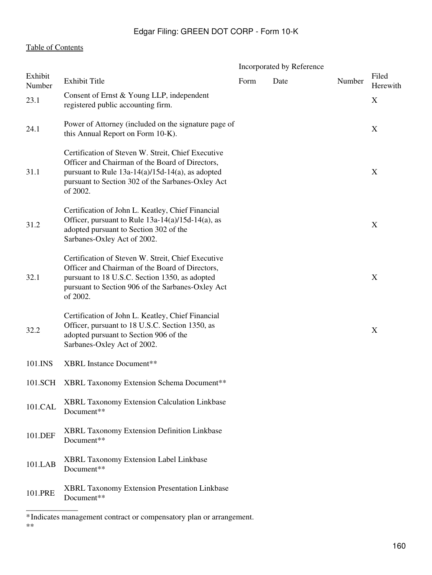## [Table of Contents](#page-2-0)

|                   |                                                                                                                                                                                                                               | Incorporated by Reference |      |        |                           |
|-------------------|-------------------------------------------------------------------------------------------------------------------------------------------------------------------------------------------------------------------------------|---------------------------|------|--------|---------------------------|
| Exhibit<br>Number | <b>Exhibit Title</b>                                                                                                                                                                                                          | Form                      | Date | Number | Filed<br>Herewith         |
| 23.1              | Consent of Ernst & Young LLP, independent<br>registered public accounting firm.                                                                                                                                               |                           |      |        | $\boldsymbol{\mathrm{X}}$ |
| 24.1              | Power of Attorney (included on the signature page of<br>this Annual Report on Form 10-K).                                                                                                                                     |                           |      |        | X                         |
| 31.1              | Certification of Steven W. Streit, Chief Executive<br>Officer and Chairman of the Board of Directors,<br>pursuant to Rule $13a-14(a)/15d-14(a)$ , as adopted<br>pursuant to Section 302 of the Sarbanes-Oxley Act<br>of 2002. |                           |      |        | X                         |
| 31.2              | Certification of John L. Keatley, Chief Financial<br>Officer, pursuant to Rule 13a-14(a)/15d-14(a), as<br>adopted pursuant to Section 302 of the<br>Sarbanes-Oxley Act of 2002.                                               |                           |      |        | X                         |
| 32.1              | Certification of Steven W. Streit, Chief Executive<br>Officer and Chairman of the Board of Directors,<br>pursuant to 18 U.S.C. Section 1350, as adopted<br>pursuant to Section 906 of the Sarbanes-Oxley Act<br>of 2002.      |                           |      |        | X                         |
| 32.2              | Certification of John L. Keatley, Chief Financial<br>Officer, pursuant to 18 U.S.C. Section 1350, as<br>adopted pursuant to Section 906 of the<br>Sarbanes-Oxley Act of 2002.                                                 |                           |      |        | X                         |
| 101.INS           | <b>XBRL</b> Instance Document**                                                                                                                                                                                               |                           |      |        |                           |
| 101.SCH           | XBRL Taxonomy Extension Schema Document**                                                                                                                                                                                     |                           |      |        |                           |
| 101.CAL           | XBRL Taxonomy Extension Calculation Linkbase<br>Document**                                                                                                                                                                    |                           |      |        |                           |
| 101.DEF           | XBRL Taxonomy Extension Definition Linkbase<br>Document**                                                                                                                                                                     |                           |      |        |                           |
| 101.LAB           | XBRL Taxonomy Extension Label Linkbase<br>Document**                                                                                                                                                                          |                           |      |        |                           |
| 101.PRE           | XBRL Taxonomy Extension Presentation Linkbase<br>Document**                                                                                                                                                                   |                           |      |        |                           |

<sup>\*</sup>Indicates management contract or compensatory plan or arrangement. \*\*